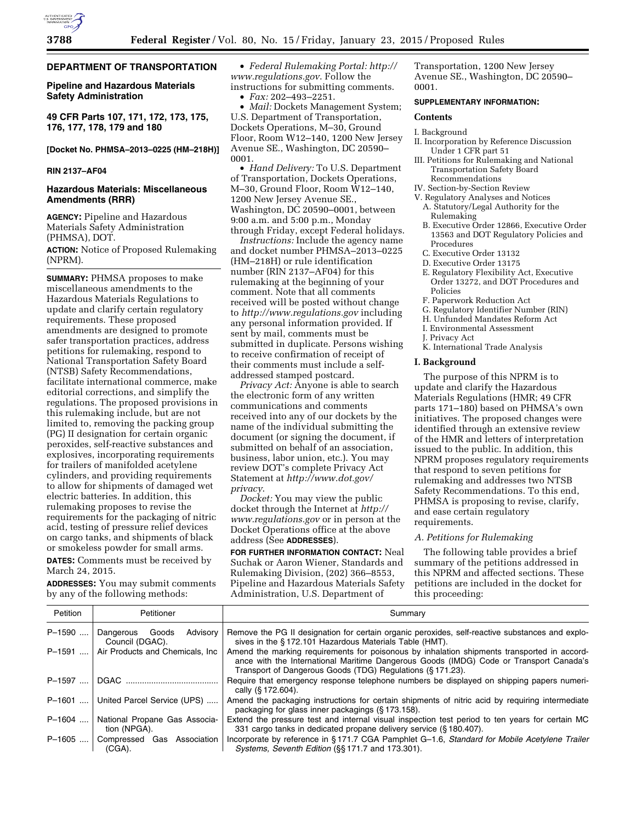### **DEPARTMENT OF TRANSPORTATION**

**Pipeline and Hazardous Materials Safety Administration** 

**49 CFR Parts 107, 171, 172, 173, 175, 176, 177, 178, 179 and 180** 

# **[Docket No. PHMSA–2013–0225 (HM–218H)]**

# **RIN 2137–AF04**

# **Hazardous Materials: Miscellaneous Amendments (RRR)**

**AGENCY:** Pipeline and Hazardous Materials Safety Administration (PHMSA), DOT.

**ACTION:** Notice of Proposed Rulemaking (NPRM).

**SUMMARY:** PHMSA proposes to make miscellaneous amendments to the Hazardous Materials Regulations to update and clarify certain regulatory requirements. These proposed amendments are designed to promote safer transportation practices, address petitions for rulemaking, respond to National Transportation Safety Board (NTSB) Safety Recommendations, facilitate international commerce, make editorial corrections, and simplify the regulations. The proposed provisions in this rulemaking include, but are not limited to, removing the packing group (PG) II designation for certain organic peroxides, self-reactive substances and explosives, incorporating requirements for trailers of manifolded acetylene cylinders, and providing requirements to allow for shipments of damaged wet electric batteries. In addition, this rulemaking proposes to revise the requirements for the packaging of nitric acid, testing of pressure relief devices on cargo tanks, and shipments of black or smokeless powder for small arms.

**DATES:** Comments must be received by March 24, 2015.

**ADDRESSES:** You may submit comments by any of the following methods:

• *Federal Rulemaking Portal: [http://](http://www.regulations.gov) [www.regulations.gov](http://www.regulations.gov)*. Follow the instructions for submitting comments. • *Fax:* 202–493–2251.

• *Mail:* Dockets Management System; U.S. Department of Transportation, Dockets Operations, M–30, Ground Floor, Room W12–140, 1200 New Jersey Avenue SE., Washington, DC 20590– 0001.

• *Hand Delivery:* To U.S. Department of Transportation, Dockets Operations, M–30, Ground Floor, Room W12–140, 1200 New Jersey Avenue SE., Washington, DC 20590–0001, between 9:00 a.m. and 5:00 p.m., Monday through Friday, except Federal holidays.

*Instructions:* Include the agency name and docket number PHMSA–2013–0225 (HM–218H) or rule identification number (RIN 2137–AF04) for this rulemaking at the beginning of your comment. Note that all comments received will be posted without change to *<http://www.regulations.gov>*including any personal information provided. If sent by mail, comments must be submitted in duplicate. Persons wishing to receive confirmation of receipt of their comments must include a selfaddressed stamped postcard.

*Privacy Act:* Anyone is able to search the electronic form of any written communications and comments received into any of our dockets by the name of the individual submitting the document (or signing the document, if submitted on behalf of an association, business, labor union, etc.). You may review DOT's complete Privacy Act Statement at *[http://www.dot.gov/](http://www.dot.gov/privacy) [privacy](http://www.dot.gov/privacy)*.

*Docket:* You may view the public docket through the Internet at *[http://](http://www.regulations.gov) [www.regulations.gov](http://www.regulations.gov)* or in person at the Docket Operations office at the above address (See **ADDRESSES**).

**FOR FURTHER INFORMATION CONTACT:** Neal Suchak or Aaron Wiener, Standards and Rulemaking Division, (202) 366–8553, Pipeline and Hazardous Materials Safety Administration, U.S. Department of

Transportation, 1200 New Jersey Avenue SE., Washington, DC 20590– 0001.

# **SUPPLEMENTARY INFORMATION:**

# **Contents**

#### I. Background

- II. Incorporation by Reference Discussion Under 1 CFR part 51
- III. Petitions for Rulemaking and National Transportation Safety Board Recommendations
- IV. Section-by-Section Review
- V. Regulatory Analyses and Notices
	- A. Statutory/Legal Authority for the Rulemaking
	- B. Executive Order 12866, Executive Order 13563 and DOT Regulatory Policies and Procedures
	- C. Executive Order 13132
	- D. Executive Order 13175
	- E. Regulatory Flexibility Act, Executive Order 13272, and DOT Procedures and Policies
	- F. Paperwork Reduction Act
	- G. Regulatory Identifier Number (RIN)
	- H. Unfunded Mandates Reform Act
	- I. Environmental Assessment
	- J. Privacy Act
	- K. International Trade Analysis

### **I. Background**

The purpose of this NPRM is to update and clarify the Hazardous Materials Regulations (HMR; 49 CFR parts 171–180) based on PHMSA's own initiatives. The proposed changes were identified through an extensive review of the HMR and letters of interpretation issued to the public. In addition, this NPRM proposes regulatory requirements that respond to seven petitions for rulemaking and addresses two NTSB Safety Recommendations. To this end, PHMSA is proposing to revise, clarify, and ease certain regulatory requirements.

#### *A. Petitions for Rulemaking*

The following table provides a brief summary of the petitions addressed in this NPRM and affected sections. These petitions are included in the docket for this proceeding:

| Petition | Petitioner                                        | Summary                                                                                                                                                                                                                                            |
|----------|---------------------------------------------------|----------------------------------------------------------------------------------------------------------------------------------------------------------------------------------------------------------------------------------------------------|
| P-1590   | Advisory<br>Goods<br>Dangerous<br>Council (DGAC). | Remove the PG II designation for certain organic peroxides, self-reactive substances and explo-<br>sives in the §172.101 Hazardous Materials Table (HMT).                                                                                          |
| P-1591   | Air Products and Chemicals, Inc.                  | Amend the marking requirements for poisonous by inhalation shipments transported in accord-<br>ance with the International Maritime Dangerous Goods (IMDG) Code or Transport Canada's<br>Transport of Dangerous Goods (TDG) Regulations (§171.23). |
| P-1597   | DGAC                                              | Require that emergency response telephone numbers be displayed on shipping papers numeri-<br>cally (§ 172.604).                                                                                                                                    |
| P-1601   | United Parcel Service (UPS)                       | Amend the packaging instructions for certain shipments of nitric acid by requiring intermediate<br>packaging for glass inner packagings (§173.158).                                                                                                |
| P-1604   | National Propane Gas Associa-<br>tion (NPGA).     | Extend the pressure test and internal visual inspection test period to ten years for certain MC<br>331 cargo tanks in dedicated propane delivery service (§ 180.407).                                                                              |
| P-1605   | Compressed Gas Association<br>(CGA).              | Incorporate by reference in §171.7 CGA Pamphlet G-1.6, Standard for Mobile Acetylene Trailer<br>Systems, Seventh Edition (§§ 171.7 and 173.301).                                                                                                   |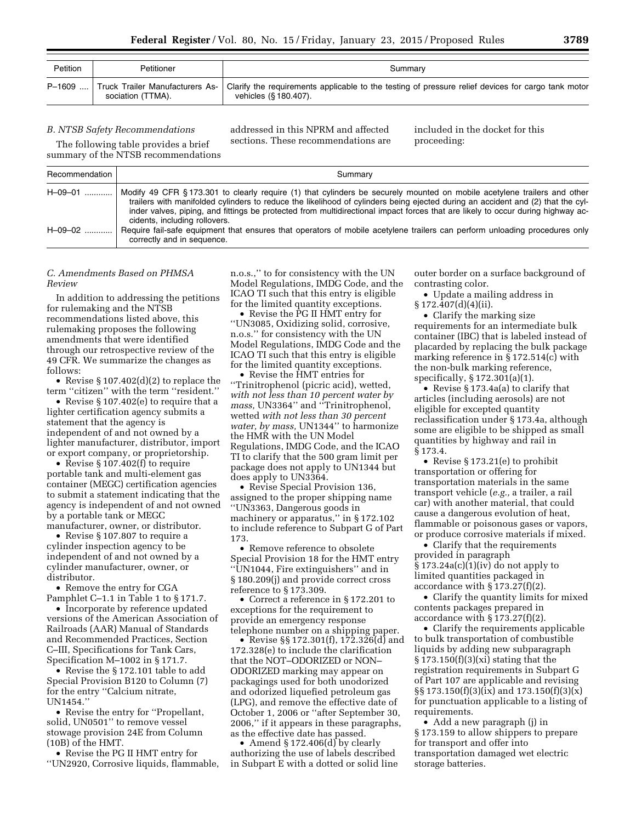| Petition | Petitioner        | Summary                                                                                                                                                               |
|----------|-------------------|-----------------------------------------------------------------------------------------------------------------------------------------------------------------------|
|          | sociation (TTMA). | P-1609  Truck Trailer Manufacturers As-   Clarify the requirements applicable to the testing of pressure relief devices for cargo tank motor<br>vehicles (§ 180.407). |

*B. NTSB Safety Recommendations* 

The following table provides a brief

addressed in this NPRM and affected sections. These recommendations are included in the docket for this proceeding:

|                | summary of the NTSB recommendations                                                                                                                                                                                                                                                                                                                                                                                            |
|----------------|--------------------------------------------------------------------------------------------------------------------------------------------------------------------------------------------------------------------------------------------------------------------------------------------------------------------------------------------------------------------------------------------------------------------------------|
| Recommendation | Summary                                                                                                                                                                                                                                                                                                                                                                                                                        |
| $H - 09 - 01$  | Modify 49 CFR §173.301 to clearly require (1) that cylinders be securely mounted on mobile acetylene trailers and other<br>trailers with manifolded cylinders to reduce the likelihood of cylinders being ejected during an accident and (2) that the cyl-<br>inder valves, piping, and fittings be protected from multidirectional impact forces that are likely to occur during highway ac-<br>cidents, including rollovers. |
| $H - 09 - 02$  | Require fail-safe equipment that ensures that operators of mobile acetylene trailers can perform unloading procedures only<br>correctly and in sequence.                                                                                                                                                                                                                                                                       |

*C. Amendments Based on PHMSA Review* 

In addition to addressing the petitions for rulemaking and the NTSB recommendations listed above, this rulemaking proposes the following amendments that were identified through our retrospective review of the 49 CFR. We summarize the changes as follows:

• Revise § 107.402(d)(2) to replace the term ''citizen'' with the term ''resident.''

• Revise § 107.402(e) to require that a lighter certification agency submits a statement that the agency is independent of and not owned by a lighter manufacturer, distributor, import or export company, or proprietorship.

• Revise § 107.402(f) to require portable tank and multi-element gas container (MEGC) certification agencies to submit a statement indicating that the agency is independent of and not owned by a portable tank or MEGC manufacturer, owner, or distributor.

• Revise § 107.807 to require a cylinder inspection agency to be independent of and not owned by a cylinder manufacturer, owner, or distributor.

• Remove the entry for CGA Pamphlet C–1.1 in Table 1 to § 171.7.

• Incorporate by reference updated versions of the American Association of Railroads (AAR) Manual of Standards and Recommended Practices, Section C–III, Specifications for Tank Cars, Specification M–1002 in § 171.7.

• Revise the § 172.101 table to add Special Provision B120 to Column (7) for the entry ''Calcium nitrate, UN1454.''

• Revise the entry for ''Propellant, solid, UN0501'' to remove vessel stowage provision 24E from Column (10B) of the HMT.

• Revise the PG II HMT entry for ''UN2920, Corrosive liquids, flammable, n.o.s.,'' to for consistency with the UN Model Regulations, IMDG Code, and the ICAO TI such that this entry is eligible for the limited quantity exceptions.

• Revise the PG II HMT entry for ''UN3085, Oxidizing solid, corrosive, n.o.s.'' for consistency with the UN Model Regulations, IMDG Code and the ICAO TI such that this entry is eligible for the limited quantity exceptions.

• Revise the HMT entries for ''Trinitrophenol (picric acid), wetted, *with not less than 10 percent water by mass,* UN3364'' and ''Trinitrophenol, wetted *with not less than 30 percent water, by mass,* UN1344'' to harmonize the HMR with the UN Model Regulations, IMDG Code, and the ICAO TI to clarify that the 500 gram limit per package does not apply to UN1344 but does apply to UN3364.

• Revise Special Provision 136, assigned to the proper shipping name ''UN3363, Dangerous goods in machinery or apparatus,'' in § 172.102 to include reference to Subpart G of Part 173.

• Remove reference to obsolete Special Provision 18 for the HMT entry ''UN1044, Fire extinguishers'' and in § 180.209(j) and provide correct cross reference to § 173.309.

• Correct a reference in § 172.201 to exceptions for the requirement to provide an emergency response telephone number on a shipping paper.

• Revise §§ 172.301(f), 172.326(d) and 172.328(e) to include the clarification that the NOT–ODORIZED or NON– ODORIZED marking may appear on packagings used for both unodorized and odorized liquefied petroleum gas (LPG), and remove the effective date of October 1, 2006 or ''after September 30, 2006,'' if it appears in these paragraphs, as the effective date has passed.

• Amend § 172.406(d) by clearly authorizing the use of labels described in Subpart E with a dotted or solid line

outer border on a surface background of contrasting color.

• Update a mailing address in § 172.407(d)(4)(ii).

• Clarify the marking size requirements for an intermediate bulk container (IBC) that is labeled instead of placarded by replacing the bulk package marking reference in § 172.514(c) with the non-bulk marking reference, specifically, § 172.301(a)(1).

• Revise § 173.4a(a) to clarify that articles (including aerosols) are not eligible for excepted quantity reclassification under § 173.4a, although some are eligible to be shipped as small quantities by highway and rail in § 173.4.

• Revise § 173.21(e) to prohibit transportation or offering for transportation materials in the same transport vehicle (*e.g.,* a trailer, a rail car) with another material, that could cause a dangerous evolution of heat, flammable or poisonous gases or vapors, or produce corrosive materials if mixed.

• Clarify that the requirements provided in paragraph § 173.24a(c)(1)(iv) do not apply to limited quantities packaged in accordance with  $\S 173.27(f)(2)$ .

• Clarify the quantity limits for mixed contents packages prepared in accordance with § 173.27(f)(2).

• Clarify the requirements applicable to bulk transportation of combustible liquids by adding new subparagraph  $\S 173.150(f)(3)(xi)$  stating that the registration requirements in Subpart G of Part 107 are applicable and revising §§ 173.150(f)(3)(ix) and 173.150(f)(3)(x) for punctuation applicable to a listing of requirements.

• Add a new paragraph (j) in § 173.159 to allow shippers to prepare for transport and offer into transportation damaged wet electric storage batteries.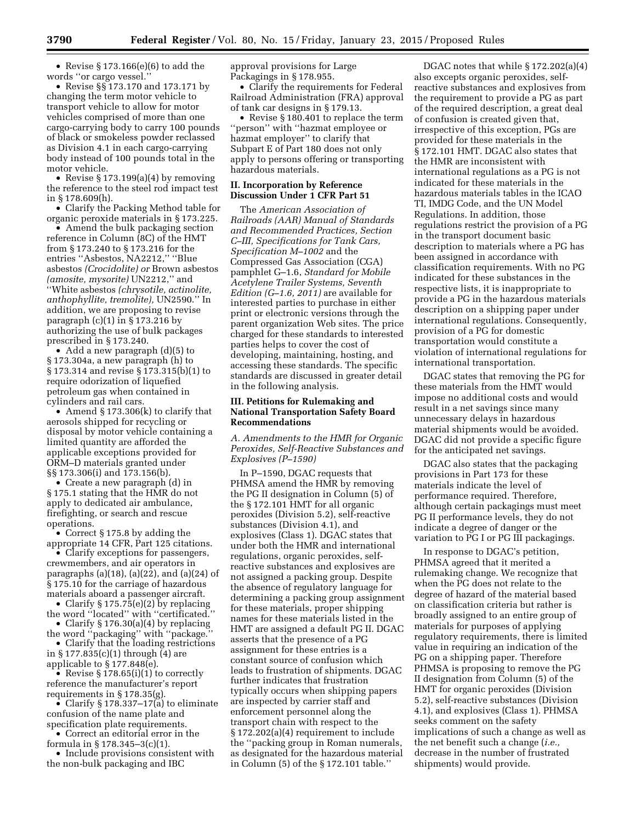• Revise § 173.166(e)(6) to add the words ''or cargo vessel.''

• Revise §§ 173.170 and 173.171 by changing the term motor vehicle to transport vehicle to allow for motor vehicles comprised of more than one cargo-carrying body to carry 100 pounds of black or smokeless powder reclassed as Division 4.1 in each cargo-carrying body instead of 100 pounds total in the motor vehicle.

• Revise § 173.199(a)(4) by removing the reference to the steel rod impact test in § 178.609(h).

• Clarify the Packing Method table for organic peroxide materials in § 173.225.

• Amend the bulk packaging section reference in Column (8C) of the HMT from § 173.240 to § 173.216 for the entries ''Asbestos, NA2212,'' ''Blue asbestos *(Crocidolite) or* Brown asbestos *(amosite, mysorite)* UN2212,'' and ''White asbestos *(chrysotile, actinolite, anthophyllite, tremolite),* UN2590.'' In addition, we are proposing to revise paragraph (c)(1) in § 173.216 by authorizing the use of bulk packages prescribed in § 173.240.

• Add a new paragraph (d)(5) to § 173.304a, a new paragraph (h) to § 173.314 and revise § 173.315(b)(1) to require odorization of liquefied petroleum gas when contained in cylinders and rail cars.

• Amend § 173.306(k) to clarify that aerosols shipped for recycling or disposal by motor vehicle containing a limited quantity are afforded the applicable exceptions provided for ORM–D materials granted under §§ 173.306(i) and 173.156(b).

• Create a new paragraph (d) in § 175.1 stating that the HMR do not apply to dedicated air ambulance, firefighting, or search and rescue operations.

• Correct § 175.8 by adding the appropriate 14 CFR, Part 125 citations.

• Clarify exceptions for passengers, crewmembers, and air operators in paragraphs (a)(18), (a)(22), and (a)(24) of § 175.10 for the carriage of hazardous materials aboard a passenger aircraft.

• Clarify § 175.75(e)(2) by replacing the word ''located'' with ''certificated.''

• Clarify § 176.30(a)(4) by replacing the word ''packaging'' with ''package.''

• Clarify that the loading restrictions in § 177.835(c)(1) through (4) are applicable to § 177.848(e).

• Revise  $\S 178.65(i)(1)$  to correctly reference the manufacturer's report requirements in § 178.35(g).

• Clarify § 178.337–17(a) to eliminate confusion of the name plate and specification plate requirements.

• Correct an editorial error in the formula in § 178.345–3(c)(1).

• Include provisions consistent with the non-bulk packaging and IBC

approval provisions for Large Packagings in § 178.955.

• Clarify the requirements for Federal Railroad Administration (FRA) approval of tank car designs in § 179.13.

• Revise § 180.401 to replace the term ''person'' with ''hazmat employee or hazmat employer'' to clarify that Subpart E of Part 180 does not only apply to persons offering or transporting hazardous materials.

#### **II. Incorporation by Reference Discussion Under 1 CFR Part 51**

The *American Association of Railroads (AAR) Manual of Standards and Recommended Practices, Section C–III, Specifications for Tank Cars, Specification M–1002* and the Compressed Gas Association (CGA) pamphlet G–1.6, *Standard for Mobile Acetylene Trailer Systems, Seventh Edition (G–1.6, 2011)* are available for interested parties to purchase in either print or electronic versions through the parent organization Web sites. The price charged for these standards to interested parties helps to cover the cost of developing, maintaining, hosting, and accessing these standards. The specific standards are discussed in greater detail in the following analysis.

# **III. Petitions for Rulemaking and National Transportation Safety Board Recommendations**

*A. Amendments to the HMR for Organic Peroxides, Self-Reactive Substances and Explosives (P–1590)* 

In P–1590, DGAC requests that PHMSA amend the HMR by removing the PG II designation in Column (5) of the § 172.101 HMT for all organic peroxides (Division 5.2), self-reactive substances (Division 4.1), and explosives (Class 1). DGAC states that under both the HMR and international regulations, organic peroxides, selfreactive substances and explosives are not assigned a packing group. Despite the absence of regulatory language for determining a packing group assignment for these materials, proper shipping names for these materials listed in the HMT are assigned a default PG II. DGAC asserts that the presence of a PG assignment for these entries is a constant source of confusion which leads to frustration of shipments. DGAC further indicates that frustration typically occurs when shipping papers are inspected by carrier staff and enforcement personnel along the transport chain with respect to the § 172.202(a)(4) requirement to include the ''packing group in Roman numerals, as designated for the hazardous material in Column (5) of the § 172.101 table.''

DGAC notes that while § 172.202(a)(4) also excepts organic peroxides, selfreactive substances and explosives from the requirement to provide a PG as part of the required description, a great deal of confusion is created given that, irrespective of this exception, PGs are provided for these materials in the § 172.101 HMT. DGAC also states that the HMR are inconsistent with international regulations as a PG is not indicated for these materials in the hazardous materials tables in the ICAO TI, IMDG Code, and the UN Model Regulations. In addition, those regulations restrict the provision of a PG in the transport document basic description to materials where a PG has been assigned in accordance with classification requirements. With no PG indicated for these substances in the respective lists, it is inappropriate to provide a PG in the hazardous materials description on a shipping paper under international regulations. Consequently, provision of a PG for domestic transportation would constitute a violation of international regulations for international transportation.

DGAC states that removing the PG for these materials from the HMT would impose no additional costs and would result in a net savings since many unnecessary delays in hazardous material shipments would be avoided. DGAC did not provide a specific figure for the anticipated net savings.

DGAC also states that the packaging provisions in Part 173 for these materials indicate the level of performance required. Therefore, although certain packagings must meet PG II performance levels, they do not indicate a degree of danger or the variation to PG I or PG III packagings.

In response to DGAC's petition, PHMSA agreed that it merited a rulemaking change. We recognize that when the PG does not relate to the degree of hazard of the material based on classification criteria but rather is broadly assigned to an entire group of materials for purposes of applying regulatory requirements, there is limited value in requiring an indication of the PG on a shipping paper. Therefore PHMSA is proposing to remove the PG II designation from Column (5) of the HMT for organic peroxides (Division 5.2), self-reactive substances (Division 4.1), and explosives (Class 1). PHMSA seeks comment on the safety implications of such a change as well as the net benefit such a change (*i.e.,*  decrease in the number of frustrated shipments) would provide.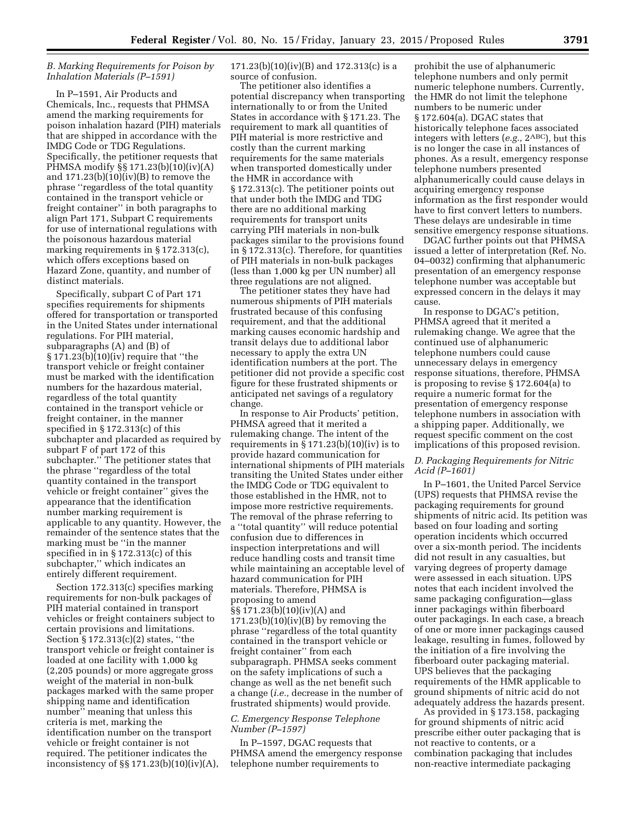# *B. Marking Requirements for Poison by Inhalation Materials (P–1591)*

In P–1591, Air Products and Chemicals, Inc., requests that PHMSA amend the marking requirements for poison inhalation hazard (PIH) materials that are shipped in accordance with the IMDG Code or TDG Regulations. Specifically, the petitioner requests that PHMSA modify §§ 171.23(b)(10)(iv)(A) and  $171.23(b)(10)(iv)(B)$  to remove the phrase ''regardless of the total quantity contained in the transport vehicle or freight container'' in both paragraphs to align Part 171, Subpart C requirements for use of international regulations with the poisonous hazardous material marking requirements in § 172.313(c), which offers exceptions based on Hazard Zone, quantity, and number of distinct materials.

Specifically, subpart C of Part 171 specifies requirements for shipments offered for transportation or transported in the United States under international regulations. For PIH material, subparagraphs (A) and (B) of § 171.23(b)(10)(iv) require that ''the transport vehicle or freight container must be marked with the identification numbers for the hazardous material, regardless of the total quantity contained in the transport vehicle or freight container, in the manner specified in § 172.313(c) of this subchapter and placarded as required by subpart F of part 172 of this subchapter.'' The petitioner states that the phrase ''regardless of the total quantity contained in the transport vehicle or freight container'' gives the appearance that the identification number marking requirement is applicable to any quantity. However, the remainder of the sentence states that the marking must be ''in the manner specified in in § 172.313(c) of this subchapter,'' which indicates an entirely different requirement.

Section 172.313(c) specifies marking requirements for non-bulk packages of PIH material contained in transport vehicles or freight containers subject to certain provisions and limitations. Section § 172.313(c)(2) states, ''the transport vehicle or freight container is loaded at one facility with 1,000 kg (2,205 pounds) or more aggregate gross weight of the material in non-bulk packages marked with the same proper shipping name and identification number'' meaning that unless this criteria is met, marking the identification number on the transport vehicle or freight container is not required. The petitioner indicates the inconsistency of §§ 171.23(b)(10)(iv)(A), 171.23(b)(10)(iv)(B) and 172.313(c) is a source of confusion.

The petitioner also identifies a potential discrepancy when transporting internationally to or from the United States in accordance with § 171.23. The requirement to mark all quantities of PIH material is more restrictive and costly than the current marking requirements for the same materials when transported domestically under the HMR in accordance with § 172.313(c). The petitioner points out that under both the IMDG and TDG there are no additional marking requirements for transport units carrying PIH materials in non-bulk packages similar to the provisions found in § 172.313(c). Therefore, for quantities of PIH materials in non-bulk packages (less than 1,000 kg per UN number) all three regulations are not aligned.

The petitioner states they have had numerous shipments of PIH materials frustrated because of this confusing requirement, and that the additional marking causes economic hardship and transit delays due to additional labor necessary to apply the extra UN identification numbers at the port. The petitioner did not provide a specific cost figure for these frustrated shipments or anticipated net savings of a regulatory change.

In response to Air Products' petition, PHMSA agreed that it merited a rulemaking change. The intent of the requirements in  $\S 171.23(b)(10)(iv)$  is to provide hazard communication for international shipments of PIH materials transiting the United States under either the IMDG Code or TDG equivalent to those established in the HMR, not to impose more restrictive requirements. The removal of the phrase referring to a ''total quantity'' will reduce potential confusion due to differences in inspection interpretations and will reduce handling costs and transit time while maintaining an acceptable level of hazard communication for PIH materials. Therefore, PHMSA is proposing to amend §§ 171.23(b)(10)(iv)(A) and  $171.23(b)(10)(iv)(B)$  by removing the phrase ''regardless of the total quantity contained in the transport vehicle or freight container'' from each subparagraph. PHMSA seeks comment on the safety implications of such a change as well as the net benefit such a change (*i.e.,* decrease in the number of frustrated shipments) would provide.

# *C. Emergency Response Telephone Number (P–1597)*

In P–1597, DGAC requests that PHMSA amend the emergency response telephone number requirements to

prohibit the use of alphanumeric telephone numbers and only permit numeric telephone numbers. Currently, the HMR do not limit the telephone numbers to be numeric under § 172.604(a). DGAC states that historically telephone faces associated integers with letters (*e.g.,* 2ABC), but this is no longer the case in all instances of phones. As a result, emergency response telephone numbers presented alphanumerically could cause delays in acquiring emergency response information as the first responder would have to first convert letters to numbers. These delays are undesirable in time sensitive emergency response situations.

DGAC further points out that PHMSA issued a letter of interpretation (Ref. No. 04–0032) confirming that alphanumeric presentation of an emergency response telephone number was acceptable but expressed concern in the delays it may cause.

In response to DGAC's petition, PHMSA agreed that it merited a rulemaking change. We agree that the continued use of alphanumeric telephone numbers could cause unnecessary delays in emergency response situations, therefore, PHMSA is proposing to revise § 172.604(a) to require a numeric format for the presentation of emergency response telephone numbers in association with a shipping paper. Additionally, we request specific comment on the cost implications of this proposed revision.

# *D. Packaging Requirements for Nitric Acid (P–1601)*

In P–1601, the United Parcel Service (UPS) requests that PHMSA revise the packaging requirements for ground shipments of nitric acid. Its petition was based on four loading and sorting operation incidents which occurred over a six-month period. The incidents did not result in any casualties, but varying degrees of property damage were assessed in each situation. UPS notes that each incident involved the same packaging configuration—glass inner packagings within fiberboard outer packagings. In each case, a breach of one or more inner packagings caused leakage, resulting in fumes, followed by the initiation of a fire involving the fiberboard outer packaging material. UPS believes that the packaging requirements of the HMR applicable to ground shipments of nitric acid do not adequately address the hazards present.

As provided in § 173.158, packaging for ground shipments of nitric acid prescribe either outer packaging that is not reactive to contents, or a combination packaging that includes non-reactive intermediate packaging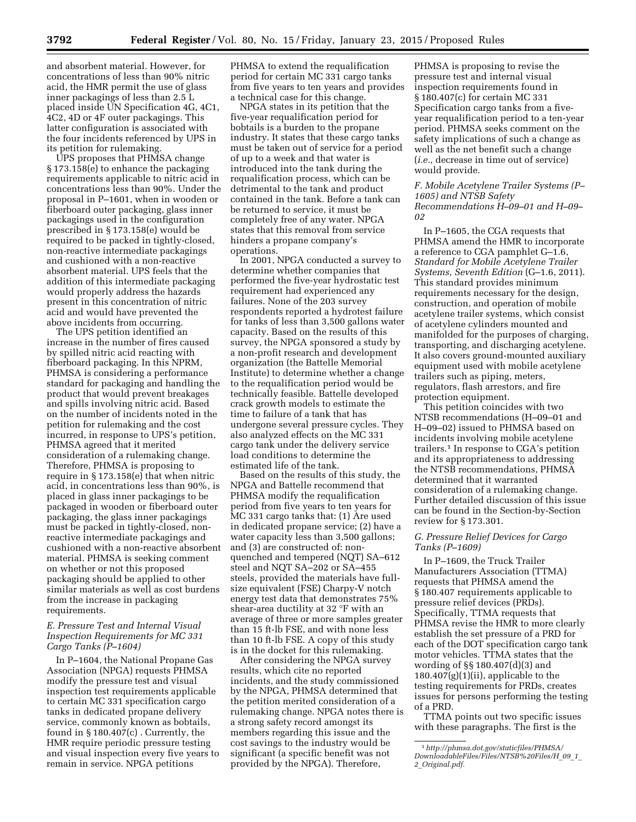and absorbent material. However, for concentrations of less than 90% nitric acid, the HMR permit the use of glass inner packagings of less than 2.5 L placed inside UN Specification 4G, 4C1, 4C2, 4D or 4F outer packagings. This latter configuration is associated with the four incidents referenced by UPS in its petition for rulemaking.

UPS proposes that PHMSA change § 173.158(e) to enhance the packaging requirements applicable to nitric acid in concentrations less than 90%. Under the proposal in P–1601, when in wooden or fiberboard outer packaging, glass inner packagings used in the configuration prescribed in § 173.158(e) would be required to be packed in tightly-closed, non-reactive intermediate packagings and cushioned with a non-reactive absorbent material. UPS feels that the addition of this intermediate packaging would properly address the hazards present in this concentration of nitric acid and would have prevented the above incidents from occurring.

The UPS petition identified an increase in the number of fires caused by spilled nitric acid reacting with fiberboard packaging. In this NPRM, PHMSA is considering a performance standard for packaging and handling the product that would prevent breakages and spills involving nitric acid. Based on the number of incidents noted in the petition for rulemaking and the cost incurred, in response to UPS's petition, PHMSA agreed that it merited consideration of a rulemaking change. Therefore, PHMSA is proposing to require in § 173.158(e) that when nitric acid, in concentrations less than 90%, is placed in glass inner packagings to be packaged in wooden or fiberboard outer packaging, the glass inner packagings must be packed in tightly-closed, nonreactive intermediate packagings and cushioned with a non-reactive absorbent material. PHMSA is seeking comment on whether or not this proposed packaging should be applied to other similar materials as well as cost burdens from the increase in packaging requirements.

# *E. Pressure Test and Internal Visual Inspection Requirements for MC 331 Cargo Tanks (P–1604)*

In P–1604, the National Propane Gas Association (NPGA) requests PHMSA modify the pressure test and visual inspection test requirements applicable to certain MC 331 specification cargo tanks in dedicated propane delivery service, commonly known as bobtails, found in  $\S 180.407(c)$ . Currently, the HMR require periodic pressure testing and visual inspection every five years to remain in service. NPGA petitions

PHMSA to extend the requalification period for certain MC 331 cargo tanks from five years to ten years and provides a technical case for this change.

NPGA states in its petition that the five-year requalification period for bobtails is a burden to the propane industry. It states that these cargo tanks must be taken out of service for a period of up to a week and that water is introduced into the tank during the requalification process, which can be detrimental to the tank and product contained in the tank. Before a tank can be returned to service, it must be completely free of any water. NPGA states that this removal from service hinders a propane company's operations.

In 2001, NPGA conducted a survey to determine whether companies that performed the five-year hydrostatic test requirement had experienced any failures. None of the 203 survey respondents reported a hydrotest failure for tanks of less than 3,500 gallons water capacity. Based on the results of this survey, the NPGA sponsored a study by a non-profit research and development organization (the Battelle Memorial Institute) to determine whether a change to the requalification period would be technically feasible. Battelle developed crack growth models to estimate the time to failure of a tank that has undergone several pressure cycles. They also analyzed effects on the MC 331 cargo tank under the delivery service load conditions to determine the estimated life of the tank.

Based on the results of this study, the NPGA and Battelle recommend that PHMSA modify the requalification period from five years to ten years for MC 331 cargo tanks that: (1) Are used in dedicated propane service; (2) have a water capacity less than 3,500 gallons; and (3) are constructed of: nonquenched and tempered (NQT) SA–612 steel and NQT SA–202 or SA–455 steels, provided the materials have fullsize equivalent (FSE) Charpy-V notch energy test data that demonstrates 75% shear-area ductility at 32 °F with an average of three or more samples greater than 15 ft-lb FSE, and with none less than 10 ft-lb FSE. A copy of this study is in the docket for this rulemaking.

After considering the NPGA survey results, which cite no reported incidents, and the study commissioned by the NPGA, PHMSA determined that the petition merited consideration of a rulemaking change. NPGA notes there is a strong safety record amongst its members regarding this issue and the cost savings to the industry would be significant (a specific benefit was not provided by the NPGA). Therefore,

PHMSA is proposing to revise the pressure test and internal visual inspection requirements found in § 180.407(c) for certain MC 331 Specification cargo tanks from a fiveyear requalification period to a ten-year period. PHMSA seeks comment on the safety implications of such a change as well as the net benefit such a change (*i.e.,* decrease in time out of service) would provide.

### *F. Mobile Acetylene Trailer Systems (P– 1605) and NTSB Safety Recommendations H–09–01 and H–09– 02*

In P–1605, the CGA requests that PHMSA amend the HMR to incorporate a reference to CGA pamphlet G–1.6, *Standard for Mobile Acetylene Trailer Systems, Seventh Edition* (G–1.6, 2011). This standard provides minimum requirements necessary for the design, construction, and operation of mobile acetylene trailer systems, which consist of acetylene cylinders mounted and manifolded for the purposes of charging, transporting, and discharging acetylene. It also covers ground-mounted auxiliary equipment used with mobile acetylene trailers such as piping, meters, regulators, flash arrestors, and fire protection equipment.

This petition coincides with two NTSB recommendations (H–09–01 and H–09–02) issued to PHMSA based on incidents involving mobile acetylene trailers.1 In response to CGA's petition and its appropriateness to addressing the NTSB recommendations, PHMSA determined that it warranted consideration of a rulemaking change. Further detailed discussion of this issue can be found in the Section-by-Section review for § 173.301.

# *G. Pressure Relief Devices for Cargo Tanks (P–1609)*

In P–1609, the Truck Trailer Manufacturers Association (TTMA) requests that PHMSA amend the § 180.407 requirements applicable to pressure relief devices (PRDs). Specifically, TTMA requests that PHMSA revise the HMR to more clearly establish the set pressure of a PRD for each of the DOT specification cargo tank motor vehicles. TTMA states that the wording of §§ 180.407(d)(3) and 180.407(g)(1)(ii), applicable to the testing requirements for PRDs, creates issues for persons performing the testing of a PRD.

TTMA points out two specific issues with these paragraphs. The first is the

<sup>1</sup>*[http://phmsa.dot.gov/staticfiles/PHMSA/](http://phmsa.dot.gov/staticfiles/PHMSA/DownloadableFiles/Files/NTSB%20Files/H_09_1_2_Original.pdf) [DownloadableFiles/Files/NTSB%20Files/H](http://phmsa.dot.gov/staticfiles/PHMSA/DownloadableFiles/Files/NTSB%20Files/H_09_1_2_Original.pdf)*\_*09*\_*1*\_ *2*\_*[Original.pdf](http://phmsa.dot.gov/staticfiles/PHMSA/DownloadableFiles/Files/NTSB%20Files/H_09_1_2_Original.pdf)*.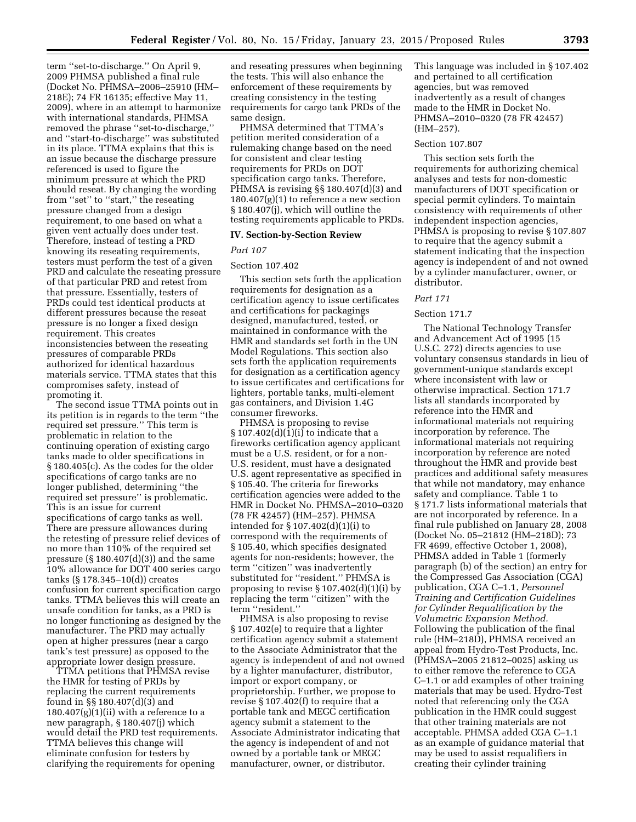term ''set-to-discharge.'' On April 9, 2009 PHMSA published a final rule (Docket No. PHMSA–2006–25910 (HM– 218E); 74 FR 16135; effective May 11, 2009), where in an attempt to harmonize with international standards, PHMSA removed the phrase ''set-to-discharge,'' and ''start-to-discharge'' was substituted in its place. TTMA explains that this is an issue because the discharge pressure referenced is used to figure the minimum pressure at which the PRD should reseat. By changing the wording from ''set'' to ''start,'' the reseating pressure changed from a design requirement, to one based on what a given vent actually does under test. Therefore, instead of testing a PRD knowing its reseating requirements, testers must perform the test of a given PRD and calculate the reseating pressure of that particular PRD and retest from that pressure. Essentially, testers of PRDs could test identical products at different pressures because the reseat pressure is no longer a fixed design requirement. This creates inconsistencies between the reseating pressures of comparable PRDs authorized for identical hazardous materials service. TTMA states that this compromises safety, instead of promoting it.

The second issue TTMA points out in its petition is in regards to the term ''the required set pressure.'' This term is problematic in relation to the continuing operation of existing cargo tanks made to older specifications in § 180.405(c). As the codes for the older specifications of cargo tanks are no longer published, determining ''the required set pressure'' is problematic. This is an issue for current specifications of cargo tanks as well. There are pressure allowances during the retesting of pressure relief devices of no more than 110% of the required set pressure  $(\S 180.407(d)(3))$  and the same 10% allowance for DOT 400 series cargo tanks (§ 178.345–10(d)) creates confusion for current specification cargo tanks. TTMA believes this will create an unsafe condition for tanks, as a PRD is no longer functioning as designed by the manufacturer. The PRD may actually open at higher pressures (near a cargo tank's test pressure) as opposed to the appropriate lower design pressure.

TTMA petitions that PHMSA revise the HMR for testing of PRDs by replacing the current requirements found in §§ 180.407(d)(3) and  $180.407(g)(1)(ii)$  with a reference to a new paragraph, § 180.407(j) which would detail the PRD test requirements. TTMA believes this change will eliminate confusion for testers by clarifying the requirements for opening

and reseating pressures when beginning the tests. This will also enhance the enforcement of these requirements by creating consistency in the testing requirements for cargo tank PRDs of the same design.

PHMSA determined that TTMA's petition merited consideration of a rulemaking change based on the need for consistent and clear testing requirements for PRDs on DOT specification cargo tanks. Therefore, PHMSA is revising §§ 180.407(d)(3) and  $180.407(g)(1)$  to reference a new section § 180.407(j), which will outline the testing requirements applicable to PRDs.

### **IV. Section-by-Section Review**

#### *Part 107*

## Section 107.402

This section sets forth the application requirements for designation as a certification agency to issue certificates and certifications for packagings designed, manufactured, tested, or maintained in conformance with the HMR and standards set forth in the UN Model Regulations. This section also sets forth the application requirements for designation as a certification agency to issue certificates and certifications for lighters, portable tanks, multi-element gas containers, and Division 1.4G consumer fireworks.

PHMSA is proposing to revise § 107.402(d)(1)(i) to indicate that a fireworks certification agency applicant must be a U.S. resident, or for a non-U.S. resident, must have a designated U.S. agent representative as specified in § 105.40. The criteria for fireworks certification agencies were added to the HMR in Docket No. PHMSA–2010–0320 (78 FR 42457) (HM–257). PHMSA intended for § 107.402(d)(1)(i) to correspond with the requirements of § 105.40, which specifies designated agents for non-residents; however, the term ''citizen'' was inadvertently substituted for ''resident.'' PHMSA is proposing to revise  $\S 107.402(d)(1)(i)$  by replacing the term ''citizen'' with the term ''resident.''

PHMSA is also proposing to revise § 107.402(e) to require that a lighter certification agency submit a statement to the Associate Administrator that the agency is independent of and not owned by a lighter manufacturer, distributor, import or export company, or proprietorship. Further, we propose to revise § 107.402(f) to require that a portable tank and MEGC certification agency submit a statement to the Associate Administrator indicating that the agency is independent of and not owned by a portable tank or MEGC manufacturer, owner, or distributor.

This language was included in § 107.402 and pertained to all certification agencies, but was removed inadvertently as a result of changes made to the HMR in Docket No. PHMSA–2010–0320 (78 FR 42457) (HM–257).

### Section 107.807

This section sets forth the requirements for authorizing chemical analyses and tests for non-domestic manufacturers of DOT specification or special permit cylinders. To maintain consistency with requirements of other independent inspection agencies, PHMSA is proposing to revise § 107.807 to require that the agency submit a statement indicating that the inspection agency is independent of and not owned by a cylinder manufacturer, owner, or distributor.

### *Part 171*

### Section 171.7

The National Technology Transfer and Advancement Act of 1995 (15 U.S.C. 272) directs agencies to use voluntary consensus standards in lieu of government-unique standards except where inconsistent with law or otherwise impractical. Section 171.7 lists all standards incorporated by reference into the HMR and informational materials not requiring incorporation by reference. The informational materials not requiring incorporation by reference are noted throughout the HMR and provide best practices and additional safety measures that while not mandatory, may enhance safety and compliance. Table 1 to § 171.7 lists informational materials that are not incorporated by reference. In a final rule published on January 28, 2008 (Docket No. 05–21812 (HM–218D); 73 FR 4699, effective October 1, 2008), PHMSA added in Table 1 (formerly paragraph (b) of the section) an entry for the Compressed Gas Association (CGA) publication, CGA C–1.1, *Personnel Training and Certification Guidelines for Cylinder Requalification by the Volumetric Expansion Method.*  Following the publication of the final rule (HM–218D), PHMSA received an appeal from Hydro-Test Products, Inc. (PHMSA–2005 21812–0025) asking us to either remove the reference to CGA C–1.1 or add examples of other training materials that may be used. Hydro-Test noted that referencing only the CGA publication in the HMR could suggest that other training materials are not acceptable. PHMSA added CGA C–1.1 as an example of guidance material that may be used to assist requalifiers in creating their cylinder training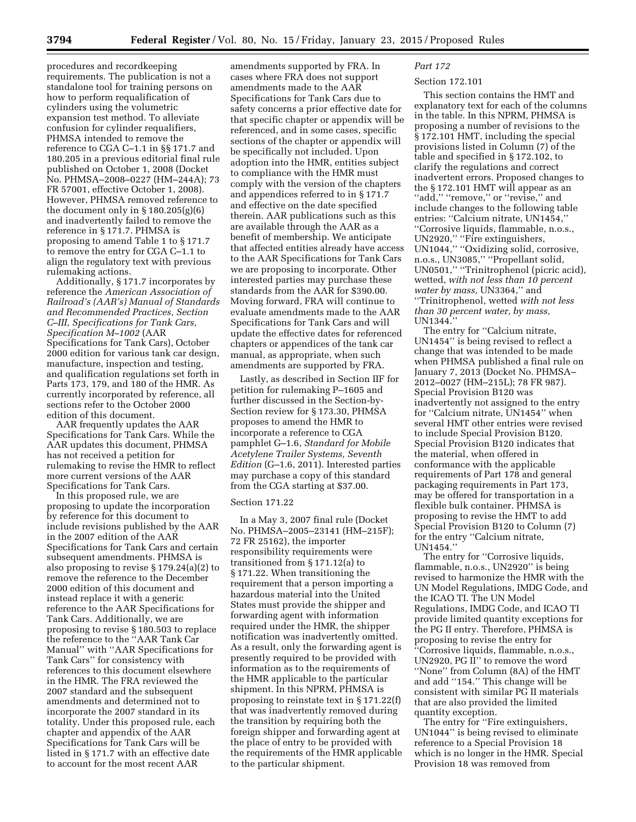procedures and recordkeeping requirements. The publication is not a standalone tool for training persons on how to perform requalification of cylinders using the volumetric expansion test method. To alleviate confusion for cylinder requalifiers, PHMSA intended to remove the reference to CGA C–1.1 in §§ 171.7 and 180.205 in a previous editorial final rule published on October 1, 2008 (Docket No. PHMSA–2008–0227 (HM–244A); 73 FR 57001, effective October 1, 2008). However, PHMSA removed reference to the document only in  $\S 180.205(g)(6)$ and inadvertently failed to remove the reference in § 171.7. PHMSA is proposing to amend Table 1 to § 171.7 to remove the entry for CGA C–1.1 to align the regulatory text with previous rulemaking actions.

Additionally, § 171.7 incorporates by reference the *American Association of Railroad's (AAR's) Manual of Standards and Recommended Practices, Section C–III, Specifications for Tank Cars, Specification M–1002* (AAR Specifications for Tank Cars), October 2000 edition for various tank car design, manufacture, inspection and testing, and qualification regulations set forth in Parts 173, 179, and 180 of the HMR. As currently incorporated by reference, all sections refer to the October 2000 edition of this document.

AAR frequently updates the AAR Specifications for Tank Cars. While the AAR updates this document, PHMSA has not received a petition for rulemaking to revise the HMR to reflect more current versions of the AAR Specifications for Tank Cars.

In this proposed rule, we are proposing to update the incorporation by reference for this document to include revisions published by the AAR in the 2007 edition of the AAR Specifications for Tank Cars and certain subsequent amendments. PHMSA is also proposing to revise § 179.24(a)(2) to remove the reference to the December 2000 edition of this document and instead replace it with a generic reference to the AAR Specifications for Tank Cars. Additionally, we are proposing to revise § 180.503 to replace the reference to the ''AAR Tank Car Manual'' with ''AAR Specifications for Tank Cars'' for consistency with references to this document elsewhere in the HMR. The FRA reviewed the 2007 standard and the subsequent amendments and determined not to incorporate the 2007 standard in its totality. Under this proposed rule, each chapter and appendix of the AAR Specifications for Tank Cars will be listed in § 171.7 with an effective date to account for the most recent AAR

amendments supported by FRA. In cases where FRA does not support amendments made to the AAR Specifications for Tank Cars due to safety concerns a prior effective date for that specific chapter or appendix will be referenced, and in some cases, specific sections of the chapter or appendix will be specifically not included. Upon adoption into the HMR, entities subject to compliance with the HMR must comply with the version of the chapters and appendices referred to in § 171.7 and effective on the date specified therein. AAR publications such as this are available through the AAR as a benefit of membership. We anticipate that affected entities already have access to the AAR Specifications for Tank Cars we are proposing to incorporate. Other interested parties may purchase these standards from the AAR for \$390.00. Moving forward, FRA will continue to evaluate amendments made to the AAR Specifications for Tank Cars and will update the effective dates for referenced chapters or appendices of the tank car manual, as appropriate, when such amendments are supported by FRA.

Lastly, as described in Section IIF for petition for rulemaking P–1605 and further discussed in the Section-by-Section review for § 173.30, PHMSA proposes to amend the HMR to incorporate a reference to CGA pamphlet G–1.6, *Standard for Mobile Acetylene Trailer Systems, Seventh Edition* (G–1.6, 2011). Interested parties may purchase a copy of this standard from the CGA starting at \$37.00.

#### Section 171.22

In a May 3, 2007 final rule (Docket No. PHMSA–2005–23141 (HM–215F); 72 FR 25162), the importer responsibility requirements were transitioned from § 171.12(a) to § 171.22. When transitioning the requirement that a person importing a hazardous material into the United States must provide the shipper and forwarding agent with information required under the HMR, the shipper notification was inadvertently omitted. As a result, only the forwarding agent is presently required to be provided with information as to the requirements of the HMR applicable to the particular shipment. In this NPRM, PHMSA is proposing to reinstate text in § 171.22(f) that was inadvertently removed during the transition by requiring both the foreign shipper and forwarding agent at the place of entry to be provided with the requirements of the HMR applicable to the particular shipment.

# *Part 172*

# Section 172.101

This section contains the HMT and explanatory text for each of the columns in the table. In this NPRM, PHMSA is proposing a number of revisions to the § 172.101 HMT, including the special provisions listed in Column (7) of the table and specified in § 172.102, to clarify the regulations and correct inadvertent errors. Proposed changes to the § 172.101 HMT will appear as an "add," "remove," or "revise," and include changes to the following table entries: "Calcium nitrate, UN1454," ''Corrosive liquids, flammable, n.o.s., UN2920,'' ''Fire extinguishers, UN1044,'' ''Oxidizing solid, corrosive, n.o.s., UN3085,'' ''Propellant solid, UN0501,'' ''Trinitrophenol (picric acid), wetted, *with not less than 10 percent water by mass,* UN3364,'' and ''Trinitrophenol, wetted *with not less than 30 percent water, by mass,*  UN1344.''

The entry for "Calcium nitrate, UN1454'' is being revised to reflect a change that was intended to be made when PHMSA published a final rule on January 7, 2013 (Docket No. PHMSA– 2012–0027 (HM–215L); 78 FR 987). Special Provision B120 was inadvertently not assigned to the entry for ''Calcium nitrate, UN1454'' when several HMT other entries were revised to include Special Provision B120. Special Provision B120 indicates that the material, when offered in conformance with the applicable requirements of Part 178 and general packaging requirements in Part 173, may be offered for transportation in a flexible bulk container. PHMSA is proposing to revise the HMT to add Special Provision B120 to Column (7) for the entry ''Calcium nitrate, UN1454.''

The entry for "Corrosive liquids, flammable, n.o.s., UN2920'' is being revised to harmonize the HMR with the UN Model Regulations, IMDG Code, and the ICAO TI. The UN Model Regulations, IMDG Code, and ICAO TI provide limited quantity exceptions for the PG II entry. Therefore, PHMSA is proposing to revise the entry for ''Corrosive liquids, flammable, n.o.s., UN2920, PG II'' to remove the word ''None'' from Column (8A) of the HMT and add ''154.'' This change will be consistent with similar PG II materials that are also provided the limited quantity exception.

The entry for ''Fire extinguishers, UN1044'' is being revised to eliminate reference to a Special Provision 18 which is no longer in the HMR. Special Provision 18 was removed from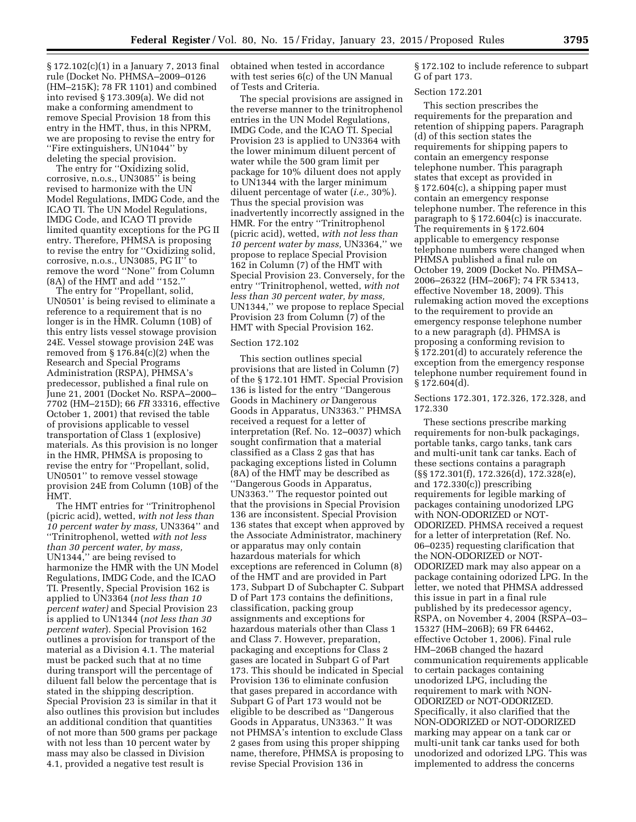§ 172.102(c)(1) in a January 7, 2013 final rule (Docket No. PHMSA–2009–0126 (HM–215K); 78 FR 1101) and combined into revised § 173.309(a). We did not make a conforming amendment to remove Special Provision 18 from this entry in the HMT, thus, in this NPRM, we are proposing to revise the entry for ''Fire extinguishers, UN1044'' by deleting the special provision.

The entry for ''Oxidizing solid, corrosive, n.o.s., UN3085'' is being revised to harmonize with the UN Model Regulations, IMDG Code, and the ICAO TI. The UN Model Regulations, IMDG Code, and ICAO TI provide limited quantity exceptions for the PG II entry. Therefore, PHMSA is proposing to revise the entry for ''Oxidizing solid, corrosive, n.o.s., UN3085, PG II'' to remove the word ''None'' from Column (8A) of the HMT and add ''152.''

The entry for ''Propellant, solid, UN0501' is being revised to eliminate a reference to a requirement that is no longer is in the HMR. Column (10B) of this entry lists vessel stowage provision 24E. Vessel stowage provision 24E was removed from  $\S 176.84(c)(2)$  when the Research and Special Programs Administration (RSPA), PHMSA's predecessor, published a final rule on June 21, 2001 (Docket No. RSPA–2000– 7702 (HM–215D); 66 *FR* 33316, effective October 1, 2001) that revised the table of provisions applicable to vessel transportation of Class 1 (explosive) materials. As this provision is no longer in the HMR, PHMSA is proposing to revise the entry for ''Propellant, solid, UN0501'' to remove vessel stowage provision 24E from Column (10B) of the HMT.

The HMT entries for ''Trinitrophenol (picric acid), wetted, *with not less than 10 percent water by mass,* UN3364'' and ''Trinitrophenol, wetted *with not less than 30 percent water, by mass,*  UN1344,'' are being revised to harmonize the HMR with the UN Model Regulations, IMDG Code, and the ICAO TI. Presently, Special Provision 162 is applied to UN3364 (*not less than 10 percent water)* and Special Provision 23 is applied to UN1344 (*not less than 30 percent water*). Special Provision 162 outlines a provision for transport of the material as a Division 4.1. The material must be packed such that at no time during transport will the percentage of diluent fall below the percentage that is stated in the shipping description. Special Provision 23 is similar in that it also outlines this provision but includes an additional condition that quantities of not more than 500 grams per package with not less than 10 percent water by mass may also be classed in Division 4.1, provided a negative test result is

obtained when tested in accordance with test series 6(c) of the UN Manual of Tests and Criteria.

The special provisions are assigned in the reverse manner to the trinitrophenol entries in the UN Model Regulations, IMDG Code, and the ICAO TI. Special Provision 23 is applied to UN3364 with the lower minimum diluent percent of water while the 500 gram limit per package for 10% diluent does not apply to UN1344 with the larger minimum diluent percentage of water (*i.e.,* 30%). Thus the special provision was inadvertently incorrectly assigned in the HMR. For the entry ''Trinitrophenol (picric acid), wetted, *with not less than 10 percent water by mass,* UN3364,'' we propose to replace Special Provision 162 in Column (7) of the HMT with Special Provision 23. Conversely, for the entry ''Trinitrophenol, wetted, *with not less than 30 percent water, by mass,*  UN1344,'' we propose to replace Special Provision 23 from Column (7) of the HMT with Special Provision 162.

### Section 172.102

This section outlines special provisions that are listed in Column (7) of the § 172.101 HMT. Special Provision 136 is listed for the entry ''Dangerous Goods in Machinery *or* Dangerous Goods in Apparatus, UN3363.'' PHMSA received a request for a letter of interpretation (Ref. No. 12–0037) which sought confirmation that a material classified as a Class 2 gas that has packaging exceptions listed in Column (8A) of the HMT may be described as ''Dangerous Goods in Apparatus, UN3363.'' The requestor pointed out that the provisions in Special Provision 136 are inconsistent. Special Provision 136 states that except when approved by the Associate Administrator, machinery or apparatus may only contain hazardous materials for which exceptions are referenced in Column (8) of the HMT and are provided in Part 173, Subpart D of Subchapter C. Subpart D of Part 173 contains the definitions, classification, packing group assignments and exceptions for hazardous materials other than Class 1 and Class 7. However, preparation, packaging and exceptions for Class 2 gases are located in Subpart G of Part 173. This should be indicated in Special Provision 136 to eliminate confusion that gases prepared in accordance with Subpart G of Part 173 would not be eligible to be described as ''Dangerous Goods in Apparatus, UN3363.'' It was not PHMSA's intention to exclude Class 2 gases from using this proper shipping name, therefore, PHMSA is proposing to revise Special Provision 136 in

§ 172.102 to include reference to subpart G of part 173.

#### Section 172.201

This section prescribes the requirements for the preparation and retention of shipping papers. Paragraph (d) of this section states the requirements for shipping papers to contain an emergency response telephone number. This paragraph states that except as provided in § 172.604(c), a shipping paper must contain an emergency response telephone number. The reference in this paragraph to § 172.604(c) is inaccurate. The requirements in § 172.604 applicable to emergency response telephone numbers were changed when PHMSA published a final rule on October 19, 2009 (Docket No. PHMSA– 2006–26322 (HM–206F); 74 FR 53413, effective November 18, 2009). This rulemaking action moved the exceptions to the requirement to provide an emergency response telephone number to a new paragraph (d). PHMSA is proposing a conforming revision to § 172.201(d) to accurately reference the exception from the emergency response telephone number requirement found in  $§ 172.604(d).$ 

### Sections 172.301, 172.326, 172.328, and 172.330

These sections prescribe marking requirements for non-bulk packagings, portable tanks, cargo tanks, tank cars and multi-unit tank car tanks. Each of these sections contains a paragraph (§§ 172.301(f), 172.326(d), 172.328(e), and 172.330(c)) prescribing requirements for legible marking of packages containing unodorized LPG with NON-ODORIZED or NOT-ODORIZED. PHMSA received a request for a letter of interpretation (Ref. No. 06–0235) requesting clarification that the NON-ODORIZED or NOT-ODORIZED mark may also appear on a package containing odorized LPG. In the letter, we noted that PHMSA addressed this issue in part in a final rule published by its predecessor agency, RSPA, on November 4, 2004 (RSPA–03– 15327 (HM–206B); 69 FR 64462, effective October 1, 2006). Final rule HM–206B changed the hazard communication requirements applicable to certain packages containing unodorized LPG, including the requirement to mark with NON-ODORIZED or NOT-ODORIZED. Specifically, it also clarified that the NON-ODORIZED or NOT-ODORIZED marking may appear on a tank car or multi-unit tank car tanks used for both unodorized and odorized LPG. This was implemented to address the concerns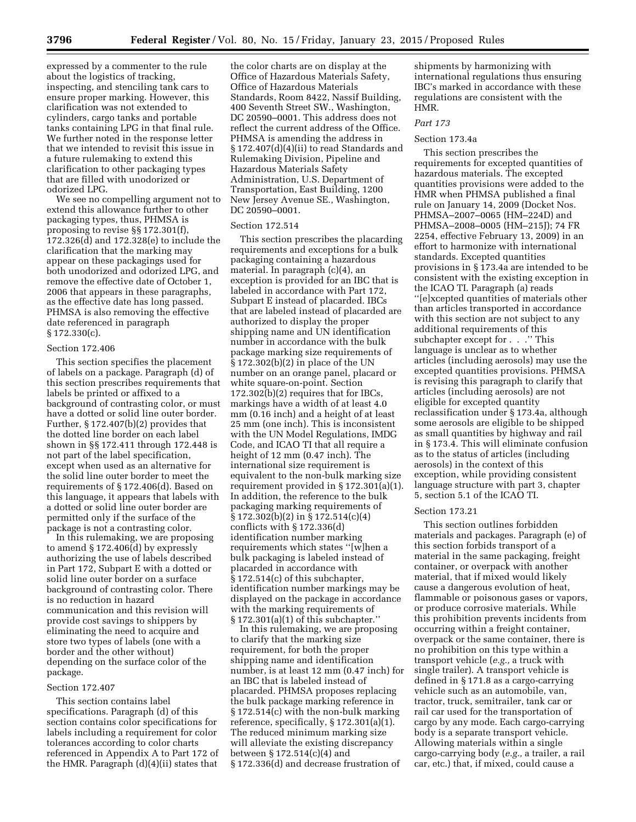expressed by a commenter to the rule about the logistics of tracking, inspecting, and stenciling tank cars to ensure proper marking. However, this clarification was not extended to cylinders, cargo tanks and portable tanks containing LPG in that final rule. We further noted in the response letter that we intended to revisit this issue in a future rulemaking to extend this clarification to other packaging types that are filled with unodorized or odorized LPG.

We see no compelling argument not to extend this allowance further to other packaging types, thus, PHMSA is proposing to revise §§ 172.301(f), 172.326(d) and 172.328(e) to include the clarification that the marking may appear on these packagings used for both unodorized and odorized LPG, and remove the effective date of October 1, 2006 that appears in these paragraphs, as the effective date has long passed. PHMSA is also removing the effective date referenced in paragraph § 172.330(c).

#### Section 172.406

This section specifies the placement of labels on a package. Paragraph (d) of this section prescribes requirements that labels be printed or affixed to a background of contrasting color, or must have a dotted or solid line outer border. Further,  $\S 172.407(b)(2)$  provides that the dotted line border on each label shown in §§ 172.411 through 172.448 is not part of the label specification, except when used as an alternative for the solid line outer border to meet the requirements of § 172.406(d). Based on this language, it appears that labels with a dotted or solid line outer border are permitted only if the surface of the package is not a contrasting color.

In this rulemaking, we are proposing to amend § 172.406(d) by expressly authorizing the use of labels described in Part 172, Subpart E with a dotted or solid line outer border on a surface background of contrasting color. There is no reduction in hazard communication and this revision will provide cost savings to shippers by eliminating the need to acquire and store two types of labels (one with a border and the other without) depending on the surface color of the package.

### Section 172.407

This section contains label specifications. Paragraph (d) of this section contains color specifications for labels including a requirement for color tolerances according to color charts referenced in Appendix A to Part 172 of the HMR. Paragraph (d)(4)(ii) states that

the color charts are on display at the Office of Hazardous Materials Safety, Office of Hazardous Materials Standards, Room 8422, Nassif Building, 400 Seventh Street SW., Washington, DC 20590–0001. This address does not reflect the current address of the Office. PHMSA is amending the address in § 172.407(d)(4)(ii) to read Standards and Rulemaking Division, Pipeline and Hazardous Materials Safety Administration, U.S. Department of Transportation, East Building, 1200 New Jersey Avenue SE., Washington, DC 20590–0001.

#### Section 172.514

This section prescribes the placarding requirements and exceptions for a bulk packaging containing a hazardous material. In paragraph (c)(4), an exception is provided for an IBC that is labeled in accordance with Part 172, Subpart E instead of placarded. IBCs that are labeled instead of placarded are authorized to display the proper shipping name and UN identification number in accordance with the bulk package marking size requirements of § 172.302(b)(2) in place of the UN number on an orange panel, placard or white square-on-point. Section 172.302(b)(2) requires that for IBCs, markings have a width of at least 4.0 mm (0.16 inch) and a height of at least 25 mm (one inch). This is inconsistent with the UN Model Regulations, IMDG Code, and ICAO TI that all require a height of 12 mm (0.47 inch). The international size requirement is equivalent to the non-bulk marking size requirement provided in § 172.301(a)(1). In addition, the reference to the bulk packaging marking requirements of § 172.302(b)(2) in § 172.514(c)(4) conflicts with § 172.336(d) identification number marking requirements which states ''[w]hen a bulk packaging is labeled instead of placarded in accordance with § 172.514(c) of this subchapter, identification number markings may be displayed on the package in accordance with the marking requirements of § 172.301(a)(1) of this subchapter.''

In this rulemaking, we are proposing to clarify that the marking size requirement, for both the proper shipping name and identification number, is at least 12 mm (0.47 inch) for an IBC that is labeled instead of placarded. PHMSA proposes replacing the bulk package marking reference in § 172.514(c) with the non-bulk marking reference, specifically, § 172.301(a)(1). The reduced minimum marking size will alleviate the existing discrepancy between § 172.514(c)(4) and § 172.336(d) and decrease frustration of

shipments by harmonizing with international regulations thus ensuring IBC's marked in accordance with these regulations are consistent with the HMR.

### *Part 173*

### Section 173.4a

This section prescribes the requirements for excepted quantities of hazardous materials. The excepted quantities provisions were added to the HMR when PHMSA published a final rule on January 14, 2009 (Docket Nos. PHMSA–2007–0065 (HM–224D) and PHMSA–2008–0005 (HM–215J); 74 FR 2254, effective February 13, 2009) in an effort to harmonize with international standards. Excepted quantities provisions in § 173.4a are intended to be consistent with the existing exception in the ICAO TI. Paragraph (a) reads ''[e]xcepted quantities of materials other than articles transported in accordance with this section are not subject to any additional requirements of this subchapter except for . . .'' This language is unclear as to whether articles (including aerosols) may use the excepted quantities provisions. PHMSA is revising this paragraph to clarify that articles (including aerosols) are not eligible for excepted quantity reclassification under § 173.4a, although some aerosols are eligible to be shipped as small quantities by highway and rail in § 173.4. This will eliminate confusion as to the status of articles (including aerosols) in the context of this exception, while providing consistent language structure with part 3, chapter 5, section 5.1 of the ICAO TI.

#### Section 173.21

This section outlines forbidden materials and packages. Paragraph (e) of this section forbids transport of a material in the same packaging, freight container, or overpack with another material, that if mixed would likely cause a dangerous evolution of heat, flammable or poisonous gases or vapors, or produce corrosive materials. While this prohibition prevents incidents from occurring within a freight container, overpack or the same container, there is no prohibition on this type within a transport vehicle (*e.g.,* a truck with single trailer). A transport vehicle is defined in § 171.8 as a cargo-carrying vehicle such as an automobile, van, tractor, truck, semitrailer, tank car or rail car used for the transportation of cargo by any mode. Each cargo-carrying body is a separate transport vehicle. Allowing materials within a single cargo-carrying body (*e.g.,* a trailer, a rail car, etc.) that, if mixed, could cause a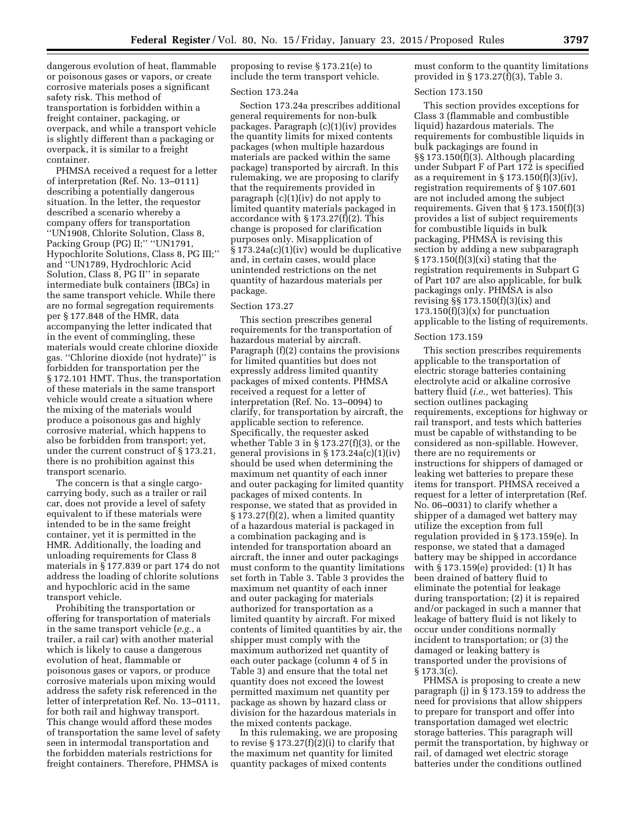dangerous evolution of heat, flammable or poisonous gases or vapors, or create corrosive materials poses a significant safety risk. This method of transportation is forbidden within a freight container, packaging, or overpack, and while a transport vehicle is slightly different than a packaging or overpack, it is similar to a freight container.

PHMSA received a request for a letter of interpretation (Ref. No. 13–0111) describing a potentially dangerous situation. In the letter, the requestor described a scenario whereby a company offers for transportation ''UN1908, Chlorite Solution, Class 8, Packing Group (PG) II;'' ''UN1791, Hypochlorite Solutions, Class 8, PG III;'' and ''UN1789, Hydrochloric Acid Solution, Class 8, PG II'' in separate intermediate bulk containers (IBCs) in the same transport vehicle. While there are no formal segregation requirements per § 177.848 of the HMR, data accompanying the letter indicated that in the event of commingling, these materials would create chlorine dioxide gas. ''Chlorine dioxide (not hydrate)'' is forbidden for transportation per the § 172.101 HMT. Thus, the transportation of these materials in the same transport vehicle would create a situation where the mixing of the materials would produce a poisonous gas and highly corrosive material, which happens to also be forbidden from transport; yet, under the current construct of § 173.21, there is no prohibition against this transport scenario.

The concern is that a single cargocarrying body, such as a trailer or rail car, does not provide a level of safety equivalent to if these materials were intended to be in the same freight container, yet it is permitted in the HMR. Additionally, the loading and unloading requirements for Class 8 materials in § 177.839 or part 174 do not address the loading of chlorite solutions and hypochloric acid in the same transport vehicle.

Prohibiting the transportation or offering for transportation of materials in the same transport vehicle (*e.g.,* a trailer, a rail car) with another material which is likely to cause a dangerous evolution of heat, flammable or poisonous gases or vapors, or produce corrosive materials upon mixing would address the safety risk referenced in the letter of interpretation Ref. No. 13–0111, for both rail and highway transport. This change would afford these modes of transportation the same level of safety seen in intermodal transportation and the forbidden materials restrictions for freight containers. Therefore, PHMSA is

proposing to revise § 173.21(e) to include the term transport vehicle.

#### Section 173.24a

Section 173.24a prescribes additional general requirements for non-bulk packages. Paragraph (c)(1)(iv) provides the quantity limits for mixed contents packages (when multiple hazardous materials are packed within the same package) transported by aircraft. In this rulemaking, we are proposing to clarify that the requirements provided in paragraph (c)(1)(iv) do not apply to limited quantity materials packaged in accordance with § 173.27(f)(2). This change is proposed for clarification purposes only. Misapplication of  $§ 173.24a(c)(1)(iv)$  would be duplicative and, in certain cases, would place unintended restrictions on the net quantity of hazardous materials per package.

### Section 173.27

This section prescribes general requirements for the transportation of hazardous material by aircraft. Paragraph (f)(2) contains the provisions for limited quantities but does not expressly address limited quantity packages of mixed contents. PHMSA received a request for a letter of interpretation (Ref. No. 13–0094) to clarify, for transportation by aircraft, the applicable section to reference. Specifically, the requester asked whether Table 3 in  $\S 173.27(f)(3)$ , or the general provisions in § 173.24a(c)(1)(iv) should be used when determining the maximum net quantity of each inner and outer packaging for limited quantity packages of mixed contents. In response, we stated that as provided in § 173.27(f)(2), when a limited quantity of a hazardous material is packaged in a combination packaging and is intended for transportation aboard an aircraft, the inner and outer packagings must conform to the quantity limitations set forth in Table 3. Table 3 provides the maximum net quantity of each inner and outer packaging for materials authorized for transportation as a limited quantity by aircraft. For mixed contents of limited quantities by air, the shipper must comply with the maximum authorized net quantity of each outer package (column 4 of 5 in Table 3) and ensure that the total net quantity does not exceed the lowest permitted maximum net quantity per package as shown by hazard class or division for the hazardous materials in the mixed contents package.

In this rulemaking, we are proposing to revise  $\S 173.27(f)(2)(i)$  to clarify that the maximum net quantity for limited quantity packages of mixed contents

must conform to the quantity limitations provided in § 173.27(f)(3), Table 3.

#### Section 173.150

This section provides exceptions for Class 3 (flammable and combustible liquid) hazardous materials. The requirements for combustible liquids in bulk packagings are found in §§ 173.150(f)(3). Although placarding under Subpart F of Part 172 is specified as a requirement in  $\S 173.150(f)(3)(iv)$ , registration requirements of § 107.601 are not included among the subject requirements. Given that § 173.150(f)(3) provides a list of subject requirements for combustible liquids in bulk packaging, PHMSA is revising this section by adding a new subparagraph § 173.150(f)(3)(xi) stating that the registration requirements in Subpart G of Part 107 are also applicable, for bulk packagings only. PHMSA is also revising §§ 173.150(f)(3)(ix) and  $173.150(f)(3)(x)$  for punctuation applicable to the listing of requirements.

#### Section 173.159

This section prescribes requirements applicable to the transportation of electric storage batteries containing electrolyte acid or alkaline corrosive battery fluid (*i.e.,* wet batteries). This section outlines packaging requirements, exceptions for highway or rail transport, and tests which batteries must be capable of withstanding to be considered as non-spillable. However, there are no requirements or instructions for shippers of damaged or leaking wet batteries to prepare these items for transport. PHMSA received a request for a letter of interpretation (Ref. No. 06–0031) to clarify whether a shipper of a damaged wet battery may utilize the exception from full regulation provided in § 173.159(e). In response, we stated that a damaged battery may be shipped in accordance with § 173.159(e) provided: (1) It has been drained of battery fluid to eliminate the potential for leakage during transportation; (2) it is repaired and/or packaged in such a manner that leakage of battery fluid is not likely to occur under conditions normally incident to transportation; or (3) the damaged or leaking battery is transported under the provisions of § 173.3(c).

PHMSA is proposing to create a new paragraph (j) in § 173.159 to address the need for provisions that allow shippers to prepare for transport and offer into transportation damaged wet electric storage batteries. This paragraph will permit the transportation, by highway or rail, of damaged wet electric storage batteries under the conditions outlined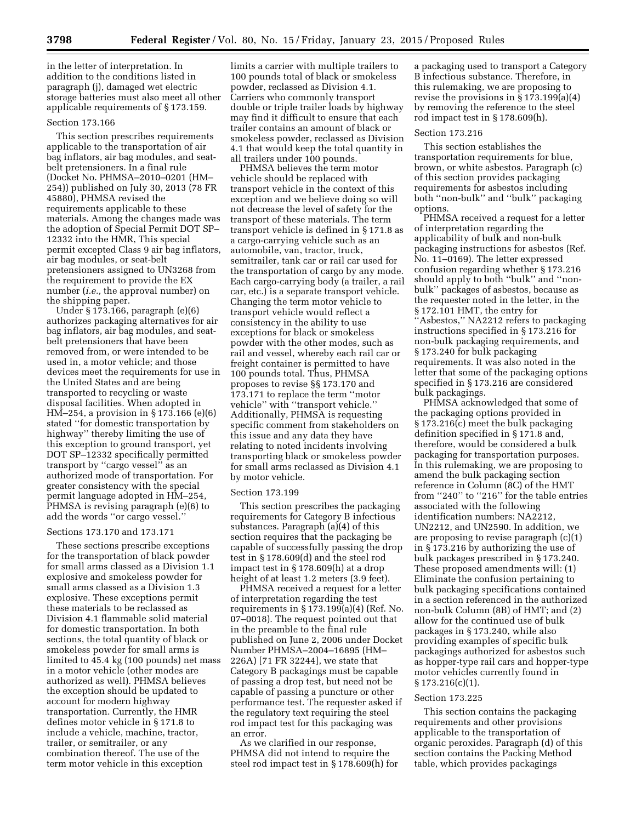in the letter of interpretation. In addition to the conditions listed in paragraph (j), damaged wet electric storage batteries must also meet all other applicable requirements of § 173.159.

### Section 173.166

This section prescribes requirements applicable to the transportation of air bag inflators, air bag modules, and seatbelt pretensioners. In a final rule (Docket No. PHMSA–2010–0201 (HM– 254)) published on July 30, 2013 (78 FR 45880), PHMSA revised the requirements applicable to these materials. Among the changes made was the adoption of Special Permit DOT SP– 12332 into the HMR, This special permit excepted Class 9 air bag inflators, air bag modules, or seat-belt pretensioners assigned to UN3268 from the requirement to provide the EX number (*i.e.,* the approval number) on the shipping paper.

Under § 173.166, paragraph (e)(6) authorizes packaging alternatives for air bag inflators, air bag modules, and seatbelt pretensioners that have been removed from, or were intended to be used in, a motor vehicle; and those devices meet the requirements for use in the United States and are being transported to recycling or waste disposal facilities. When adopted in HM–254, a provision in § 173.166 (e)(6) stated ''for domestic transportation by highway'' thereby limiting the use of this exception to ground transport, yet DOT SP–12332 specifically permitted transport by ''cargo vessel'' as an authorized mode of transportation. For greater consistency with the special permit language adopted in HM–254, PHMSA is revising paragraph (e)(6) to add the words ''or cargo vessel.''

#### Sections 173.170 and 173.171

These sections prescribe exceptions for the transportation of black powder for small arms classed as a Division 1.1 explosive and smokeless powder for small arms classed as a Division 1.3 explosive. These exceptions permit these materials to be reclassed as Division 4.1 flammable solid material for domestic transportation. In both sections, the total quantity of black or smokeless powder for small arms is limited to 45.4 kg (100 pounds) net mass in a motor vehicle (other modes are authorized as well). PHMSA believes the exception should be updated to account for modern highway transportation. Currently, the HMR defines motor vehicle in § 171.8 to include a vehicle, machine, tractor, trailer, or semitrailer, or any combination thereof. The use of the term motor vehicle in this exception

limits a carrier with multiple trailers to 100 pounds total of black or smokeless powder, reclassed as Division 4.1. Carriers who commonly transport double or triple trailer loads by highway may find it difficult to ensure that each trailer contains an amount of black or smokeless powder, reclassed as Division 4.1 that would keep the total quantity in all trailers under 100 pounds.

PHMSA believes the term motor vehicle should be replaced with transport vehicle in the context of this exception and we believe doing so will not decrease the level of safety for the transport of these materials. The term transport vehicle is defined in § 171.8 as a cargo-carrying vehicle such as an automobile, van, tractor, truck, semitrailer, tank car or rail car used for the transportation of cargo by any mode. Each cargo-carrying body (a trailer, a rail car, etc.) is a separate transport vehicle. Changing the term motor vehicle to transport vehicle would reflect a consistency in the ability to use exceptions for black or smokeless powder with the other modes, such as rail and vessel, whereby each rail car or freight container is permitted to have 100 pounds total. Thus, PHMSA proposes to revise §§ 173.170 and 173.171 to replace the term ''motor vehicle'' with ''transport vehicle.'' Additionally, PHMSA is requesting specific comment from stakeholders on this issue and any data they have relating to noted incidents involving transporting black or smokeless powder for small arms reclassed as Division 4.1 by motor vehicle.

#### Section 173.199

This section prescribes the packaging requirements for Category B infectious substances. Paragraph (a)(4) of this section requires that the packaging be capable of successfully passing the drop test in § 178.609(d) and the steel rod impact test in § 178.609(h) at a drop height of at least 1.2 meters (3.9 feet).

PHMSA received a request for a letter of interpretation regarding the test requirements in § 173.199(a)(4) (Ref. No. 07–0018). The request pointed out that in the preamble to the final rule published on June 2, 2006 under Docket Number PHMSA–2004–16895 (HM– 226A) [71 FR 32244], we state that Category B packagings must be capable of passing a drop test, but need not be capable of passing a puncture or other performance test. The requester asked if the regulatory text requiring the steel rod impact test for this packaging was an error.

As we clarified in our response, PHMSA did not intend to require the steel rod impact test in § 178.609(h) for

a packaging used to transport a Category B infectious substance. Therefore, in this rulemaking, we are proposing to revise the provisions in § 173.199(a)(4) by removing the reference to the steel rod impact test in § 178.609(h).

#### Section 173.216

This section establishes the transportation requirements for blue, brown, or white asbestos. Paragraph (c) of this section provides packaging requirements for asbestos including both ''non-bulk'' and ''bulk'' packaging options.

PHMSA received a request for a letter of interpretation regarding the applicability of bulk and non-bulk packaging instructions for asbestos (Ref. No. 11–0169). The letter expressed confusion regarding whether § 173.216 should apply to both ''bulk'' and ''nonbulk'' packages of asbestos, because as the requester noted in the letter, in the § 172.101 HMT, the entry for ''Asbestos,'' NA2212 refers to packaging instructions specified in § 173.216 for non-bulk packaging requirements, and § 173.240 for bulk packaging requirements. It was also noted in the letter that some of the packaging options specified in § 173.216 are considered bulk packagings.

PHMSA acknowledged that some of the packaging options provided in § 173.216(c) meet the bulk packaging definition specified in § 171.8 and, therefore, would be considered a bulk packaging for transportation purposes. In this rulemaking, we are proposing to amend the bulk packaging section reference in Column (8C) of the HMT from ''240'' to ''216'' for the table entries associated with the following identification numbers: NA2212, UN2212, and UN2590. In addition, we are proposing to revise paragraph (c)(1) in § 173.216 by authorizing the use of bulk packages prescribed in § 173.240. These proposed amendments will: (1) Eliminate the confusion pertaining to bulk packaging specifications contained in a section referenced in the authorized non-bulk Column (8B) of HMT; and (2) allow for the continued use of bulk packages in § 173.240, while also providing examples of specific bulk packagings authorized for asbestos such as hopper-type rail cars and hopper-type motor vehicles currently found in § 173.216(c)(1).

#### Section 173.225

This section contains the packaging requirements and other provisions applicable to the transportation of organic peroxides. Paragraph (d) of this section contains the Packing Method table, which provides packagings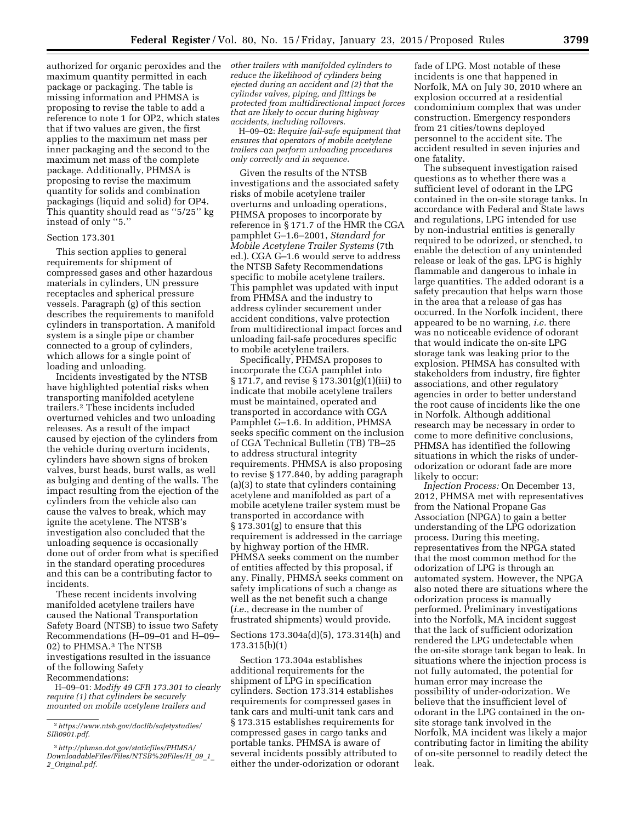authorized for organic peroxides and the maximum quantity permitted in each package or packaging. The table is missing information and PHMSA is proposing to revise the table to add a reference to note 1 for OP2, which states that if two values are given, the first applies to the maximum net mass per inner packaging and the second to the maximum net mass of the complete package. Additionally, PHMSA is proposing to revise the maximum quantity for solids and combination packagings (liquid and solid) for OP4.

This quantity should read as ''5/25'' kg instead of only ''5.''

# Section 173.301

This section applies to general requirements for shipment of compressed gases and other hazardous materials in cylinders, UN pressure receptacles and spherical pressure vessels. Paragraph (g) of this section describes the requirements to manifold cylinders in transportation. A manifold system is a single pipe or chamber connected to a group of cylinders, which allows for a single point of loading and unloading.

Incidents investigated by the NTSB have highlighted potential risks when transporting manifolded acetylene trailers.2 These incidents included overturned vehicles and two unloading releases. As a result of the impact caused by ejection of the cylinders from the vehicle during overturn incidents, cylinders have shown signs of broken valves, burst heads, burst walls, as well as bulging and denting of the walls. The impact resulting from the ejection of the cylinders from the vehicle also can cause the valves to break, which may ignite the acetylene. The NTSB's investigation also concluded that the unloading sequence is occasionally done out of order from what is specified in the standard operating procedures and this can be a contributing factor to incidents.

These recent incidents involving manifolded acetylene trailers have caused the National Transportation Safety Board (NTSB) to issue two Safety Recommendations (H–09–01 and H–09– 02) to PHMSA.3 The NTSB investigations resulted in the issuance of the following Safety Recommendations:

H–09–01: *Modify 49 CFR 173.301 to clearly require (1) that cylinders be securely mounted on mobile acetylene trailers and* 

*other trailers with manifolded cylinders to reduce the likelihood of cylinders being ejected during an accident and (2) that the cylinder valves, piping, and fittings be protected from multidirectional impact forces that are likely to occur during highway accidents, including rollovers.* 

H–09–02: *Require fail-safe equipment that ensures that operators of mobile acetylene trailers can perform unloading procedures only correctly and in sequence.* 

Given the results of the NTSB investigations and the associated safety risks of mobile acetylene trailer overturns and unloading operations, PHMSA proposes to incorporate by reference in § 171.7 of the HMR the CGA pamphlet G–1.6–2001, *Standard for Mobile Acetylene Trailer Systems* (7th ed.). CGA G–1.6 would serve to address the NTSB Safety Recommendations specific to mobile acetylene trailers. This pamphlet was updated with input from PHMSA and the industry to address cylinder securement under accident conditions, valve protection from multidirectional impact forces and unloading fail-safe procedures specific to mobile acetylene trailers.

Specifically, PHMSA proposes to incorporate the CGA pamphlet into § 171.7, and revise § 173.301(g)(1)(iii) to indicate that mobile acetylene trailers must be maintained, operated and transported in accordance with CGA Pamphlet G–1.6. In addition, PHMSA seeks specific comment on the inclusion of CGA Technical Bulletin (TB) TB–25 to address structural integrity requirements. PHMSA is also proposing to revise § 177.840, by adding paragraph (a)(3) to state that cylinders containing acetylene and manifolded as part of a mobile acetylene trailer system must be transported in accordance with § 173.301(g) to ensure that this requirement is addressed in the carriage by highway portion of the HMR. PHMSA seeks comment on the number of entities affected by this proposal, if any. Finally, PHMSA seeks comment on safety implications of such a change as well as the net benefit such a change (*i.e.,* decrease in the number of frustrated shipments) would provide.

Sections 173.304a(d)(5), 173.314(h) and 173.315(b)(1)

Section 173.304a establishes additional requirements for the shipment of LPG in specification cylinders. Section 173.314 establishes requirements for compressed gases in tank cars and multi-unit tank cars and § 173.315 establishes requirements for compressed gases in cargo tanks and portable tanks. PHMSA is aware of several incidents possibly attributed to either the under-odorization or odorant

fade of LPG. Most notable of these incidents is one that happened in Norfolk, MA on July 30, 2010 where an explosion occurred at a residential condominium complex that was under construction. Emergency responders from 21 cities/towns deployed personnel to the accident site. The accident resulted in seven injuries and one fatality.

The subsequent investigation raised questions as to whether there was a sufficient level of odorant in the LPG contained in the on-site storage tanks. In accordance with Federal and State laws and regulations, LPG intended for use by non-industrial entities is generally required to be odorized, or stenched, to enable the detection of any unintended release or leak of the gas. LPG is highly flammable and dangerous to inhale in large quantities. The added odorant is a safety precaution that helps warn those in the area that a release of gas has occurred. In the Norfolk incident, there appeared to be no warning, *i.e.* there was no noticeable evidence of odorant that would indicate the on-site LPG storage tank was leaking prior to the explosion. PHMSA has consulted with stakeholders from industry, fire fighter associations, and other regulatory agencies in order to better understand the root cause of incidents like the one in Norfolk. Although additional research may be necessary in order to come to more definitive conclusions, PHMSA has identified the following situations in which the risks of underodorization or odorant fade are more likely to occur:

*Injection Process:* On December 13, 2012, PHMSA met with representatives from the National Propane Gas Association (NPGA) to gain a better understanding of the LPG odorization process. During this meeting, representatives from the NPGA stated that the most common method for the odorization of LPG is through an automated system. However, the NPGA also noted there are situations where the odorization process is manually performed. Preliminary investigations into the Norfolk, MA incident suggest that the lack of sufficient odorization rendered the LPG undetectable when the on-site storage tank began to leak. In situations where the injection process is not fully automated, the potential for human error may increase the possibility of under-odorization. We believe that the insufficient level of odorant in the LPG contained in the onsite storage tank involved in the Norfolk, MA incident was likely a major contributing factor in limiting the ability of on-site personnel to readily detect the leak.

<sup>2</sup>*[https://www.ntsb.gov/doclib/safetystudies/](https://www.ntsb.gov/doclib/safetystudies/SIR0901.pdf) [SIR0901.pdf.](https://www.ntsb.gov/doclib/safetystudies/SIR0901.pdf)* 

<sup>3</sup>*[http://phmsa.dot.gov/staticfiles/PHMSA/](http://phmsa.dot.gov/staticfiles/PHMSA/DownloadableFiles/Files/NTSB%20Files/H_09_1_2_Original.pdf) [DownloadableFiles/Files/NTSB%20Files/H](http://phmsa.dot.gov/staticfiles/PHMSA/DownloadableFiles/Files/NTSB%20Files/H_09_1_2_Original.pdf)*\_*09*\_*1*\_ *2*\_*[Original.pdf.](http://phmsa.dot.gov/staticfiles/PHMSA/DownloadableFiles/Files/NTSB%20Files/H_09_1_2_Original.pdf)*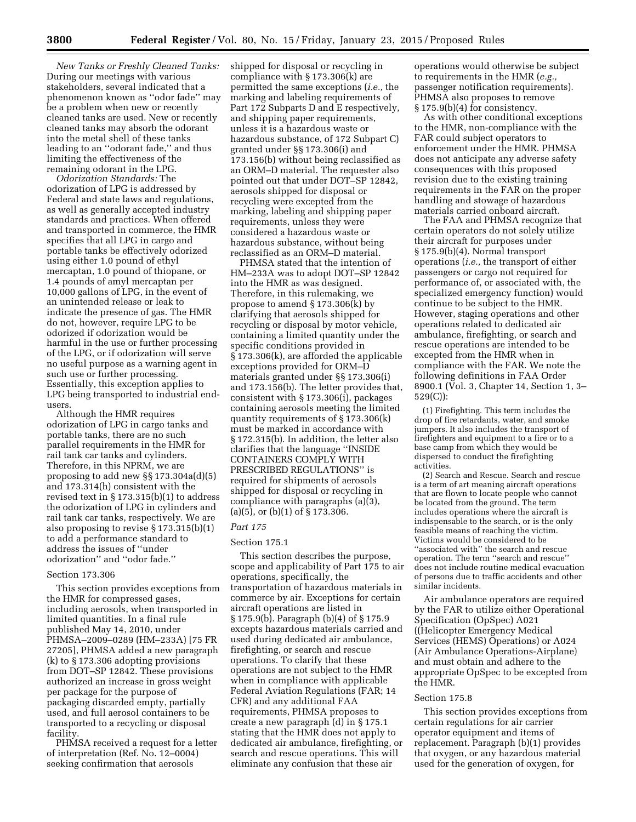*New Tanks or Freshly Cleaned Tanks:*  During our meetings with various stakeholders, several indicated that a phenomenon known as ''odor fade'' may be a problem when new or recently cleaned tanks are used. New or recently cleaned tanks may absorb the odorant into the metal shell of these tanks leading to an ''odorant fade,'' and thus limiting the effectiveness of the remaining odorant in the LPG.

*Odorization Standards:* The odorization of LPG is addressed by Federal and state laws and regulations, as well as generally accepted industry standards and practices. When offered and transported in commerce, the HMR specifies that all LPG in cargo and portable tanks be effectively odorized using either 1.0 pound of ethyl mercaptan, 1.0 pound of thiopane, or 1.4 pounds of amyl mercaptan per 10,000 gallons of LPG, in the event of an unintended release or leak to indicate the presence of gas. The HMR do not, however, require LPG to be odorized if odorization would be harmful in the use or further processing of the LPG, or if odorization will serve no useful purpose as a warning agent in such use or further processing. Essentially, this exception applies to LPG being transported to industrial endusers.

Although the HMR requires odorization of LPG in cargo tanks and portable tanks, there are no such parallel requirements in the HMR for rail tank car tanks and cylinders. Therefore, in this NPRM, we are proposing to add new §§ 173.304a(d)(5) and 173.314(h) consistent with the revised text in § 173.315(b)(1) to address the odorization of LPG in cylinders and rail tank car tanks, respectively. We are also proposing to revise § 173.315(b)(1) to add a performance standard to address the issues of ''under odorization'' and ''odor fade.''

## Section 173.306

This section provides exceptions from the HMR for compressed gases, including aerosols, when transported in limited quantities. In a final rule published May 14, 2010, under PHMSA–2009–0289 (HM–233A) [75 FR 27205], PHMSA added a new paragraph (k) to § 173.306 adopting provisions from DOT–SP 12842. These provisions authorized an increase in gross weight per package for the purpose of packaging discarded empty, partially used, and full aerosol containers to be transported to a recycling or disposal facility.

PHMSA received a request for a letter of interpretation (Ref. No. 12–0004) seeking confirmation that aerosols

shipped for disposal or recycling in compliance with § 173.306(k) are permitted the same exceptions (*i.e.,* the marking and labeling requirements of Part 172 Subparts D and E respectively, and shipping paper requirements, unless it is a hazardous waste or hazardous substance, of 172 Subpart C) granted under §§ 173.306(i) and 173.156(b) without being reclassified as an ORM–D material. The requester also pointed out that under DOT–SP 12842, aerosols shipped for disposal or recycling were excepted from the marking, labeling and shipping paper requirements, unless they were considered a hazardous waste or hazardous substance, without being reclassified as an ORM–D material.

PHMSA stated that the intention of HM–233A was to adopt DOT–SP 12842 into the HMR as was designed. Therefore, in this rulemaking, we propose to amend § 173.306(k) by clarifying that aerosols shipped for recycling or disposal by motor vehicle, containing a limited quantity under the specific conditions provided in § 173.306(k), are afforded the applicable exceptions provided for ORM–D materials granted under §§ 173.306(i) and 173.156(b). The letter provides that, consistent with § 173.306(i), packages containing aerosols meeting the limited quantity requirements of § 173.306(k) must be marked in accordance with § 172.315(b). In addition, the letter also clarifies that the language ''INSIDE CONTAINERS COMPLY WITH PRESCRIBED REGULATIONS'' is required for shipments of aerosols shipped for disposal or recycling in compliance with paragraphs (a)(3), (a)(5), or (b)(1) of § 173.306.

# *Part 175*

# Section 175.1

This section describes the purpose, scope and applicability of Part 175 to air operations, specifically, the transportation of hazardous materials in commerce by air. Exceptions for certain aircraft operations are listed in § 175.9(b). Paragraph (b)(4) of § 175.9 excepts hazardous materials carried and used during dedicated air ambulance, firefighting, or search and rescue operations. To clarify that these operations are not subject to the HMR when in compliance with applicable Federal Aviation Regulations (FAR; 14 CFR) and any additional FAA requirements, PHMSA proposes to create a new paragraph (d) in § 175.1 stating that the HMR does not apply to dedicated air ambulance, firefighting, or search and rescue operations. This will eliminate any confusion that these air

operations would otherwise be subject to requirements in the HMR (*e.g.,*  passenger notification requirements). PHMSA also proposes to remove § 175.9(b)(4) for consistency.

As with other conditional exceptions to the HMR, non-compliance with the FAR could subject operators to enforcement under the HMR. PHMSA does not anticipate any adverse safety consequences with this proposed revision due to the existing training requirements in the FAR on the proper handling and stowage of hazardous materials carried onboard aircraft.

The FAA and PHMSA recognize that certain operators do not solely utilize their aircraft for purposes under § 175.9(b)(4). Normal transport operations (*i.e.,* the transport of either passengers or cargo not required for performance of, or associated with, the specialized emergency function) would continue to be subject to the HMR. However, staging operations and other operations related to dedicated air ambulance, firefighting, or search and rescue operations are intended to be excepted from the HMR when in compliance with the FAR. We note the following definitions in FAA Order 8900.1 (Vol. 3, Chapter 14, Section 1, 3– 529(C)):

(1) Firefighting. This term includes the drop of fire retardants, water, and smoke jumpers. It also includes the transport of firefighters and equipment to a fire or to a base camp from which they would be dispersed to conduct the firefighting activities.

(2) Search and Rescue. Search and rescue is a term of art meaning aircraft operations that are flown to locate people who cannot be located from the ground. The term includes operations where the aircraft is indispensable to the search, or is the only feasible means of reaching the victim. Victims would be considered to be ''associated with'' the search and rescue operation. The term ''search and rescue'' does not include routine medical evacuation of persons due to traffic accidents and other similar incidents.

Air ambulance operators are required by the FAR to utilize either Operational Specification (OpSpec) A021 ((Helicopter Emergency Medical Services (HEMS) Operations) or A024 (Air Ambulance Operations-Airplane) and must obtain and adhere to the appropriate OpSpec to be excepted from the HMR.

### Section 175.8

This section provides exceptions from certain regulations for air carrier operator equipment and items of replacement. Paragraph (b)(1) provides that oxygen, or any hazardous material used for the generation of oxygen, for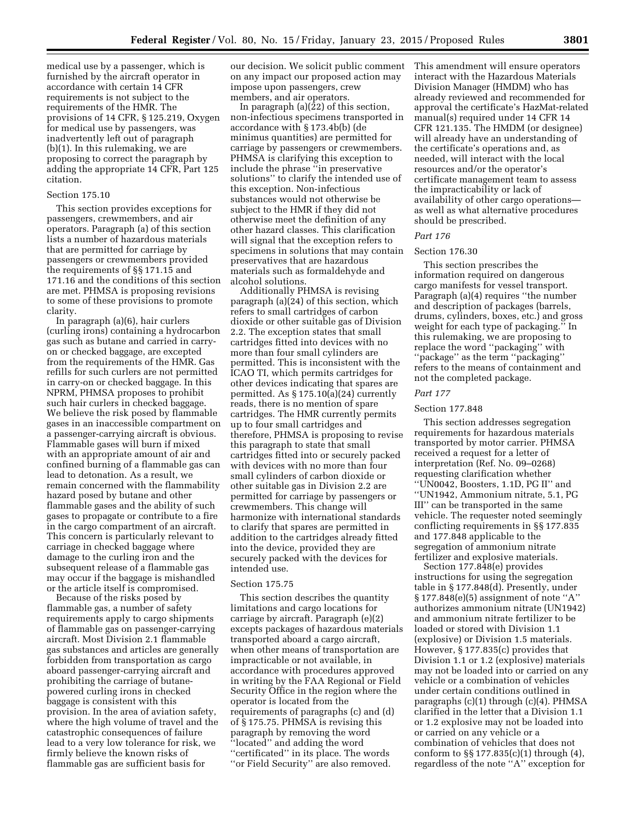medical use by a passenger, which is furnished by the aircraft operator in accordance with certain 14 CFR requirements is not subject to the requirements of the HMR. The provisions of 14 CFR, § 125.219, Oxygen for medical use by passengers, was inadvertently left out of paragraph (b)(1). In this rulemaking, we are proposing to correct the paragraph by adding the appropriate 14 CFR, Part 125 citation.

# Section 175.10

This section provides exceptions for passengers, crewmembers, and air operators. Paragraph (a) of this section lists a number of hazardous materials that are permitted for carriage by passengers or crewmembers provided the requirements of §§ 171.15 and 171.16 and the conditions of this section are met. PHMSA is proposing revisions to some of these provisions to promote clarity.

In paragraph (a)(6), hair curlers (curling irons) containing a hydrocarbon gas such as butane and carried in carryon or checked baggage, are excepted from the requirements of the HMR. Gas refills for such curlers are not permitted in carry-on or checked baggage. In this NPRM, PHMSA proposes to prohibit such hair curlers in checked baggage. We believe the risk posed by flammable gases in an inaccessible compartment on a passenger-carrying aircraft is obvious. Flammable gases will burn if mixed with an appropriate amount of air and confined burning of a flammable gas can lead to detonation. As a result, we remain concerned with the flammability hazard posed by butane and other flammable gases and the ability of such gases to propagate or contribute to a fire in the cargo compartment of an aircraft. This concern is particularly relevant to carriage in checked baggage where damage to the curling iron and the subsequent release of a flammable gas may occur if the baggage is mishandled or the article itself is compromised.

Because of the risks posed by flammable gas, a number of safety requirements apply to cargo shipments of flammable gas on passenger-carrying aircraft. Most Division 2.1 flammable gas substances and articles are generally forbidden from transportation as cargo aboard passenger-carrying aircraft and prohibiting the carriage of butanepowered curling irons in checked baggage is consistent with this provision. In the area of aviation safety, where the high volume of travel and the catastrophic consequences of failure lead to a very low tolerance for risk, we firmly believe the known risks of flammable gas are sufficient basis for

our decision. We solicit public comment on any impact our proposed action may impose upon passengers, crew members, and air operators.

In paragraph  $(a)(\overline{2}2)$  of this section, non-infectious specimens transported in accordance with § 173.4b(b) (de minimus quantities) are permitted for carriage by passengers or crewmembers. PHMSA is clarifying this exception to include the phrase ''in preservative solutions'' to clarify the intended use of this exception. Non-infectious substances would not otherwise be subject to the HMR if they did not otherwise meet the definition of any other hazard classes. This clarification will signal that the exception refers to specimens in solutions that may contain preservatives that are hazardous materials such as formaldehyde and alcohol solutions.

Additionally PHMSA is revising paragraph (a)(24) of this section, which refers to small cartridges of carbon dioxide or other suitable gas of Division 2.2. The exception states that small cartridges fitted into devices with no more than four small cylinders are permitted. This is inconsistent with the ICAO TI, which permits cartridges for other devices indicating that spares are permitted. As § 175.10(a)(24) currently reads, there is no mention of spare cartridges. The HMR currently permits up to four small cartridges and therefore, PHMSA is proposing to revise this paragraph to state that small cartridges fitted into or securely packed with devices with no more than four small cylinders of carbon dioxide or other suitable gas in Division 2.2 are permitted for carriage by passengers or crewmembers. This change will harmonize with international standards to clarify that spares are permitted in addition to the cartridges already fitted into the device, provided they are securely packed with the devices for intended use.

#### Section 175.75

This section describes the quantity limitations and cargo locations for carriage by aircraft. Paragraph (e)(2) excepts packages of hazardous materials transported aboard a cargo aircraft, when other means of transportation are impracticable or not available, in accordance with procedures approved in writing by the FAA Regional or Field Security Office in the region where the operator is located from the requirements of paragraphs (c) and (d) of § 175.75. PHMSA is revising this paragraph by removing the word ''located'' and adding the word ''certificated'' in its place. The words ''or Field Security'' are also removed.

This amendment will ensure operators interact with the Hazardous Materials Division Manager (HMDM) who has already reviewed and recommended for approval the certificate's HazMat-related manual(s) required under 14 CFR 14 CFR 121.135. The HMDM (or designee) will already have an understanding of the certificate's operations and, as needed, will interact with the local resources and/or the operator's certificate management team to assess the impracticability or lack of availability of other cargo operations as well as what alternative procedures should be prescribed.

### *Part 176*

# Section 176.30

This section prescribes the information required on dangerous cargo manifests for vessel transport. Paragraph (a)(4) requires ''the number and description of packages (barrels, drums, cylinders, boxes, etc.) and gross weight for each type of packaging.'' In this rulemaking, we are proposing to replace the word ''packaging'' with ''package'' as the term ''packaging'' refers to the means of containment and not the completed package.

### *Part 177*

#### Section 177.848

This section addresses segregation requirements for hazardous materials transported by motor carrier. PHMSA received a request for a letter of interpretation (Ref. No. 09–0268) requesting clarification whether ''UN0042, Boosters, 1.1D, PG II'' and ''UN1942, Ammonium nitrate, 5.1, PG III'' can be transported in the same vehicle. The requester noted seemingly conflicting requirements in §§ 177.835 and 177.848 applicable to the segregation of ammonium nitrate fertilizer and explosive materials.

Section 177.848(e) provides instructions for using the segregation table in § 177.848(d). Presently, under § 177.848(e)(5) assignment of note "A' authorizes ammonium nitrate (UN1942) and ammonium nitrate fertilizer to be loaded or stored with Division 1.1 (explosive) or Division 1.5 materials. However, § 177.835(c) provides that Division 1.1 or 1.2 (explosive) materials may not be loaded into or carried on any vehicle or a combination of vehicles under certain conditions outlined in paragraphs (c)(1) through (c)(4). PHMSA clarified in the letter that a Division 1.1 or 1.2 explosive may not be loaded into or carried on any vehicle or a combination of vehicles that does not conform to §§ 177.835(c)(1) through (4), regardless of the note ''A'' exception for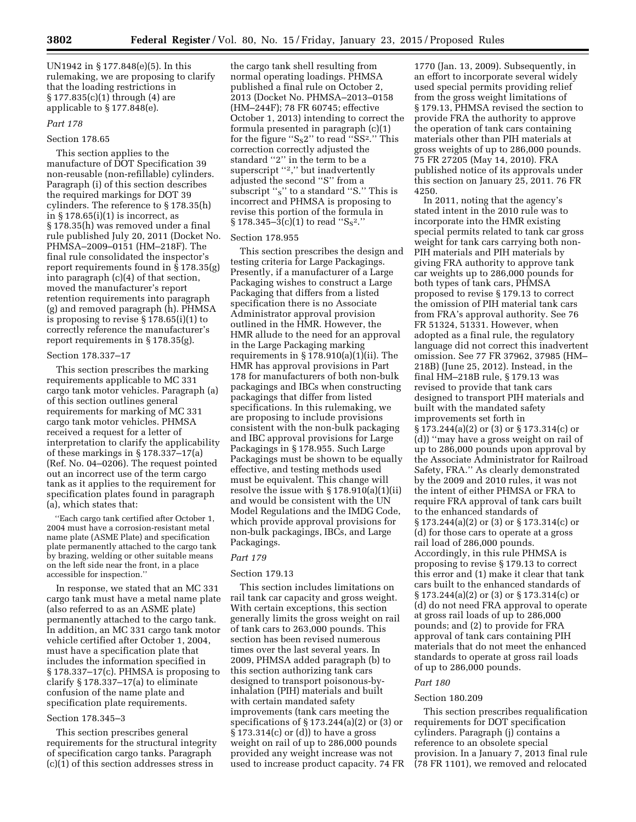UN1942 in § 177.848(e)(5). In this rulemaking, we are proposing to clarify that the loading restrictions in § 177.835(c)(1) through (4) are applicable to § 177.848(e).

### *Part 178*

# Section 178.65

This section applies to the manufacture of DOT Specification 39 non-reusable (non-refillable) cylinders. Paragraph (i) of this section describes the required markings for DOT 39 cylinders. The reference to § 178.35(h) in  $\S 178.65(i)(1)$  is incorrect, as § 178.35(h) was removed under a final rule published July 20, 2011 (Docket No. PHMSA–2009–0151 (HM–218F). The final rule consolidated the inspector's report requirements found in § 178.35(g) into paragraph (c)(4) of that section, moved the manufacturer's report retention requirements into paragraph (g) and removed paragraph (h). PHMSA is proposing to revise § 178.65(i)(1) to correctly reference the manufacturer's report requirements in § 178.35(g).

#### Section 178.337–17

This section prescribes the marking requirements applicable to MC 331 cargo tank motor vehicles. Paragraph (a) of this section outlines general requirements for marking of MC 331 cargo tank motor vehicles. PHMSA received a request for a letter of interpretation to clarify the applicability of these markings in § 178.337–17(a) (Ref. No. 04–0206). The request pointed out an incorrect use of the term cargo tank as it applies to the requirement for specification plates found in paragraph (a), which states that:

''Each cargo tank certified after October 1, 2004 must have a corrosion-resistant metal name plate (ASME Plate) and specification plate permanently attached to the cargo tank by brazing, welding or other suitable means on the left side near the front, in a place accessible for inspection.''

In response, we stated that an MC 331 cargo tank must have a metal name plate (also referred to as an ASME plate) permanently attached to the cargo tank. In addition, an MC 331 cargo tank motor vehicle certified after October 1, 2004, must have a specification plate that includes the information specified in § 178.337–17(c). PHMSA is proposing to clarify § 178.337–17(a) to eliminate confusion of the name plate and specification plate requirements.

# Section 178.345–3

This section prescribes general requirements for the structural integrity of specification cargo tanks. Paragraph (c)(1) of this section addresses stress in

the cargo tank shell resulting from normal operating loadings. PHMSA published a final rule on October 2, 2013 (Docket No. PHMSA–2013–0158 (HM–244F); 78 FR 60745; effective October 1, 2013) intending to correct the formula presented in paragraph (c)(1) for the figure " $S_82$ " to read "SS<sup>2</sup>." This correction correctly adjusted the standard ''2'' in the term to be a superscript "2," but inadvertently adjusted the second ''S'' from a subscript "s" to a standard "S." This is incorrect and PHMSA is proposing to revise this portion of the formula in  $\S 178.345 - 3(c)(1)$  to read "S<sub>S</sub><sup>2</sup>."

#### Section 178.955

This section prescribes the design and testing criteria for Large Packagings. Presently, if a manufacturer of a Large Packaging wishes to construct a Large Packaging that differs from a listed specification there is no Associate Administrator approval provision outlined in the HMR. However, the HMR allude to the need for an approval in the Large Packaging marking requirements in  $\S 178.910(a)(1)(ii)$ . The HMR has approval provisions in Part 178 for manufacturers of both non-bulk packagings and IBCs when constructing packagings that differ from listed specifications. In this rulemaking, we are proposing to include provisions consistent with the non-bulk packaging and IBC approval provisions for Large Packagings in § 178.955. Such Large Packagings must be shown to be equally effective, and testing methods used must be equivalent. This change will resolve the issue with  $\S 178.910(a)(1)(ii)$ and would be consistent with the UN Model Regulations and the IMDG Code, which provide approval provisions for non-bulk packagings, IBCs, and Large Packagings.

#### *Part 179*

# Section 179.13

This section includes limitations on rail tank car capacity and gross weight. With certain exceptions, this section generally limits the gross weight on rail of tank cars to 263,000 pounds. This section has been revised numerous times over the last several years. In 2009, PHMSA added paragraph (b) to this section authorizing tank cars designed to transport poisonous-byinhalation (PIH) materials and built with certain mandated safety improvements (tank cars meeting the specifications of  $\S 173.244(a)(2)$  or  $(3)$  or § 173.314(c) or (d)) to have a gross weight on rail of up to 286,000 pounds provided any weight increase was not used to increase product capacity. 74 FR

1770 (Jan. 13, 2009). Subsequently, in an effort to incorporate several widely used special permits providing relief from the gross weight limitations of § 179.13, PHMSA revised the section to provide FRA the authority to approve the operation of tank cars containing materials other than PIH materials at gross weights of up to 286,000 pounds. 75 FR 27205 (May 14, 2010). FRA published notice of its approvals under this section on January 25, 2011. 76 FR 4250.

In 2011, noting that the agency's stated intent in the 2010 rule was to incorporate into the HMR existing special permits related to tank car gross weight for tank cars carrying both non-PIH materials and PIH materials by giving FRA authority to approve tank car weights up to 286,000 pounds for both types of tank cars, PHMSA proposed to revise § 179.13 to correct the omission of PIH material tank cars from FRA's approval authority. See 76 FR 51324, 51331. However, when adopted as a final rule, the regulatory language did not correct this inadvertent omission. See 77 FR 37962, 37985 (HM– 218B) (June 25, 2012). Instead, in the final HM–218B rule, § 179.13 was revised to provide that tank cars designed to transport PIH materials and built with the mandated safety improvements set forth in § 173.244(a)(2) or (3) or § 173.314(c) or (d)) ''may have a gross weight on rail of up to 286,000 pounds upon approval by the Associate Administrator for Railroad Safety, FRA.'' As clearly demonstrated by the 2009 and 2010 rules, it was not the intent of either PHMSA or FRA to require FRA approval of tank cars built to the enhanced standards of § 173.244(a)(2) or (3) or § 173.314(c) or (d) for those cars to operate at a gross rail load of 286,000 pounds. Accordingly, in this rule PHMSA is proposing to revise § 179.13 to correct this error and (1) make it clear that tank cars built to the enhanced standards of § 173.244(a)(2) or (3) or § 173.314(c) or (d) do not need FRA approval to operate at gross rail loads of up to 286,000 pounds; and (2) to provide for FRA approval of tank cars containing PIH materials that do not meet the enhanced standards to operate at gross rail loads of up to 286,000 pounds.

#### *Part 180*

#### Section 180.209

This section prescribes requalification requirements for DOT specification cylinders. Paragraph (j) contains a reference to an obsolete special provision. In a January 7, 2013 final rule (78 FR 1101), we removed and relocated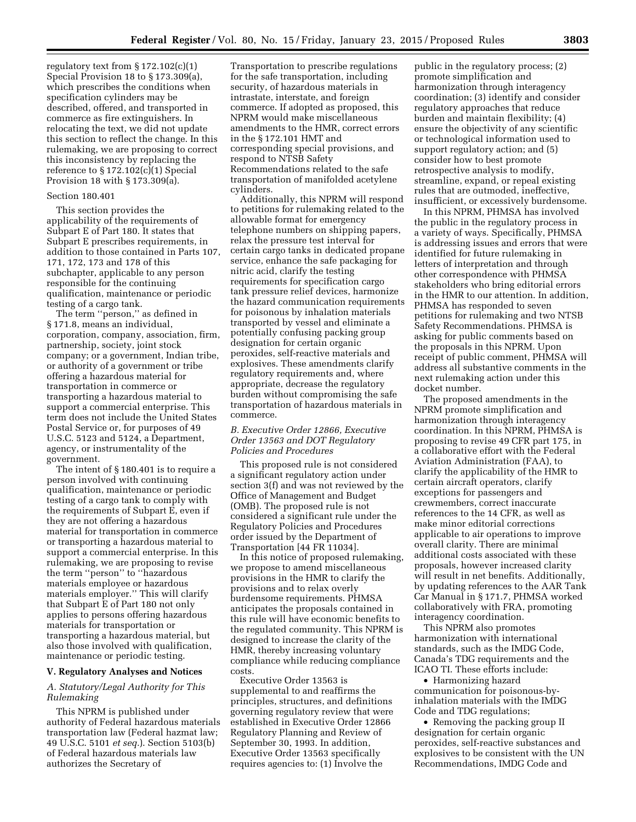regulatory text from  $\S 172.102(c)(1)$ Special Provision 18 to § 173.309(a), which prescribes the conditions when specification cylinders may be described, offered, and transported in commerce as fire extinguishers. In relocating the text, we did not update this section to reflect the change. In this rulemaking, we are proposing to correct this inconsistency by replacing the reference to § 172.102(c)(1) Special Provision 18 with § 173.309(a).

#### Section 180.401

This section provides the applicability of the requirements of Subpart E of Part 180. It states that Subpart E prescribes requirements, in addition to those contained in Parts 107, 171, 172, 173 and 178 of this subchapter, applicable to any person responsible for the continuing qualification, maintenance or periodic testing of a cargo tank.

The term ''person,'' as defined in § 171.8, means an individual, corporation, company, association, firm, partnership, society, joint stock company; or a government, Indian tribe, or authority of a government or tribe offering a hazardous material for transportation in commerce or transporting a hazardous material to support a commercial enterprise. This term does not include the United States Postal Service or, for purposes of 49 U.S.C. 5123 and 5124, a Department, agency, or instrumentality of the government.

The intent of § 180.401 is to require a person involved with continuing qualification, maintenance or periodic testing of a cargo tank to comply with the requirements of Subpart E, even if they are not offering a hazardous material for transportation in commerce or transporting a hazardous material to support a commercial enterprise. In this rulemaking, we are proposing to revise the term ''person'' to ''hazardous materials employee or hazardous materials employer.'' This will clarify that Subpart E of Part 180 not only applies to persons offering hazardous materials for transportation or transporting a hazardous material, but also those involved with qualification, maintenance or periodic testing.

# **V. Regulatory Analyses and Notices**

# *A. Statutory/Legal Authority for This Rulemaking*

This NPRM is published under authority of Federal hazardous materials transportation law (Federal hazmat law; 49 U.S.C. 5101 *et seq.*). Section 5103(b) of Federal hazardous materials law authorizes the Secretary of

Transportation to prescribe regulations for the safe transportation, including security, of hazardous materials in intrastate, interstate, and foreign commerce. If adopted as proposed, this NPRM would make miscellaneous amendments to the HMR, correct errors in the § 172.101 HMT and corresponding special provisions, and respond to NTSB Safety Recommendations related to the safe transportation of manifolded acetylene cylinders.

Additionally, this NPRM will respond to petitions for rulemaking related to the allowable format for emergency telephone numbers on shipping papers, relax the pressure test interval for certain cargo tanks in dedicated propane service, enhance the safe packaging for nitric acid, clarify the testing requirements for specification cargo tank pressure relief devices, harmonize the hazard communication requirements for poisonous by inhalation materials transported by vessel and eliminate a potentially confusing packing group designation for certain organic peroxides, self-reactive materials and explosives. These amendments clarify regulatory requirements and, where appropriate, decrease the regulatory burden without compromising the safe transportation of hazardous materials in commerce.

# *B. Executive Order 12866, Executive Order 13563 and DOT Regulatory Policies and Procedures*

This proposed rule is not considered a significant regulatory action under section 3(f) and was not reviewed by the Office of Management and Budget (OMB). The proposed rule is not considered a significant rule under the Regulatory Policies and Procedures order issued by the Department of Transportation [44 FR 11034].

In this notice of proposed rulemaking, we propose to amend miscellaneous provisions in the HMR to clarify the provisions and to relax overly burdensome requirements. PHMSA anticipates the proposals contained in this rule will have economic benefits to the regulated community. This NPRM is designed to increase the clarity of the HMR, thereby increasing voluntary compliance while reducing compliance costs.

Executive Order 13563 is supplemental to and reaffirms the principles, structures, and definitions governing regulatory review that were established in Executive Order 12866 Regulatory Planning and Review of September 30, 1993. In addition, Executive Order 13563 specifically requires agencies to: (1) Involve the

public in the regulatory process; (2) promote simplification and harmonization through interagency coordination; (3) identify and consider regulatory approaches that reduce burden and maintain flexibility; (4) ensure the objectivity of any scientific or technological information used to support regulatory action; and (5) consider how to best promote retrospective analysis to modify, streamline, expand, or repeal existing rules that are outmoded, ineffective, insufficient, or excessively burdensome.

In this NPRM, PHMSA has involved the public in the regulatory process in a variety of ways. Specifically, PHMSA is addressing issues and errors that were identified for future rulemaking in letters of interpretation and through other correspondence with PHMSA stakeholders who bring editorial errors in the HMR to our attention. In addition, PHMSA has responded to seven petitions for rulemaking and two NTSB Safety Recommendations. PHMSA is asking for public comments based on the proposals in this NPRM. Upon receipt of public comment, PHMSA will address all substantive comments in the next rulemaking action under this docket number.

The proposed amendments in the NPRM promote simplification and harmonization through interagency coordination. In this NPRM, PHMSA is proposing to revise 49 CFR part 175, in a collaborative effort with the Federal Aviation Administration (FAA), to clarify the applicability of the HMR to certain aircraft operators, clarify exceptions for passengers and crewmembers, correct inaccurate references to the 14 CFR, as well as make minor editorial corrections applicable to air operations to improve overall clarity. There are minimal additional costs associated with these proposals, however increased clarity will result in net benefits. Additionally, by updating references to the AAR Tank Car Manual in § 171.7, PHMSA worked collaboratively with FRA, promoting interagency coordination.

This NPRM also promotes harmonization with international standards, such as the IMDG Code, Canada's TDG requirements and the ICAO TI. These efforts include:

• Harmonizing hazard communication for poisonous-byinhalation materials with the IMDG Code and TDG regulations;

• Removing the packing group II designation for certain organic peroxides, self-reactive substances and explosives to be consistent with the UN Recommendations, IMDG Code and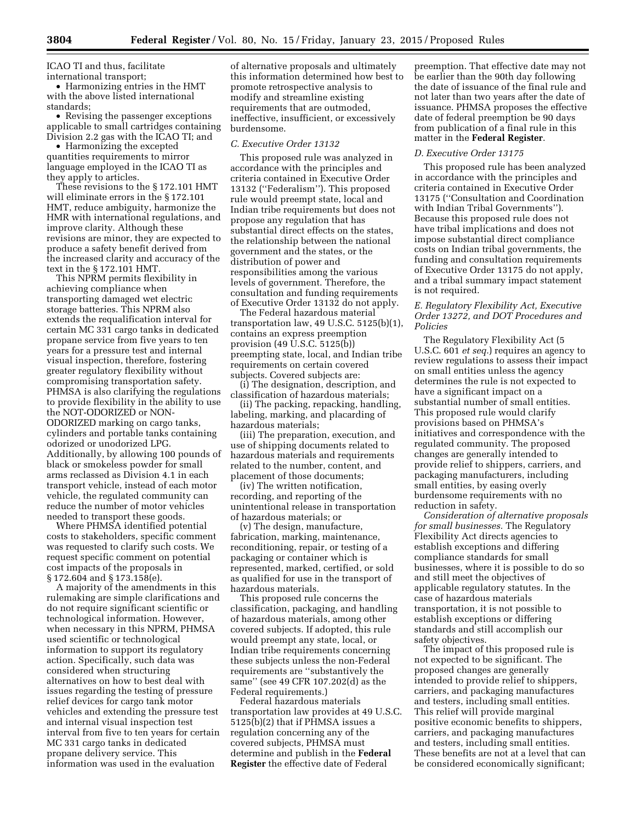ICAO TI and thus, facilitate international transport;

• Harmonizing entries in the HMT with the above listed international standards;

• Revising the passenger exceptions applicable to small cartridges containing Division 2.2 gas with the ICAO TI; and

• Harmonizing the excepted quantities requirements to mirror language employed in the ICAO TI as they apply to articles.

These revisions to the § 172.101 HMT will eliminate errors in the § 172.101 HMT, reduce ambiguity, harmonize the HMR with international regulations, and improve clarity. Although these revisions are minor, they are expected to produce a safety benefit derived from the increased clarity and accuracy of the text in the § 172.101 HMT.

This NPRM permits flexibility in achieving compliance when transporting damaged wet electric storage batteries. This NPRM also extends the requalification interval for certain MC 331 cargo tanks in dedicated propane service from five years to ten years for a pressure test and internal visual inspection, therefore, fostering greater regulatory flexibility without compromising transportation safety. PHMSA is also clarifying the regulations to provide flexibility in the ability to use the NOT-ODORIZED or NON-ODORIZED marking on cargo tanks, cylinders and portable tanks containing odorized or unodorized LPG. Additionally, by allowing 100 pounds of black or smokeless powder for small arms reclassed as Division 4.1 in each transport vehicle, instead of each motor vehicle, the regulated community can reduce the number of motor vehicles needed to transport these goods.

Where PHMSA identified potential costs to stakeholders, specific comment was requested to clarify such costs. We request specific comment on potential cost impacts of the proposals in § 172.604 and § 173.158(e).

A majority of the amendments in this rulemaking are simple clarifications and do not require significant scientific or technological information. However, when necessary in this NPRM, PHMSA used scientific or technological information to support its regulatory action. Specifically, such data was considered when structuring alternatives on how to best deal with issues regarding the testing of pressure relief devices for cargo tank motor vehicles and extending the pressure test and internal visual inspection test interval from five to ten years for certain MC 331 cargo tanks in dedicated propane delivery service. This information was used in the evaluation

of alternative proposals and ultimately this information determined how best to promote retrospective analysis to modify and streamline existing requirements that are outmoded, ineffective, insufficient, or excessively burdensome.

#### *C. Executive Order 13132*

This proposed rule was analyzed in accordance with the principles and criteria contained in Executive Order 13132 (''Federalism''). This proposed rule would preempt state, local and Indian tribe requirements but does not propose any regulation that has substantial direct effects on the states, the relationship between the national government and the states, or the distribution of power and responsibilities among the various levels of government. Therefore, the consultation and funding requirements of Executive Order 13132 do not apply.

The Federal hazardous material transportation law, 49 U.S.C. 5125(b)(1), contains an express preemption provision (49 U.S.C. 5125(b)) preempting state, local, and Indian tribe requirements on certain covered subjects. Covered subjects are:

(i) The designation, description, and classification of hazardous materials;

(ii) The packing, repacking, handling, labeling, marking, and placarding of hazardous materials;

(iii) The preparation, execution, and use of shipping documents related to hazardous materials and requirements related to the number, content, and placement of those documents;

(iv) The written notification, recording, and reporting of the unintentional release in transportation of hazardous materials; or

(v) The design, manufacture, fabrication, marking, maintenance, reconditioning, repair, or testing of a packaging or container which is represented, marked, certified, or sold as qualified for use in the transport of hazardous materials.

This proposed rule concerns the classification, packaging, and handling of hazardous materials, among other covered subjects. If adopted, this rule would preempt any state, local, or Indian tribe requirements concerning these subjects unless the non-Federal requirements are ''substantively the same'' (see 49 CFR 107.202(d) as the Federal requirements.)

Federal hazardous materials transportation law provides at 49 U.S.C. 5125(b)(2) that if PHMSA issues a regulation concerning any of the covered subjects, PHMSA must determine and publish in the **Federal Register** the effective date of Federal

preemption. That effective date may not be earlier than the 90th day following the date of issuance of the final rule and not later than two years after the date of issuance. PHMSA proposes the effective date of federal preemption be 90 days from publication of a final rule in this matter in the **Federal Register**.

### *D. Executive Order 13175*

This proposed rule has been analyzed in accordance with the principles and criteria contained in Executive Order 13175 (''Consultation and Coordination with Indian Tribal Governments''). Because this proposed rule does not have tribal implications and does not impose substantial direct compliance costs on Indian tribal governments, the funding and consultation requirements of Executive Order 13175 do not apply, and a tribal summary impact statement is not required.

# *E. Regulatory Flexibility Act, Executive Order 13272, and DOT Procedures and Policies*

The Regulatory Flexibility Act (5 U.S.C. 601 *et seq.*) requires an agency to review regulations to assess their impact on small entities unless the agency determines the rule is not expected to have a significant impact on a substantial number of small entities. This proposed rule would clarify provisions based on PHMSA's initiatives and correspondence with the regulated community. The proposed changes are generally intended to provide relief to shippers, carriers, and packaging manufacturers, including small entities, by easing overly burdensome requirements with no reduction in safety.

*Consideration of alternative proposals for small businesses.* The Regulatory Flexibility Act directs agencies to establish exceptions and differing compliance standards for small businesses, where it is possible to do so and still meet the objectives of applicable regulatory statutes. In the case of hazardous materials transportation, it is not possible to establish exceptions or differing standards and still accomplish our safety objectives.

The impact of this proposed rule is not expected to be significant. The proposed changes are generally intended to provide relief to shippers, carriers, and packaging manufactures and testers, including small entities. This relief will provide marginal positive economic benefits to shippers, carriers, and packaging manufactures and testers, including small entities. These benefits are not at a level that can be considered economically significant;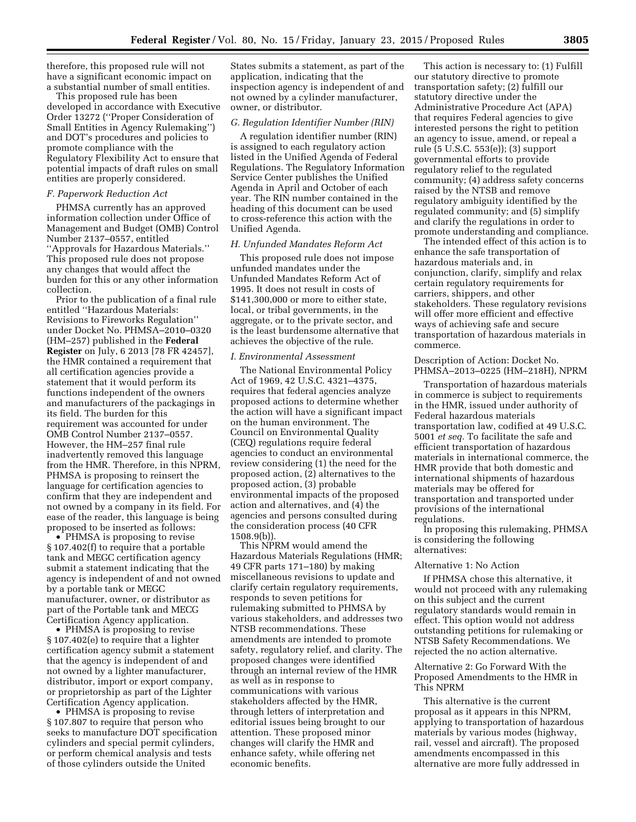therefore, this proposed rule will not have a significant economic impact on a substantial number of small entities.

This proposed rule has been developed in accordance with Executive Order 13272 (''Proper Consideration of Small Entities in Agency Rulemaking'') and DOT's procedures and policies to promote compliance with the Regulatory Flexibility Act to ensure that potential impacts of draft rules on small entities are properly considered.

### *F. Paperwork Reduction Act*

PHMSA currently has an approved information collection under Office of Management and Budget (OMB) Control Number 2137–0557, entitled ''Approvals for Hazardous Materials.'' This proposed rule does not propose any changes that would affect the burden for this or any other information collection.

Prior to the publication of a final rule entitled ''Hazardous Materials: Revisions to Fireworks Regulation'' under Docket No. PHMSA–2010–0320 (HM–257) published in the **Federal Register** on July, 6 2013 [78 FR 42457], the HMR contained a requirement that all certification agencies provide a statement that it would perform its functions independent of the owners and manufacturers of the packagings in its field. The burden for this requirement was accounted for under OMB Control Number 2137–0557. However, the HM–257 final rule inadvertently removed this language from the HMR. Therefore, in this NPRM, PHMSA is proposing to reinsert the language for certification agencies to confirm that they are independent and not owned by a company in its field. For ease of the reader, this language is being proposed to be inserted as follows:

• PHMSA is proposing to revise § 107.402(f) to require that a portable tank and MEGC certification agency submit a statement indicating that the agency is independent of and not owned by a portable tank or MEGC manufacturer, owner, or distributor as part of the Portable tank and MECG Certification Agency application.

• PHMSA is proposing to revise § 107.402(e) to require that a lighter certification agency submit a statement that the agency is independent of and not owned by a lighter manufacturer, distributor, import or export company, or proprietorship as part of the Lighter Certification Agency application.

• PHMSA is proposing to revise § 107.807 to require that person who seeks to manufacture DOT specification cylinders and special permit cylinders, or perform chemical analysis and tests of those cylinders outside the United

States submits a statement, as part of the application, indicating that the inspection agency is independent of and not owned by a cylinder manufacturer, owner, or distributor.

### *G. Regulation Identifier Number (RIN)*

A regulation identifier number (RIN) is assigned to each regulatory action listed in the Unified Agenda of Federal Regulations. The Regulatory Information Service Center publishes the Unified Agenda in April and October of each year. The RIN number contained in the heading of this document can be used to cross-reference this action with the Unified Agenda.

# *H. Unfunded Mandates Reform Act*

This proposed rule does not impose unfunded mandates under the Unfunded Mandates Reform Act of 1995. It does not result in costs of \$141,300,000 or more to either state, local, or tribal governments, in the aggregate, or to the private sector, and is the least burdensome alternative that achieves the objective of the rule.

#### *I. Environmental Assessment*

The National Environmental Policy Act of 1969, 42 U.S.C. 4321–4375, requires that federal agencies analyze proposed actions to determine whether the action will have a significant impact on the human environment. The Council on Environmental Quality (CEQ) regulations require federal agencies to conduct an environmental review considering (1) the need for the proposed action, (2) alternatives to the proposed action, (3) probable environmental impacts of the proposed action and alternatives, and (4) the agencies and persons consulted during the consideration process (40 CFR 1508.9(b))

This NPRM would amend the Hazardous Materials Regulations (HMR; 49 CFR parts 171–180) by making miscellaneous revisions to update and clarify certain regulatory requirements, responds to seven petitions for rulemaking submitted to PHMSA by various stakeholders, and addresses two NTSB recommendations. These amendments are intended to promote safety, regulatory relief, and clarity. The proposed changes were identified through an internal review of the HMR as well as in response to communications with various stakeholders affected by the HMR, through letters of interpretation and editorial issues being brought to our attention. These proposed minor changes will clarify the HMR and enhance safety, while offering net economic benefits.

This action is necessary to: (1) Fulfill our statutory directive to promote transportation safety; (2) fulfill our statutory directive under the Administrative Procedure Act (APA) that requires Federal agencies to give interested persons the right to petition an agency to issue, amend, or repeal a rule (5 U.S.C. 553(e)); (3) support governmental efforts to provide regulatory relief to the regulated community; (4) address safety concerns raised by the NTSB and remove regulatory ambiguity identified by the regulated community; and (5) simplify and clarify the regulations in order to promote understanding and compliance.

The intended effect of this action is to enhance the safe transportation of hazardous materials and, in conjunction, clarify, simplify and relax certain regulatory requirements for carriers, shippers, and other stakeholders. These regulatory revisions will offer more efficient and effective ways of achieving safe and secure transportation of hazardous materials in commerce.

# Description of Action: Docket No. PHMSA–2013–0225 (HM–218H), NPRM

Transportation of hazardous materials in commerce is subject to requirements in the HMR, issued under authority of Federal hazardous materials transportation law, codified at 49 U.S.C. 5001 *et seq.* To facilitate the safe and efficient transportation of hazardous materials in international commerce, the HMR provide that both domestic and international shipments of hazardous materials may be offered for transportation and transported under provisions of the international regulations.

In proposing this rulemaking, PHMSA is considering the following alternatives:

#### Alternative 1: No Action

If PHMSA chose this alternative, it would not proceed with any rulemaking on this subject and the current regulatory standards would remain in effect. This option would not address outstanding petitions for rulemaking or NTSB Safety Recommendations. We rejected the no action alternative.

# Alternative 2: Go Forward With the Proposed Amendments to the HMR in This NPRM

This alternative is the current proposal as it appears in this NPRM, applying to transportation of hazardous materials by various modes (highway, rail, vessel and aircraft). The proposed amendments encompassed in this alternative are more fully addressed in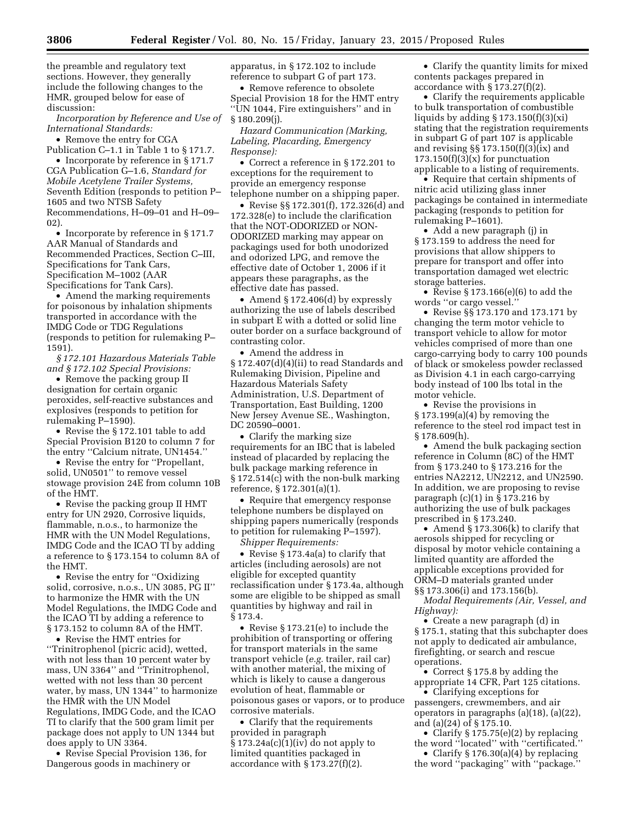the preamble and regulatory text sections. However, they generally include the following changes to the HMR, grouped below for ease of discussion:

*Incorporation by Reference and Use of International Standards:* 

• Remove the entry for CGA

Publication C–1.1 in Table 1 to § 171.7. • Incorporate by reference in §171.7 CGA Publication G–1.6, *Standard for Mobile Acetylene Trailer Systems,*  Seventh Edition (responds to petition P– 1605 and two NTSB Safety Recommendations, H–09–01 and H–09– 02).

• Incorporate by reference in § 171.7 AAR Manual of Standards and Recommended Practices, Section C–III, Specifications for Tank Cars, Specification M–1002 (AAR Specifications for Tank Cars).

• Amend the marking requirements for poisonous by inhalation shipments transported in accordance with the IMDG Code or TDG Regulations (responds to petition for rulemaking P– 1591).

*§ 172.101 Hazardous Materials Table and § 172.102 Special Provisions:* 

• Remove the packing group II designation for certain organic peroxides, self-reactive substances and explosives (responds to petition for rulemaking P–1590).

• Revise the §172.101 table to add Special Provision B120 to column 7 for the entry ''Calcium nitrate, UN1454.''

• Revise the entry for ''Propellant, solid, UN0501'' to remove vessel stowage provision 24E from column 10B of the HMT.

• Revise the packing group II HMT entry for UN 2920, Corrosive liquids, flammable, n.o.s., to harmonize the HMR with the UN Model Regulations, IMDG Code and the ICAO TI by adding a reference to § 173.154 to column 8A of the HMT.

• Revise the entry for ''Oxidizing solid, corrosive, n.o.s., UN 3085, PG II'' to harmonize the HMR with the UN Model Regulations, the IMDG Code and the ICAO TI by adding a reference to § 173.152 to column 8A of the HMT.

• Revise the HMT entries for ''Trinitrophenol (picric acid), wetted, with not less than 10 percent water by mass, UN 3364'' and ''Trinitrophenol, wetted with not less than 30 percent water, by mass, UN 1344'' to harmonize the HMR with the UN Model Regulations, IMDG Code, and the ICAO TI to clarify that the 500 gram limit per package does not apply to UN 1344 but does apply to UN 3364.

• Revise Special Provision 136, for Dangerous goods in machinery or

apparatus, in § 172.102 to include reference to subpart G of part 173.

• Remove reference to obsolete Special Provision 18 for the HMT entry ''UN 1044, Fire extinguishers'' and in § 180.209(j).

*Hazard Communication (Marking, Labeling, Placarding, Emergency Response):* 

• Correct a reference in § 172.201 to exceptions for the requirement to provide an emergency response telephone number on a shipping paper.

• Revise §§ 172.301(f), 172.326(d) and 172.328(e) to include the clarification that the NOT-ODORIZED or NON-ODORIZED marking may appear on packagings used for both unodorized and odorized LPG, and remove the effective date of October 1, 2006 if it appears these paragraphs, as the effective date has passed.

• Amend § 172.406(d) by expressly authorizing the use of labels described in subpart E with a dotted or solid line outer border on a surface background of contrasting color.

• Amend the address in § 172.407(d)(4)(ii) to read Standards and Rulemaking Division, Pipeline and Hazardous Materials Safety Administration, U.S. Department of Transportation, East Building, 1200 New Jersey Avenue SE., Washington, DC 20590–0001.

• Clarify the marking size requirements for an IBC that is labeled instead of placarded by replacing the bulk package marking reference in § 172.514(c) with the non-bulk marking reference, § 172.301(a)(1).

• Require that emergency response telephone numbers be displayed on shipping papers numerically (responds to petition for rulemaking P–1597).

*Shipper Requirements:* 

• Revise § 173.4a(a) to clarify that articles (including aerosols) are not eligible for excepted quantity reclassification under § 173.4a, although some are eligible to be shipped as small quantities by highway and rail in § 173.4.

• Revise § 173.21(e) to include the prohibition of transporting or offering for transport materials in the same transport vehicle (*e.g.* trailer, rail car) with another material, the mixing of which is likely to cause a dangerous evolution of heat, flammable or poisonous gases or vapors, or to produce corrosive materials.

• Clarify that the requirements provided in paragraph  $§ 173.24a(c)(1)(iv)$  do not apply to limited quantities packaged in accordance with  $\S 173.27(f)(2)$ .

• Clarify the quantity limits for mixed contents packages prepared in accordance with § 173.27(f)(2).

• Clarify the requirements applicable to bulk transportation of combustible liquids by adding § 173.150(f)(3)(xi) stating that the registration requirements in subpart G of part 107 is applicable and revising §§ 173.150(f)(3)(ix) and  $173.150(f)(3)(x)$  for punctuation applicable to a listing of requirements.

• Require that certain shipments of nitric acid utilizing glass inner packagings be contained in intermediate packaging (responds to petition for rulemaking P–1601).

• Add a new paragraph (j) in § 173.159 to address the need for provisions that allow shippers to prepare for transport and offer into transportation damaged wet electric storage batteries.

• Revise  $\S 173.166(e)(6)$  to add the words ''or cargo vessel.''

• Revise §§ 173.170 and 173.171 by changing the term motor vehicle to transport vehicle to allow for motor vehicles comprised of more than one cargo-carrying body to carry 100 pounds of black or smokeless powder reclassed as Division 4.1 in each cargo-carrying body instead of 100 lbs total in the motor vehicle.

• Revise the provisions in § 173.199(a)(4) by removing the reference to the steel rod impact test in § 178.609(h).

• Amend the bulk packaging section reference in Column (8C) of the HMT from § 173.240 to § 173.216 for the entries NA2212, UN2212, and UN2590. In addition, we are proposing to revise paragraph (c)(1) in § 173.216 by authorizing the use of bulk packages prescribed in § 173.240.

• Amend § 173.306(k) to clarify that aerosols shipped for recycling or disposal by motor vehicle containing a limited quantity are afforded the applicable exceptions provided for ORM–D materials granted under §§ 173.306(i) and 173.156(b).

*Modal Requirements (Air, Vessel, and Highway):* 

• Create a new paragraph (d) in § 175.1, stating that this subchapter does not apply to dedicated air ambulance, firefighting, or search and rescue operations.

• Correct § 175.8 by adding the appropriate 14 CFR, Part 125 citations.

• Clarifying exceptions for passengers, crewmembers, and air operators in paragraphs (a)(18), (a)(22), and (a)(24) of § 175.10.

• Clarify § 175.75(e)(2) by replacing the word ''located'' with ''certificated.''

• Clarify § 176.30(a)(4) by replacing the word ''packaging'' with ''package.''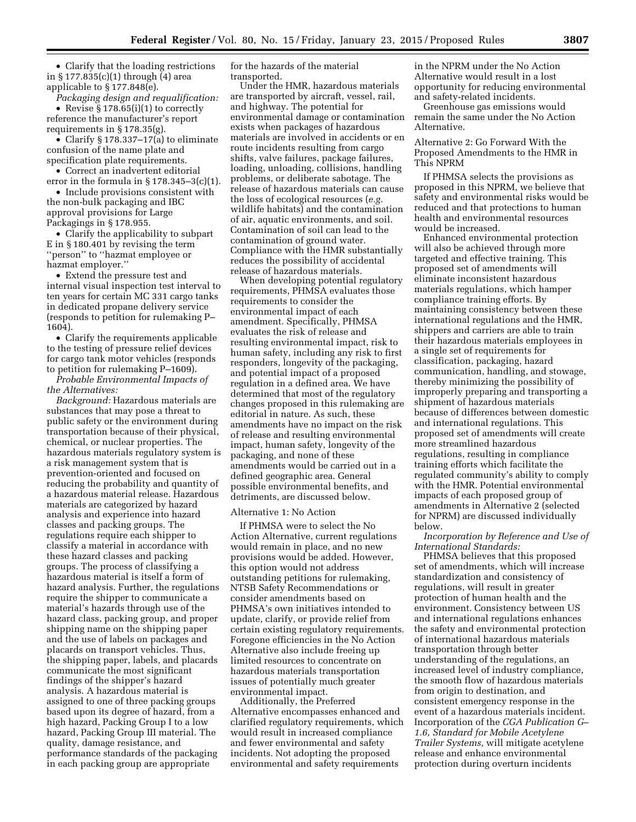• Clarify that the loading restrictions in § 177.835(c)(1) through (4) area applicable to § 177.848(e).

*Packaging design and requalification:*  • Revise § 178.65(i)(1) to correctly reference the manufacturer's report requirements in § 178.35(g).

• Clarify § 178.337–17(a) to eliminate confusion of the name plate and specification plate requirements.

• Correct an inadvertent editorial error in the formula in  $\S 178.345 - 3(c)(1)$ .

• Include provisions consistent with the non-bulk packaging and IBC approval provisions for Large Packagings in § 178.955.

• Clarify the applicability to subpart E in § 180.401 by revising the term ''person'' to ''hazmat employee or hazmat employer.''

• Extend the pressure test and internal visual inspection test interval to ten years for certain MC 331 cargo tanks in dedicated propane delivery service (responds to petition for rulemaking P– 1604).

• Clarify the requirements applicable to the testing of pressure relief devices for cargo tank motor vehicles (responds to petition for rulemaking P–1609).

*Probable Environmental Impacts of the Alternatives:* 

*Background:* Hazardous materials are substances that may pose a threat to public safety or the environment during transportation because of their physical, chemical, or nuclear properties. The hazardous materials regulatory system is a risk management system that is prevention-oriented and focused on reducing the probability and quantity of a hazardous material release. Hazardous materials are categorized by hazard analysis and experience into hazard classes and packing groups. The regulations require each shipper to classify a material in accordance with these hazard classes and packing groups. The process of classifying a hazardous material is itself a form of hazard analysis. Further, the regulations require the shipper to communicate a material's hazards through use of the hazard class, packing group, and proper shipping name on the shipping paper and the use of labels on packages and placards on transport vehicles. Thus, the shipping paper, labels, and placards communicate the most significant findings of the shipper's hazard analysis. A hazardous material is assigned to one of three packing groups based upon its degree of hazard, from a high hazard, Packing Group I to a low hazard, Packing Group III material. The quality, damage resistance, and performance standards of the packaging in each packing group are appropriate

for the hazards of the material transported.

Under the HMR, hazardous materials are transported by aircraft, vessel, rail, and highway. The potential for environmental damage or contamination exists when packages of hazardous materials are involved in accidents or en route incidents resulting from cargo shifts, valve failures, package failures, loading, unloading, collisions, handling problems, or deliberate sabotage. The release of hazardous materials can cause the loss of ecological resources (*e.g.*  wildlife habitats) and the contamination of air, aquatic environments, and soil. Contamination of soil can lead to the contamination of ground water. Compliance with the HMR substantially reduces the possibility of accidental release of hazardous materials.

When developing potential regulatory requirements, PHMSA evaluates those requirements to consider the environmental impact of each amendment. Specifically, PHMSA evaluates the risk of release and resulting environmental impact, risk to human safety, including any risk to first responders, longevity of the packaging, and potential impact of a proposed regulation in a defined area. We have determined that most of the regulatory changes proposed in this rulemaking are editorial in nature. As such, these amendments have no impact on the risk of release and resulting environmental impact, human safety, longevity of the packaging, and none of these amendments would be carried out in a defined geographic area. General possible environmental benefits, and detriments, are discussed below.

# Alternative 1: No Action

If PHMSA were to select the No Action Alternative, current regulations would remain in place, and no new provisions would be added. However, this option would not address outstanding petitions for rulemaking, NTSB Safety Recommendations or consider amendments based on PHMSA's own initiatives intended to update, clarify, or provide relief from certain existing regulatory requirements. Foregone efficiencies in the No Action Alternative also include freeing up limited resources to concentrate on hazardous materials transportation issues of potentially much greater environmental impact.

Additionally, the Preferred Alternative encompasses enhanced and clarified regulatory requirements, which would result in increased compliance and fewer environmental and safety incidents. Not adopting the proposed environmental and safety requirements

in the NPRM under the No Action Alternative would result in a lost opportunity for reducing environmental and safety-related incidents.

Greenhouse gas emissions would remain the same under the No Action Alternative.

Alternative 2: Go Forward With the Proposed Amendments to the HMR in This NPRM

If PHMSA selects the provisions as proposed in this NPRM, we believe that safety and environmental risks would be reduced and that protections to human health and environmental resources would be increased.

Enhanced environmental protection will also be achieved through more targeted and effective training. This proposed set of amendments will eliminate inconsistent hazardous materials regulations, which hamper compliance training efforts. By maintaining consistency between these international regulations and the HMR, shippers and carriers are able to train their hazardous materials employees in a single set of requirements for classification, packaging, hazard communication, handling, and stowage, thereby minimizing the possibility of improperly preparing and transporting a shipment of hazardous materials because of differences between domestic and international regulations. This proposed set of amendments will create more streamlined hazardous regulations, resulting in compliance training efforts which facilitate the regulated community's ability to comply with the HMR. Potential environmental impacts of each proposed group of amendments in Alternative 2 (selected for NPRM) are discussed individually below.

*Incorporation by Reference and Use of International Standards:* 

PHMSA believes that this proposed set of amendments, which will increase standardization and consistency of regulations, will result in greater protection of human health and the environment. Consistency between US and international regulations enhances the safety and environmental protection of international hazardous materials transportation through better understanding of the regulations, an increased level of industry compliance, the smooth flow of hazardous materials from origin to destination, and consistent emergency response in the event of a hazardous materials incident. Incorporation of the *CGA Publication G– 1.6, Standard for Mobile Acetylene Trailer Systems,* will mitigate acetylene release and enhance environmental protection during overturn incidents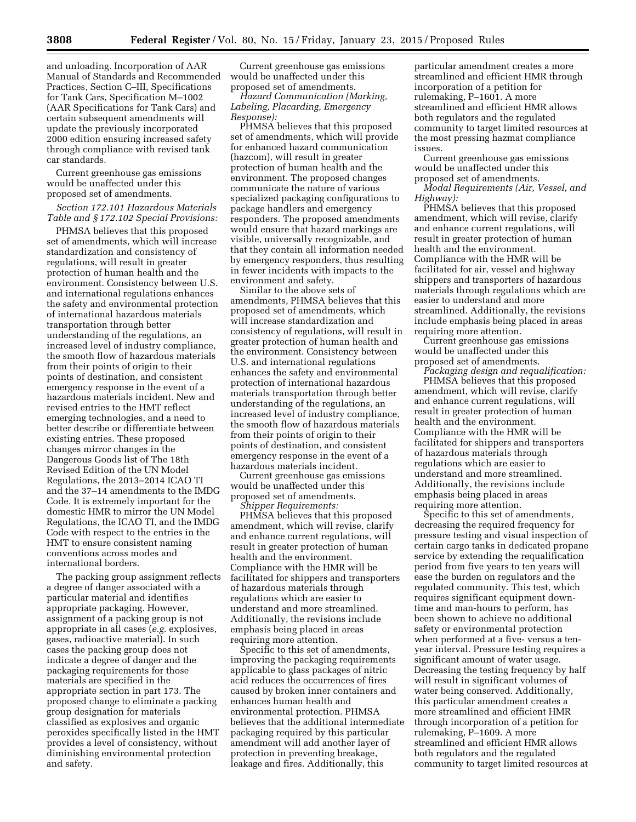and unloading. Incorporation of AAR Manual of Standards and Recommended Practices, Section C–III, Specifications for Tank Cars, Specification M–1002 (AAR Specifications for Tank Cars) and certain subsequent amendments will update the previously incorporated 2000 edition ensuring increased safety through compliance with revised tank car standards.

Current greenhouse gas emissions would be unaffected under this proposed set of amendments.

### *Section 172.101 Hazardous Materials Table and § 172.102 Special Provisions:*

PHMSA believes that this proposed set of amendments, which will increase standardization and consistency of regulations, will result in greater protection of human health and the environment. Consistency between U.S. and international regulations enhances the safety and environmental protection of international hazardous materials transportation through better understanding of the regulations, an increased level of industry compliance, the smooth flow of hazardous materials from their points of origin to their points of destination, and consistent emergency response in the event of a hazardous materials incident. New and revised entries to the HMT reflect emerging technologies, and a need to better describe or differentiate between existing entries. These proposed changes mirror changes in the Dangerous Goods list of The 18th Revised Edition of the UN Model Regulations, the 2013–2014 ICAO TI and the 37–14 amendments to the IMDG Code. It is extremely important for the domestic HMR to mirror the UN Model Regulations, the ICAO TI, and the IMDG Code with respect to the entries in the HMT to ensure consistent naming conventions across modes and international borders.

The packing group assignment reflects a degree of danger associated with a particular material and identifies appropriate packaging. However, assignment of a packing group is not appropriate in all cases (*e.g.* explosives, gases, radioactive material). In such cases the packing group does not indicate a degree of danger and the packaging requirements for those materials are specified in the appropriate section in part 173. The proposed change to eliminate a packing group designation for materials classified as explosives and organic peroxides specifically listed in the HMT provides a level of consistency, without diminishing environmental protection and safety.

Current greenhouse gas emissions would be unaffected under this proposed set of amendments.

*Hazard Communication (Marking, Labeling, Placarding, Emergency Response):* 

PHMSA believes that this proposed set of amendments, which will provide for enhanced hazard communication (hazcom), will result in greater protection of human health and the environment. The proposed changes communicate the nature of various specialized packaging configurations to package handlers and emergency responders. The proposed amendments would ensure that hazard markings are visible, universally recognizable, and that they contain all information needed by emergency responders, thus resulting in fewer incidents with impacts to the environment and safety.

Similar to the above sets of amendments, PHMSA believes that this proposed set of amendments, which will increase standardization and consistency of regulations, will result in greater protection of human health and the environment. Consistency between U.S. and international regulations enhances the safety and environmental protection of international hazardous materials transportation through better understanding of the regulations, an increased level of industry compliance, the smooth flow of hazardous materials from their points of origin to their points of destination, and consistent emergency response in the event of a hazardous materials incident.

Current greenhouse gas emissions would be unaffected under this proposed set of amendments. *Shipper Requirements:* 

PHMSA believes that this proposed amendment, which will revise, clarify and enhance current regulations, will result in greater protection of human health and the environment. Compliance with the HMR will be facilitated for shippers and transporters of hazardous materials through regulations which are easier to understand and more streamlined. Additionally, the revisions include emphasis being placed in areas requiring more attention.

Specific to this set of amendments, improving the packaging requirements applicable to glass packages of nitric acid reduces the occurrences of fires caused by broken inner containers and enhances human health and environmental protection. PHMSA believes that the additional intermediate packaging required by this particular amendment will add another layer of protection in preventing breakage, leakage and fires. Additionally, this

particular amendment creates a more streamlined and efficient HMR through incorporation of a petition for rulemaking, P–1601. A more streamlined and efficient HMR allows both regulators and the regulated community to target limited resources at the most pressing hazmat compliance issues.

Current greenhouse gas emissions would be unaffected under this proposed set of amendments.

*Modal Requirements (Air, Vessel, and Highway):* 

PHMSA believes that this proposed amendment, which will revise, clarify and enhance current regulations, will result in greater protection of human health and the environment. Compliance with the HMR will be facilitated for air, vessel and highway shippers and transporters of hazardous materials through regulations which are easier to understand and more streamlined. Additionally, the revisions include emphasis being placed in areas requiring more attention.

Current greenhouse gas emissions would be unaffected under this proposed set of amendments.

*Packaging design and requalification:*  PHMSA believes that this proposed amendment, which will revise, clarify and enhance current regulations, will result in greater protection of human health and the environment. Compliance with the HMR will be facilitated for shippers and transporters of hazardous materials through regulations which are easier to understand and more streamlined. Additionally, the revisions include emphasis being placed in areas requiring more attention.

Specific to this set of amendments, decreasing the required frequency for pressure testing and visual inspection of certain cargo tanks in dedicated propane service by extending the requalification period from five years to ten years will ease the burden on regulators and the regulated community. This test, which requires significant equipment downtime and man-hours to perform, has been shown to achieve no additional safety or environmental protection when performed at a five- versus a tenyear interval. Pressure testing requires a significant amount of water usage. Decreasing the testing frequency by half will result in significant volumes of water being conserved. Additionally, this particular amendment creates a more streamlined and efficient HMR through incorporation of a petition for rulemaking, P–1609. A more streamlined and efficient HMR allows both regulators and the regulated community to target limited resources at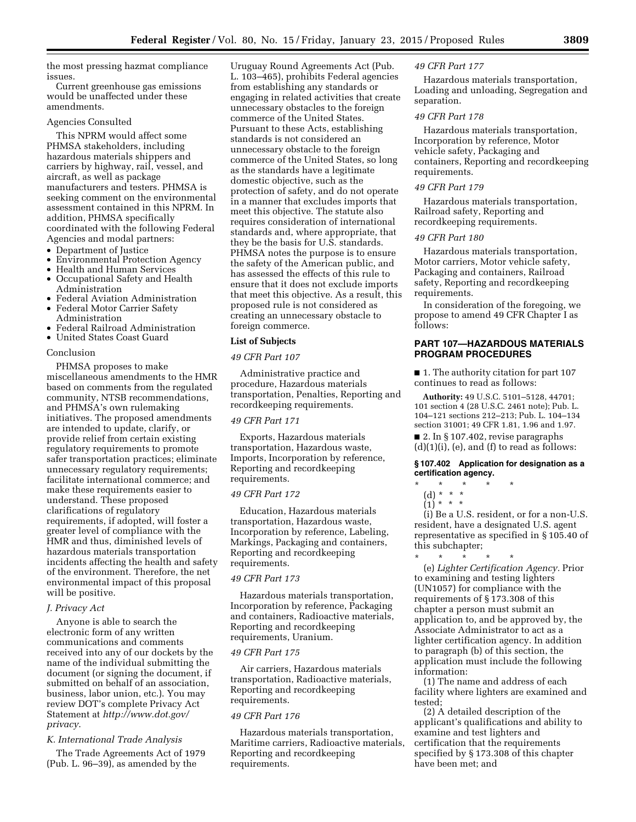the most pressing hazmat compliance issues.

Current greenhouse gas emissions would be unaffected under these amendments.

#### Agencies Consulted

This NPRM would affect some PHMSA stakeholders, including hazardous materials shippers and carriers by highway, rail, vessel, and aircraft, as well as package manufacturers and testers. PHMSA is seeking comment on the environmental assessment contained in this NPRM. In addition, PHMSA specifically coordinated with the following Federal Agencies and modal partners:

- Department of Justice
- Environmental Protection Agency
- Health and Human Services
- Occupational Safety and Health Administration
- Federal Aviation Administration
- Federal Motor Carrier Safety Administration
- Federal Railroad Administration
- United States Coast Guard

# Conclusion

PHMSA proposes to make miscellaneous amendments to the HMR based on comments from the regulated community, NTSB recommendations, and PHMSA's own rulemaking initiatives. The proposed amendments are intended to update, clarify, or provide relief from certain existing regulatory requirements to promote safer transportation practices; eliminate unnecessary regulatory requirements; facilitate international commerce; and make these requirements easier to understand. These proposed clarifications of regulatory requirements, if adopted, will foster a greater level of compliance with the HMR and thus, diminished levels of hazardous materials transportation incidents affecting the health and safety of the environment. Therefore, the net environmental impact of this proposal will be positive.

# *J. Privacy Act*

Anyone is able to search the electronic form of any written communications and comments received into any of our dockets by the name of the individual submitting the document (or signing the document, if submitted on behalf of an association, business, labor union, etc.). You may review DOT's complete Privacy Act Statement at *[http://www.dot.gov/](http://www.dot.gov/privacy) [privacy](http://www.dot.gov/privacy)*.

# *K. International Trade Analysis*

The Trade Agreements Act of 1979 (Pub. L. 96–39), as amended by the

Uruguay Round Agreements Act (Pub. L. 103–465), prohibits Federal agencies from establishing any standards or engaging in related activities that create unnecessary obstacles to the foreign commerce of the United States. Pursuant to these Acts, establishing standards is not considered an unnecessary obstacle to the foreign commerce of the United States, so long as the standards have a legitimate domestic objective, such as the protection of safety, and do not operate in a manner that excludes imports that meet this objective. The statute also requires consideration of international standards and, where appropriate, that they be the basis for U.S. standards. PHMSA notes the purpose is to ensure the safety of the American public, and has assessed the effects of this rule to ensure that it does not exclude imports that meet this objective. As a result, this proposed rule is not considered as creating an unnecessary obstacle to foreign commerce.

### **List of Subjects**

#### *49 CFR Part 107*

Administrative practice and procedure, Hazardous materials transportation, Penalties, Reporting and recordkeeping requirements.

## *49 CFR Part 171*

Exports, Hazardous materials transportation, Hazardous waste, Imports, Incorporation by reference, Reporting and recordkeeping requirements.

#### *49 CFR Part 172*

Education, Hazardous materials transportation, Hazardous waste, Incorporation by reference, Labeling, Markings, Packaging and containers, Reporting and recordkeeping requirements.

#### *49 CFR Part 173*

Hazardous materials transportation, Incorporation by reference, Packaging and containers, Radioactive materials, Reporting and recordkeeping requirements, Uranium.

## *49 CFR Part 175*

Air carriers, Hazardous materials transportation, Radioactive materials, Reporting and recordkeeping requirements.

#### *49 CFR Part 176*

Hazardous materials transportation, Maritime carriers, Radioactive materials, Reporting and recordkeeping requirements.

#### *49 CFR Part 177*

Hazardous materials transportation, Loading and unloading, Segregation and separation.

#### *49 CFR Part 178*

Hazardous materials transportation, Incorporation by reference, Motor vehicle safety, Packaging and containers, Reporting and recordkeeping requirements.

### *49 CFR Part 179*

Hazardous materials transportation, Railroad safety, Reporting and recordkeeping requirements.

# *49 CFR Part 180*

Hazardous materials transportation, Motor carriers, Motor vehicle safety, Packaging and containers, Railroad safety, Reporting and recordkeeping requirements.

In consideration of the foregoing, we propose to amend 49 CFR Chapter I as follows:

# **PART 107—HAZARDOUS MATERIALS PROGRAM PROCEDURES**

■ 1. The authority citation for part 107 continues to read as follows:

**Authority:** 49 U.S.C. 5101–5128, 44701; 101 section 4 (28 U.S.C. 2461 note); Pub. L. 104–121 sections 212–213; Pub. L. 104–134 section 31001; 49 CFR 1.81, 1.96 and 1.97.

■ 2. In § 107.402, revise paragraphs  $(d)(1)(i)$ ,  $(e)$ , and  $(f)$  to read as follows:

# **§ 107.402 Application for designation as a certification agency.**

- \* \* \* \* \*
	- (d) \* \* \*
	- $(1) * * * *$

(i) Be a U.S. resident, or for a non-U.S. resident, have a designated U.S. agent representative as specified in § 105.40 of this subchapter;

\* \* \* \* \* (e) *Lighter Certification Agency.* Prior to examining and testing lighters (UN1057) for compliance with the requirements of § 173.308 of this chapter a person must submit an application to, and be approved by, the Associate Administrator to act as a lighter certification agency. In addition to paragraph (b) of this section, the application must include the following information:

(1) The name and address of each facility where lighters are examined and tested;

(2) A detailed description of the applicant's qualifications and ability to examine and test lighters and certification that the requirements specified by § 173.308 of this chapter have been met; and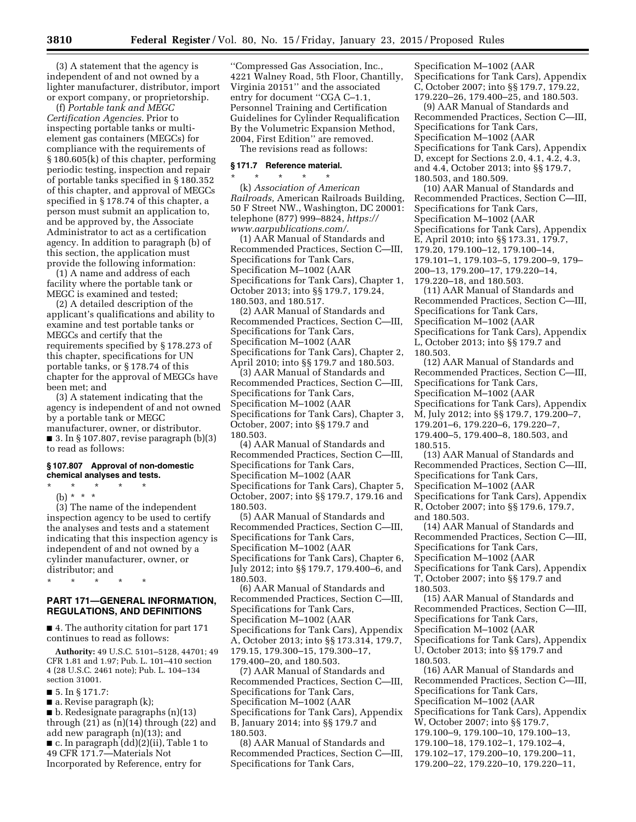(3) A statement that the agency is independent of and not owned by a lighter manufacturer, distributor, import or export company, or proprietorship.

(f) *Portable tank and MEGC Certification Agencies.* Prior to inspecting portable tanks or multielement gas containers (MEGCs) for compliance with the requirements of § 180.605(k) of this chapter, performing periodic testing, inspection and repair of portable tanks specified in § 180.352 of this chapter, and approval of MEGCs specified in § 178.74 of this chapter, a person must submit an application to, and be approved by, the Associate Administrator to act as a certification agency. In addition to paragraph (b) of this section, the application must provide the following information:

(1) A name and address of each facility where the portable tank or MEGC is examined and tested;

(2) A detailed description of the applicant's qualifications and ability to examine and test portable tanks or MEGCs and certify that the requirements specified by § 178.273 of this chapter, specifications for UN portable tanks, or § 178.74 of this chapter for the approval of MEGCs have been met; and

(3) A statement indicating that the agency is independent of and not owned by a portable tank or MEGC manufacturer, owner, or distributor.  $\blacksquare$  3. In § 107.807, revise paragraph  $(b)(3)$ to read as follows:

### **§ 107.807 Approval of non-domestic chemical analyses and tests.**

\* \* \* \* \* (b) \* \* \*

(3) The name of the independent inspection agency to be used to certify the analyses and tests and a statement indicating that this inspection agency is independent of and not owned by a cylinder manufacturer, owner, or distributor; and

\* \* \* \* \*

# **PART 171—GENERAL INFORMATION, REGULATIONS, AND DEFINITIONS**

■ 4. The authority citation for part 171 continues to read as follows:

**Authority:** 49 U.S.C. 5101–5128, 44701; 49 CFR 1.81 and 1.97; Pub. L. 101–410 section 4 (28 U.S.C. 2461 note); Pub. L. 104–134 section 31001.

■ 5. In § 171.7:

■ a. Revise paragraph (k);

■ b. Redesignate paragraphs (n)(13) through  $(21)$  as  $(n)(14)$  through  $(22)$  and add new paragraph (n)(13); and ■ c. In paragraph (dd)(2)(ii), Table 1 to 49 CFR 171.7—Materials Not Incorporated by Reference, entry for

''Compressed Gas Association, Inc., 4221 Walney Road, 5th Floor, Chantilly, Virginia 20151'' and the associated entry for document ''CGA C–1.1, Personnel Training and Certification Guidelines for Cylinder Requalification By the Volumetric Expansion Method, 2004, First Edition'' are removed. The revisions read as follows:

# **§ 171.7 Reference material.**

\* \* \* \* \* (k) *Association of American Railroads,* American Railroads Building, 50 F Street NW., Washington, DC 20001: telephone (877) 999–8824, *[https://](https://www.aarpublications.com/) [www.aarpublications.com/.](https://www.aarpublications.com/)* 

(1) AAR Manual of Standards and Recommended Practices, Section C—III, Specifications for Tank Cars, Specification M–1002 (AAR Specifications for Tank Cars), Chapter 1, October 2013; into §§ 179.7, 179.24, 180.503, and 180.517.

(2) AAR Manual of Standards and Recommended Practices, Section C—III, Specifications for Tank Cars, Specification M–1002 (AAR Specifications for Tank Cars), Chapter 2, April 2010; into §§ 179.7 and 180.503.

(3) AAR Manual of Standards and Recommended Practices, Section C—III, Specifications for Tank Cars, Specification M–1002 (AAR Specifications for Tank Cars), Chapter 3, October, 2007; into §§ 179.7 and 180.503.

(4) AAR Manual of Standards and Recommended Practices, Section C—III, Specifications for Tank Cars, Specification M–1002 (AAR Specifications for Tank Cars), Chapter 5, October, 2007; into §§ 179.7, 179.16 and 180.503.

(5) AAR Manual of Standards and Recommended Practices, Section C—III, Specifications for Tank Cars, Specification M–1002 (AAR Specifications for Tank Cars), Chapter 6, July 2012; into §§ 179.7, 179.400–6, and 180.503.

(6) AAR Manual of Standards and Recommended Practices, Section C—III, Specifications for Tank Cars, Specification M–1002 (AAR Specifications for Tank Cars), Appendix A, October 2013; into §§ 173.314, 179.7, 179.15, 179.300–15, 179.300–17, 179.400–20, and 180.503.

(7) AAR Manual of Standards and Recommended Practices, Section C—III, Specifications for Tank Cars, Specification M–1002 (AAR Specifications for Tank Cars), Appendix B, January 2014; into §§ 179.7 and 180.503.

(8) AAR Manual of Standards and Recommended Practices, Section C—III, Specifications for Tank Cars,

Specification M–1002 (AAR Specifications for Tank Cars), Appendix C, October 2007; into §§ 179.7, 179.22, 179.220–26, 179.400–25, and 180.503.

(9) AAR Manual of Standards and Recommended Practices, Section C—III, Specifications for Tank Cars, Specification M–1002 (AAR Specifications for Tank Cars), Appendix D, except for Sections 2.0, 4.1, 4.2, 4.3, and 4.4, October 2013; into §§ 179.7, 180.503, and 180.509.

(10) AAR Manual of Standards and Recommended Practices, Section C—III, Specifications for Tank Cars, Specification M–1002 (AAR Specifications for Tank Cars), Appendix E, April 2010; into §§ 173.31, 179.7, 179.20, 179.100–12, 179.100–14, 179.101–1, 179.103–5, 179.200–9, 179– 200–13, 179.200–17, 179.220–14, 179.220–18, and 180.503.

(11) AAR Manual of Standards and Recommended Practices, Section C—III, Specifications for Tank Cars, Specification M–1002 (AAR Specifications for Tank Cars), Appendix L, October 2013; into §§ 179.7 and 180.503.

(12) AAR Manual of Standards and Recommended Practices, Section C—III, Specifications for Tank Cars, Specification M–1002 (AAR Specifications for Tank Cars), Appendix M, July 2012; into §§ 179.7, 179.200–7, 179.201–6, 179.220–6, 179.220–7, 179.400–5, 179.400–8, 180.503, and 180.515.

(13) AAR Manual of Standards and Recommended Practices, Section C—III, Specifications for Tank Cars, Specification M–1002 (AAR Specifications for Tank Cars), Appendix R, October 2007; into §§ 179.6, 179.7, and 180.503.

(14) AAR Manual of Standards and Recommended Practices, Section C—III, Specifications for Tank Cars, Specification M–1002 (AAR Specifications for Tank Cars), Appendix T, October 2007; into §§ 179.7 and 180.503.

(15) AAR Manual of Standards and Recommended Practices, Section C—III, Specifications for Tank Cars, Specification M–1002 (AAR Specifications for Tank Cars), Appendix U, October 2013; into §§ 179.7 and 180.503.

(16) AAR Manual of Standards and Recommended Practices, Section C—III, Specifications for Tank Cars, Specification M–1002 (AAR Specifications for Tank Cars), Appendix W, October 2007; into §§ 179.7, 179.100–9, 179.100–10, 179.100–13, 179.100–18, 179.102–1, 179.102–4, 179.102–17, 179.200–10, 179.200–11,

179.200–22, 179.220–10, 179.220–11,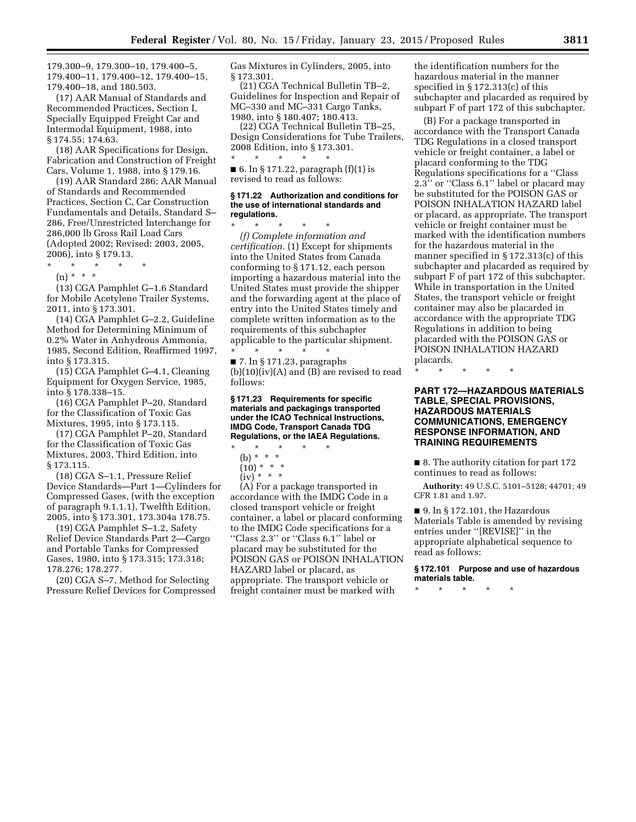179.300–9, 179.300–10, 179.400–5, 179.400–11, 179.400–12, 179.400–15, 179.400–18, and 180.503.

(17) AAR Manual of Standards and Recommended Practices, Section I, Specially Equipped Freight Car and Intermodal Equipment, 1988, into § 174.55; 174.63.

(18) AAR Specifications for Design, Fabrication and Construction of Freight Cars, Volume 1, 1988, into § 179.16.

(19) AAR Standard 286; AAR Manual of Standards and Recommended Practices, Section C, Car Construction Fundamentals and Details, Standard S– 286, Free/Unrestricted Interchange for 286,000 lb Gross Rail Load Cars (Adopted 2002; Revised: 2003, 2005, 2006), into § 179.13.

\* \* \* \* \*

(n) \* \* \*

(13) CGA Pamphlet G–1.6 Standard for Mobile Acetylene Trailer Systems, 2011, into § 173.301.

(14) CGA Pamphlet G–2.2, Guideline Method for Determining Minimum of 0.2% Water in Anhydrous Ammonia, 1985, Second Edition, Reaffirmed 1997, into § 173.315.

(15) CGA Pamphlet G–4.1, Cleaning Equipment for Oxygen Service, 1985, into § 178.338–15.

(16) CGA Pamphlet P–20, Standard for the Classification of Toxic Gas Mixtures, 1995, into § 173.115.

(17) CGA Pamphlet P–20, Standard for the Classification of Toxic Gas Mixtures, 2003, Third Edition, into § 173.115.

(18) CGA S–1.1, Pressure Relief Device Standards—Part 1—Cylinders for Compressed Gases, (with the exception of paragraph 9.1.1.1), Twelfth Edition, 2005, into § 173.301, 173.304a 178.75.

(19) CGA Pamphlet S–1.2, Safety Relief Device Standards Part 2—Cargo and Portable Tanks for Compressed Gases, 1980, into § 173.315; 173.318; 178.276; 178.277.

(20) CGA S–7, Method for Selecting Pressure Relief Devices for Compressed Gas Mixtures in Cylinders, 2005, into § 173.301.

(21) CGA Technical Bulletin TB–2, Guidelines for Inspection and Repair of MC–330 and MC–331 Cargo Tanks, 1980, into § 180.407; 180.413.

(22) CGA Technical Bulletin TB–25, Design Considerations for Tube Trailers, 2008 Edition, into § 173.301. \* \* \* \* \*

■ 6. In § 171.22, paragraph  $(f)(1)$  is revised to read as follows:

# **§ 171.22 Authorization and conditions for the use of international standards and regulations.**

\* \* \* \* \* *(f) Complete information and certification.* (1) Except for shipments into the United States from Canada conforming to § 171.12, each person importing a hazardous material into the United States must provide the shipper and the forwarding agent at the place of entry into the United States timely and complete written information as to the requirements of this subchapter applicable to the particular shipment. \* \* \* \* \*

 $\blacksquare$  7. In § 171.23, paragraphs  $(b)(10)(iv)(A)$  and  $(B)$  are revised to read follows:

**§ 171.23 Requirements for specific materials and packagings transported under the ICAO Technical Instructions, IMDG Code, Transport Canada TDG Regulations, or the IAEA Regulations.** 

- \* \* \* \* \* (b) \* \* \*
- $(10) * * * *$
- $(iv)$  \* \* \*

(A) For a package transported in accordance with the IMDG Code in a closed transport vehicle or freight container, a label or placard conforming to the IMDG Code specifications for a ''Class 2.3'' or ''Class 6.1'' label or placard may be substituted for the POISON GAS or POISON INHALATION HAZARD label or placard, as appropriate. The transport vehicle or freight container must be marked with

the identification numbers for the hazardous material in the manner specified in § 172.313(c) of this subchapter and placarded as required by subpart F of part 172 of this subchapter.

(B) For a package transported in accordance with the Transport Canada TDG Regulations in a closed transport vehicle or freight container, a label or placard conforming to the TDG Regulations specifications for a ''Class 2.3'' or ''Class 6.1'' label or placard may be substituted for the POISON GAS or POISON INHALATION HAZARD label or placard, as appropriate. The transport vehicle or freight container must be marked with the identification numbers for the hazardous material in the manner specified in § 172.313(c) of this subchapter and placarded as required by subpart F of part 172 of this subchapter. While in transportation in the United States, the transport vehicle or freight container may also be placarded in accordance with the appropriate TDG Regulations in addition to being placarded with the POISON GAS or POISON INHALATION HAZARD placards.

\* \* \* \* \*

# **PART 172—HAZARDOUS MATERIALS TABLE, SPECIAL PROVISIONS, HAZARDOUS MATERIALS COMMUNICATIONS, EMERGENCY RESPONSE INFORMATION, AND TRAINING REQUIREMENTS**

■ 8. The authority citation for part 172 continues to read as follows:

**Authority:** 49 U.S.C. 5101–5128; 44701; 49 CFR 1.81 and 1.97.

 $\blacksquare$  9. In § 172.101, the Hazardous Materials Table is amended by revising entries under ''[REVISE]'' in the appropriate alphabetical sequence to read as follows:

**§ 172.101 Purpose and use of hazardous materials table.** 

\* \* \* \* \*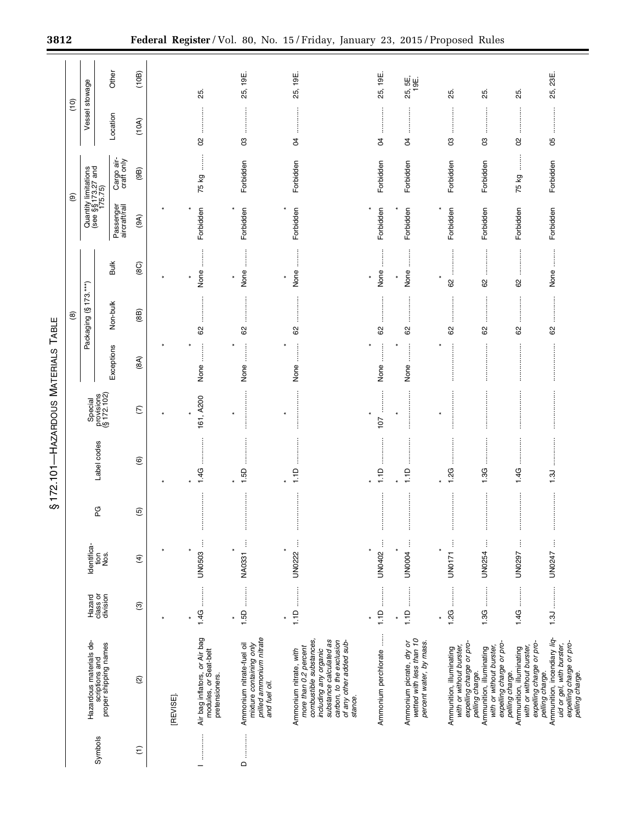|                                    |        |                                                       | Other                                                              | (10B)                         |          |                                                                                        |                                                                                                   | 19E                                                                                                                                                                                              |                                |                                                                                 |                                                                                  |                                                                                                     |                                                                                                     | 23E.                                                                                                                       |
|------------------------------------|--------|-------------------------------------------------------|--------------------------------------------------------------------|-------------------------------|----------|----------------------------------------------------------------------------------------|---------------------------------------------------------------------------------------------------|--------------------------------------------------------------------------------------------------------------------------------------------------------------------------------------------------|--------------------------------|---------------------------------------------------------------------------------|----------------------------------------------------------------------------------|-----------------------------------------------------------------------------------------------------|-----------------------------------------------------------------------------------------------------|----------------------------------------------------------------------------------------------------------------------------|
|                                    | ο<br>Γ | Vessel stowage                                        |                                                                    |                               |          | 25.                                                                                    | 25, 19E                                                                                           | 25,                                                                                                                                                                                              | 25, 19E                        | 25, 5E,<br>19E.                                                                 | 25.                                                                              | 25.                                                                                                 | 25.                                                                                                 | 25,                                                                                                                        |
|                                    |        |                                                       | Location                                                           | (10A)                         |          | ļ                                                                                      |                                                                                                   | ļ                                                                                                                                                                                                | ŧ                              |                                                                                 | ÷                                                                                | ŧ                                                                                                   | ÷                                                                                                   | İ<br>ļ                                                                                                                     |
|                                    |        |                                                       |                                                                    |                               |          | S                                                                                      | 8                                                                                                 | S,                                                                                                                                                                                               | R                              | $\beta$                                                                         | 8                                                                                | g                                                                                                   | 8                                                                                                   | 80                                                                                                                         |
|                                    | ම      | Quantity limitations<br>(see §§ 173.27 and<br>175.75) | Cargo air-<br>craft only                                           | (96)                          |          | l<br>75 kg                                                                             | Forbidden                                                                                         | Forbidden                                                                                                                                                                                        | Forbidden                      | Forbidden                                                                       | Forbidden                                                                        | Forbidden                                                                                           | j<br>75 kg                                                                                          | Forbidden                                                                                                                  |
|                                    |        |                                                       | Passenger<br>aircraft/rail                                         | (9A)                          |          | Forbidden                                                                              | Forbidden                                                                                         | Forbidden                                                                                                                                                                                        | Forbidden                      | Forbidden                                                                       | Forbidden                                                                        | Forbidden                                                                                           | Forbidden                                                                                           | Forbidden                                                                                                                  |
|                                    |        |                                                       | <b>Bulk</b>                                                        | (8C)                          |          | $\frac{1}{2}$<br>None                                                                  | :<br>:<br>:<br>None<br>$\ast$                                                                     | $\ddot{}}$<br>None                                                                                                                                                                               | None                           | $\ddot{\ddot{\phantom{a}}}\phantom{00}$<br>None                                 | ļ<br>$\star$<br>8                                                                | ŧ<br>8                                                                                              | ļ<br>8                                                                                              | $\ddot{\phantom{a}}$<br>None                                                                                               |
|                                    | @      | Packaging (§173.***)                                  | Non-bulk                                                           | (88)                          |          | 62                                                                                     | 62                                                                                                | 62                                                                                                                                                                                               | 8                              | 8                                                                               | 83                                                                               | 62                                                                                                  | 82                                                                                                  | 8                                                                                                                          |
|                                    |        |                                                       | Exceptions                                                         | (8A)                          |          | None                                                                                   | $\ddot{}}$<br>None                                                                                | None                                                                                                                                                                                             | None                           | None                                                                            |                                                                                  |                                                                                                     |                                                                                                     |                                                                                                                            |
|                                    |        | Special                                               | provisions<br>$(§ 172.102)$                                        | $\widehat{C}$                 |          | 161, A200                                                                              | $\star$                                                                                           | $\star$                                                                                                                                                                                          | $\star$<br>107                 |                                                                                 | ¥                                                                                |                                                                                                     |                                                                                                     |                                                                                                                            |
| S172.101-HAZARDOUS MATERIALS TABLE |        |                                                       | Label codes                                                        | $\circledcirc$                |          | 1.4G                                                                                   | 1.5D                                                                                              | 1.1D                                                                                                                                                                                             | 1.1D                           | 1.1D                                                                            | 2G                                                                               | 1.3G                                                                                                | 1.4G                                                                                                | $\frac{3}{2}$                                                                                                              |
|                                    |        | PG                                                    |                                                                    | $\overline{5}$                |          | ÷                                                                                      | ÷                                                                                                 | ÷                                                                                                                                                                                                | ÷                              | ÷                                                                               | $\mathbf$<br>÷                                                                   | ÷                                                                                                   | ÷                                                                                                   | ÷                                                                                                                          |
|                                    |        | Identifica-                                           | Nos.<br>tion                                                       | $\widehat{f}$                 |          | UN0503                                                                                 | NA0331                                                                                            | ļ<br>$\ast$<br>UN0222                                                                                                                                                                            | UN0402                         | UN0004                                                                          | UN0171                                                                           | UN0254                                                                                              | UN0297                                                                                              | UN0247                                                                                                                     |
|                                    |        | Hazard                                                | class or<br>division                                               | $\widehat{\mathfrak{S}}$      |          | 1.4G                                                                                   | <br>1.5D<br>$\star$                                                                               | :<br>:<br>:<br>$\frac{1}{2}$<br>$\ast$                                                                                                                                                           | $\frac{1}{2}$<br>$\frac{1}{2}$ | 1.1D                                                                            | 1.2G                                                                             |                                                                                                     | 1.4G                                                                                                |                                                                                                                            |
|                                    |        |                                                       | Hazardous materials de-<br>scriptions and<br>proper shipping names | $\widehat{\infty}$            | [REVISE] | Air bag inflators, <i>or</i> Air bag<br>modules, <i>or</i> Seat-belt<br>pretensioners. | prilled ammonium nitrate<br>Ammonium nitrate-fuel oil<br>mixture containing only<br>and fuel oil. | more than 0.2 percent<br>combustible substances,<br>substance calculated as<br>carbon, to the exclusion<br>of any other added sub-<br>including any organic<br>Ammonium nitrate, with<br>stance. | Ammonium perchlorate           | Ammonium picrate, dry or<br>wetted with less than 10<br>percent water, by mass. | expelling charge or pro-<br>with or without burster,<br>Ammunition, illuminating | expelling charge or pro-<br>with or without burster,<br>Ammunition, illuminating<br>pelling charge. | expelling charge or pro-<br>with or without burster,<br>Ammunition, illuminating<br>pelling charge. | Ammunition, incendiary liq-<br>expelling charge or pro-<br>pelling charge.<br>uid or gel, with burster,<br>pelling charge. |
|                                    |        |                                                       | Symbols                                                            | $\widehat{\boldsymbol{\tau}}$ |          | <b>Family Company</b>                                                                  | $\begin{array}{c}\n\mathbf{D} \end{array}$                                                        |                                                                                                                                                                                                  |                                |                                                                                 |                                                                                  |                                                                                                     |                                                                                                     |                                                                                                                            |

÷.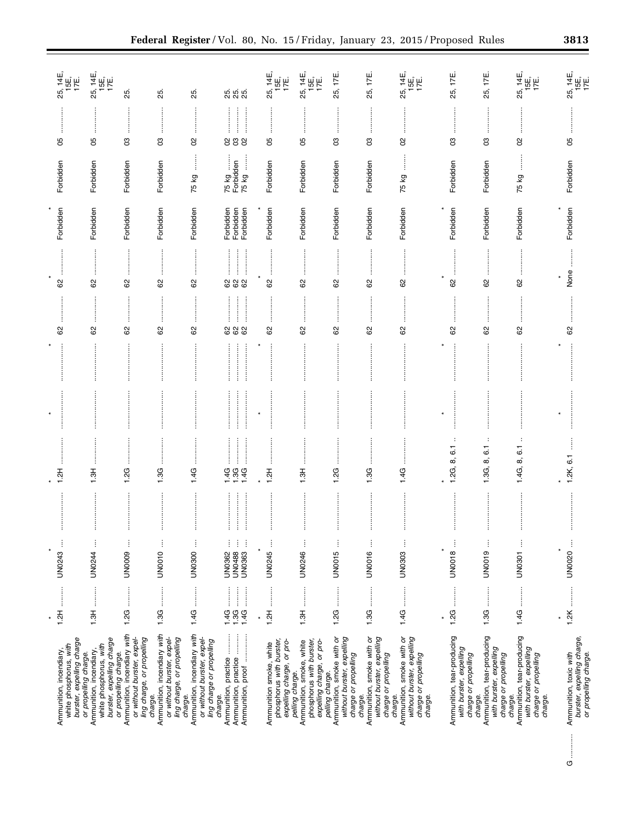| $1.2H$<br>¥<br>burster, expelling charge<br>white phosphorus, with<br>Ammunition, incendiary, |
|-----------------------------------------------------------------------------------------------|
| $\vdots$<br>UN0244                                                                            |
| j<br>UN0009                                                                                   |
| ŧ<br>UN0010                                                                                   |
| ł<br><b>UN0300</b>                                                                            |
| ŧ<br>ŧ<br>j<br>UN0363<br>UN0488<br>UN0362                                                     |
| Ì<br>×<br>UN0245                                                                              |
| ĵ<br>UN0246                                                                                   |
| ļ<br>UN0015                                                                                   |
| ŧ<br>UN0016                                                                                   |
| ŧ<br><b>UN0303</b>                                                                            |
| UN0018                                                                                        |
| ŧ<br>UN0019                                                                                   |
| ŧ<br><b>UN0301</b>                                                                            |
| UN0020                                                                                        |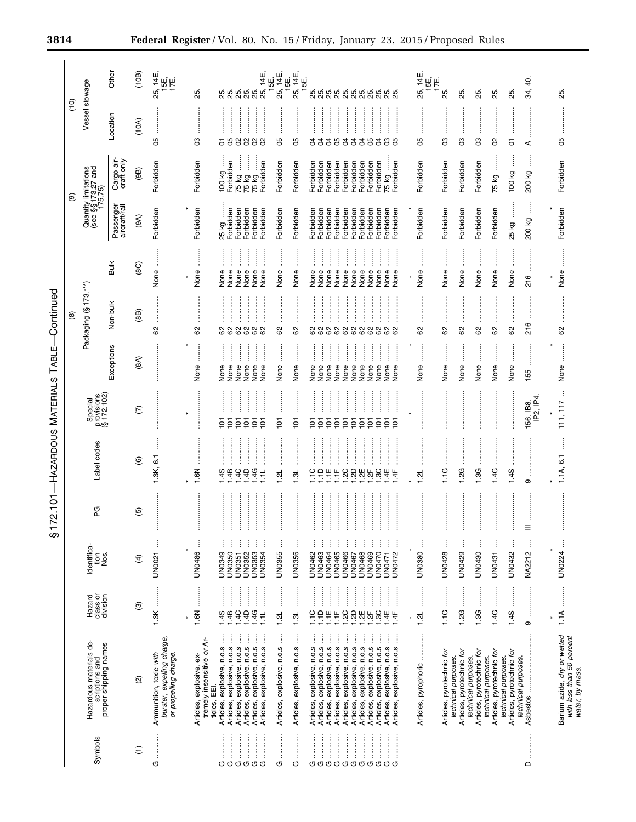| 3814             |     |                                                       |                                      |                  |                                                                              |                                                        |              | Federal Register/Vol. 80, No. 15/Friday, January 23, 2015/Proposed Rules                                                                                                                  |                                      |                                           |                                                                                                                                        |                                                                                                                                                                                                                                                                                                                                                                                    |                                                                                                    |                                        |                                        |                           |                                                  |                                                                         |                                                  |                                                  |                        |                                                                            |
|------------------|-----|-------------------------------------------------------|--------------------------------------|------------------|------------------------------------------------------------------------------|--------------------------------------------------------|--------------|-------------------------------------------------------------------------------------------------------------------------------------------------------------------------------------------|--------------------------------------|-------------------------------------------|----------------------------------------------------------------------------------------------------------------------------------------|------------------------------------------------------------------------------------------------------------------------------------------------------------------------------------------------------------------------------------------------------------------------------------------------------------------------------------------------------------------------------------|----------------------------------------------------------------------------------------------------|----------------------------------------|----------------------------------------|---------------------------|--------------------------------------------------|-------------------------------------------------------------------------|--------------------------------------------------|--------------------------------------------------|------------------------|----------------------------------------------------------------------------|
|                  | ίo) | Vessel stowage                                        | Other                                | (10B)<br>(10A)   | 5, 14E,<br>15E,<br>17E.<br>25,                                               | 25.                                                    |              | និង<br>ភូមិ អ្នក<br>ក្នុង ភូមិ ភូមិ ភូមិ                                                                                                                                                  |                                      | 25, 14E,<br>15E, 14E,<br>25, 14E,<br>15E, | .<br>ស៊ីស៊ីស៊ីស៊ីស៊ីស៊ីស៊ីស៊ីស៊ីស៊ី<br>ស៊ីស៊ីស៊ីស៊ីស៊ីស៊ីស៊ីស៊ីស៊ី                                                                     |                                                                                                                                                                                                                                                                                                                                                                                    |                                                                                                    |                                        | 25, 14E<br>$\frac{1}{10} \frac{1}{10}$ | 25.                       | 25.                                              | 25.                                                                     | 25.                                              | 25.                                              | Q.<br>34,              | 25.                                                                        |
|                  |     |                                                       | Location<br>Cargo air-<br>craft only | (9B)             | 8<br>Forbidden                                                               | පි<br>Forbidden                                        |              | 588888<br>ļ<br>ļ<br>Forbidden<br>orbidden<br>100 kg<br>75 kg<br>75 kg<br>75 kg                                                                                                            | 8<br>Forbidden                       | 8<br>Forbidden                            | 33393339388<br>Forbidden<br>Forbidden<br>Forbidden<br>Forbidden                                                                        | Forbidden<br>Forbidden<br>Forbidden                                                                                                                                                                                                                                                                                                                                                | Forbidden<br>Forbidden<br>75 kg<br>Forbidden                                                       |                                        | రి<br>Forbidden                        | පි<br>Forbidden           | g<br>Forbidden                                   | පි<br>Forbidden                                                         | 8<br>75 kg                                       | 5<br>j<br>100 kg                                 | ⋖<br>δz<br>200         | 95<br>Forbidden                                                            |
|                  | ම   | Quantity limitations<br>(see §§ 173.27 and<br>175.75) | Passenger<br>aircraft/rail           | (9A)             | Forbidden                                                                    | Forbidden                                              |              | 25 kg<br>Forbidden<br>Forbidden<br>Forbidden<br>Forbidden<br>Forbidden                                                                                                                    | Forbidden                            | Forbidden                                 | Forbidden<br>Forbidden<br>Forbidden<br>Forbidden                                                                                       | Forbidden<br>Forbidden<br>Forbidden                                                                                                                                                                                                                                                                                                                                                | Forbidden<br>Forbidden<br>Forbidden<br>Forbidden                                                   |                                        | Forbidden                              | Forbidden                 | Forbidden                                        | Forbidden                                                               | Forbidden                                        | j<br>25 kg                                       | ļ<br>200 kg            | Forbidden                                                                  |
|                  |     | $\leftarrow$                                          | <b>Bulk</b>                          | (8C)             | ļ<br>None                                                                    | None                                                   |              | $\frac{1}{2}$<br>$\ddot{}}$<br>:<br>:<br>:<br>None<br>None<br>None<br>None<br>None<br>None                                                                                                | None                                 | None                                      | $\ddot{\ddot{\phantom{a}}}\,$<br>:<br>:<br>:<br>:<br>:<br>:<br>None<br>None<br>None<br>None                                            | :<br>:<br>:<br>None<br>None<br>None                                                                                                                                                                                                                                                                                                                                                | $\ddot{}}$<br>:<br>:<br>:<br>None<br>None<br>None                                                  | None                                   | None                                   | None                      | None                                             | None                                                                    | None                                             | None                                             | ÷<br>216               | None<br>$\star$                                                            |
| Continued        | ම   | 173.<br>S<br>Packaging                                | Non-bulk                             | (88)             | 8                                                                            | 8                                                      |              | .<br>.<br>.<br>.<br>.<br>.<br>:<br>:<br>:<br>:<br><b>.</b><br>.<br>.<br>888888                                                                                                            | <br>29                               | 82                                        | <br>.<br>.<br>.<br>.<br>.<br>.<br><u>.</u><br>88888888888                                                                              | :<br>:<br>:<br>:                                                                                                                                                                                                                                                                                                                                                                   | :<br>:<br>:<br>:                                                                                   |                                        | :<br>:<br>:<br>:<br>89                 | 29                        | 62                                               | 8                                                                       | 8                                                | ŧ<br>62                                          | 216                    | 8                                                                          |
| TABLE-           |     |                                                       | Exceptions                           | (8A)             |                                                                              | None                                                   |              | ĺ<br>ĺ<br>İ<br>l<br>ļ<br>None<br>None<br>None<br>None<br>None<br>None                                                                                                                     | :<br>:<br>:<br>None                  | None                                      | $\ddot{\ddot{\phantom{a}}}\,\ddot{\phantom{a}}$<br>l<br>l<br>None<br>None<br>None<br>None                                              | j<br>l<br>İ<br>None<br>None<br>None                                                                                                                                                                                                                                                                                                                                                | l<br>l<br>l<br>None<br>None<br>None                                                                | j<br>None                              | $\ddot{\phantom{a}}$<br>None           | ÷<br>None                 | j<br>None                                        | $\vdots$<br>None                                                        | None                                             | ļ<br>None                                        | 55                     | :<br>:<br>None                                                             |
| <b>MATERIALS</b> |     | Special<br>provisions<br>(§ 172.102)                  |                                      | $\widehat{C}$    |                                                                              | $\star$                                                |              | :<br>:<br>:<br>$\overline{5}$<br>$\overline{6}$<br>55<br>$\overline{6}$<br>Ξ                                                                                                              | :<br>:<br>:<br>:<br>$\overline{101}$ | $\overline{5}$                            | $\overline{5}$ $\overline{5}$<br>$\overline{5}$<br>$\overline{6}$                                                                      | $\begin{bmatrix} 1 & 0 & 0 & 0 \\ 0 & 0 & 0 & 0 \\ 0 & 0 & 0 & 0 \\ 0 & 0 & 0 & 0 \\ 0 & 0 & 0 & 0 \\ 0 & 0 & 0 & 0 \\ 0 & 0 & 0 & 0 & 0 \\ 0 & 0 & 0 & 0 & 0 \\ 0 & 0 & 0 & 0 & 0 \\ 0 & 0 & 0 & 0 & 0 & 0 \\ 0 & 0 & 0 & 0 & 0 & 0 \\ 0 & 0 & 0 & 0 & 0 & 0 & 0 \\ 0 & 0 & 0 & 0 & 0 & 0 & 0 \\ 0 & 0 & 0 & 0 & 0 & 0 & $<br>$\ddot{}}$<br>5<br>$\overline{6}$<br>$\overline{5}$ | $\frac{1}{2}$<br>İ<br>$\overline{6}$<br>$\overline{6}$<br>Ξ<br>$\overline{6}$                      |                                        |                                        |                           |                                                  |                                                                         |                                                  |                                                  | 156, IB8,<br>IP2, IP4. | 111, 117                                                                   |
| <b>HAZARDOUS</b> |     | Label codes                                           |                                      | $\circlede$      | 6.1<br>1.3K,                                                                 | 1.6N                                                   |              | <u>.</u><br>.<br>.<br>$44444$<br>$4444$<br>$744$<br>$744$<br>$\frac{1}{2}$                                                                                                                | <br> <br> <br> <br>1.2L              | 1.3L                                      | COHF-80085844                                                                                                                          |                                                                                                                                                                                                                                                                                                                                                                                    |                                                                                                    |                                        | 1.21                                   | 1.1G                      | 1.2G                                             | 1.3G                                                                    | 1.4G                                             | 1.45                                             | თ                      | $\overline{6}$<br>1.1A,                                                    |
| \$172.101        |     | PG                                                    |                                      | ම                | :<br>:<br>:<br>:<br>j                                                        | ļ                                                      |              | ÷<br>ŧ<br>ŧ<br>ŧ<br>÷                                                                                                                                                                     | j                                    | ŧ                                         | ŧ<br>ŧ<br>ŧ<br>÷                                                                                                                       | ÷<br>ŧ<br>ŧ                                                                                                                                                                                                                                                                                                                                                                        | ŧ<br>ŧ<br>ŧ                                                                                        |                                        | ļ                                      | ŧ                         | ŧ                                                | j                                                                       | ŧ                                                | ŧ                                                | :<br>:<br>:<br>Ξ<br>ŧ  | <br>$\vdots$                                                               |
|                  |     | Identifica-<br>tion                                   | Ros.                                 | E)               | UN0021                                                                       | ¥<br>UN0486                                            |              | UN0349<br>UN0350<br>UN0353<br>UN0351<br>UN0352<br>UN0354                                                                                                                                  | <b>UN0355</b>                        | UN0356                                    | UN0462<br><b>UN0463</b><br><b>UN0465</b><br>UN0464                                                                                     | UN0466<br>UN0468<br>UN0467                                                                                                                                                                                                                                                                                                                                                         | UN0469<br>UN0470<br>UN0472<br>UN0471                                                               |                                        | UN0380                                 | UN0428                    | UN0429                                           | UN0430                                                                  | UN0431                                           | UN0432                                           | NA2212                 | $\star$<br>UN0224                                                          |
|                  |     | class or<br>division<br>Hazard                        |                                      | ම                | 1.3K                                                                         | :<br>:<br>:<br>1.6N<br>$\star$                         |              | :<br>:<br>:<br>$\frac{1}{2}$<br>$1.40$<br>$1.40$<br>$1.49$<br>$1.48$<br>1.4C<br>$\frac{1}{2}$<br>j<br>j<br>j<br>ŧ<br>j<br>j                                                               | l<br>1.2L<br>ł                       | 1.3L<br>j                                 | <br>1.1C<br>$\frac{0}{1}$<br>豊島<br>j<br>j<br>j                                                                                         | <br>$\frac{1}{2}$<br>:<br>:<br>1.2C<br>1.2D<br>1.2E<br>ļ<br>ļ                                                                                                                                                                                                                                                                                                                      | :<br>:<br>:<br>:<br>:<br>:<br>:<br> <br> <br> <br> <br>1.3C<br>1.4E<br>1.2F<br>$\vdots$<br>ļ       | <br> <br> <br> <br>$\frac{4}{14}$<br>j | :<br>:<br>:<br>1.2L                    | :<br>:<br>:<br>:<br>1.1G  | <br>1.2G                                         | $\ddot{\phantom{a}}$<br>1.3G                                            | 1.4G                                             | <br>1.4S                                         | <br>თ                  | :<br>:<br>:<br>:<br>1.1A                                                   |
|                  |     | Hazardous materials de-<br>scriptions and             | proper shipping names                | ତ୍ର              | burster, expelling charge<br>Ammunition, toxic with<br>or propelling charge. | tremely insensitive or Ar-<br>Articles, explosive, ex- | ticles, EEI. | Articles, explosive, n.o.s<br>Articles, explosive, n.o.s<br>n.o.s<br>Articles, explosive, n.o.s<br>Articles, explosive, n.o.s<br>n.o.s<br>Articles, explosive,<br>explosive,<br>Articles, | Articles, explosive, n.o.s           | Articles, explosive, n.o.s                | n.o.s<br>n.o.s<br>n.o.s<br>n.o.s<br>explosive,<br>Articles, explosive,<br>Articles, explosive,<br>explosive,<br>Articles,<br>Articles, | n.o.s<br>n.o.s<br>n.o.s<br>Articles, explosive,<br>Articles, explosive,<br>explosive,<br>Articles,                                                                                                                                                                                                                                                                                 | n.o.s<br>n.o.s<br>n.o.s<br>Articles, explosive,<br>Articles, explosive,<br>explosive,<br>Articles, | Articles, explosive, n.o.s             | Articles, pyrophoric                   | Articles, pyrotechnic for | Articles, pyrotechnic for<br>technical purposes. | Articles, pyrotechnic for<br>technical purposes.<br>technical purposes. | Articles, pyrotechnic for<br>technical purposes. | Articles, pyrotechnic for<br>technical purposes. | Asbestos               | Barium azide, dry or wetted<br>with less than 50 percent<br>water, by mass |
|                  |     | Symbols                                               |                                      | $\widehat{\tau}$ | $\vdots$<br>O                                                                |                                                        |              | <br> <br> <br> <br> <br>$\frac{1}{2}$<br> <br> <br> <br> <br><b>OOOOOO</b>                                                                                                                | U                                    | O                                         | <b>OOOOOOOOOOO</b>                                                                                                                     | :<br>:<br>:<br>                                                                                                                                                                                                                                                                                                                                                                    | <br> <br> <br>                                                                                     |                                        |                                        |                           |                                                  |                                                                         |                                                  |                                                  | $\Box$                 |                                                                            |

 $\circ$ 

O U

**OOOOO** 

00000000000

| Barium azide, dry or wetted | with less than 50 percent | water by mass |
|-----------------------------|---------------------------|---------------|

 $\circ$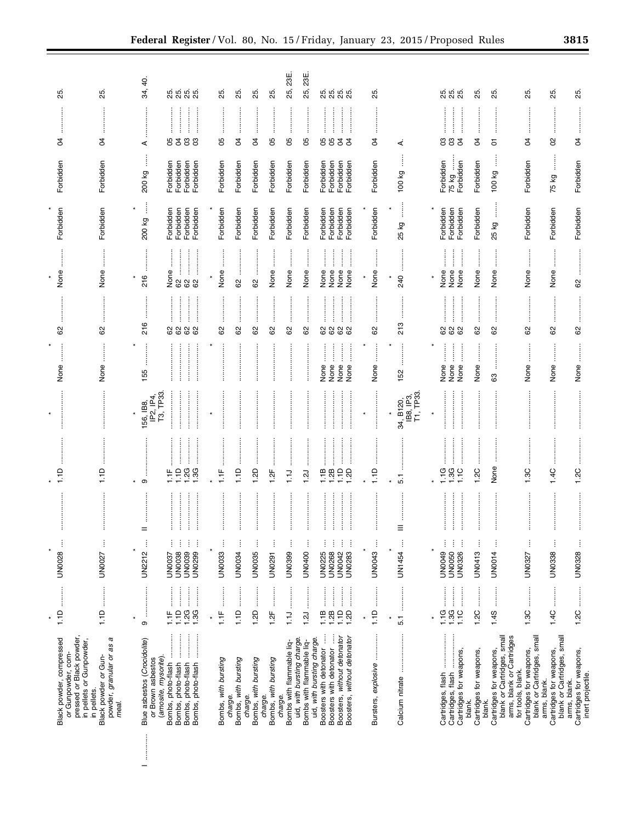| Black powder, compressed<br>or Gunpowder, com-                                                          | :<br>:<br>:<br>1.1D                                                                                                                                                                                                                               | ŧ<br><b>UN0028</b>                            | 1.1D                                                                  |                                     | None                                     | 62           | None                                                                                                                                                                                                                                                                                                                                                                                | Forbidden                           | Forbidden                           | ड                                     | 25.                 |
|---------------------------------------------------------------------------------------------------------|---------------------------------------------------------------------------------------------------------------------------------------------------------------------------------------------------------------------------------------------------|-----------------------------------------------|-----------------------------------------------------------------------|-------------------------------------|------------------------------------------|--------------|-------------------------------------------------------------------------------------------------------------------------------------------------------------------------------------------------------------------------------------------------------------------------------------------------------------------------------------------------------------------------------------|-------------------------------------|-------------------------------------|---------------------------------------|---------------------|
| pressed or Black powder,<br>in pellets or Gunpowder,<br>in pellets.                                     |                                                                                                                                                                                                                                                   |                                               |                                                                       |                                     |                                          |              |                                                                                                                                                                                                                                                                                                                                                                                     |                                     |                                     |                                       |                     |
| a<br>powder, granular or as<br>Black powder or Gun-<br>meal.                                            | 1.1D                                                                                                                                                                                                                                              | j<br>UN0027                                   | $\frac{1}{1}$                                                         |                                     | None                                     | 82           | None                                                                                                                                                                                                                                                                                                                                                                                | Forbidden                           | Forbidden                           | đ                                     | 85.                 |
|                                                                                                         | ×                                                                                                                                                                                                                                                 |                                               |                                                                       |                                     |                                          |              |                                                                                                                                                                                                                                                                                                                                                                                     |                                     |                                     |                                       |                     |
| Blue asbestos (Crocidolite)<br>or Brown asbestos                                                        | თ                                                                                                                                                                                                                                                 | ŧ<br>UN2212                                   | ၜ                                                                     | IP2, IP4,<br>156, IB8,              | 155                                      | 216          | 216                                                                                                                                                                                                                                                                                                                                                                                 | ļ<br>200 kg                         | Î<br>200 kg                         | ⋖                                     | 34, 40              |
| (amosite, mysorite).                                                                                    | 11F                                                                                                                                                                                                                                               | UN0037                                        | Ë                                                                     | T3, TP33                            |                                          |              | None                                                                                                                                                                                                                                                                                                                                                                                | Forbidden                           | Forbidden                           |                                       |                     |
| <br><b>.</b><br>.<br>.<br>.<br>Bombs, photo-flash<br>Bombs, photo-flash                                 | :<br>:<br>:<br>1.1D                                                                                                                                                                                                                               | ŧ<br>ŧ<br><b>UN0038</b>                       | <br> <br> <br> <br> <br>$\overline{a}$                                |                                     |                                          | 82           | 8                                                                                                                                                                                                                                                                                                                                                                                   | Forbidden                           | Forbidden                           |                                       | <u>ສູ່</u> ສູ       |
| Bombs, photo-flash<br>Bombs, photo-flash                                                                | j<br>ļ<br>1.2G<br>1.3G                                                                                                                                                                                                                            | j<br>j<br>UN0299<br>UN0039                    | 1.3G                                                                  |                                     |                                          | 82           | <br>88                                                                                                                                                                                                                                                                                                                                                                              | Forbidden<br>Forbidden              | Forbidden<br>Forbidden              | 5333                                  | 25.<br>25.          |
|                                                                                                         | $\star$                                                                                                                                                                                                                                           | $\ast$                                        |                                                                       |                                     |                                          |              |                                                                                                                                                                                                                                                                                                                                                                                     |                                     |                                     |                                       |                     |
| Bombs, with bursting                                                                                    | <br> <br> <br> <br>Ë                                                                                                                                                                                                                              | <b>UN0033</b>                                 | Ë                                                                     |                                     |                                          | 8            | None                                                                                                                                                                                                                                                                                                                                                                                | Forbidden                           | Forbidden                           | 80                                    | 25.                 |
| Bombs, with bursting<br>charge.                                                                         | :<br>1.1D                                                                                                                                                                                                                                         | ÷<br>UN0034                                   | $\frac{1}{1}$                                                         |                                     |                                          | 62           | 8                                                                                                                                                                                                                                                                                                                                                                                   | Forbidden                           | Forbidden                           | R                                     | 25.                 |
| Bombs, with bursting<br>charge.                                                                         | 1.2D                                                                                                                                                                                                                                              | j<br><b>UN0035</b>                            | 1.2D                                                                  |                                     |                                          | 62           | <br>8                                                                                                                                                                                                                                                                                                                                                                               | Forbidden                           | Forbidden                           | ड                                     | 25.                 |
| Bombs, with bursting<br>charge.                                                                         | İ<br>1.2F                                                                                                                                                                                                                                         | <b>UN0291</b>                                 | 1.2F                                                                  |                                     |                                          | 8            | None                                                                                                                                                                                                                                                                                                                                                                                | Forbidden                           | Forbidden                           | 8                                     | 25.                 |
| Bombs with flammable liq-<br>charge.                                                                    | <br>$\overline{1}$                                                                                                                                                                                                                                | j<br>UN0399                                   | ŧ<br>$\overline{1}$ .                                                 |                                     |                                          | İ<br>82      | $\vdots$<br>None                                                                                                                                                                                                                                                                                                                                                                    | Forbidden                           | Forbidden                           | $\vdots$<br>95                        | 25, 23E             |
| uid, with bursting charge.<br>Bombs with flammable liq-                                                 | 1.2J                                                                                                                                                                                                                                              | ļ<br><b>UN0400</b>                            | $\overline{121}$                                                      |                                     |                                          | 62           | $\ddot{\phantom{a}}$<br>None                                                                                                                                                                                                                                                                                                                                                        | Forbidden                           | Forbidden                           | :<br>:<br>:<br>:<br>8                 | 25, 23E             |
| uid, with bursting charge.                                                                              |                                                                                                                                                                                                                                                   |                                               |                                                                       |                                     |                                          |              |                                                                                                                                                                                                                                                                                                                                                                                     |                                     |                                     |                                       |                     |
| Boosters with detonator<br>Boosters with detonator<br>Boosters, without detonator                       | :<br>:<br>:<br>:<br>$\begin{array}{c} \begin{array}{c} \begin{array}{c} \begin{array}{c} \begin{array}{c} \end{array} \\ \end{array} \\ \begin{array}{c} \end{array} \end{array} \end{array} \end{array} \end{array}$<br>$1,10$<br>$1,10$<br>1.1B | j<br><b>UN0225</b><br><b>UN0268</b><br>UN0042 | $\frac{1}{2}$ $\frac{1}{2}$ $\frac{1}{2}$ $\frac{1}{2}$ $\frac{1}{2}$ |                                     | :<br>:<br>:<br>j<br>None<br>None<br>None | <br>62<br>62 | $\begin{bmatrix} 1 & 0 & 0 & 0 \\ 0 & 0 & 0 & 0 \\ 0 & 0 & 0 & 0 \\ 0 & 0 & 0 & 0 \\ 0 & 0 & 0 & 0 \\ 0 & 0 & 0 & 0 \\ 0 & 0 & 0 & 0 & 0 \\ 0 & 0 & 0 & 0 & 0 \\ 0 & 0 & 0 & 0 & 0 \\ 0 & 0 & 0 & 0 & 0 & 0 \\ 0 & 0 & 0 & 0 & 0 & 0 \\ 0 & 0 & 0 & 0 & 0 & 0 & 0 \\ 0 & 0 & 0 & 0 & 0 & 0 & 0 \\ 0 & 0 & 0 & 0 & 0 & 0 & $<br>:<br>:<br>:<br>$\frac{1}{2}$<br>None<br>None<br>None | Forbidden<br>Forbidden<br>Forbidden | Forbidden<br>Forbidden<br>Forbidden | <br>582                               | <u>ន</u> ្ល ន្ល ន្ល |
| Boosters, without detonator                                                                             | 1.2D                                                                                                                                                                                                                                              | ŧ<br><b>UN0283</b>                            | :<br>:<br>:<br>:                                                      |                                     | ĺ<br>ļ<br>None                           | <br>82       | j<br>None                                                                                                                                                                                                                                                                                                                                                                           | Forbidden                           | Forbidden                           | :<br>:<br>:<br>:<br>$\beta$           |                     |
|                                                                                                         |                                                                                                                                                                                                                                                   |                                               |                                                                       | $\ast$                              |                                          |              | $\ast$                                                                                                                                                                                                                                                                                                                                                                              |                                     |                                     |                                       |                     |
| Bursters, explosive                                                                                     | :<br>:<br>:<br>1.1D                                                                                                                                                                                                                               | ŧ<br>UN0043                                   | 1.1D                                                                  |                                     | $\ddot{\ddot{\cdot}}$<br>None            | 85           | $\ddot{\ddot{\cdot}}$<br>None                                                                                                                                                                                                                                                                                                                                                       | Forbidden                           | Forbidden                           | :<br>:<br>:<br>:<br>R                 | 25.                 |
|                                                                                                         |                                                                                                                                                                                                                                                   |                                               |                                                                       |                                     |                                          |              |                                                                                                                                                                                                                                                                                                                                                                                     |                                     |                                     |                                       |                     |
| Calcium nitrate                                                                                         | 5.1                                                                                                                                                                                                                                               | UN1454                                        | 5.1                                                                   | 34, B120,<br>IB8, IP3,<br>T1, TP33. | 152                                      | 213          | 240                                                                                                                                                                                                                                                                                                                                                                                 | 25 kg                               | 100 kg                              | ∢                                     |                     |
|                                                                                                         |                                                                                                                                                                                                                                                   |                                               |                                                                       | $\star$                             |                                          |              | $\star$                                                                                                                                                                                                                                                                                                                                                                             |                                     |                                     |                                       |                     |
| .<br>.<br>.<br>.<br>.<br>.<br>.<br>.<br>Cartridges, flash                                               | :<br>:<br>:<br>$\frac{6}{1}$<br>1.3G                                                                                                                                                                                                              | ļ<br>UN0049                                   |                                                                       |                                     | $\ddot{}}$<br>None                       | 82           | None                                                                                                                                                                                                                                                                                                                                                                                | Forbidden<br>Forbidden              | Forbidden                           | පී පී                                 | <u>ඝ</u>            |
| Cartridges for weapons,<br>Cartridges, flash                                                            | $\ddot{\ddot{\theta}}$<br> <br> <br> <br> <br>1.1C                                                                                                                                                                                                | ŧ<br><b>UN0326</b><br><b>UN0050</b>           | —<br>;<br>;<br>;<br>$1.300$<br>$1.70$                                 |                                     | İ<br>İ<br>None<br>None                   | 62           | $\frac{1}{2}$<br>$\vdots$<br>None<br>None                                                                                                                                                                                                                                                                                                                                           | Forbidden                           | 75 kg<br>Forbidden                  | .<br>.<br>.<br>.<br>.<br>.<br>$\beta$ | 25.                 |
| Cartridges for weapons,<br>blank.                                                                       | :<br>:<br>:<br>1.2C                                                                                                                                                                                                                               | j<br><b>UN0413</b>                            | 1.2C                                                                  |                                     | $\ddot{}}$<br>None                       | <br>82       | İ<br>None                                                                                                                                                                                                                                                                                                                                                                           | Forbidden                           | Forbidden                           | Ŕ                                     | 25.                 |
| blank.                                                                                                  |                                                                                                                                                                                                                                                   |                                               |                                                                       |                                     |                                          |              |                                                                                                                                                                                                                                                                                                                                                                                     |                                     |                                     |                                       |                     |
| blank or Cartridges, small<br>arms, blank or Cartridges<br>Cartridges for weapons,<br>for tools, blank. | 1.4S                                                                                                                                                                                                                                              | ŧ<br><b>UN0014</b>                            | None                                                                  |                                     | 63                                       | 62           | İ<br>None                                                                                                                                                                                                                                                                                                                                                                           | İ<br>25 kg                          | 100 kg                              | 5                                     | 25.                 |
| blank or Cartridges, small<br>Cartridges for weapons,                                                   | :<br>:<br>:<br>1.3C                                                                                                                                                                                                                               | ł<br>UN0327                                   | 1.3C                                                                  |                                     | $\ddot{}}$<br>None                       | <br>62       | $\vdots$<br>None                                                                                                                                                                                                                                                                                                                                                                    | Forbidden                           | Forbidden                           | S4                                    | 85.                 |
| Cartridges for weapons,<br>arms, blank.                                                                 | 1.4C                                                                                                                                                                                                                                              | ŧ<br><b>UN0338</b>                            | 1.4C                                                                  |                                     | None                                     | 62           | None                                                                                                                                                                                                                                                                                                                                                                                | Forbidden                           | 75 kg                               | 8                                     | 25.                 |
| blank or Cartridges, small<br>arms, blank.                                                              |                                                                                                                                                                                                                                                   |                                               |                                                                       |                                     |                                          |              |                                                                                                                                                                                                                                                                                                                                                                                     |                                     |                                     |                                       |                     |
| Cartridges for weapons,<br>inert projectile.                                                            |                                                                                                                                                                                                                                                   | Ì<br>UN0328                                   | 1.2C                                                                  |                                     | None                                     | 62           | 8                                                                                                                                                                                                                                                                                                                                                                                   | Forbidden                           | Forbidden                           | S,                                    | 85.                 |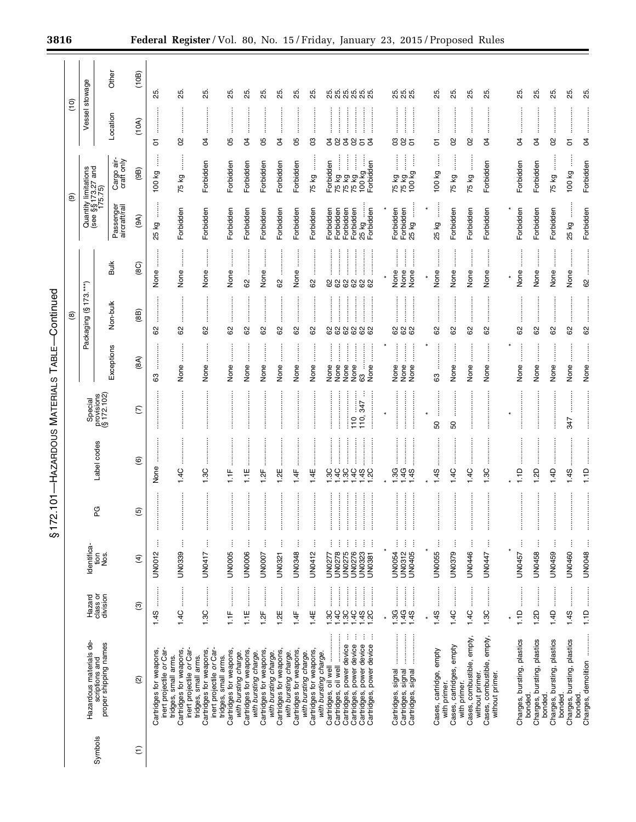|                  |                                                                             |                                                     |                              | $2.101 -$<br>$\frac{5}{3}$ | -HAZARDOUS MATERIALS         |                                      | TABLE-                                       | Continued                          |                                                   |                                 |                                                       |                                 |                         |
|------------------|-----------------------------------------------------------------------------|-----------------------------------------------------|------------------------------|----------------------------|------------------------------|--------------------------------------|----------------------------------------------|------------------------------------|---------------------------------------------------|---------------------------------|-------------------------------------------------------|---------------------------------|-------------------------|
|                  |                                                                             |                                                     |                              |                            |                              |                                      |                                              | ම                                  |                                                   |                                 | ම                                                     | ο<br>Γ                          |                         |
|                  | Hazardous materials de-                                                     | Hazard                                              | Identifica-                  |                            |                              |                                      |                                              | Packaging (§173.***)               |                                                   |                                 | Quantity limitations<br>(see §§ 173.27 and<br>175.75) | Vessel stowage                  |                         |
| Symbols          | scriptions and<br>proper shipping names                                     | class or<br>division                                | Nos.<br>tion                 | PG                         | Label codes                  | Special<br>provisions<br>(§ 172.102) | Exceptions                                   | Non-bulk                           | Bulk                                              | Passenger<br>aircraft/rail      | Cargo air-<br>craft only                              | Location                        | Other                   |
|                  |                                                                             |                                                     |                              |                            |                              |                                      |                                              |                                    |                                                   |                                 |                                                       |                                 |                         |
| $\widehat{\tau}$ | Q                                                                           | $\widehat{\mathcal{E}}$                             | $\widehat{f}$                | $\widehat{\mathbf{e}}$     | $\circlede$                  | $\widehat{C}$                        | (8A)                                         | (8B)                               | (8C)                                              | (9A)                            | (9B)                                                  | (10A)                           | (10B)                   |
|                  | Cartridges for weapons,<br>inert projectile or Car-                         | İ<br>1.4S                                           | ŧ<br>UN0012                  | İ                          | None                         |                                      | යි                                           | 8                                  | j<br>None                                         | ļ<br>δ<br>25                    | Î<br>100 kg                                           | ŧ<br>5                          | 25                      |
|                  | inert projectile or Car-<br>Cartridges for weapons,<br>tridges, small arms. | $1.4C$                                              | j<br>UN0339                  | İ                          | 1.4C                         |                                      | None                                         | 62                                 | İ<br>None                                         | Forbidden                       | ļ<br>75 kg                                            | <br>8                           | 25.                     |
|                  | inert projectile or Car-<br>Cartridges for weapons,<br>tridges, small arms. | .<br>.<br>.<br>.<br>.<br>1.3C                       | ļ<br>UN0417                  | İ                          | 1.3C                         |                                      | None                                         | 8                                  | İ<br>None                                         | Forbidden                       | Forbidden                                             | <br>S,                          | 85                      |
|                  | Cartridges for weapons,<br>tridges, small arms.                             | H <sub>11</sub>                                     | ŧ<br><b>UN0005</b>           |                            | ŧ                            |                                      | None                                         | 8                                  | None                                              | Forbidden                       | Forbidden                                             | <br> <br> <br> <br>8            | 25.                     |
|                  | Cartridges for weapons,<br>with bursting charge.                            | <br> <br> <br>1.1E                                  | j<br><b>UN0006</b>           |                            | 1.TE                         |                                      | None                                         | 8                                  | ÷<br>8                                            | Forbidden                       | Forbidden                                             | R                               | 25.                     |
|                  | Cartridges for weapons,<br>with bursting charge.                            | 1.2F                                                | UN0007                       |                            | 1.2F                         |                                      | None                                         | 8                                  | None                                              | Forbidden                       | Forbidden                                             | 8                               | 85                      |
|                  | Cartridges for weapons,<br>with bursting charge.                            | :<br>:<br>:<br>:<br>1.2E                            | ŧ<br>UN0321                  |                            | 1.2E                         |                                      | None                                         | 62                                 | 8                                                 | Forbidden                       | Forbidden                                             | R                               | 85                      |
|                  | Cartridges for weapons,<br>with bursting charge.                            | :<br>:<br>:<br>1.4F                                 | ÷<br>UN0348                  |                            | 4 <sup>F</sup>               |                                      | None                                         | .<br>.<br>.<br>.<br>.<br>.<br>82   | İ<br>None                                         | Forbidden                       | Forbidden                                             | 8                               | 25                      |
|                  | Cartridges for weapons,<br>with bursting charge.                            | <br> <br> <br> <br>1.4E                             | UN0412                       |                            | 1.4E                         |                                      | None                                         | 8                                  | <br>8                                             | Forbidden                       | ļ<br>75 kg                                            | පි                              | 25.                     |
|                  | Cartridges, oil well<br>with bursting charge.                               | 1.3C                                                | UN0277                       |                            | 9C                           |                                      | None                                         |                                    | 8                                                 | Forbidden                       | Forbidden                                             | S,                              |                         |
|                  | Cartridges, oil well                                                        | :<br>:<br>:<br>:<br>$\frac{4C}{1}$                  | UN0278                       |                            | 4C                           |                                      | $\vdots$<br>None                             | <br>888888                         | <br>88                                            | Forbidden                       |                                                       | 8                               | <u>ង</u> ង់ ង់ ង់ ង់ ង់ |
|                  | ÷<br>Cartridges, power device<br>Cartridges, power device                   | $\frac{1}{2}$<br>$\vdots$<br>$1.49$<br>$1.49$<br>9Ġ | İ<br>UN0275<br>UN0276        |                            | <br>9C                       | °                                    | İ<br>None<br>None                            | <br> <br>                          |                                                   | Forbidden<br>Forbidden<br>25 kg |                                                       | İ<br>85<br>g                    |                         |
|                  | ÷<br>÷<br>Cartridges, power device<br>Cartridges, power device              | :<br>:<br>:<br> <br> <br> <br> <br>1.2C             | ŧ<br>UN0323<br><b>UN0381</b> | <br> <br> <br>ŧ            | $490$<br>$490$               | ÷<br>$rac{1}{347}$<br>110,           | İ<br>İ<br>Ĵ<br>None<br>63                    | <br> <br>                          | <br>888                                           | Forbidden                       | 75 kg<br>75 kg<br>75 kg<br>100 kg<br>Forbidden        | :<br>S,                         |                         |
|                  |                                                                             |                                                     |                              |                            |                              |                                      |                                              |                                    |                                                   |                                 |                                                       |                                 |                         |
|                  |                                                                             | :<br>:<br>:<br>:<br>$\frac{1}{2}$<br>1.4G<br>1.3G   | İ<br>ŧ<br>UN0054<br>UN0312   | $\vdots$                   | :<br>:<br>:<br>:<br>3G<br>4G |                                      | :<br>:<br>:<br>$\frac{1}{2}$<br>None<br>None | :<br>:<br>:<br>:<br>888            | $\vdots$<br>$\ddot{\ddot{\cdot}}$<br>None<br>None | Forbidden                       | ĺ<br>$\frac{1}{2}$<br>75 kg<br>75 kg<br>100 kg        | $\frac{1}{2}$<br>28             |                         |
|                  | Cartridges, signal<br>Cartridges, signal                                    | 1.45                                                | ŧ<br><b>UN0405</b>           | <br>İ                      | 45                           |                                      | İ<br>None                                    |                                    | $\ddot{\ddot{\phantom{a}}}\,$<br>None             | İ<br>Forbidden<br>25 kg         | j                                                     | 5                               |                         |
|                  | Cases, cartridge, empty                                                     | :<br>:<br>1.4S                                      | I<br><b>UN0055</b>           | İ                          | 45                           | SO                                   | 63                                           | 8                                  | None                                              | $\vdots$<br>$\ast$<br>25 kg     | 100 kg                                                | 5                               | 25.                     |
|                  | with primer.                                                                |                                                     |                              |                            |                              |                                      |                                              |                                    |                                                   |                                 |                                                       |                                 |                         |
|                  | Cases, cartridges, empty<br>with primer.                                    | :<br>:<br>:<br>1.4C                                 | ļ<br>UN0379                  | İ                          | 1.4C                         | 50                                   | None                                         | 62                                 | None                                              | Forbidden                       | İ<br>75 kg                                            | 8                               | 25.                     |
|                  | Cases, combustible, empty,<br>without primer.                               | 1.4C                                                | ŧ<br><b>UN0446</b>           | j                          | 4C                           |                                      | None                                         | —<br>;<br>;<br>;<br>62             | None                                              | Forbidden                       | l<br>75 kg                                            | .<br>.<br>.<br>.<br>.<br>.<br>8 | 25.                     |
|                  | Cases, combustible, empty,<br>without primer.                               | <br>1.3C                                            | ĵ<br>UN0447                  |                            | 1.3C                         |                                      | None                                         | 8                                  | None                                              | Forbidden                       | Forbidden                                             | R                               | 25.                     |
|                  |                                                                             |                                                     |                              |                            |                              |                                      |                                              |                                    |                                                   |                                 |                                                       |                                 |                         |
|                  | Charges, bursting, plastics<br>bonded.                                      | 1.1D                                                | j<br>UN0457                  | $\vdots$                   | 1.1D                         | :<br>:<br>:<br>:                     | None                                         | 82                                 | None                                              | Forbidden                       | Forbidden                                             | S                               | 25.                     |
|                  | Charges, bursting, plastics                                                 | $\ddot{\phantom{a}}$<br>1.2D                        | ŧ<br>UN0458                  | İ                          | 1.2D                         |                                      | None                                         | 8                                  | None                                              | Forbidden                       | Forbidden                                             | R                               | 25.                     |
|                  | Charges, bursting, plastics<br>bonded.                                      | :<br>:<br>:<br>:<br>1.4D                            | UN0459                       | İ                          | 1.4D                         |                                      | None                                         | 8                                  | None                                              | Forbidden                       | $\vdots$<br>75 kg                                     | 8                               | 25.                     |
|                  | Charges, bursting, plastics<br>bonded.                                      | :<br>:<br>:<br>1.4S                                 | j<br>UN0460                  | İ                          | 1.4S                         | :<br>:<br>:<br>:<br>347              | None                                         | <b>.</b><br>.<br>.<br>.<br>.<br>62 | :<br>:<br>:<br>None                               | $\vdots$<br>25 kg               | ļ<br>100 kg                                           | .<br>5                          | 25.                     |
|                  | Charges, demolition<br>bonded.                                              | <br>1.1D                                            | UN0048                       |                            | 1.1D                         |                                      | None                                         | 62                                 | 8                                                 | Forbidden                       | Forbidden                                             | S,                              | 25                      |

Ξ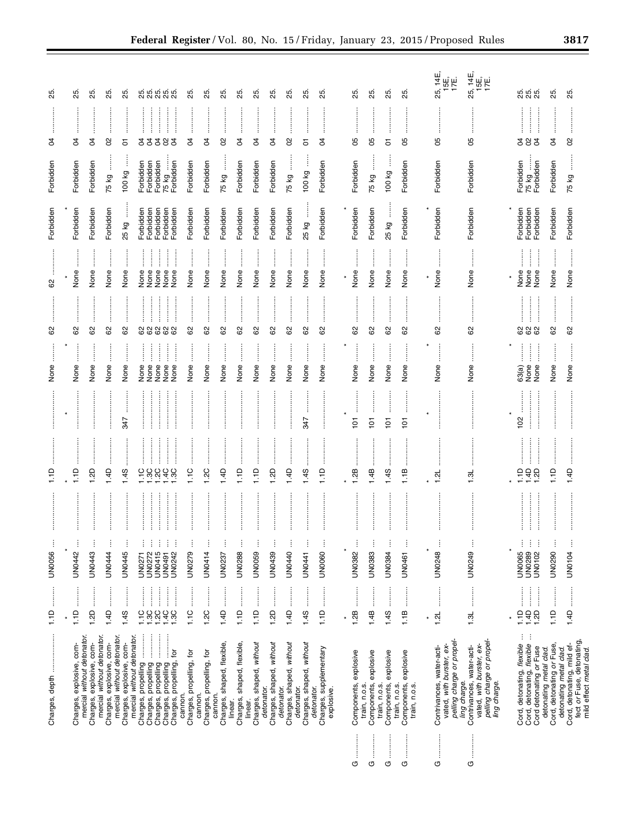|                    |                                                                                                                    | j.<br>1.1D                                                                                                                                                                                                                                                                                                                          | ĵ<br><b>UN0056</b>                               | ≏<br>π,          |                     | None                                   | 8                                  | 8                                              | Forbidden                           | Forbidden                       | इ                                | 85                         |
|--------------------|--------------------------------------------------------------------------------------------------------------------|-------------------------------------------------------------------------------------------------------------------------------------------------------------------------------------------------------------------------------------------------------------------------------------------------------------------------------------|--------------------------------------------------|------------------|---------------------|----------------------------------------|------------------------------------|------------------------------------------------|-------------------------------------|---------------------------------|----------------------------------|----------------------------|
|                    |                                                                                                                    |                                                                                                                                                                                                                                                                                                                                     |                                                  |                  |                     |                                        |                                    |                                                |                                     |                                 |                                  |                            |
|                    | mercial without detonator.<br>Charges, explosive, com-                                                             | 1.1D                                                                                                                                                                                                                                                                                                                                | j<br>UN0442                                      | 1.1D             |                     | None                                   | 62                                 | None                                           | Forbidden                           | Forbidden                       | S                                | 25                         |
|                    | Charges, explosive, com-                                                                                           | 1.2D                                                                                                                                                                                                                                                                                                                                | ŧ<br><b>UN0443</b>                               | Gz               |                     | None                                   | 62                                 | None                                           | Forbidden                           | Forbidden                       | ð                                | 25                         |
|                    | mercial without detonator.<br>Charges, explosive, com-                                                             | ļ<br>1.4D                                                                                                                                                                                                                                                                                                                           | <b>UN0444</b>                                    | 4D               |                     | None                                   | 62                                 | None                                           | Forbidden                           | 75 kg                           | 8                                | 25                         |
|                    | mercial without detonator.<br>Charges, explosive, com-                                                             | $\ddot{}}$<br>1.45                                                                                                                                                                                                                                                                                                                  | <b>UN0445</b>                                    | 45               | 347                 | None                                   | 8                                  | None                                           | 25 kg                               | 100 kg                          | 5                                | 25.                        |
|                    | mercial without detonator.<br>Charges, propelling                                                                  | 1.1C                                                                                                                                                                                                                                                                                                                                | UN0271                                           | $\frac{0}{1}$    |                     | None                                   |                                    | None                                           | Forbidden                           |                                 |                                  |                            |
|                    | Charges, propelling<br>Charges, propelling                                                                         | $\frac{1}{2}$<br>$7.400$<br>$7.400$                                                                                                                                                                                                                                                                                                 | ŧ<br>ŧ<br>UN0415<br>UN0272                       | 2C<br>9Ċ         |                     | $\ddot{\ddot{\textbf{}}}$<br>İ<br>None | :<br>:<br>: : : : : : : :<br>88888 | İ<br>None<br>None                              | Forbidden<br>Forbidden              | Forbidden<br>Forbidden          | .<br>.<br>.<br>.<br>.<br>55<br>3 | <u>ឆ្លូ ឆ្លូ ឆ្លូ ឆ្លូ</u> |
|                    | Charges, propelling                                                                                                | ļ                                                                                                                                                                                                                                                                                                                                   | ŧ<br>ŧ<br><b>UN0491</b>                          | $rac{1}{4}$      |                     | None<br>None                           |                                    | :<br>:<br>:<br>$\vdots$<br>None                | Forbidden                           | Forbidden<br>75 kg<br>Forbidden | <br>8                            |                            |
|                    | Charges, propelling, for<br>cannon.                                                                                | 1.3C                                                                                                                                                                                                                                                                                                                                | UN0242                                           | 3C               |                     | None                                   |                                    | None                                           | Forbidden                           |                                 | <br>ð                            |                            |
|                    | Charges, propelling, for                                                                                           | <br> <br> <br>1.1C                                                                                                                                                                                                                                                                                                                  | UN0279                                           | 1.1C             |                     | None                                   | $^{\circ}$                         | None                                           | Forbidden                           | Forbidden                       | 8                                | 25.                        |
|                    | Charges, propelling, for<br>cannon.                                                                                | 1.2C                                                                                                                                                                                                                                                                                                                                | <b>UN0414</b>                                    | 1.2C             |                     | None                                   | 82                                 | None                                           | Forbidden                           | Forbidden                       | g                                | 25.                        |
|                    | Charges, shaped, flexible,<br>cannon.                                                                              | 1.4D                                                                                                                                                                                                                                                                                                                                | ŧ<br>UN0237                                      | 4D               |                     | None                                   | 8                                  | None                                           | Forbidden                           | j<br>75 kg                      | 8                                | 25.                        |
|                    | Charges, shaped, flexible,<br>linear.                                                                              | 1.1D                                                                                                                                                                                                                                                                                                                                | ł<br><b>UN0288</b>                               | $\frac{1}{2}$    |                     | None                                   | 8                                  | None                                           | Forbidden                           | Forbidden                       | ड                                | 85                         |
|                    | Charges, shaped, without<br>linear.                                                                                | 1.1D                                                                                                                                                                                                                                                                                                                                | ŧ<br>UN0059                                      | 1.1D             |                     | None                                   | 62                                 | None                                           | Forbidden                           | Forbidden                       | R                                | 85.                        |
|                    | Charges, shaped, without<br>detonator.                                                                             | <br> <br> <br>1.2D                                                                                                                                                                                                                                                                                                                  | j<br>UN0439                                      | 1.2D             |                     | None                                   | 62                                 | None                                           | Forbidden                           | Forbidden                       | S4                               | 25                         |
|                    | Charges, shaped, without<br>detonator.                                                                             | $\begin{bmatrix} 1 & 0 & 0 & 0 \\ 0 & 0 & 0 & 0 \\ 0 & 0 & 0 & 0 \\ 0 & 0 & 0 & 0 \\ 0 & 0 & 0 & 0 \\ 0 & 0 & 0 & 0 \\ 0 & 0 & 0 & 0 & 0 \\ 0 & 0 & 0 & 0 & 0 \\ 0 & 0 & 0 & 0 & 0 \\ 0 & 0 & 0 & 0 & 0 & 0 \\ 0 & 0 & 0 & 0 & 0 & 0 \\ 0 & 0 & 0 & 0 & 0 & 0 & 0 \\ 0 & 0 & 0 & 0 & 0 & 0 & 0 \\ 0 & 0 & 0 & 0 & 0 & 0 & $<br>1.4D | $\vdots$<br>UN0440                               | 4D               |                     | None                                   | 85                                 | None                                           | Forbidden                           | 75 kg                           | S                                | 25.                        |
|                    | Charges, shaped, without<br>detonator.                                                                             | :<br>:<br>:<br>1.4S                                                                                                                                                                                                                                                                                                                 | ł<br><b>UN0441</b>                               | 1.4S             | 347                 | None                                   | 8                                  | None                                           | İ<br>25 kg                          | 100 kg                          | 5                                | 8                          |
|                    | Charges, supplementary<br>detonator.<br>explosive.                                                                 | 1.1D                                                                                                                                                                                                                                                                                                                                | ŧ<br>UN0060                                      | $\frac{1}{2}$    |                     | None                                   | 62                                 | None                                           | Forbidden                           | Forbidden                       | S,                               | 85.                        |
|                    |                                                                                                                    | ¥                                                                                                                                                                                                                                                                                                                                   |                                                  |                  |                     |                                        |                                    |                                                |                                     |                                 |                                  |                            |
| O                  | Components, explosive                                                                                              | 1.2B                                                                                                                                                                                                                                                                                                                                | ł<br>UN0382                                      | 8ż               | j<br>$\overline{5}$ | None                                   | 83                                 | None                                           | Forbidden                           | Forbidden                       | 8                                | ట్ల                        |
| O                  | Components, explosive<br>train, n.o.s.                                                                             | 1.4B                                                                                                                                                                                                                                                                                                                                | UN0383                                           | 4B               | $\overline{5}$      | None                                   | 62                                 | None                                           | Forbidden                           | 75 kg                           | 80                               | 25.                        |
| $\frac{1}{2}$<br>O | explosive<br>Components,<br>train, n.o.s.                                                                          | 1.4S                                                                                                                                                                                                                                                                                                                                | UN0384                                           | 1.4S             | $\overline{5}$      | None                                   | 62                                 | None                                           | 25 kg                               | 100 kg                          | 5                                | 85.                        |
| O                  | Components, explosive<br>train, n.o.s.<br>train, n.o.s.                                                            | 1.1B                                                                                                                                                                                                                                                                                                                                | Ĵ<br><b>UN0461</b>                               | m<br>들           | ÷<br>$\overline{5}$ | None                                   | 8                                  | None                                           | Forbidden                           | Forbidden                       | 8                                | 85                         |
|                    |                                                                                                                    | $\ast$                                                                                                                                                                                                                                                                                                                              | $\ast$                                           |                  | $\star$             |                                        |                                    | ×                                              |                                     |                                 |                                  |                            |
| G                  | pelling charge or propel-<br>vated, with burster, ex-<br>Contrivances, water-acti-                                 | 1.2L                                                                                                                                                                                                                                                                                                                                | ļ<br><b>UN0248</b>                               | 1.21             |                     | None                                   | 62                                 | None                                           | Forbidden                           | Forbidden                       | 8                                | 25, 14E,<br>15E,<br>17E.   |
| O                  | pelling charge or propel-<br>Contrivances, water-acti-<br>vated, with burster, ex-<br>ling charge.<br>ling charge. | 1.3L                                                                                                                                                                                                                                                                                                                                | Ĵ<br>UN0249                                      | 1.3L             |                     | None                                   | 62                                 | None                                           | Forbidden                           | Forbidden                       | 80                               | 25, 14E,<br>15E,<br>17E.   |
|                    |                                                                                                                    |                                                                                                                                                                                                                                                                                                                                     |                                                  |                  |                     |                                        |                                    |                                                |                                     |                                 |                                  |                            |
|                    | ÷<br>÷<br>Cord, detonating, flexible<br>Cord, detonating, flexible<br>Cord detonating or Fuse                      | ļ<br>1.1D<br>1.4D<br>1.2D                                                                                                                                                                                                                                                                                                           | ţ<br>j<br>ŧ<br>UN0289<br>UN0102<br><b>UN0065</b> | $1.40$<br>$1.40$ | :<br>:<br>102       | $\ddot{}}$<br>None<br>None<br>63(a)    | 888                                | $\ddot{\ddot{\theta}}$<br>None<br>None<br>None | Forbidden<br>Forbidden<br>Forbidden | Forbidden<br>75 kg<br>Forbidden | :<br>38<br>ð                     | g g g<br>g g               |
|                    | Cord, detonating or Fuse,<br>detonating metal clad.                                                                | <br> <br> <br> <br>1.1D                                                                                                                                                                                                                                                                                                             | UN0290                                           | $\frac{1}{1}$    |                     | None                                   | 62                                 | None                                           | Forbidden                           | Forbidden                       | ð                                | 25.                        |
|                    | Cord, detonating, mild ef-<br>fect or Fuse, detonating,<br>mild effect metal clad.<br>detonating metal clad.       |                                                                                                                                                                                                                                                                                                                                     | ļ<br><b>UNO104</b>                               | 1.4D             |                     | None                                   | 8                                  | None                                           | Forbidden                           | j<br>75 kg                      | 8                                | 85.                        |
|                    |                                                                                                                    |                                                                                                                                                                                                                                                                                                                                     |                                                  |                  |                     |                                        |                                    |                                                |                                     |                                 |                                  |                            |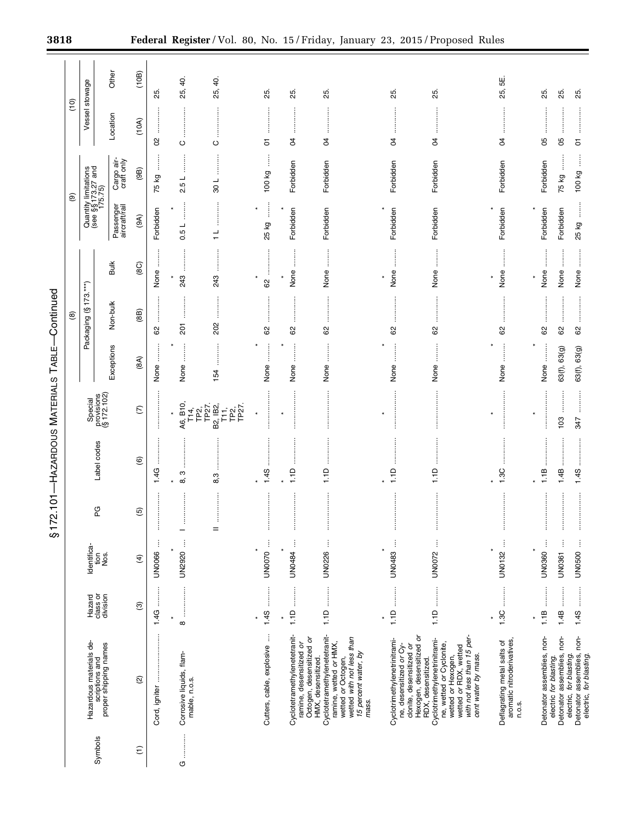|                  |                                                                                                                                                                                                                |                          |                           | \$17           | 2.101-HAZARDOUS MATERIALS |                                            | TABLE-                       | -Continued           |                              |                            |                                                       |                |               |
|------------------|----------------------------------------------------------------------------------------------------------------------------------------------------------------------------------------------------------------|--------------------------|---------------------------|----------------|---------------------------|--------------------------------------------|------------------------------|----------------------|------------------------------|----------------------------|-------------------------------------------------------|----------------|---------------|
|                  |                                                                                                                                                                                                                |                          |                           |                |                           |                                            |                              | @                    |                              |                            | ම                                                     | ίg             |               |
| Symbols          | Hazardous materials de-<br>scriptions and<br>proper shipping names                                                                                                                                             | Hazard                   | Identifica-<br>tion       | ပ္စာ           | Label codes               | Special                                    |                              | Packaging (§173.***) |                              |                            | Quantity limitations<br>(see §§ 173.27 and<br>175.75) | Vessel stowage |               |
|                  |                                                                                                                                                                                                                | class or<br>division     | Nos.                      |                |                           | provisions<br>$(§ 172.102)$                | Exceptions                   | Non-bulk             | <b>Bulk</b>                  | Passenger<br>aircraft/rail | Cargo air-<br>craft only                              | Location       | Other         |
| $\widehat{\tau}$ | $\widehat{\infty}$                                                                                                                                                                                             | $\widehat{\mathfrak{G}}$ | $\widehat{f}$             | $\overline{6}$ | $\circledcirc$            | $\widehat{\in}$                            | (8A)                         | (88)                 | (8C)                         | (9A)                       | (9B)                                                  | (10A)          | (10B)         |
|                  | Cord, igniter                                                                                                                                                                                                  | .<br>.<br>.<br>.<br>1.4G | ŧ<br><b>UN0066</b>        | İ              | 1.4G                      |                                            | None                         | 8                    | $\vdots$<br>None             | Forbidden                  | j<br>75 kg                                            | 8              | 25            |
| U                | Corrosive liquids, flam-<br>mable, n.o.s.                                                                                                                                                                      | <br>$\star$<br>$\infty$  | ŧ<br><b>UN2920</b>        | ÷              | ო<br>ထ                    | A6, B10,<br>T14,<br>TP2,                   | None                         | 201                  | 243                          | l<br>0.5L                  | ا ت<br>۵i                                             | ပ              | Q.<br>25,     |
|                  |                                                                                                                                                                                                                |                          |                           | $=$            | 8,3                       | B2, IB2,<br>T11,<br>TP27.<br>TP2,<br>TP27. | 54                           | 202                  | ÷<br>243                     | ┙                          | 108                                                   | $\circ$        | 25, 40.       |
|                  | Cutters, cable, explosive                                                                                                                                                                                      | $1.4S$                   | UN0070                    | ŧ              | j<br>1.45                 | <br> <br> <br> <br>$\star$                 | j<br>None                    | 62                   | 8                            | ļ<br>25 kg                 | ł<br>100 kg                                           | 5              | 25.           |
|                  | Cyclotetramethylenetetranit-<br>ramine, desensitized or                                                                                                                                                        | <b>Company</b><br>1.1D   | ļ<br><b>UN0484</b>        | Î              | 1.1D                      |                                            | None                         | 8                    | None                         | Forbidden                  | Forbidden                                             | g              | 25.           |
|                  | Cyclotetramethylenetetranit-<br>Octogen, desensitized or<br>wetted or Octogen,<br>wetted with not less than<br>ramine, wetted or HMX,<br>15 percent water, by<br>HMX, desensitized.<br>mass.                   |                          | UN0226                    | İ              | 1.1D                      |                                            | None                         | 62                   | None                         | Forbidden                  | Forbidden                                             | S4             | 25.           |
|                  | Cyclotrimethylenetrinitrami-<br>ne, desensitized or Cy-<br>clonite, desensitized or                                                                                                                            | $\frac{1}{1}$            | $\vdots$<br><b>UN0483</b> | İ              | 1.1D                      | $\ast$                                     | None                         | 8                    | None                         | Forbidden                  | Forbidden                                             | S4             | 25.           |
|                  | with not less than 15 per-<br>Hexogen, desensitized or<br>Cyclotrimethylenetrinitrami-<br>ne, wetted or Cyclonite,<br>wetted or Hexogen,<br>wetted or RDX, wetted<br>cent water by mass.<br>RDX, desensitized. |                          | İ<br>UN0072               | İ              | 1.1D                      |                                            | None                         | 62                   | $\ddot{\phantom{a}}$<br>None | Forbidden                  | Forbidden                                             | S              | 25.           |
|                  | Deflagrating metal salts of<br>aromatic nitroderivatives,<br>n.o.s.                                                                                                                                            | <br>1.3C                 | j<br>UN0132               | İ              | 1.3C                      | $\star$                                    | None                         | 8                    | None                         | Forbidden                  | Forbidden                                             | S              | ى<br>5<br>25, |
|                  |                                                                                                                                                                                                                |                          |                           |                |                           | ×                                          |                              |                      |                              |                            |                                                       |                |               |
|                  | Detonator assemblies, non-<br>electric for blasting.                                                                                                                                                           | 1.1B                     | ŧ<br>UN0360               | İ              | 1.1B                      |                                            | $\ddot{\phantom{a}}$<br>None | 8                    | $\vdots$<br>None             | Forbidden                  | Forbidden                                             | 8              | 25.           |
|                  | Detonator assemblies, non-<br>electric, for blasting.                                                                                                                                                          | :<br>:<br>:<br>1.4B      | ļ<br><b>UN0361</b>        | İ              | 1.4B                      | 103                                        | 63(f), 63(g)                 | 62                   | None                         | Forbidden                  | $\vdots$<br>75 kg                                     | 8              | 25.           |
|                  | Detonator assemblies, non-<br>electric, for blasting.                                                                                                                                                          | 1.4S                     | UN0500                    | ŧ              | 1.4S                      | 347                                        | 63(f), 63(g)                 | 62                   | None                         | 25 kg                      | ļ<br>100 kg                                           | 5              | 25.           |

E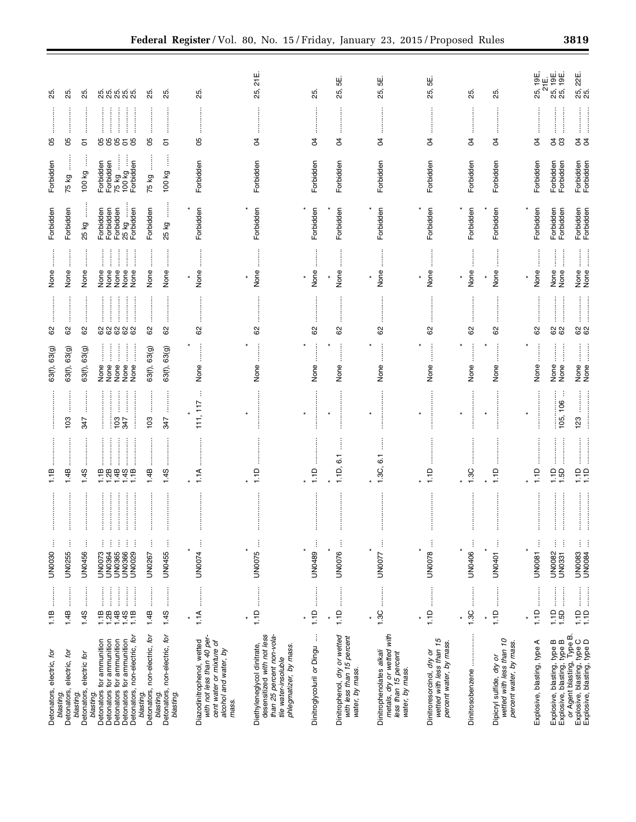| Detonators, electric, for                                                                                                                | <b><i><u><u></u></u></i></b><br>1.1B       | ŧ<br><b>UN0030</b>           | 1.1B                    |                         | 63(f), 63(g)                                          | 62                            | None                                                    | Forbidden              | Forbidden                                              | 8                                        | ಸಿ                               |
|------------------------------------------------------------------------------------------------------------------------------------------|--------------------------------------------|------------------------------|-------------------------|-------------------------|-------------------------------------------------------|-------------------------------|---------------------------------------------------------|------------------------|--------------------------------------------------------|------------------------------------------|----------------------------------|
| electric, for<br>Detonators,<br>blasting.                                                                                                | <br>1.4B                                   | ŧ<br>UN0255                  | 1.4B                    | 103                     | 63(f), 63(g)                                          | 62                            | None                                                    | Forbidden              | 75 kg                                                  | 8                                        | 25.                              |
| electric for<br>Detonators,<br>blasting                                                                                                  | :<br>:<br>:<br>1.4S                        | j<br><b>UN0456</b>           | 1.45                    | 347                     | 63(f), 63(g)                                          | 8                             | None                                                    | 25 kg                  | 100 kg                                                 | 5                                        | 25.                              |
| for ammunition<br><b>Detonators</b><br>blasting.                                                                                         | :<br>:<br>:                                | UN0073                       |                         | <br> <br> <br>          |                                                       |                               | None                                                    | Forbidden              |                                                        |                                          |                                  |
| Detonators for ammunition                                                                                                                | :<br>:<br>:<br>:<br>ļ<br>$1.788$<br>$1.48$ | UN0365<br>UN0364             |                         | :<br>:<br>:<br>:<br>103 | j<br>l<br>None<br>None<br>None                        | <br> <br> <br> <br> <br> <br> | j<br>$\ddot{}}$<br>None<br>None                         | Forbidden<br>Forbidden |                                                        | 888                                      |                                  |
| Detonators, non-electric, for<br>Detonators for ammunition<br>Detonators for ammunition                                                  | İ<br>:<br>:<br>$1.16$<br>1.1B              | UN0029<br>UN0366             | <br>11448118            | <b>S47</b>              | I<br>l<br>None<br>None                                | 88888                         | $\ddot{}}$<br>$\vdots$<br>None<br>None                  | Forbidden<br>25 kg     | Forbidden<br>Forbidden<br>75 kg<br>100 kg<br>Forbidden | :<br>:<br>:<br>:<br>80<br>$\overline{5}$ | ស្លួំ ស្លុំ ស្លុំ<br>សូ សូ សូ សូ |
| Detonators, non-electric, for<br>blasting.                                                                                               | 1.4B                                       | ŧ<br>UN0267                  | 1.4B                    | 103                     | 63(f), 63(g)                                          | <br>8                         | None                                                    | Forbidden              | $\vdots$<br>75 kg                                      | 80                                       | 85                               |
| Detonators, non-electric, for<br>blasting.<br>blasting.                                                                                  | 1.4S                                       | ŧ<br>UN0455                  | 1.4S                    | <br>347                 | 63(f), 63(g)                                          | 62                            | None                                                    | 25 kg                  | 100 kg                                                 | 5                                        | 85.                              |
|                                                                                                                                          |                                            |                              |                         |                         |                                                       |                               |                                                         |                        |                                                        |                                          |                                  |
| with not less than 40 per-<br>Diazodinitrophenol, wetted<br>cent water or mixture of<br>alcohol and water, by<br>mass.                   | <b>Company</b><br>1.1A                     | ÷<br>UN0074                  | 1.1A                    | 111, 117                | None                                                  | 83                            | None                                                    | Forbidden              | Forbidden                                              | 8                                        | 25.                              |
| desensitized with not less<br>than 25 percent non-vola-<br>Diethyleneglycol dinitrate,<br>phlegmatizer, by mass.<br>tile water-insoluble | :<br>:<br>:<br>1.1D                        | Ĵ<br>×<br><b>UN0075</b>      | 1.1D                    | $\star$                 | None                                                  | 62                            | None                                                    | Forbidden              | Forbidden                                              | S4                                       | 님<br>21<br>25,                   |
| ŧ<br>Dinitroglycoluril or Dingu                                                                                                          | j<br>1.1D                                  | ÷<br>UN0489                  | 1.1D                    | $\ast$                  | None                                                  | 8                             | None                                                    | Forbidden              | Forbidden                                              | g                                        | 25.                              |
|                                                                                                                                          |                                            |                              |                         |                         |                                                       |                               |                                                         |                        |                                                        |                                          |                                  |
| Dinitrophenol, dry or wetted<br>with less than 15 percent<br>water, by mass.                                                             | 1.1D                                       | UN0076                       | 1.1D, 6.1               |                         | None                                                  | 62                            | :<br>:<br>None                                          | Forbidden              | Forbidden                                              | S,                                       | <u>يا</u><br>25,                 |
| metals, dry or wetted with<br>Dinitrophenolates alkali<br>less than 15 percent<br>water, by mass.                                        | $\ddot{\ddot{\theta}}$<br>1.3C<br>¥        | Ì<br>UN0077                  | $\overline{6}$<br>1.3C, | $\ast$                  | None                                                  | 8                             | None                                                    | Forbidden              | Forbidden                                              | đ                                        | њ.<br>5<br>25,                   |
| wetted with less than 15<br>Dinitroresorcinol, dry or                                                                                    | 1.1D                                       | Ĵ<br><b>UN0078</b>           | 1.1D                    |                         | None                                                  | 8                             | None                                                    | Forbidden              | Forbidden                                              | S,                                       | <u>۳</u><br>25,                  |
| percent water, by mass.                                                                                                                  |                                            |                              |                         |                         |                                                       |                               |                                                         |                        |                                                        |                                          |                                  |
| Dinitrosobenzene                                                                                                                         | 1.3C                                       | UN0406                       | 1.3C                    | l<br>¥                  | $\vdots$<br>None                                      | 8                             | None                                                    | Forbidden              | Forbidden                                              | $\overline{5}$                           | 25.                              |
| wetted with less than 10<br>percent water, by mass.<br>Dipicryl sulfide, dry or                                                          | 1.1D                                       | ŧ<br>UN0401                  | 1.1D                    | $\star$                 | $\ddot{}}$<br>None                                    | 62                            | :<br>:<br>:<br>None                                     | Forbidden              | Forbidden                                              | <br>$\overline{5}$                       | 25.                              |
| Explosive, blasting, type A                                                                                                              | 1.1D                                       | <b>UN0081</b>                | $\frac{1}{1}$           |                         | None                                                  | 8                             | None                                                    | Forbidden              | Forbidden                                              | $\overline{5}$                           | 25, 19E,                         |
|                                                                                                                                          |                                            | Ť                            |                         |                         |                                                       |                               |                                                         |                        |                                                        |                                          | 21E                              |
| or Agent blasting, Type B.<br>Explosive, blasting, type B<br>Explosive, blasting, type B                                                 | $\frac{1}{2}$<br>1.1D<br>1.5D              | ŧ<br>ŧ<br>UN0082<br>UN0331   | 1.5D                    | ÷<br>105, 106           | $\frac{1}{2}$<br>$\ddot{\phantom{a}}$<br>None<br>None | 82                            | $\frac{1}{2}$<br>$\ddot{\ddot{\theta}}$<br>None<br>None | Forbidden<br>Forbidden | Forbidden<br>Forbidden                                 | $\infty$<br>S,                           | i 9E.<br>25, 19E.<br>25, 19      |
| Explosive, blasting, type C<br>Explosive, blasting, type D                                                                               |                                            | ļ<br><b>UN0083</b><br>UN0084 | ee                      | 123                     | None                                                  | 62<br>62                      | None<br>None                                            | Forbidden<br>Forbidden | Forbidden<br>Forbidden                                 | 24                                       | 25, 22E.<br>25.                  |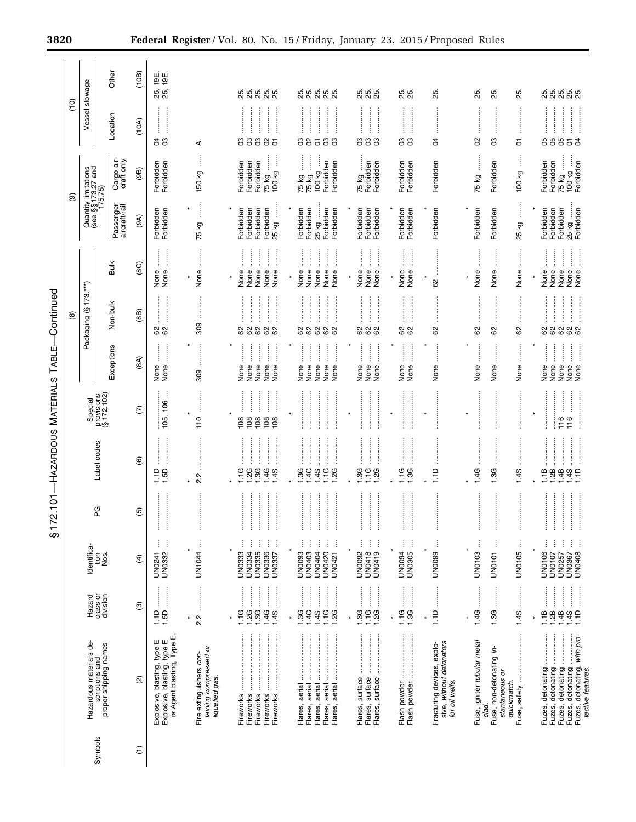|                      |               |                                                       | Other                      | (10B)              | 25, 19E.<br>25, 19E.                                                                              |                                                                    |                                                                                                                                                                                                                                                                                                                                                                                                                             |                                                                                                                                                                                                                                                                                                                                                                                                      |                                                                                                                                                                                                                                                              |                                                                                                                                                            |                                                                          |                                                                  |                                                                                                                                                                                                                                                                                                                                     |                                                                                                                                                                                                                                                                                                                                                                                                                                                                                        |
|----------------------|---------------|-------------------------------------------------------|----------------------------|--------------------|---------------------------------------------------------------------------------------------------|--------------------------------------------------------------------|-----------------------------------------------------------------------------------------------------------------------------------------------------------------------------------------------------------------------------------------------------------------------------------------------------------------------------------------------------------------------------------------------------------------------------|------------------------------------------------------------------------------------------------------------------------------------------------------------------------------------------------------------------------------------------------------------------------------------------------------------------------------------------------------------------------------------------------------|--------------------------------------------------------------------------------------------------------------------------------------------------------------------------------------------------------------------------------------------------------------|------------------------------------------------------------------------------------------------------------------------------------------------------------|--------------------------------------------------------------------------|------------------------------------------------------------------|-------------------------------------------------------------------------------------------------------------------------------------------------------------------------------------------------------------------------------------------------------------------------------------------------------------------------------------|----------------------------------------------------------------------------------------------------------------------------------------------------------------------------------------------------------------------------------------------------------------------------------------------------------------------------------------------------------------------------------------------------------------------------------------------------------------------------------------|
|                      | $\frac{1}{2}$ | Vessel stowage                                        |                            |                    |                                                                                                   |                                                                    | ស់ ស់ ស់ ស់<br>សំ សំ សំ សំ                                                                                                                                                                                                                                                                                                                                                                                                  | 85.<br>25.<br><u>ສູ່ ສູ່ ສູ</u>                                                                                                                                                                                                                                                                                                                                                                      | g g g<br>20                                                                                                                                                                                                                                                  | 25.<br>25.                                                                                                                                                 | 25.                                                                      | 25.<br>25.                                                       | 25.                                                                                                                                                                                                                                                                                                                                 | ង ង ង ង ង<br>ស ស ស                                                                                                                                                                                                                                                                                                                                                                                                                                                                     |
|                      |               |                                                       | Location                   | (10A)              | <b>z</b> g                                                                                        | 4                                                                  | 88885                                                                                                                                                                                                                                                                                                                                                                                                                       | gg<br>385                                                                                                                                                                                                                                                                                                                                                                                            | 333                                                                                                                                                                                                                                                          | ខី ខិ                                                                                                                                                      | \$                                                                       | 3<br>8                                                           | 5                                                                                                                                                                                                                                                                                                                                   | 88853                                                                                                                                                                                                                                                                                                                                                                                                                                                                                  |
|                      |               |                                                       | Cargo air-<br>craft only   | (96)               | Forbidden<br>Forbidden                                                                            | ł<br>150 kg                                                        | 75 kg<br>100 kg<br>Forbidden<br>Forbidden<br>Forbidden                                                                                                                                                                                                                                                                                                                                                                      | 75 kg<br>75 kg<br>100 kg<br>Forbidden<br>Forbidden                                                                                                                                                                                                                                                                                                                                                   | $\ddot{\ddot{\phantom{}}\phantom{}}$<br>75 kg<br>Forbidden<br>Forbidden                                                                                                                                                                                      | Forbidden<br>Forbidden                                                                                                                                     | Forbidden                                                                | Forbidden<br>75 kg                                               | ļ<br>100 kg                                                                                                                                                                                                                                                                                                                         | Î<br>75 kg<br>Forbidden<br>Forbidden<br>Forbidden<br>100 kg                                                                                                                                                                                                                                                                                                                                                                                                                            |
|                      | ම             | Quantity limitations<br>(see §§ 173.27 and<br>175.75) | Passenger<br>aircraft/rail | (9A)               | Forbidden<br>Forbidden                                                                            | ĺ<br>75 kg                                                         | 25 kg<br>Forbidden<br>Forbidden<br>Forbidden<br>Forbidden                                                                                                                                                                                                                                                                                                                                                                   | Forbidden<br>Forbidden<br>25 kg<br>Forbidden<br>Forbidden                                                                                                                                                                                                                                                                                                                                            | Forbidden<br>Forbidden<br>Forbidden                                                                                                                                                                                                                          | Forbidden<br>Forbidden                                                                                                                                     | Forbidden                                                                | Forbidden<br>Forbidden                                           | j<br>25 kg                                                                                                                                                                                                                                                                                                                          | 25 kg<br>Forbidden<br>Forbidden<br>Forbidden<br>Forbidden                                                                                                                                                                                                                                                                                                                                                                                                                              |
|                      |               |                                                       |                            |                    |                                                                                                   |                                                                    |                                                                                                                                                                                                                                                                                                                                                                                                                             |                                                                                                                                                                                                                                                                                                                                                                                                      |                                                                                                                                                                                                                                                              |                                                                                                                                                            |                                                                          |                                                                  |                                                                                                                                                                                                                                                                                                                                     |                                                                                                                                                                                                                                                                                                                                                                                                                                                                                        |
|                      |               | $\leftarrow$                                          | Bulk                       | (8C)               | $\frac{1}{2}$<br>j<br>None<br>None                                                                | None<br>$\star$                                                    | j<br>$\begin{array}{c} \vdots \\ \vdots \\ \vdots \end{array}$<br>$\begin{array}{c} \begin{array}{c} \bullet \\ \bullet \\ \bullet \end{array} \end{array}$<br>None<br>None<br>None<br>None<br>None<br>$\star$                                                                                                                                                                                                              | $\ddot{\phantom{a}}$<br>ĺ<br>$\ddot{\phantom{a}}$<br>$\ddot{\phantom{a}}$<br>None<br>None<br>None<br>None<br>None<br>$\star$                                                                                                                                                                                                                                                                         | $\begin{array}{c}\n\vdots \\ \vdots \\ \vdots\n\end{array}$<br>j<br>$\begin{array}{c} \begin{array}{c} \begin{array}{c} \begin{array}{c} \end{array} \\ \begin{array}{c} \end{array} \end{array} \end{array} \end{array}$<br>None<br>None<br>None<br>$\star$ | $\ddot{\ddot{\cdot}}$<br>ļ<br>None<br>None<br>$\star$                                                                                                      | $\ast$<br>8                                                              | $\ddot{\phantom{a}}$<br>None<br>None<br>$\star$                  | None                                                                                                                                                                                                                                                                                                                                | İ<br>$\frac{1}{2}$<br>İ<br> <br> <br> <br>None<br>None<br>None<br>None<br>None<br>$\star$                                                                                                                                                                                                                                                                                                                                                                                              |
| -Continued           | ම             | Packaging (§173.                                      | Non-bulk                   | (88)               | 82                                                                                                | 809                                                                | 88888                                                                                                                                                                                                                                                                                                                                                                                                                       | 88888                                                                                                                                                                                                                                                                                                                                                                                                | <b>.</b><br>.<br>.<br>.<br>.<br>888                                                                                                                                                                                                                          | 82                                                                                                                                                         | 8                                                                        | 8<br>8                                                           | 8                                                                                                                                                                                                                                                                                                                                   | 88888                                                                                                                                                                                                                                                                                                                                                                                                                                                                                  |
| TABLE-               |               |                                                       | Exceptions                 | (8A)               | ĺ<br>j                                                                                            |                                                                    | Ì<br>ĺ<br>$\ddot{\ddot{\phantom{}}\phantom{}}$<br>j<br>İ<br>None                                                                                                                                                                                                                                                                                                                                                            | $\vdots$<br>$\frac{1}{2}$<br>$\ast$<br>I<br>j                                                                                                                                                                                                                                                                                                                                                        | $\begin{array}{c} \vdots \\ \vdots \\ \vdots \end{array}$<br>$\ast$<br>l                                                                                                                                                                                     | $\begin{array}{c} \begin{array}{c} \begin{array}{c} \begin{array}{c} \end{array} \\ \begin{array}{c} \end{array} \end{array} \end{array} \end{array}$<br>ļ | $\vdots$                                                                 | ŧ<br>$\ddot{\phantom{a}}$<br>×                                   |                                                                                                                                                                                                                                                                                                                                     | j<br>ĺ<br>l<br>ĺ<br>ļ<br>None<br>None<br>None                                                                                                                                                                                                                                                                                                                                                                                                                                          |
|                      |               |                                                       |                            |                    | None<br>None<br>÷                                                                                 | 309                                                                | None<br>None<br>None<br>None                                                                                                                                                                                                                                                                                                                                                                                                | None<br>None<br>None<br>None<br>None                                                                                                                                                                                                                                                                                                                                                                 | None<br>None<br>None                                                                                                                                                                                                                                         | None<br>None                                                                                                                                               | None                                                                     | None<br>None                                                     | None                                                                                                                                                                                                                                                                                                                                | None<br>None                                                                                                                                                                                                                                                                                                                                                                                                                                                                           |
|                      |               | provisions<br>(§ 172.102)<br>Special                  |                            | $\widehat{C}$      | 105, 106                                                                                          | $\star$<br>110                                                     | .<br>.<br>.<br>.<br>.<br>.<br>$\frac{1}{2}$<br>$\star$<br>es a a<br>108                                                                                                                                                                                                                                                                                                                                                     | $\star$                                                                                                                                                                                                                                                                                                                                                                                              |                                                                                                                                                                                                                                                              |                                                                                                                                                            |                                                                          | $\star$                                                          |                                                                                                                                                                                                                                                                                                                                     | <br> <br> <br> <br>$\star$<br>116<br>116                                                                                                                                                                                                                                                                                                                                                                                                                                               |
| -HAZARDOUS MATERIALS |               | Label codes                                           |                            | $\circlede$        | 1.50                                                                                              | <b>N</b><br>Νi                                                     |                                                                                                                                                                                                                                                                                                                                                                                                                             | $\frac{1}{2}$<br>999999999                                                                                                                                                                                                                                                                                                                                                                           | .<br>.<br>.<br>.<br>.<br>.<br><br>$7.700$<br>$7.700$                                                                                                                                                                                                         | $1.30$<br>$1.30$                                                                                                                                           | 1.1D                                                                     | 1.4G<br>1.3G                                                     | 1.4S                                                                                                                                                                                                                                                                                                                                | $1.18$<br>$1.28$<br>$1.48$<br>$1.45$<br>$1.45$                                                                                                                                                                                                                                                                                                                                                                                                                                         |
| 72.101               |               | 6G                                                    |                            | $\overline{5}$     |                                                                                                   |                                                                    | $\frac{1}{2}$                                                                                                                                                                                                                                                                                                                                                                                                               | $\ddot{}}$                                                                                                                                                                                                                                                                                                                                                                                           |                                                                                                                                                                                                                                                              |                                                                                                                                                            |                                                                          |                                                                  |                                                                                                                                                                                                                                                                                                                                     | $\ddot{}}$                                                                                                                                                                                                                                                                                                                                                                                                                                                                             |
| ဖာ                   |               | Identifica-<br>tion                                   | Sok                        | $\widehat{f}$      | ŧ<br>Ĵ<br>UN0241<br>UN0332                                                                        | Ì<br>UN1044                                                        | ŧ<br>j<br>÷<br>ŧ<br>ŧ<br><b>UN0333</b><br><b>UN0335</b><br><b>UN0336</b><br>UN0334<br>UN0337                                                                                                                                                                                                                                                                                                                                | ŧ<br>ŧ<br>ŧ<br>ŧ<br>÷<br><b>UN0093</b><br>UN0420<br>UN0421<br><b>UN0403</b><br>UN0404                                                                                                                                                                                                                                                                                                                | $\vdots$<br>÷<br>j<br><b>UN0418</b><br>UN0419<br>UN0092                                                                                                                                                                                                      | ŧ<br>÷<br>UN0094<br><b>UN0305</b>                                                                                                                          | Ĵ<br>UN0099                                                              | UN0103<br>j<br>UN0101                                            | ÷<br>UN0105                                                                                                                                                                                                                                                                                                                         | j<br>ŧ<br>ŧ<br>j<br><b>UN0106</b><br>UN0408<br>UN0107<br>UN0257<br>UN0367                                                                                                                                                                                                                                                                                                                                                                                                              |
|                      |               | class or<br>Hazard                                    | division                   | ම                  | 1.50                                                                                              | <br>2.2<br>$\star$                                                 | :<br>:<br>:<br><br>j<br>$\frac{1}{2}$<br>$\begin{bmatrix} 1 & 0 & 0 & 0 \\ 0 & 0 & 0 & 0 \\ 0 & 0 & 0 & 0 \\ 0 & 0 & 0 & 0 \\ 0 & 0 & 0 & 0 \\ 0 & 0 & 0 & 0 \\ 0 & 0 & 0 & 0 & 0 \\ 0 & 0 & 0 & 0 & 0 \\ 0 & 0 & 0 & 0 & 0 \\ 0 & 0 & 0 & 0 & 0 & 0 \\ 0 & 0 & 0 & 0 & 0 & 0 \\ 0 & 0 & 0 & 0 & 0 & 0 & 0 \\ 0 & 0 & 0 & 0 & 0 & 0 & 0 \\ 0 & 0 & 0 & 0 & 0 & 0 & $<br>$1.3G$<br>$1.4G$<br>1.1G<br>$\overline{2}G$<br>1.4S | $\begin{bmatrix} 1 & 0 & 0 & 0 \\ 0 & 0 & 0 & 0 \\ 0 & 0 & 0 & 0 \\ 0 & 0 & 0 & 0 \\ 0 & 0 & 0 & 0 \\ 0 & 0 & 0 & 0 \\ 0 & 0 & 0 & 0 & 0 \\ 0 & 0 & 0 & 0 & 0 \\ 0 & 0 & 0 & 0 & 0 \\ 0 & 0 & 0 & 0 & 0 & 0 \\ 0 & 0 & 0 & 0 & 0 & 0 \\ 0 & 0 & 0 & 0 & 0 & 0 & 0 \\ 0 & 0 & 0 & 0 & 0 & 0 & 0 \\ 0 & 0 & 0 & 0 & 0 & 0 & $<br>:<br>:<br>:<br>$1.3G$<br>$1.4G$<br>$149$<br>$179$<br>$120$<br>$\star$ | :<br>:<br>:<br>:<br>:<br>:<br>:<br>ļ<br>1.3G<br>1.1G<br>1.2G<br>$\ast$                                                                                                                                                                                       | 1.1G<br>1.3G                                                                                                                                               | $\frac{1}{1}$                                                            | <b>Company</b><br><br>1.4G<br>1.3G<br>¥                          | $\begin{bmatrix} 1 & 0 & 0 & 0 \\ 0 & 0 & 0 & 0 \\ 0 & 0 & 0 & 0 \\ 0 & 0 & 0 & 0 \\ 0 & 0 & 0 & 0 \\ 0 & 0 & 0 & 0 \\ 0 & 0 & 0 & 0 & 0 \\ 0 & 0 & 0 & 0 & 0 \\ 0 & 0 & 0 & 0 & 0 \\ 0 & 0 & 0 & 0 & 0 & 0 \\ 0 & 0 & 0 & 0 & 0 & 0 \\ 0 & 0 & 0 & 0 & 0 & 0 & 0 \\ 0 & 0 & 0 & 0 & 0 & 0 & 0 \\ 0 & 0 & 0 & 0 & 0 & 0 & $<br>1.4S | $\begin{array}{c} \begin{array}{c} \bullet \\ \bullet \\ \bullet \end{array} \end{array}$<br>—<br>—<br>—<br>$\begin{bmatrix} 1 & 0 & 0 & 0 \\ 0 & 0 & 0 & 0 \\ 0 & 0 & 0 & 0 \\ 0 & 0 & 0 & 0 \\ 0 & 0 & 0 & 0 \\ 0 & 0 & 0 & 0 \\ 0 & 0 & 0 & 0 \\ 0 & 0 & 0 & 0 & 0 \\ 0 & 0 & 0 & 0 & 0 \\ 0 & 0 & 0 & 0 & 0 \\ 0 & 0 & 0 & 0 & 0 & 0 \\ 0 & 0 & 0 & 0 & 0 & 0 \\ 0 & 0 & 0 & 0 & 0 & 0 & 0 \\ 0 & 0 & 0 & 0 & 0 & 0 & 0 \\ 0 & 0 & $<br>$1.49$<br>$1.10$<br>$1.10$<br>1.1B<br>1.2B |
|                      |               | Hazardous materials de-<br>scriptions and             | proper shipping names      | $\widehat{\infty}$ | or Agent blasting, Type E<br>blasting, type E<br>blasting, type E<br>Explosive, t<br>Explosive, t | taining compressed or<br>Fire extinguishers con-<br>liquefied gas. | Fireworks<br>Fireworks<br>Fireworks<br>Fireworks<br>Fireworks                                                                                                                                                                                                                                                                                                                                                               | aerial<br>aerial<br>aerial<br>aerial<br>aerial<br>Flares,<br>Flares,<br>Flares,<br>Flares,<br>Flares,                                                                                                                                                                                                                                                                                                | surface<br>surface<br>surface<br>Flares,<br>Flares,<br>Flares,                                                                                                                                                                                               | Flash powder<br>Flash powder                                                                                                                               | sive, without detonators<br>Fracturing devices, explo-<br>for oil wells. | Fuse, igniter tubular metal<br>Fuse, non-detonating in-<br>clad. | stantaneous or<br>ļ<br>quickmatch.<br>Fuse, safety                                                                                                                                                                                                                                                                                  | Fuzes, detonating<br>j<br>Fuzes, detonating, with pro-<br>j<br>Fuzes, detonating<br>Fuzes, detonating<br>Fuzes, detonating<br>tective features.                                                                                                                                                                                                                                                                                                                                        |
|                      |               | Symbols                                               |                            | $\widehat{\tau}$   |                                                                                                   |                                                                    |                                                                                                                                                                                                                                                                                                                                                                                                                             |                                                                                                                                                                                                                                                                                                                                                                                                      |                                                                                                                                                                                                                                                              |                                                                                                                                                            |                                                                          |                                                                  |                                                                                                                                                                                                                                                                                                                                     |                                                                                                                                                                                                                                                                                                                                                                                                                                                                                        |

÷.

 $\equiv$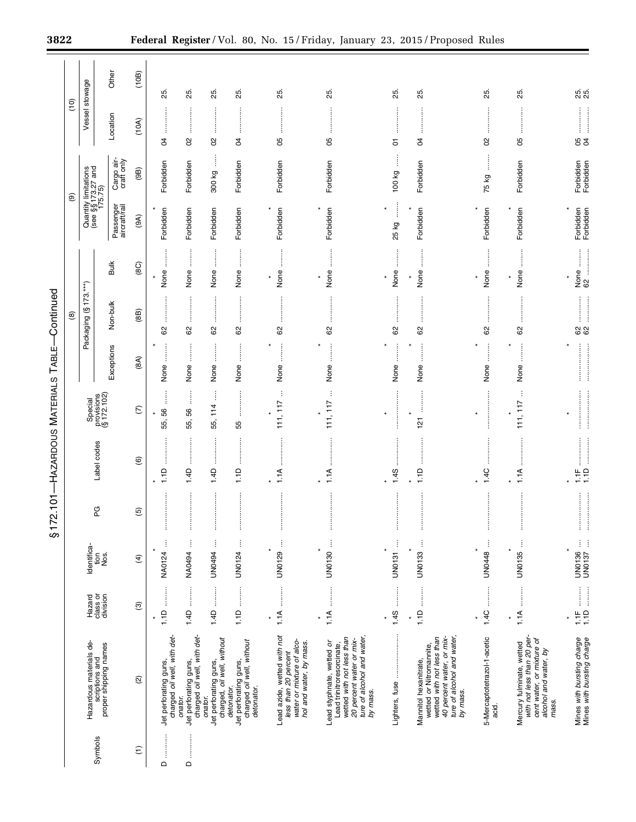|                 |                                                                                                                                                           |                                                                                                                                                                                                                                                                                                                                                                                                                                                                                                          |                         | j<br>ັ້ງ<br>ກ  |                                               | Ū<br>$\frac{1}{2}$<br>3              | ₹<br>りして                                     | コミラ                              |                                              |                            |                                                       |                    |            |
|-----------------|-----------------------------------------------------------------------------------------------------------------------------------------------------------|----------------------------------------------------------------------------------------------------------------------------------------------------------------------------------------------------------------------------------------------------------------------------------------------------------------------------------------------------------------------------------------------------------------------------------------------------------------------------------------------------------|-------------------------|----------------|-----------------------------------------------|--------------------------------------|----------------------------------------------|----------------------------------|----------------------------------------------|----------------------------|-------------------------------------------------------|--------------------|------------|
|                 |                                                                                                                                                           |                                                                                                                                                                                                                                                                                                                                                                                                                                                                                                          |                         |                |                                               |                                      |                                              | $\circledast$                    |                                              |                            | $\circledcirc$                                        | (10)               |            |
| Symbols         | Hazardous materials de-<br>scriptions and<br>proper shipping names                                                                                        | Hazard                                                                                                                                                                                                                                                                                                                                                                                                                                                                                                   | Identifica-             | PG             | Label codes                                   | Special<br>provisions<br>(§ 172.102) |                                              | Packaging (§173.***)             |                                              |                            | Quantity limitations<br>(see §§ 173.27 and<br>175.75) | Vessel stowage     |            |
|                 |                                                                                                                                                           | class or<br>division                                                                                                                                                                                                                                                                                                                                                                                                                                                                                     | tiere.<br>Nos           |                |                                               |                                      | Exceptions                                   | Non-bulk                         | <b>Bulk</b>                                  | Passenger<br>aircraft/rail | Cargo air-<br>craft only                              | Location           | Other      |
| $\widehat{\Xi}$ | $\widehat{\infty}$                                                                                                                                        | $\widehat{\mathfrak{G}}$                                                                                                                                                                                                                                                                                                                                                                                                                                                                                 | $\widehat{\mathcal{F}}$ | $\overline{6}$ | $\circledcirc$                                | $\widehat{C}$                        | (8A)                                         | (88)                             | (8C)                                         | (A6)                       | (9B)                                                  | (10A)              | (10B)      |
| $\sim$          | Jet perforating guns,<br>charged <i>oil well, with det</i> -                                                                                              |                                                                                                                                                                                                                                                                                                                                                                                                                                                                                                          | ŧ<br>NA0124             | $\vdots$       | $\vdots$<br>1.1D                              | $\vdots$<br>56<br>55,                | $\vdots$<br>None                             | 62                               | :<br>:<br>None                               | Forbidden                  | Forbidden                                             | S4                 | 25.        |
| $\Omega$        | Jet perforating guns,<br>charged <i>oil well, with det</i> -<br>onator.                                                                                   |                                                                                                                                                                                                                                                                                                                                                                                                                                                                                                          | j<br>NA0494             | j              | $\vdots$<br>1.4D                              | İ<br>55, 56                          | j<br>None                                    | $\vdots$<br>62                   | $\ddot{\ddot{\phantom{}}\phantom{}}$<br>None | Forbidden                  | Forbidden                                             | 8                  | 25.        |
|                 | Jet perforating guns,<br>charged, oil well, without<br>onator.                                                                                            | $1.4D$                                                                                                                                                                                                                                                                                                                                                                                                                                                                                                   | ł<br><b>UN0494</b>      | j              | 1.4D                                          | ļ<br>55, 114                         | $\ddot{\phantom{a}}$<br>None                 | <br>62                           | $\ddot{\ddot{\phantom{}}\phantom{}}$<br>None | Forbidden                  | ļ<br>300 kg                                           | g                  | 25.        |
|                 | charged oil well, without<br>Jet perforating guns,<br>detonator.<br>detonator.                                                                            |                                                                                                                                                                                                                                                                                                                                                                                                                                                                                                          | UN0124                  | ļ              | 1.1D                                          | <br>55                               | $\ddot{\ddot{\phantom{}}\phantom{}}$<br>None | <br>8                            | $\ddot{\ddot{\cdot}}$<br>None                | Forbidden                  | Forbidden                                             | S,                 | 25.        |
|                 | Lead azide, wetted with not<br>water or mixture of alco-<br>hol and water, by mass.<br>less than 20 percent                                               | $\frac{1}{2}$<br>1.1A                                                                                                                                                                                                                                                                                                                                                                                                                                                                                    | Ì<br>UN0129             | $\vdots$       | <br>1.1A                                      | ÷<br>111, 117                        | $\vdots$<br>×<br>None                        | <br>62                           | :<br>:<br>None<br>$\star$                    | Forbidden                  | Forbidden                                             | <br>80             | 25.        |
|                 | ture of alcohol and water,<br>wetted with not less than<br>20 percent water or mix-<br>Lead styphnate, wetted or<br>Lead trinitroresorcinate,<br>by mass. | $\begin{array}{ccccccccccccc} \multicolumn{2}{c}{} & \multicolumn{2}{c}{} & \multicolumn{2}{c}{} & \multicolumn{2}{c}{} & \multicolumn{2}{c}{} & \multicolumn{2}{c}{} & \multicolumn{2}{c}{} & \multicolumn{2}{c}{} & \multicolumn{2}{c}{} & \multicolumn{2}{c}{} & \multicolumn{2}{c}{} & \multicolumn{2}{c}{} & \multicolumn{2}{c}{} & \multicolumn{2}{c}{} & \multicolumn{2}{c}{} & \multicolumn{2}{c}{} & \multicolumn{2}{c}{} & \multicolumn{2}{c}{} & \multicolumn{2}{c}{} & \$<br>1.1A            | UN0130                  |                | 1.1A                                          | 111, 117                             | None                                         | 62                               | None<br>$\star$                              | Forbidden                  | Forbidden                                             | 8                  | 25.        |
|                 | Lighters, fuse                                                                                                                                            | 1.4S                                                                                                                                                                                                                                                                                                                                                                                                                                                                                                     | Ì<br><b>UN0131</b>      |                | 1.4S                                          | $\ast$                               | None                                         | 62                               | None<br>$\ast$                               | $\vdots$<br>25 kg          | 100 kg                                                | 5                  | 25.        |
|                 | ture of alcohol and water,<br>40 percent water, or mix-<br>wetted with not less than<br>wetted or Nitromannite,<br>Mannitol hexanitrate,<br>by mass.      | $\begin{array}{ccccccccccccc} \multicolumn{2}{c}{} & \multicolumn{2}{c}{} & \multicolumn{2}{c}{} & \multicolumn{2}{c}{} & \multicolumn{2}{c}{} & \multicolumn{2}{c}{} & \multicolumn{2}{c}{} & \multicolumn{2}{c}{} & \multicolumn{2}{c}{} & \multicolumn{2}{c}{} & \multicolumn{2}{c}{} & \multicolumn{2}{c}{} & \multicolumn{2}{c}{} & \multicolumn{2}{c}{} & \multicolumn{2}{c}{} & \multicolumn{2}{c}{} & \multicolumn{2}{c}{} & \multicolumn{2}{c}{} & \multicolumn{2}{c}{} & \$<br>1.1D<br>$\star$ | Ť<br>UN0133             | j<br>İ         | 1.1D                                          | $\star$<br>$\frac{1}{2}$             | $\ddot{\ddot{\phantom{}}\phantom{}}$<br>None | 62                               | İ<br>None<br>$\star$                         | Forbidden                  | Forbidden                                             | <br>$\overline{5}$ | 25.        |
|                 | 5-Mercaptotetrazol-1-acetic<br>acid.                                                                                                                      |                                                                                                                                                                                                                                                                                                                                                                                                                                                                                                          | UN0448                  |                | 1.4C                                          | $\ast$                               | None                                         | $62$                             | None                                         | Forbidden                  | ļ<br>75 kg                                            | 8                  | 25.        |
|                 | with not less than 20 per-<br>cent water, or mixture of<br>Mercury fulminate, wetted<br>alcohol and water, by<br>mass.                                    | 1.1A                                                                                                                                                                                                                                                                                                                                                                                                                                                                                                     | j<br>UN0135             | İ              | 1.1A                                          | ÷<br>111, 117                        | $\ddot{\ddot{\phantom{}}\phantom{}}$<br>None | .<br>.<br>.<br>.<br>.<br>.<br>62 | None<br>$\star$                              | Forbidden                  | Forbidden                                             | 80                 | 25.        |
|                 | Mines with bursting charge<br>Mines with bursting charge                                                                                                  | $\begin{bmatrix} 1.1F & \dots & \dots \\ 1.1D & \dots & \dots \end{bmatrix}$<br>                                                                                                                                                                                                                                                                                                                                                                                                                         | UN0136                  | ļ<br>ļ         | $\begin{array}{c}\n\phantom{0}1.4\end{array}$ |                                      |                                              | <b>82</b><br>62                  |                                              | Forbidden<br>Forbidden     | Forbidden<br>Forbidden                                | <b>88</b>          | 25.<br>25. |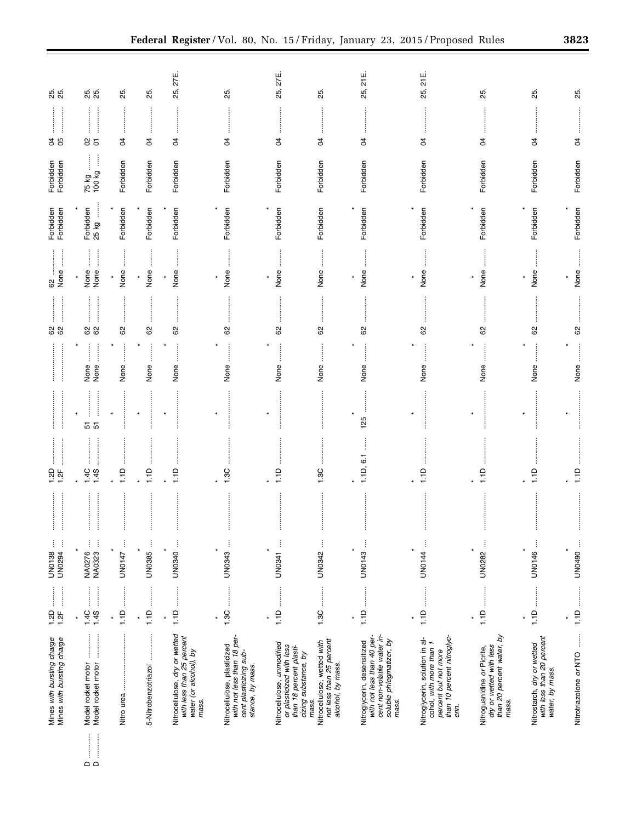|                                                                                                                         | Mines with bursting charge<br>Mines with bursting charge                                                                      | $1.2D$                                                                                                                                                                                                                                                                                                                                                                                                                                                                                                   | ŧ<br>Ĵ<br><b>UN0138</b><br>UN0294 | $1.25$<br>$1.25$ |          |                                                                                                                                                                            | 82      |                                    | Forbidden<br>Forbidden | Forbidden<br>Forbidden | <b>s</b> g | <u>ඝි</u>       |
|-------------------------------------------------------------------------------------------------------------------------|-------------------------------------------------------------------------------------------------------------------------------|----------------------------------------------------------------------------------------------------------------------------------------------------------------------------------------------------------------------------------------------------------------------------------------------------------------------------------------------------------------------------------------------------------------------------------------------------------------------------------------------------------|-----------------------------------|------------------|----------|----------------------------------------------------------------------------------------------------------------------------------------------------------------------------|---------|------------------------------------|------------------------|------------------------|------------|-----------------|
| $\begin{array}{c} \begin{array}{c} \begin{array}{c} \end{array}\\ \begin{array}{c} \end{array} \end{array} \end{array}$ | <br> <br> <br> <br>Model rocket motor<br>Model rocket motor                                                                   | $1.4C$<br>1.4S                                                                                                                                                                                                                                                                                                                                                                                                                                                                                           | ŧ<br>Ì<br>NA0276<br>NA0323        | $-4C$<br>1.45    | 51<br>5  | $\begin{array}{c} \begin{array}{c} \begin{array}{c} \begin{array}{c} \end{array} \\ \begin{array}{c} \end{array} \end{array} \end{array} \end{array}$<br>l<br>None<br>None | 82      | İ<br>$\frac{1}{2}$<br>None<br>None | 25 kg<br>Forbidden     | 75 kg<br>100 kg        | 85         | 25.<br>25.      |
|                                                                                                                         |                                                                                                                               | $\star$                                                                                                                                                                                                                                                                                                                                                                                                                                                                                                  | İ<br>UN0147                       | 1.1D             |          | None                                                                                                                                                                       | 8       | j<br>None                          | Forbidden              | Forbidden              | S          | 25.             |
|                                                                                                                         | 5-Nitrobenzotriazol                                                                                                           | $\begin{array}{cccccccccc} \multicolumn{2}{c}{} & \multicolumn{2}{c}{} & \multicolumn{2}{c}{} & \multicolumn{2}{c}{} & \multicolumn{2}{c}{} & \multicolumn{2}{c}{} & \multicolumn{2}{c}{} & \multicolumn{2}{c}{} & \multicolumn{2}{c}{} & \multicolumn{2}{c}{} & \multicolumn{2}{c}{} & \multicolumn{2}{c}{} & \multicolumn{2}{c}{} & \multicolumn{2}{c}{} & \multicolumn{2}{c}{} & \multicolumn{2}{c}{} & \multicolumn{2}{c}{} & \multicolumn{2}{c}{} & \multicolumn{2}{c}{} & \mult$<br>1.1D<br>$\ast$ | UN0385<br>$\ast$                  | 1.1D             | $\star$  | ĺ<br>None                                                                                                                                                                  | 62      | ĺ<br>None<br>$\ast$                | Forbidden              | Forbidden              | ļ<br>R     | 25.             |
|                                                                                                                         | Nitrocellulose, dry or wetted<br>with less than 25 percent<br>water (or alcohol), by<br>mass.                                 | $\star$                                                                                                                                                                                                                                                                                                                                                                                                                                                                                                  | UN0340<br>$\ast$                  | 1.1D             | $\ast$   | j<br>None                                                                                                                                                                  | 8       | None                               | Forbidden              | Forbidden              | S4         | 27E.<br>25,     |
|                                                                                                                         | with not less than 18 per-<br>Nitrocellulose, plasticized<br>cent plasticizing sub-<br>stance, by mass.                       | 1.3C                                                                                                                                                                                                                                                                                                                                                                                                                                                                                                     | ļ<br>UN0343                       | 1.3C             |          | None                                                                                                                                                                       | 8       | j<br>None                          | Forbidden              | Forbidden              | R          | 25.             |
|                                                                                                                         | Nitrocellulose, unmodified<br>or plasticized with less<br>than 18 percent plasti-<br>cizing substance, by                     | $\frac{1}{2}$<br>1.1D<br>$\star$                                                                                                                                                                                                                                                                                                                                                                                                                                                                         | UN0341                            | 1.1D             | $\star$  | ĺ<br>None                                                                                                                                                                  | 62      | $\ddot{\phantom{a}}$<br>None       | Forbidden              | Forbidden              | R          | 25, 27E.        |
|                                                                                                                         | not less than 25 percent<br>Nitrocellulose, wetted with<br>alcohol, by mass.<br>mass                                          |                                                                                                                                                                                                                                                                                                                                                                                                                                                                                                          | $\vdots$<br>UN0342                | 1.3C             |          | None                                                                                                                                                                       | ŧ<br>62 | None                               | Forbidden              | Forbidden              | ÷<br>S,    | 25.             |
|                                                                                                                         | cent non-volatile water in-<br>with not less than 40 per-<br>soluble phlegmatizer, by<br>Nitroglycerin, desensitized<br>mass. | 1.1D<br>×                                                                                                                                                                                                                                                                                                                                                                                                                                                                                                | UN0143                            | 1.1D, 6.1        | ÷<br>125 | j<br>None                                                                                                                                                                  | 62      | None                               | Forbidden              | Forbidden              | S,         | 1E.<br>25,      |
|                                                                                                                         | than 10 percent nitroglyc-<br>Nitroglycerin, solution in al-<br>cohol, with more than 1<br>percent but not more<br>erin.      | 1.1D                                                                                                                                                                                                                                                                                                                                                                                                                                                                                                     | UN0144                            | 1.1D             | $\ast$   | j<br>None                                                                                                                                                                  | 82      | $\ddot{\ddot{\cdot}}$<br>None      | Forbidden              | Forbidden              | S,         | 1년<br>21<br>25, |
|                                                                                                                         | than 20 percent water, by<br>dry or wetted with less<br>Nitroguanidine or Picrite,<br>mass.                                   | <br>1.1D<br>×                                                                                                                                                                                                                                                                                                                                                                                                                                                                                            | ŧ<br>$\star$<br>UN0282            | 1.1D             | $\star$  | None                                                                                                                                                                       | 62      | j<br>None                          | Forbidden              | Forbidden              | đ          | 25.             |
|                                                                                                                         | Nitrostarch, dry or wetted<br>with less than 20 percent<br>water, by mass.                                                    |                                                                                                                                                                                                                                                                                                                                                                                                                                                                                                          | UN0146                            | 1.1D             |          | j<br>None                                                                                                                                                                  | 8       | None                               | Forbidden              | Forbidden              | S4         | 25.             |
|                                                                                                                         | $\vdots$<br>Nitrotriazolone or NTO                                                                                            | <br>$\frac{1}{1}$                                                                                                                                                                                                                                                                                                                                                                                                                                                                                        | Ì<br><b>UN0490</b>                | $\frac{1}{2}$    |          | None                                                                                                                                                                       | 62      | None                               | Forbidden              | Forbidden              | S,         | 25.             |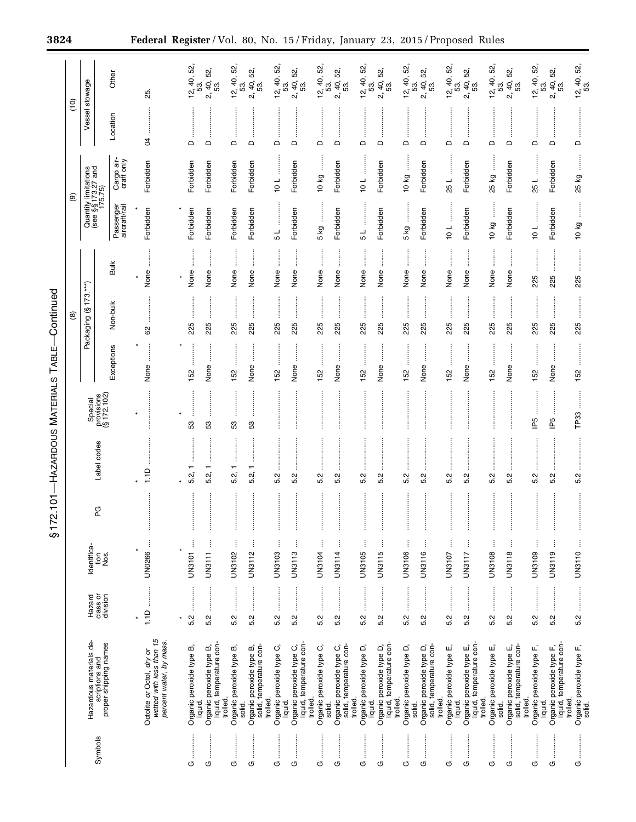|               |                                                                                  |                             |                           | 2.101<br>517<br>81 |                                  | HAZARDOUS MATERIALS                  | TABLE                 | Continued             |             |                            |                                                       |                        |                                           |
|---------------|----------------------------------------------------------------------------------|-----------------------------|---------------------------|--------------------|----------------------------------|--------------------------------------|-----------------------|-----------------------|-------------|----------------------------|-------------------------------------------------------|------------------------|-------------------------------------------|
|               |                                                                                  |                             |                           |                    |                                  |                                      |                       | ම                     |             |                            | $\circledcirc$                                        | $\frac{1}{2}$          |                                           |
| Symbols       | Hazardous materials de-<br>scriptions and<br>proper shipping names               | Hazard                      | Identifica-               | PG                 | Label codes                      | Special<br>provisions<br>(§ 172.102) |                       | Packaging (§ 173.***) |             |                            | Quantity limitations<br>(see §§ 173.27 and<br>175.75) | Vessel stowage         |                                           |
|               |                                                                                  | class or<br>division        | $rac{56}{26}$             |                    |                                  |                                      | Exceptions            | Non-bulk              | <b>Bulk</b> | Passenger<br>aircraft/rail | Cargo air-<br>craft only                              | Location               | Other                                     |
|               | wetted with less than 15<br>percent water, by mass.<br>Octolite or Octol, dry or | 1.1D<br>$\star$             | ł<br><b>UN0266</b>        | İ                  | 1.1D                             |                                      | None                  | 62                    | None        | Forbidden                  | Forbidden                                             | \$                     | 25.                                       |
| O             | Organic peroxide type B,                                                         | ŧ<br>5.2<br>×               | $\vdots$<br><b>UN3101</b> | İ                  | 5.2,                             | 53                                   | 152                   | 225                   | None        | Forbidden                  | Forbidden                                             | $\Omega$               |                                           |
| $\circ$       | liquid, temperature con-<br>Organic peroxide type B,<br>liquid.                  | 5.2                         | ļ<br><b>UN3111</b>        | ļ                  | $\overline{\phantom{0}}$<br>5.2, | S3                                   | $\frac{1}{2}$<br>None | 225                   | None        | Forbidden                  | Forbidden                                             | $\hfill \Box$          | $12, 40, 52,$<br>53.<br>2, 40, 52,<br>53. |
| O             | Organic peroxide type B,<br>trolled<br>solid.                                    | <br>5.2                     | $\vdots$<br>UN3102        | İ                  | 5.2,                             | S3                                   | 152                   | 225                   | None        | Forbidden                  | Forbidden                                             | ÷<br>$\mathsf{\Omega}$ | $12, 40, 52,$<br>53.                      |
| O             | solid, temperature con-<br>Organic peroxide type B,<br>trolled.                  | 5.2                         | ŧ<br>UN3112               | ł                  | 5.2,                             | S3                                   | None                  | 225                   | None        | Forbidden                  | Forbidden                                             | $\hfill \Box$          | 52,<br>2, 40,                             |
| O             | Organic peroxide type C,<br>liquid.                                              | 5.2                         | ŧ<br><b>UN3103</b>        | İ                  | Ņ<br>ιó                          |                                      | 152                   | 225                   | None        | 5 L                        | 101                                                   | $\mathsf \Omega$       | $12, 40, 52,$<br>53.                      |
| $\circ$       | liquid, temperature con-<br>Organic peroxide type C,<br>trolled.                 | <br> <br> <br> <br> <br>5.2 | ŧ<br><b>UN3113</b>        | ł                  | ŧ<br>5.2                         |                                      | None                  | 225                   | None        | Forbidden                  | Forbidden                                             | $\hfill \Box$          | 52,<br>49.5<br>$\vec{\alpha}$             |
| O             | Organic peroxide type C,<br>solid.                                               | 5.2                         | ÷<br>UN3104               |                    | 5.2                              |                                      | 152                   | 225                   | None        | 5 kg                       | 10 kg                                                 | $\hfill \Box$          |                                           |
| O             | Organic peroxide type C,<br>solid, temperature con-<br>trolled.                  | <br>5.2                     | ŧ<br><b>UN3114</b>        | İ                  | 5.2                              |                                      | None                  | 225                   | None        | Forbidden                  | Forbidden                                             | $\mathsf{\Omega}$      | $12, 40, 52,$<br>53.<br>2, 40, 52,<br>53. |
| O             | Organic peroxide type D,<br>liquid.                                              | 5.2                         | ŧ<br>UN3105               |                    | Ņ<br>ιó                          |                                      | 152                   | 225                   | None        | ل<br>م                     | 10L                                                   | $\Omega$               |                                           |
| O             | liquid, temperature con-<br>Organic peroxide type D,<br>trolled.                 | İ<br>5.2                    | ļ<br><b>UN3115</b>        | İ                  | 5.2                              |                                      | None                  | 225                   | None        | Forbidden                  | Forbidden                                             | $\mathrel{\mathsf{d}}$ | $12, 40, 52,$<br>53.<br>2, 40, 52,<br>53. |
| O             | Organic peroxide type D,<br>solid.                                               | 5.2                         | ŧ<br>UN3106               | j                  | Ņ<br>ယ                           |                                      | 152                   | 225                   | None        | 5 kg                       | 10 kg                                                 | $\Box$                 |                                           |
| İ<br>O        | Organic peroxide type D,<br>solid, temperature con-<br>trolled.                  | :<br>:<br>:<br>:<br>5.2     | j<br>UN3116               | İ                  | 5.2                              |                                      | None                  | 225                   | None        | Forbidden                  | Forbidden                                             | $\Box$                 | $12, 40, 52,$<br>53.<br>2, 40, 52,<br>53. |
| G             | Organic peroxide type E,<br>liquid.                                              | 5.2                         | ŧ<br>UN3107               | İ                  | 5.2                              |                                      | 152                   | 225                   | None        | $\frac{1}{2}$              | 25 L                                                  | $\Omega$               |                                           |
| $\vdots$<br>O | liquid, temperature con-<br>Organic peroxide type E,<br>trolled.                 | 5.2                         | ŧ<br>UN3117               | İ                  | 5.2                              |                                      | None                  | 225                   | None        | Forbidden                  | Forbidden                                             | $\hfill\square$        | $12, 40, 52,$<br>53.<br>2, 40, 52,<br>53. |
| O             | Organic peroxide type E,<br>solid.                                               | <br>5.2                     | j<br>UN3108               | İ                  | Ņ<br>ம்                          |                                      | 152                   | 225                   | None        | 10 kg                      | 25 kg                                                 | $\Omega$               | $12, 40, 52,$ 53.                         |
| ÷<br>O        | solid, temperature con-<br>Organic peroxide type E,<br>trolled.                  | 5.2                         | UN3118                    |                    | 5.2                              |                                      | None                  | 225                   | None        | Forbidden                  | Forbidden                                             | $\mathsf{\Omega}$      | 52,<br>2, 40,<br>53.                      |
| O             | Organic peroxide type F,<br>liquid.                                              | <br>5.2                     | ŧ<br>UN3109               | i                  | Ņ<br>ιó                          | P5                                   | 152                   | 225                   | 225         | 10L                        | 25L                                                   | $\Omega$               | 12, 40, 52                                |
| O             | Organic peroxide type F,<br>liquid, temperature con-<br>trolled.                 | 5.2                         | ŧ<br>UN3119               | j                  | 5.2                              | $\mathbb{P}^5$                       | None                  | 225                   | 225         | Forbidden                  | Forbidden                                             | $\mathsf{\Omega}$      | 8<br>.<br>ສ. 46<br>ລິ                     |
| O             | Organic peroxide type F,<br>solid.                                               | 5.2                         | UN3110                    |                    | 5.2                              | TP33                                 | 152                   | 225                   | 225         | 10 kg                      | 25 kg                                                 | $\Omega$               | $12, 40, 52,$<br>53.                      |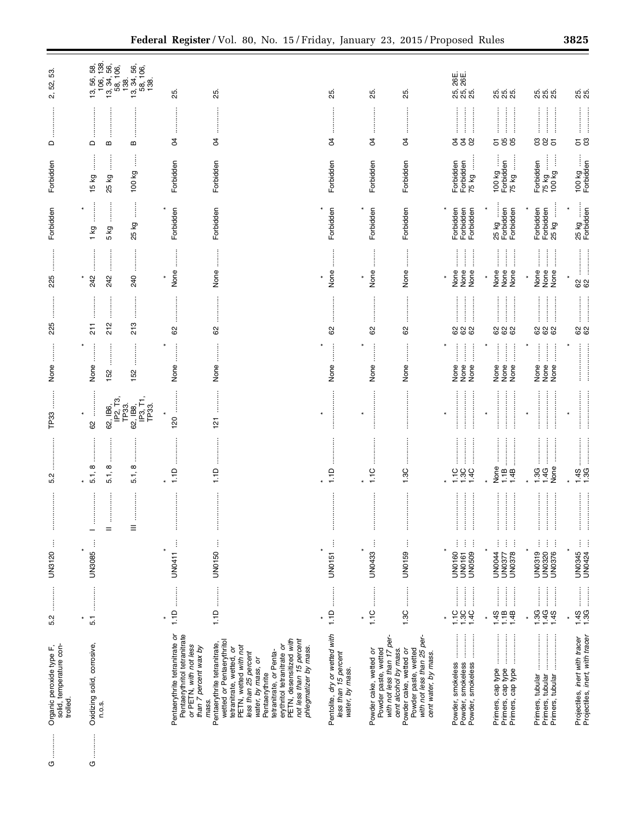| l<br>l<br>25 kg<br>Forbidden<br>Forbidden<br>Forbidden<br>Forbidden<br>Forbidden<br>Forbidden<br>Forbidden<br>Forbidden<br>Forbidden<br>Forbidden<br>¥<br>$\ast$                                                                             |
|----------------------------------------------------------------------------------------------------------------------------------------------------------------------------------------------------------------------------------------------|
| Forbidden<br>Forbidden<br>75 kg<br>75 kg<br>100 kg<br>$\begin{array}{ll} 100 \text{ kg} \dots \\ \text{Forbidden} \\ 75 \text{ kg} \dots \end{array}$<br>Forbidden<br>Forbidden<br>Forbidden<br>Forbidden<br>Forbidden<br>25 kg<br>Forbidden |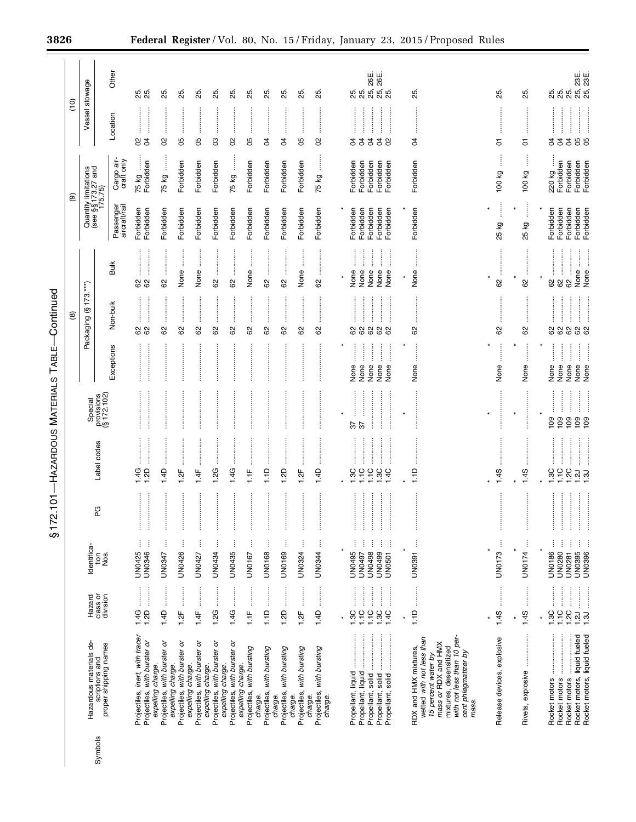| ֦֦֧֦֦֧֦֦֧֧֦֧֚֚֚֚֕֕֝֬֝֬֝֓֝֬֝֓֬֝֓֝֬֝֬֝֓<br>֧֪֝ <b>֓</b> ֧֧֖֧֧֧֧֚֚֚֚֚֚֚֚֓֬֝֬֝֬֝֬֝֬ |
|---------------------------------------------------------------------------------|
| י<br>נ                                                                          |
| ĺ<br>.<br> <br>                                                                 |
| ミスト・ト                                                                           |
|                                                                                 |
| l                                                                               |

|         |                                                                                                                                                                                           |                                                                                                                                                                                                                                                                                                                                                                                                                                                                                               |                                          |                                              |                                                                              |                                      |                                                                                                                                                                                             | ම                                                                      |                                                                |                            | $\circledcirc$                                        | (10)                   |                        |
|---------|-------------------------------------------------------------------------------------------------------------------------------------------------------------------------------------------|-----------------------------------------------------------------------------------------------------------------------------------------------------------------------------------------------------------------------------------------------------------------------------------------------------------------------------------------------------------------------------------------------------------------------------------------------------------------------------------------------|------------------------------------------|----------------------------------------------|------------------------------------------------------------------------------|--------------------------------------|---------------------------------------------------------------------------------------------------------------------------------------------------------------------------------------------|------------------------------------------------------------------------|----------------------------------------------------------------|----------------------------|-------------------------------------------------------|------------------------|------------------------|
|         |                                                                                                                                                                                           |                                                                                                                                                                                                                                                                                                                                                                                                                                                                                               |                                          |                                              |                                                                              |                                      |                                                                                                                                                                                             |                                                                        |                                                                |                            |                                                       |                        |                        |
| Symbols | Hazardous materials de-<br>proper shipping names<br>scriptions and                                                                                                                        | Hazard<br>class or<br>division                                                                                                                                                                                                                                                                                                                                                                                                                                                                | Identifica-<br>Nos.<br>tion              | PG                                           | Label codes                                                                  | provisions<br>(§ 172.102)<br>Special |                                                                                                                                                                                             | $(§ 173.***)$<br>Packaging                                             |                                                                |                            | Quantity limitations<br>(see §§ 173.27 and<br>175.75) | Vessel stowage         |                        |
|         |                                                                                                                                                                                           |                                                                                                                                                                                                                                                                                                                                                                                                                                                                                               |                                          |                                              |                                                                              |                                      | Exceptions                                                                                                                                                                                  | Non-bulk                                                               | <b>Bulk</b>                                                    | Passenger<br>aircraft/rail | Cargo air-<br>craft only                              | Location               | Other                  |
|         | Projectiles, inert, with tracer<br>Projectiles, with burster or                                                                                                                           | 1.4G<br>$1.2D$                                                                                                                                                                                                                                                                                                                                                                                                                                                                                | ŧ<br>UN0346<br>UN0425                    | ļ<br>ļ<br>ŧ                                  | <br><br>4G<br>1.2D                                                           |                                      |                                                                                                                                                                                             | 62                                                                     | 88                                                             | Forbidden<br>Forbidden     | Forbidden<br>75 kg                                    | $\beta$<br>8           | 25.<br>25              |
|         | Projectiles, with burster or<br>expelling charge.                                                                                                                                         | $\frac{1}{2}$<br>1.4D                                                                                                                                                                                                                                                                                                                                                                                                                                                                         | Ĵ<br><b>UN0347</b>                       | $\frac{1}{2}$                                | <br>1.4D                                                                     |                                      |                                                                                                                                                                                             | 62                                                                     | <br>8                                                          | Forbidden                  | 75 kg                                                 | 8                      | 25                     |
|         | expelling charge.<br>Projectiles, with burster or                                                                                                                                         | :<br>:<br>:<br>1.2F                                                                                                                                                                                                                                                                                                                                                                                                                                                                           | $\vdots$<br>UN0426                       | İ                                            | ŧ<br>1.2F                                                                    |                                      |                                                                                                                                                                                             | 62                                                                     | None                                                           | Forbidden                  | Forbidden                                             | <br>8                  | 25                     |
|         | Projectiles, with burster or<br>expelling charge.                                                                                                                                         | $\frac{4}{5}$                                                                                                                                                                                                                                                                                                                                                                                                                                                                                 | Ĵ<br>UN0427                              |                                              | 1.4F                                                                         |                                      |                                                                                                                                                                                             | 8                                                                      | None                                                           | Forbidden                  | Forbidden                                             | 8                      | 8                      |
|         | with burster or<br>expelling charge.<br>Projectiles,                                                                                                                                      | :<br>:<br>:<br>1.2G                                                                                                                                                                                                                                                                                                                                                                                                                                                                           | <b>UN0434</b>                            | <br> <br> <br> <br>İ                         | 1.2G                                                                         |                                      |                                                                                                                                                                                             | 62                                                                     | 8                                                              | Forbidden                  | Forbidden                                             | 80                     | 8                      |
|         | with burster or<br>expelling charge.<br>Projectiles,                                                                                                                                      | <br>1.4G                                                                                                                                                                                                                                                                                                                                                                                                                                                                                      | j<br>UN0435                              | :<br>:                                       | 1.4G                                                                         |                                      |                                                                                                                                                                                             | :<br>:<br>:<br>:<br>8                                                  | :<br>:<br>:<br>8                                               | Forbidden                  | 75 kg                                                 | 8                      | 25.                    |
|         | Projectiles, with bursting<br>expelling charge.                                                                                                                                           | $1.1F$                                                                                                                                                                                                                                                                                                                                                                                                                                                                                        | UN0167                                   |                                              | $1.1F$                                                                       |                                      |                                                                                                                                                                                             | 8                                                                      | None                                                           | Forbidden                  | Forbidden                                             | 8                      | 85                     |
|         | Projectiles, with bursting<br>charge.                                                                                                                                                     | :<br>:<br>:<br>1.1D                                                                                                                                                                                                                                                                                                                                                                                                                                                                           | UN0168                                   | $\vdots$                                     | İ<br>1.1D                                                                    |                                      | :<br>:<br>:                                                                                                                                                                                 | 62                                                                     | 8                                                              | Forbidden                  | Forbidden                                             | :<br>:<br>:<br>:<br>S4 | 85.                    |
|         | Projectiles, with bursting<br>charge.                                                                                                                                                     | <br>1.2D                                                                                                                                                                                                                                                                                                                                                                                                                                                                                      | ŧ<br>UN0169                              |                                              | 1.2D                                                                         |                                      |                                                                                                                                                                                             | 62                                                                     | 8                                                              | Forbidden                  | Forbidden                                             | S,                     | 25                     |
|         | Projectiles, with bursting<br>charge.                                                                                                                                                     | :<br>:<br>:<br>1.2F                                                                                                                                                                                                                                                                                                                                                                                                                                                                           | UN0324                                   | İ                                            | 1.2F                                                                         |                                      |                                                                                                                                                                                             | 8                                                                      | None                                                           | Forbidden                  | Forbidden                                             | $\vdots$<br>8          | 25                     |
|         | Projectiles, with bursting<br>charge.<br>charge.                                                                                                                                          | $1.4D$                                                                                                                                                                                                                                                                                                                                                                                                                                                                                        | UN0344                                   |                                              | 1.4D                                                                         |                                      |                                                                                                                                                                                             | 8                                                                      | 8                                                              | Forbidden                  | ļ<br>75 kg                                            | 8                      | 25.                    |
|         |                                                                                                                                                                                           |                                                                                                                                                                                                                                                                                                                                                                                                                                                                                               |                                          |                                              |                                                                              |                                      |                                                                                                                                                                                             |                                                                        | ×                                                              |                            |                                                       |                        |                        |
|         |                                                                                                                                                                                           | 1.3C                                                                                                                                                                                                                                                                                                                                                                                                                                                                                          | UN0495                                   |                                              | <br>1.3C                                                                     | 57                                   | İ<br>None                                                                                                                                                                                   | <br>82                                                                 | :<br>:<br>:<br>None                                            | Forbidden                  | Forbidden                                             | <br>ड                  | 55.<br>25              |
|         |                                                                                                                                                                                           |                                                                                                                                                                                                                                                                                                                                                                                                                                                                                               | ļ<br>ł<br>UN0498<br>UN0497               | ļ                                            | 1.10<br>1.1C                                                                 | 55                                   | ĺ<br>None<br>None                                                                                                                                                                           |                                                                        | None<br>None                                                   | Forbidden<br>Forbidden     | Forbidden<br>Forbidden                                | $\beta$<br>$\beta$     | 26E<br>25.             |
|         | Propellant, solid                                                                                                                                                                         | $\begin{array}{c}\n110 \\ 130\n\end{array}$<br>1.4C                                                                                                                                                                                                                                                                                                                                                                                                                                           | ŧ<br>$\vdots$<br>UN0499<br><b>UN0501</b> | <b><i><u><u>.</u></u></i></b><br>İ<br>ļ<br>j | 1.3C<br>1.4C                                                                 |                                      | $\begin{array}{c} \begin{array}{c} \begin{array}{c} \begin{array}{c} \end{array} \\ \begin{array}{c} \end{array} \end{array} \end{array} \end{array}$<br>$\frac{1}{2}$<br>ĺ<br>None<br>None | <b>888</b>                                                             | $\frac{1}{2}$<br>$\ddot{\ddot{\phantom{a}}}\,$<br>None<br>None | Forbidden<br>Forbidden     | Forbidden<br>Forbidden                                | 38                     | 26E.<br>ຕ໌<br>ດິ ດິ ຕິ |
|         |                                                                                                                                                                                           | $\ast$                                                                                                                                                                                                                                                                                                                                                                                                                                                                                        | ¥                                        |                                              |                                                                              | $\ast$                               | ¥                                                                                                                                                                                           |                                                                        | ¥                                                              |                            |                                                       |                        |                        |
|         | with not less than 10 per-<br>wetted with not less than<br>mass or RDX and HMX<br>RDX and HMX mixtures,<br>mixtures, desensitized<br>cent phlegmatizer by<br>15 percent water by<br>mass. |                                                                                                                                                                                                                                                                                                                                                                                                                                                                                               | UN0391                                   | ļ                                            | 1.1D                                                                         |                                      | None                                                                                                                                                                                        | :<br>:<br>:<br>:<br>62                                                 | None                                                           | Forbidden                  | Forbidden                                             | S,                     | ន<br>25                |
|         | Release devices, explosive                                                                                                                                                                | $\begin{array}{ccccccccccccc} \multicolumn{2}{c}{} & \multicolumn{2}{c}{} & \multicolumn{2}{c}{} & \multicolumn{2}{c}{} & \multicolumn{2}{c}{} & \multicolumn{2}{c}{} & \multicolumn{2}{c}{} & \multicolumn{2}{c}{} & \multicolumn{2}{c}{} & \multicolumn{2}{c}{} & \multicolumn{2}{c}{} & \multicolumn{2}{c}{} & \multicolumn{2}{c}{} & \multicolumn{2}{c}{} & \multicolumn{2}{c}{} & \multicolumn{2}{c}{} & \multicolumn{2}{c}{} & \multicolumn{2}{c}{} & \multicolumn{2}{c}{} & \$<br>1.4S | UN0173<br>×                              | ļ                                            | ł<br>1.4S                                                                    | $\ast$                               | None                                                                                                                                                                                        | 62                                                                     | $\ast$<br>82                                                   | $\vdots$<br>25 kg          | İ<br>100 kg                                           | 5                      | 25.                    |
|         | Rivets, explosive                                                                                                                                                                         | 1.4S<br>$\star$                                                                                                                                                                                                                                                                                                                                                                                                                                                                               | UN0174<br>$\star$                        | ļ                                            | 1.45                                                                         | $\star$                              | j<br>None                                                                                                                                                                                   | :<br>:<br>:<br>:<br>62                                                 | $\star$<br>8                                                   | İ<br>$\star$<br>25 kg      | ļ<br>100 kg                                           | 5                      | 25.                    |
|         |                                                                                                                                                                                           |                                                                                                                                                                                                                                                                                                                                                                                                                                                                                               |                                          |                                              |                                                                              |                                      |                                                                                                                                                                                             |                                                                        | $\star$                                                        |                            |                                                       |                        |                        |
|         | Rocket motors                                                                                                                                                                             | :<br>:<br>:<br>$\overline{3}$ C                                                                                                                                                                                                                                                                                                                                                                                                                                                               | UN0186                                   |                                              | 1.3C                                                                         | 109                                  | None                                                                                                                                                                                        | $\mbox{ }^{\mbox{}}\!\mbox{ }^{\mbox{}}\!\mbox{ }^{\mbox{}}\!\mbox{ }$ | 8                                                              | Forbidden                  | 220 kg                                                | R                      | 25.                    |
|         | Rocket motors<br>Rocket motors                                                                                                                                                            | 1.2C                                                                                                                                                                                                                                                                                                                                                                                                                                                                                          | UN0280<br>UN0281                         | .<br>.<br>.<br>.<br>.<br>.                   | 1.1C<br>2C                                                                   | :<br>:<br>:<br>109<br>109            | j<br>$\vdots$<br>None<br>None                                                                                                                                                               | $\frac{1}{2}$<br>$\mathbb{S}^2$                                        | 8<br>8                                                         | Forbidden<br>Forbidden     | Forbidden<br>Forbidden                                | <br>$\beta$<br>R       | 25.<br>25.             |
|         | Rocket motors, liquid fueled<br>Rocket motors, liquid fueled                                                                                                                              | $\frac{3}{3}$ .                                                                                                                                                                                                                                                                                                                                                                                                                                                                               | ł<br><b>UN0395</b><br>UN0396             | ŧ                                            | $\begin{bmatrix} 2J & \dots & \dots & \dots \end{bmatrix}$<br>$\overline{3}$ | 109<br>109                           | None<br>None                                                                                                                                                                                | <u>:</u><br><b>62</b><br>62<br>62                                      | None<br>None                                                   | Forbidden<br>Forbidden     | Forbidden<br>Forbidden                                | <b>8</b>               | 25, 23E.<br>25, 23E.   |

 $\equiv$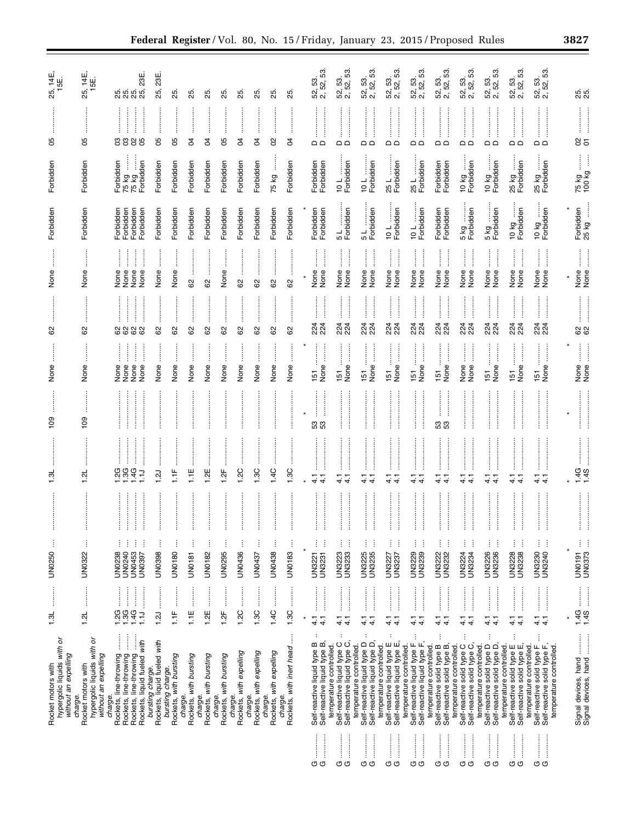| None<br>None<br>None<br>None<br>None<br>None<br>None<br>None<br>None<br>None<br>None<br>None<br>None<br>None<br>None<br>None<br>None<br>None<br>None<br>None<br>None<br>None<br>None<br>None<br>None<br>None<br>None<br>None<br>8<br>8<br>8<br>8<br>8<br>8<br>$\ddot{a}$<br> <br> <br> <br> <br> <br> <br> <br>:<br>:<br>:<br>224<br>224<br>224<br>224<br>224<br>224<br>224<br>224<br>224<br>224<br>224<br>224<br>224<br>224<br>224<br>224<br>224<br>224<br>8888<br>62<br>29<br>8<br>85<br>29<br>29<br>62<br>62<br>83<br>8<br>İ<br>None<br>None<br>None<br>None<br>None<br>None<br>None<br>None<br>None<br>None<br>None<br>None<br>None<br>None<br>None<br>None<br>None<br>None<br>None<br>None<br>None<br>None<br>None<br>None<br>None<br>$\overline{51}$<br>51<br>$\overline{51}$<br>51<br>$\overline{5}$<br>$\overline{5}$<br>$\overline{5}$<br>$\overline{5}$<br>57<br>$\frac{8}{2}$<br>$\frac{80}{2}$<br>នឹង<br>ន ន<br>1.4C<br>1.3C<br>1.3C<br>4G<br>QG<br>3G<br>$\vec{E}$<br>1.1E<br>1.2C<br>t:F<br>1.2E<br>$\frac{1}{2}$<br>$\vec{a}$<br>ಸ್ತ<br>نن<br>$\frac{1}{4}$<br>$\frac{1}{4}$<br>÷<br>÷<br>÷<br>ŧ<br>÷<br>÷<br>÷<br>÷<br>÷<br>÷<br>$\frac{1}{4}$<br>ļ<br>ŧ<br>ļ<br>$\vdots$<br>ŧ<br>ŧ<br>ŧ<br>ļ<br>ŧ<br>ŧ<br>ŧ<br>ŧ<br>ŧ<br>ŧ<br>ŧ<br>ŧ<br>÷<br>i<br>ŧ<br>ŧ<br>i<br>ŧ<br>ŧ<br>ŧ<br>÷<br>ŧ<br>÷<br>÷<br>ŧ<br>ŧ<br>÷<br>×<br>UN0250<br>UN0322<br><b>UN0398</b><br>UN0436<br>UN0438<br><b>UN3233</b><br>UN3225<br>UN3239<br>UN3230<br>UN0180<br>UN0182<br>UN0295<br><b>UN0183</b><br>UN3223<br>UN3235<br>UN3229<br>UN3222<br>UN3232<br>UN3234<br>UN3226<br>UN3236<br>UN3228<br><b>UN3238</b><br>UN0238<br>UN0240<br>UN0453<br><b>UN0181</b><br><b>UN3221</b><br>UN3231<br>UN3224<br>UN0397<br>UN0437<br>UN3227<br>UN3237<br>$\frac{1}{2}$<br>$\begin{array}{c} \begin{array}{c} \begin{array}{c} \begin{array}{c} \begin{array}{c} \end{array} \end{array} \\ \begin{array}{c} \end{array} \end{array} \end{array} \end{array} \end{array}$<br>:<br>:<br>:<br>:<br> <br> <br> <br> <br>$\begin{bmatrix} 1 & 0 & 0 & 0 \\ 0 & 0 & 0 & 0 \\ 0 & 0 & 0 & 0 \\ 0 & 0 & 0 & 0 \\ 0 & 0 & 0 & 0 \\ 0 & 0 & 0 & 0 \\ 0 & 0 & 0 & 0 \\ 0 & 0 & 0 & 0 & 0 \\ 0 & 0 & 0 & 0 & 0 \\ 0 & 0 & 0 & 0 & 0 \\ 0 & 0 & 0 & 0 & 0 & 0 \\ 0 & 0 & 0 & 0 & 0 & 0 \\ 0 & 0 & 0 & 0 & 0 & 0 \\ 0 & 0 & 0 & 0 & 0 & 0 \\ 0 & 0 & 0 & 0 & $<br>:<br>:<br>:<br><br><br><u>.</u><br>.<br>.<br>.<br>:<br>:<br>:<br>:<br> <br> <br> <br> <br><br><br><br>.<br>.<br>.<br>.<br>.<br>.<br><br>.3G<br>$\frac{1}{2}$<br>1.4C<br>1.3C<br>1.2G<br>1.3C<br>1.2C<br>1.3L<br>$\overline{1}$ .1<br>$\frac{1}{2}$<br>1.2E<br>$1.2$ F<br>1.2L<br>ŧ<br>1.2J<br>$\frac{1}{4}$<br>$\frac{1}{4}$<br>4.1<br>$\frac{1}{4}$<br>4.1<br>$\frac{1}{4}$<br>$\frac{1}{4}$<br>$\frac{1}{4}$<br>$\frac{1}{4}$<br>$\frac{1}{4}$<br>$\frac{1}{4}$<br>$\frac{1}{4}$<br>$\frac{1}{4}$<br>$\frac{1}{4}$<br>$\frac{1}{4}$<br>$\frac{1}{4}$<br>$\frac{1}{4}$<br>$\frac{1}{4}$<br>$\frac{1}{4}$<br>$\ddot{}}$<br>ļ<br>$\ddot{\phantom{a}}$<br>$\ddot{\phantom{a}}$<br>$\vdots$<br>$\vdots$<br>ŧ<br>$\frac{1}{2}$<br>$\ddot{\phantom{a}}$<br>÷<br>÷<br>$\begin{array}{c}\n\vdots \\ \vdots \\ \vdots\n\end{array}$<br>bursting charge.<br>Rockets, liquid fueled with<br>Self-reactive liquid type D<br>Self-reactive liquid type D,<br>Self-reactive liquid type E<br>Self-reactive liquid type E,<br>Self-reactive liquid type F<br>Self-reactive solid type B,<br>temperature controlled.<br>Rockets, with expelling<br>Rockets, with expelling<br>Rockets, with bursting<br>bursting charge. | ), 14E,<br>15E<br>25,<br>రి<br>Forbidden<br>Forbidden                    | 25, 14E,<br>15E.<br>80<br>Forbidden<br>Forbidden                         | 23E<br><u>ន</u> ្លុំ នូវ នូ<br>85<br>೮ ೮<br>İ<br>Forbidden<br>75 kg<br>75 kg<br>Forbidden<br>Forbidden<br>Forbidden<br>Forbidden<br>Forbidden | 23E<br>25,<br>8<br>Forbidden<br>Forbidden | 25<br>8<br>Forbidden<br>Forbidden | 55<br>S,<br>Forbidden<br>Forbidden | ಸಿ<br>Ŕ<br>Forbidden<br>Forbidden | ಸಿ<br>8<br>Forbidden<br>Forbidden | ని<br>S,<br>Forbidden<br>Forbidden | ని<br>S,<br>Forbidden<br>Forbidden | 25<br>8<br>75 kg<br>Forbidden | ನಿ<br>Ŕ<br>Forbidden<br>Forbidden | 52, 53.<br>2, 52, 53.<br>$\Omega$<br>Forbidden<br>Forbidden<br>Forbidden<br>Forbidden | 52, 53.<br>2, 52, 53.<br>$\Box$<br>10 L<br>Forbidden<br>5 L<br>Forbidden               | 2, 52, 53.<br>52, 53.<br>$\Box$<br>Forbidden<br>10L<br>5 L<br>Forbidden | 52, 53.<br>2, 52, 53.<br>≏ ¤<br>25 L<br>Forbidden<br>10 L<br>Forbidden | 52, 53.<br>2, 52, 53.<br>≏<br>25 L<br>Forbidden<br>Forbidden<br>10L | 52, 53.<br>2, 52, 53.<br>$\Box$<br>$\Omega$<br>Forbidden<br>Forbidden<br>Forbidden<br>Forbidden | 52, 53.<br>2, 52, 53.<br>$\Box$<br>10 kg<br>Forbidden<br>5kg<br>Forbidden            | S3<br>53.<br>52,<br><u>ສິສ</u><br>O<br>$\Omega$<br>10 kg<br>Forbidden<br>5kg<br>Forbidden | 52, 53.<br>2, 52, 53.<br>≏≏<br>25 kg<br>Forbidden<br>10 kg<br>Forbidden             | 52, 53.<br>2, 52, 53.<br>$\Omega$<br>25 kg<br>Forbidden<br>10 kg<br>Forbidden |
|---------------------------------------------------------------------------------------------------------------------------------------------------------------------------------------------------------------------------------------------------------------------------------------------------------------------------------------------------------------------------------------------------------------------------------------------------------------------------------------------------------------------------------------------------------------------------------------------------------------------------------------------------------------------------------------------------------------------------------------------------------------------------------------------------------------------------------------------------------------------------------------------------------------------------------------------------------------------------------------------------------------------------------------------------------------------------------------------------------------------------------------------------------------------------------------------------------------------------------------------------------------------------------------------------------------------------------------------------------------------------------------------------------------------------------------------------------------------------------------------------------------------------------------------------------------------------------------------------------------------------------------------------------------------------------------------------------------------------------------------------------------------------------------------------------------------------------------------------------------------------------------------------------------------------------------------------------------------------------------------------------------------------------------------------------------------------------------------------------------------------------------------------------------------------------------------------------------------------------------------------------------------------------------------------------------------------------------------------------------------------------------------------------------------------------------------------------------------------------------------------------------------------------------------------------------------------------------------------------------------------------------------------------------------------------------------------------------------------------------------------------------------------------------------------------------------------------------------------------------------------------------------------------------------------------------------------------------------------------------------------------------------------------------------------------------------------------------------------------------------------------------------------------------------------------------------------------------------------------------------------------------------------------------------------------------------------------------------------------------------------------------------------------------------------------------------------------------------------------------------------------------------------------------------|--------------------------------------------------------------------------|--------------------------------------------------------------------------|-----------------------------------------------------------------------------------------------------------------------------------------------|-------------------------------------------|-----------------------------------|------------------------------------|-----------------------------------|-----------------------------------|------------------------------------|------------------------------------|-------------------------------|-----------------------------------|---------------------------------------------------------------------------------------|----------------------------------------------------------------------------------------|-------------------------------------------------------------------------|------------------------------------------------------------------------|---------------------------------------------------------------------|-------------------------------------------------------------------------------------------------|--------------------------------------------------------------------------------------|-------------------------------------------------------------------------------------------|-------------------------------------------------------------------------------------|-------------------------------------------------------------------------------|
| None                                                                                                                                                                                                                                                                                                                                                                                                                                                                                                                                                                                                                                                                                                                                                                                                                                                                                                                                                                                                                                                                                                                                                                                                                                                                                                                                                                                                                                                                                                                                                                                                                                                                                                                                                                                                                                                                                                                                                                                                                                                                                                                                                                                                                                                                                                                                                                                                                                                                                                                                                                                                                                                                                                                                                                                                                                                                                                                                                                                                                                                                                                                                                                                                                                                                                                                                                                                                                                                                                                                                        |                                                                          |                                                                          | $\ddot{}}$                                                                                                                                    |                                           |                                   |                                    |                                   |                                   |                                    |                                    |                               |                                   |                                                                                       |                                                                                        |                                                                         |                                                                        |                                                                     |                                                                                                 |                                                                                      |                                                                                           |                                                                                     | None<br>224<br>224                                                            |
|                                                                                                                                                                                                                                                                                                                                                                                                                                                                                                                                                                                                                                                                                                                                                                                                                                                                                                                                                                                                                                                                                                                                                                                                                                                                                                                                                                                                                                                                                                                                                                                                                                                                                                                                                                                                                                                                                                                                                                                                                                                                                                                                                                                                                                                                                                                                                                                                                                                                                                                                                                                                                                                                                                                                                                                                                                                                                                                                                                                                                                                                                                                                                                                                                                                                                                                                                                                                                                                                                                                                             |                                                                          |                                                                          |                                                                                                                                               |                                           |                                   |                                    |                                   |                                   |                                    |                                    |                               |                                   |                                                                                       |                                                                                        |                                                                         |                                                                        |                                                                     |                                                                                                 |                                                                                      |                                                                                           |                                                                                     |                                                                               |
|                                                                                                                                                                                                                                                                                                                                                                                                                                                                                                                                                                                                                                                                                                                                                                                                                                                                                                                                                                                                                                                                                                                                                                                                                                                                                                                                                                                                                                                                                                                                                                                                                                                                                                                                                                                                                                                                                                                                                                                                                                                                                                                                                                                                                                                                                                                                                                                                                                                                                                                                                                                                                                                                                                                                                                                                                                                                                                                                                                                                                                                                                                                                                                                                                                                                                                                                                                                                                                                                                                                                             |                                                                          |                                                                          |                                                                                                                                               |                                           |                                   |                                    |                                   |                                   |                                    |                                    |                               |                                   |                                                                                       |                                                                                        |                                                                         |                                                                        |                                                                     |                                                                                                 |                                                                                      |                                                                                           |                                                                                     |                                                                               |
|                                                                                                                                                                                                                                                                                                                                                                                                                                                                                                                                                                                                                                                                                                                                                                                                                                                                                                                                                                                                                                                                                                                                                                                                                                                                                                                                                                                                                                                                                                                                                                                                                                                                                                                                                                                                                                                                                                                                                                                                                                                                                                                                                                                                                                                                                                                                                                                                                                                                                                                                                                                                                                                                                                                                                                                                                                                                                                                                                                                                                                                                                                                                                                                                                                                                                                                                                                                                                                                                                                                                             |                                                                          |                                                                          |                                                                                                                                               |                                           |                                   |                                    |                                   |                                   |                                    |                                    |                               |                                   |                                                                                       |                                                                                        |                                                                         |                                                                        |                                                                     |                                                                                                 |                                                                                      |                                                                                           |                                                                                     | ÷<br>÷<br>UN3240                                                              |
|                                                                                                                                                                                                                                                                                                                                                                                                                                                                                                                                                                                                                                                                                                                                                                                                                                                                                                                                                                                                                                                                                                                                                                                                                                                                                                                                                                                                                                                                                                                                                                                                                                                                                                                                                                                                                                                                                                                                                                                                                                                                                                                                                                                                                                                                                                                                                                                                                                                                                                                                                                                                                                                                                                                                                                                                                                                                                                                                                                                                                                                                                                                                                                                                                                                                                                                                                                                                                                                                                                                                             | hypergolic liquids with or<br>without an expelling<br>Rocket motors with | hypergolic liquids with or<br>without an expelling<br>Rocket motors with | Rockets, liquid fueled with<br>Rockets, line-throwing<br>Rockets, line-throwing<br>Rockets, line-throwing                                     |                                           | Rockets, with bursting            | Rockets, with bursting             | Rockets, with bursting            |                                   |                                    |                                    | Rockets, with expelling       | Rockets, with inert head          | Self-reactive liquid type B<br>Self-reactive liquid type B,                           | Self-reactive liquid type C,<br>Self-reactive liquid type C<br>temperature controlled. | temperature controlled.                                                 | temperature controlled.                                                | temperature controlled.<br>Self-reactive liquid type F              | temperature controlled.<br>Self-reactive solid type B                                           | Self-reactive solid type C,<br>temperature controlled.<br>Self-reactive solid type C | temperature controlled.<br>Self-reactive solid type D<br>Self-reactive solid type D       | Self-reactive solid type E<br>Self-reactive solid type E,<br>temperature controlled | $\frac{1}{4}$<br>Self-reactive solid type F<br>Self-reactive solid type F,    |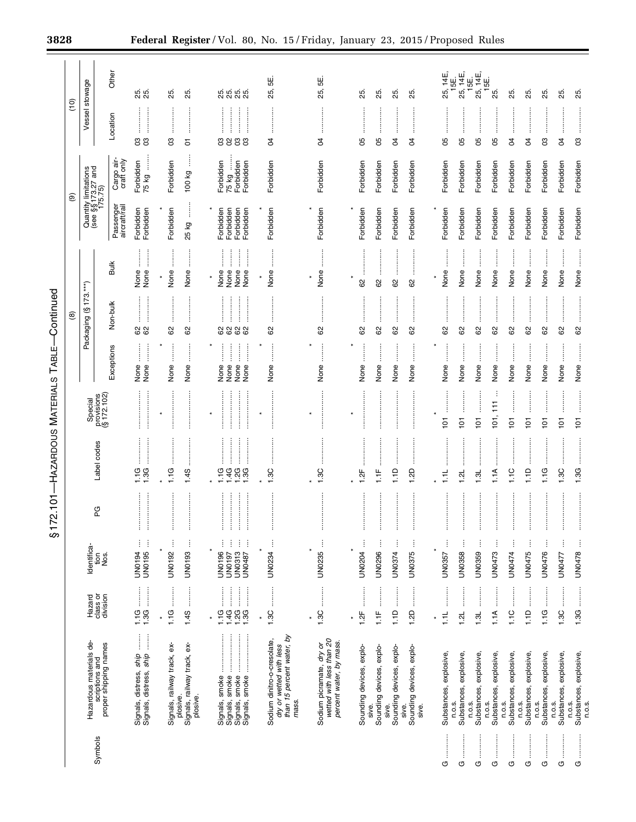|         |                                                                                              |                                                                                                                                                                                                                                                                                                                                                                                                                                                                                                                                                                |                                                                        |                                                  |                                 |                           |                                                                                 | $\circlede$      |                                                          | $\circledcirc$                                        |                                              | (10)                     |                          |
|---------|----------------------------------------------------------------------------------------------|----------------------------------------------------------------------------------------------------------------------------------------------------------------------------------------------------------------------------------------------------------------------------------------------------------------------------------------------------------------------------------------------------------------------------------------------------------------------------------------------------------------------------------------------------------------|------------------------------------------------------------------------|--------------------------------------------------|---------------------------------|---------------------------|---------------------------------------------------------------------------------|------------------|----------------------------------------------------------|-------------------------------------------------------|----------------------------------------------|--------------------------|--------------------------|
|         |                                                                                              | Hazard                                                                                                                                                                                                                                                                                                                                                                                                                                                                                                                                                         | Identifica-                                                            |                                                  |                                 | Special                   |                                                                                 | Packaging (§173. | $***$                                                    | Quantity limitations<br>(see §§ 173.27 and<br>175.75) |                                              | Vessel stowage           |                          |
| Symbols | Hazardous materials de-<br>scriptions and<br>proper shipping names                           | class or<br>division                                                                                                                                                                                                                                                                                                                                                                                                                                                                                                                                           | ieg<br>Nos.                                                            | PG                                               | Label codes                     | provisions<br>(§ 172.102) |                                                                                 |                  |                                                          |                                                       |                                              |                          |                          |
|         |                                                                                              |                                                                                                                                                                                                                                                                                                                                                                                                                                                                                                                                                                |                                                                        |                                                  |                                 |                           | Exceptions                                                                      | Non-bulk         | <b>Bulk</b>                                              | Passenger<br>aircraft/rail                            | Cargo air-<br>craft only                     | Location                 | Other                    |
|         | Signals, distress, <i>ship</i><br>Signals, distress, <i>ship</i>                             | 1.1G                                                                                                                                                                                                                                                                                                                                                                                                                                                                                                                                                           | ŧ<br>Ì<br>UN0194<br>UN0195                                             | <br> <br> <br> <br> <br>İ<br>İ                   | <b>.</b><br>.<br>.<br>.<br>1.3G |                           | j<br>$\begin{array}{c} \vdots \\ \vdots \\ \vdots \end{array}$<br>None<br>None  | 62               | İ<br>None<br>None                                        | Forbidden<br>Forbidden                                | Forbidden<br>75 kg                           | <br>gg                   | 85<br>25                 |
|         | Signals, railway track, ex-                                                                  | :<br>:<br>:<br>1.1G                                                                                                                                                                                                                                                                                                                                                                                                                                                                                                                                            | ļ<br>UN0192                                                            | İ                                                | :<br>:<br>:<br>:<br>1.1G        |                           | İ<br>None                                                                       | <br>62           | None                                                     | Forbidden                                             | Forbidden                                    | පි                       | ю.<br>25                 |
|         | Signals, railway track, ex-<br>plosive.<br>plosive.                                          | 1.45                                                                                                                                                                                                                                                                                                                                                                                                                                                                                                                                                           | ŧ<br>UN0193                                                            | ļ                                                | 1.4S                            |                           | $\ddot{\phantom{a}}$<br>None                                                    | 62               | None                                                     | j<br>25 kg                                            | 100 kg                                       | $\overline{5}$           | 25.                      |
|         |                                                                                              |                                                                                                                                                                                                                                                                                                                                                                                                                                                                                                                                                                |                                                                        |                                                  |                                 |                           |                                                                                 |                  |                                                          |                                                       |                                              |                          |                          |
|         |                                                                                              | $\begin{bmatrix} 1 & 0 & 0 & 0 \\ 0 & 0 & 0 & 0 \\ 0 & 0 & 0 & 0 \\ 0 & 0 & 0 & 0 \\ 0 & 0 & 0 & 0 \\ 0 & 0 & 0 & 0 \\ 0 & 0 & 0 & 0 \\ 0 & 0 & 0 & 0 & 0 \\ 0 & 0 & 0 & 0 & 0 \\ 0 & 0 & 0 & 0 & 0 \\ 0 & 0 & 0 & 0 & 0 \\ 0 & 0 & 0 & 0 & 0 & 0 \\ 0 & 0 & 0 & 0 & 0 & 0 \\ 0 & 0 & 0 & 0 & 0 & 0 \\ 0 & 0 & 0 & 0 & 0 & $<br>$\ddot{\ddot{\theta}}$<br>$\begin{array}{c} \begin{array}{c} \begin{array}{c} \begin{array}{c} \begin{array}{c} \end{array}\\ \end{array} \end{array} \end{array} \end{array} \end{array}$<br>1.1G<br>$1,30$<br>$1,30$<br>1.4G | ļ<br>ŧ<br>ŧ<br>ļ<br><b>UN0196</b><br><b>UN0313</b><br>UN0197<br>UN0487 | <u>:</u><br> <br> <br> <br> <br>ļ<br>l<br>ļ<br>ļ | $-499$                          |                           | İ<br>$\ddot{\phantom{a}}$<br>$\frac{1}{2}$<br>İ<br>None<br>None<br>None<br>None | <br><br>8888     | <br>$\ddot{}}$<br>j<br>İ<br>None<br>None<br>None<br>None | Forbidden<br>Forbidden<br>Forbidden<br>Forbidden      | 75 kg<br>Forbidden<br>Forbidden<br>Forbidden | :<br>:<br>:<br>:<br>3833 | 25.<br>25.<br>25.<br>25. |
|         |                                                                                              | $\star$                                                                                                                                                                                                                                                                                                                                                                                                                                                                                                                                                        |                                                                        |                                                  |                                 |                           |                                                                                 |                  | $\star$                                                  |                                                       |                                              |                          |                          |
|         | than 15 percent water, by<br>Sodium dinitro-o-cresolate,<br>dry or wetted with less<br>mass. | 1.3C                                                                                                                                                                                                                                                                                                                                                                                                                                                                                                                                                           | UN0234                                                                 | İ                                                | .<br>1.3C                       |                           | İ<br>None                                                                       | <br>62           | $\vdots$<br>None                                         | Forbidden                                             | Forbidden                                    | <br>S                    | نها<br>25,               |
|         |                                                                                              |                                                                                                                                                                                                                                                                                                                                                                                                                                                                                                                                                                |                                                                        |                                                  |                                 |                           |                                                                                 |                  |                                                          |                                                       |                                              |                          |                          |
|         | Sodium picramate, dry or<br>wetted with less than 20<br>percent water, by mass.              | $\ddot{\phantom{a}}$<br>1.3C                                                                                                                                                                                                                                                                                                                                                                                                                                                                                                                                   | ŧ<br><b>UN0235</b>                                                     | İ                                                | 1.3C                            |                           | None                                                                            | 8                | None                                                     | Forbidden                                             | Forbidden                                    | S                        | نیا<br>25,               |
|         |                                                                                              | $\star$                                                                                                                                                                                                                                                                                                                                                                                                                                                                                                                                                        |                                                                        |                                                  |                                 | $\star$                   |                                                                                 |                  | $\star$                                                  |                                                       |                                              |                          |                          |
|         | Sounding devices, explo-                                                                     | 1.2F                                                                                                                                                                                                                                                                                                                                                                                                                                                                                                                                                           | ł<br><b>UN0204</b>                                                     |                                                  | 1.2F                            |                           | None                                                                            | 82               | 8                                                        | Forbidden                                             | Forbidden                                    | 8                        | 25.                      |
|         | Sounding devices, explo-<br>sive.                                                            | .<br>.<br>.<br>.<br>.<br>$\frac{1}{2}$                                                                                                                                                                                                                                                                                                                                                                                                                                                                                                                         | ŧ<br><b>UN0296</b>                                                     | :<br>:<br>:<br>İ                                 | $1.1F$                          |                           | None                                                                            | 62               | 62                                                       | Forbidden                                             | Forbidden                                    | 8                        | 25.                      |
|         | Sounding devices, explo-<br>sive.                                                            | 1.1D                                                                                                                                                                                                                                                                                                                                                                                                                                                                                                                                                           | ŧ<br>UN0374                                                            | :<br>:<br>:<br>:<br>$\vdots$                     | $\frac{1}{2}$                   |                           | İ<br>None                                                                       | <br>8            | 82                                                       | Forbidden                                             | Forbidden                                    | S                        | 25.                      |
|         | Sounding devices, explo-<br>sive.<br>sive.                                                   | 1.2D                                                                                                                                                                                                                                                                                                                                                                                                                                                                                                                                                           | ŧ<br>UN0375                                                            | ļ                                                | 1.2D                            |                           | $\ddot{\phantom{a}}$<br>None                                                    | 8                | 8                                                        | Forbidden                                             | Forbidden                                    | R                        | 25.                      |
|         |                                                                                              |                                                                                                                                                                                                                                                                                                                                                                                                                                                                                                                                                                |                                                                        |                                                  |                                 |                           |                                                                                 |                  |                                                          |                                                       |                                              |                          |                          |
| U       | Substances, explosive,                                                                       | $\overline{11}$                                                                                                                                                                                                                                                                                                                                                                                                                                                                                                                                                | ŧ<br>UN0357                                                            | $\vdots$                                         | <br>$\frac{1}{2}$               | <br>$\overline{5}$        | $\ddot{\ddot{\phantom{}}\phantom{}}$<br>None                                    | <br>8            | None                                                     | Forbidden                                             | Forbidden                                    | 80                       | 25, 14E,<br>15E          |
| O       | Substances, explosive,<br>n.o.s.                                                             | ļ<br>1.21                                                                                                                                                                                                                                                                                                                                                                                                                                                                                                                                                      | ŧ<br>UN0358                                                            |                                                  | ┙<br>$\frac{1}{2}$              | $\overline{101}$          | None                                                                            | 8                | None                                                     | Forbidden                                             | Forbidden                                    | 8                        | 25, 14E,<br>15E.         |
| <br>O   | Substances, explosive,<br>n.o.s.                                                             | <br>1.3L                                                                                                                                                                                                                                                                                                                                                                                                                                                                                                                                                       | ŧ<br>UN0359                                                            | İ                                                | 1.3L                            | <br>$\overline{5}$        | None                                                                            | <br>62           | None                                                     | Forbidden                                             | Forbidden                                    | 80                       | 25, 14E,                 |
| O       | Substances, explosive,<br>n.o.s.                                                             | $\ddot{\phantom{a}}$<br>1.1A                                                                                                                                                                                                                                                                                                                                                                                                                                                                                                                                   | ŧ<br>UN0473                                                            | $\vdots$                                         | ļ<br>1.1A                       | ÷<br>101, 111             | $\ddot{}}$<br>None                                                              | <br>62           | None                                                     | Forbidden                                             | Forbidden                                    | 8                        | 15E.<br>25.              |
| O       | Substances, explosive,<br>n.o.s.                                                             | 1.1C                                                                                                                                                                                                                                                                                                                                                                                                                                                                                                                                                           | UN0474                                                                 |                                                  | $\frac{0}{1}$                   | $\overline{5}$            | None                                                                            | 8                | None                                                     | Forbidden                                             | Forbidden                                    | R                        | 25.                      |
| <br>O   | Substances, explosive,<br>n.o.s.                                                             | <br> <br> <br> <br> <br>1.1D                                                                                                                                                                                                                                                                                                                                                                                                                                                                                                                                   | j<br>UN0475                                                            | :<br>:<br>:<br>:<br>İ                            | 1.1D                            | <br>$\overline{5}$        | :<br>:<br>None                                                                  | <br>62           | None                                                     | Forbidden                                             | Forbidden                                    | S                        | 25.                      |
| U       | Substances, explosive,<br>n.o.s.                                                             | $\ddot{\phantom{a}}$<br>1.1G                                                                                                                                                                                                                                                                                                                                                                                                                                                                                                                                   | ŧ<br>UN0476                                                            | <br>ļ                                            | 1.1G                            | <br>$\overline{101}$      | İ<br>None                                                                       | <br>8            | $\vdots$<br>None                                         | Forbidden                                             | Forbidden                                    | පි                       | 25.                      |
| O       | Substances, explosive,<br>n.o.s.                                                             | 1.3C                                                                                                                                                                                                                                                                                                                                                                                                                                                                                                                                                           | ŧ<br>UN0477                                                            |                                                  | 1.3C                            | $\overline{5}$            | None                                                                            | 8                | None                                                     | Forbidden                                             | Forbidden                                    | R                        | 25.                      |
| <br>U   | Substances, explosive,<br>n.o.s.<br>n.o.s.                                                   |                                                                                                                                                                                                                                                                                                                                                                                                                                                                                                                                                                | Ì<br>UN0478                                                            | $\vdots$                                         | 1.3G                            | <br>$\overline{5}$        | j<br>None                                                                       | 62               | j<br>None                                                | Forbidden                                             | Forbidden                                    | 8                        | 25.                      |
|         |                                                                                              |                                                                                                                                                                                                                                                                                                                                                                                                                                                                                                                                                                |                                                                        |                                                  |                                 |                           |                                                                                 |                  |                                                          |                                                       |                                              |                          |                          |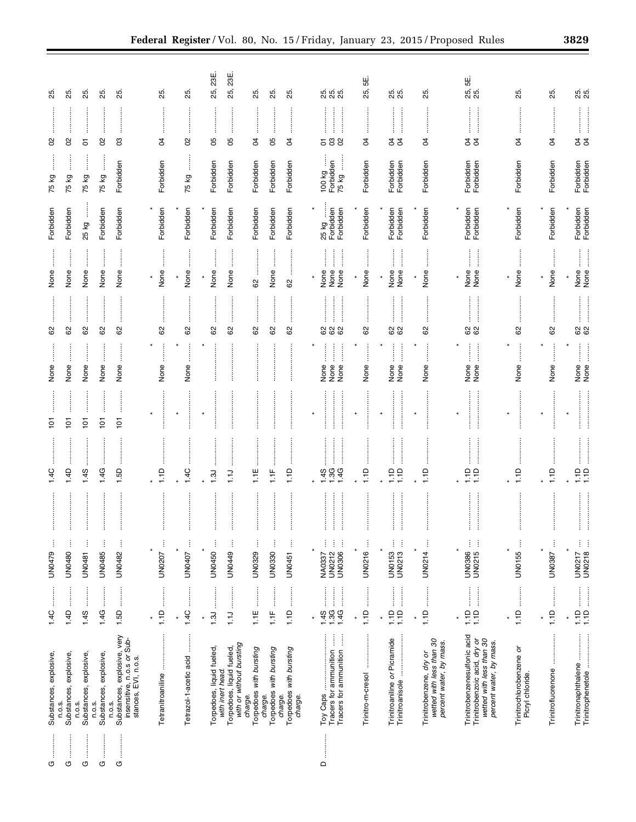| O                     | Substances, explosive,                                                                                              | 1.4C                                                                                                                                                                                                             | ÷<br>UN0479                                             | $\frac{4}{1}$               | $\frac{1}{2}$                      | None                                                                                                                                                                                                             | 8                           | None                                         | Forbidden                       | 75 kg                             | 8                            | 25                |
|-----------------------|---------------------------------------------------------------------------------------------------------------------|------------------------------------------------------------------------------------------------------------------------------------------------------------------------------------------------------------------|---------------------------------------------------------|-----------------------------|------------------------------------|------------------------------------------------------------------------------------------------------------------------------------------------------------------------------------------------------------------|-----------------------------|----------------------------------------------|---------------------------------|-----------------------------------|------------------------------|-------------------|
| ÷<br>O                | Substances, explosive,<br>n.o.s.                                                                                    | 1.4D                                                                                                                                                                                                             | ÷<br><b>UN0480</b>                                      | 1.4D                        | $\overline{5}$                     | None                                                                                                                                                                                                             | ÷<br>62                     | None                                         | Forbidden                       | 75 kg                             | 8                            | 25.               |
| O                     | Substances, explosive,<br>n.o.s.                                                                                    | :<br>:<br>:<br>1.4S                                                                                                                                                                                              | ŧ<br><b>UN0481</b>                                      | 1.4S                        | $\overline{5}$                     | None                                                                                                                                                                                                             | 62                          | None                                         | 25 kg                           | $\vdots$<br>75 kg                 | 5                            | 25.               |
| O                     | Substances, explosive,<br>n.o.s.                                                                                    | 1.4G                                                                                                                                                                                                             | <b>UN0485</b>                                           | 1.4G                        | $\overline{5}$                     | None                                                                                                                                                                                                             | 8                           | None                                         | Forbidden                       | 75 kg                             | $\rm 8$                      | 25.               |
| <br>O                 | Substances, explosive, very<br>insensitive, n.o.s or Sub-<br>stances, EVI, n.o.s.<br>n.o.s.                         | :<br>:<br>:<br>1.5D                                                                                                                                                                                              | ÷<br>UN0482                                             | 1.5D                        | :<br>:<br>:<br>:<br>$\overline{5}$ | $\ddot{}}$<br>None                                                                                                                                                                                               | 62                          | $\ddot{\ddot{\cdot}}$<br>None                | Forbidden                       | Forbidden                         | පි                           | 25.               |
|                       |                                                                                                                     |                                                                                                                                                                                                                  |                                                         |                             |                                    |                                                                                                                                                                                                                  |                             | $\ast$                                       |                                 |                                   |                              |                   |
|                       | Tetranitroaniine                                                                                                    | :<br>:<br>:<br>:<br>1.1D                                                                                                                                                                                         | Ĵ<br>UN0207                                             | 1.1D                        |                                    | None                                                                                                                                                                                                             | 62                          | None                                         | Forbidden                       | Forbidden                         | Z                            | 25.               |
|                       | Tetrazol-1-acetic acid                                                                                              | j<br>1.4C                                                                                                                                                                                                        | ŧ<br>UN0407                                             | 1.4C                        |                                    | $\vdots$<br>None                                                                                                                                                                                                 | ļ<br>62                     | None                                         | Forbidden                       | j<br>75 kg                        | 8                            | 25.               |
|                       |                                                                                                                     |                                                                                                                                                                                                                  |                                                         |                             |                                    |                                                                                                                                                                                                                  |                             | $\star$                                      |                                 |                                   |                              |                   |
|                       | Torpedoes, liquid fueled,<br>with inert head                                                                        | 1.3J                                                                                                                                                                                                             | UN0450                                                  | 1.3J                        |                                    |                                                                                                                                                                                                                  | ļ<br>82                     | None                                         | Forbidden                       | Forbidden                         | 8                            | 25, 23E           |
|                       | with or without bursting<br>Torpedoes, liquid fueled,<br>charge.                                                    | $\frac{1}{2}$                                                                                                                                                                                                    | ÷<br>UN0449                                             | ÷<br>$\overline{1}$         |                                    |                                                                                                                                                                                                                  | ļ<br>62                     | None                                         | Forbidden                       | Forbidden                         | 8                            | 23E.<br>25,       |
|                       | Torpedoes with bursting                                                                                             | <br>$1.1E$                                                                                                                                                                                                       | ÷<br>UN0329                                             | 1.1E                        |                                    |                                                                                                                                                                                                                  | 8                           | 8                                            | Forbidden                       | Forbidden                         | S,                           | 25.               |
|                       | Torpedoes with bursting<br>charge.                                                                                  | Ë                                                                                                                                                                                                                | ÷<br>UN0330                                             | $\frac{1}{2}$               |                                    |                                                                                                                                                                                                                  | ŧ<br>62                     | None                                         | Forbidden                       | Forbidden                         | 80                           | 85.               |
|                       | Torpedoes with bursting<br>charge.<br>charge.                                                                       | :<br>1.1D                                                                                                                                                                                                        | ŧ<br><b>UN0451</b>                                      | 1.1D                        |                                    |                                                                                                                                                                                                                  | ŧ<br>82                     | j<br>8                                       | Forbidden                       | Forbidden                         | g                            | 25.               |
|                       |                                                                                                                     |                                                                                                                                                                                                                  |                                                         |                             |                                    |                                                                                                                                                                                                                  |                             | $\ast$                                       | $\star$                         |                                   |                              |                   |
| <br>$\mathsf{\Omega}$ | ł<br>j<br>Tracers for ammunition<br>Tracers for ammunition                                                          | :<br>:<br>:<br>1.4S<br>1.3G<br>1.4G                                                                                                                                                                              | ŧ<br>ŧ<br>j<br><b>UN0306</b><br><b>UN0212</b><br>NA0337 | 1.3G<br>4S                  | İ                                  | İ<br>ĺ<br>j<br>None<br>None<br>None                                                                                                                                                                              | <br>:<br>:<br>:<br>:<br>888 | :<br>:<br>:<br>:<br>None<br>None<br>None     | Forbidden<br>Forbidden<br>25 kg | ļ<br>100 kg<br>Forbidden<br>75 kg | :<br>:<br>:<br>:<br>588      |                   |
|                       | .<br>.<br>.<br>.<br>.<br>.<br>.<br>.<br>Trinitro-m-cresol                                                           | :<br>:<br>:<br>1.1D<br>$\star$                                                                                                                                                                                   | ŧ<br>UN0216                                             | $\frac{1}{1}$               | ×                                  | None                                                                                                                                                                                                             | ļ<br>62                     | None                                         | Forbidden                       | Forbidden                         | $\ddot{}}$<br>$\overline{5}$ | 55<br>51<br>25,   |
|                       |                                                                                                                     |                                                                                                                                                                                                                  |                                                         |                             |                                    |                                                                                                                                                                                                                  |                             |                                              |                                 |                                   |                              |                   |
|                       | Trinitroaniline or Picramide                                                                                        | 1.1D<br>1.1D                                                                                                                                                                                                     | ŧ<br>UN0153<br><b>UN0213</b>                            | 유문                          | İ                                  | None<br>None                                                                                                                                                                                                     | 62                          | :<br>:<br>:<br>$\frac{1}{2}$<br>None<br>None | Forbidden<br>Forbidden          | Forbidden<br>Forbidden            | İ<br>88                      | 25.<br>25.        |
|                       | wetted with less than 30<br>percent water, by mass.<br>Trinitrobenzene, dry or                                      | 1.1D<br>$\ast$                                                                                                                                                                                                   | ŧ<br>UN0214                                             | 1.1D                        |                                    | None                                                                                                                                                                                                             | 8                           | None                                         | Forbidden                       | Forbidden                         | $\overline{5}$               | 25.               |
|                       | Trinitrobenzenesulfonic acid<br>Trinitrobenzoic acid, dry or<br>wetted with less than 30<br>percent water, by mass. | :<br>:<br>:<br>$\begin{array}{c} \begin{array}{c} \begin{array}{c} \begin{array}{c} \begin{array}{c} \end{array}\\ \begin{array}{c} \end{array} \end{array} \end{array} \end{array} \end{array}$<br>1.1D<br>1.1D | ŧ<br>÷<br>UN0386<br>UN0215                              | $\frac{1}{1}$ $\frac{1}{1}$ |                                    | $\ddot{}}$<br>$\begin{array}{c} \begin{array}{c} \begin{array}{c} \begin{array}{c} \begin{array}{c} \end{array} \end{array} \\ \begin{array}{c} \end{array} \end{array} \end{array} \end{array}$<br>None<br>None | 62                          | $\frac{1}{2}$<br>None<br>None                | Forbidden<br>Forbidden          | Forbidden<br>Forbidden            | :<br>:<br>:<br>:<br>ಕ ಕ      | 5E.<br>25,<br>25. |
|                       | Trinitrochlorobenzene or                                                                                            | İ<br>1.1D                                                                                                                                                                                                        | ŧ<br>×<br>UN0155                                        | $\frac{1}{1}$               |                                    | None                                                                                                                                                                                                             | 8                           | None                                         | Forbidden                       | Forbidden                         | ð                            | 25.               |
|                       | Picryl chloride.                                                                                                    |                                                                                                                                                                                                                  |                                                         |                             |                                    |                                                                                                                                                                                                                  |                             |                                              |                                 |                                   |                              |                   |
|                       | <br>Trinitrofluorenone                                                                                              | :<br>:<br>:<br>$\frac{1}{2}$                                                                                                                                                                                     | Ĵ<br>UN0387                                             | 1.1D                        |                                    | None                                                                                                                                                                                                             | ŧ<br>62                     | None                                         | Forbidden                       | Forbidden                         | S                            | 25.               |
|                       | Trinitronaphthalene<br>Trinitrophenetole                                                                            | $\frac{110}{110}$                                                                                                                                                                                                | ł,<br><b>UN0218</b><br>UN0217                           | $\frac{1}{2}$ $\frac{1}{2}$ |                                    | $\begin{array}{c} \begin{array}{c} \begin{array}{c} \begin{array}{c} \end{array} \\ \begin{array}{c} \end{array} \end{array} \end{array} \end{array}$<br>None<br>None                                            | <b>82</b><br>62             | $\frac{1}{2}$<br>None<br>None<br>¥           | Forbidden<br>Forbidden          | Forbidden<br>Forbidden            | <b>s</b> g                   | 25.<br>25.        |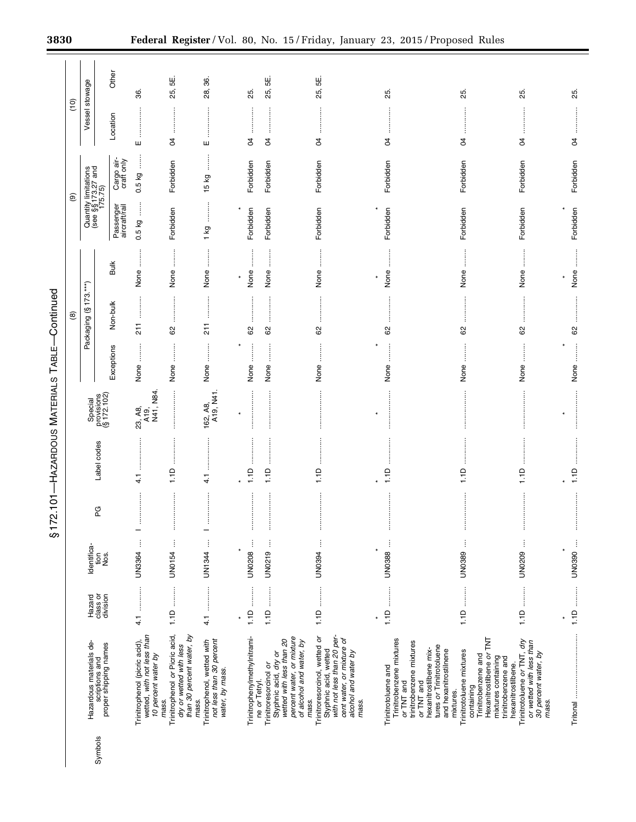|         |                                                                                                                                                    |                                |                             | ŋ        |                    |                                      |                                                         |                                                                        |                                                                             |                                                  |                                                       |                |           |
|---------|----------------------------------------------------------------------------------------------------------------------------------------------------|--------------------------------|-----------------------------|----------|--------------------|--------------------------------------|---------------------------------------------------------|------------------------------------------------------------------------|-----------------------------------------------------------------------------|--------------------------------------------------|-------------------------------------------------------|----------------|-----------|
|         |                                                                                                                                                    |                                |                             |          |                    |                                      |                                                         | $\circledcirc$                                                         |                                                                             |                                                  | $\circledcirc$                                        | (10)           |           |
| Symbols | Hazardous materials de-<br>scriptions and<br>proper shipping names                                                                                 | Hazard<br>class or<br>division | Identifica-<br>Nos.<br>tion | PG       | Label codes        | provisions<br>(§ 172.102)<br>Special |                                                         | Packaging (§173.***)                                                   |                                                                             |                                                  | Quantity limitations<br>(see §§ 173.27 and<br>175.75) | Vessel stowage |           |
|         |                                                                                                                                                    |                                |                             |          |                    |                                      | Exceptions                                              | Non-bulk                                                               | <b>Bulk</b>                                                                 | Passenger<br>aircraft/rail                       | Cargo air-<br>craft only                              | Location       | Other     |
|         | Trinitrophenol (picric acid),<br>wetted, with not less than<br>10 percent water by<br>mass.                                                        | $\frac{1}{2}$<br>$\frac{1}{4}$ | UN3364                      | ÷        | ļ<br>$\frac{1}{4}$ | N41, N84<br>23, A8,<br>A19,          | $\ddot{\phantom{a}}$<br>None                            | 211                                                                    | $\ddot{\ddot{\phantom{a}}}\,$<br>None                                       | ļ<br>0.5 kg                                      | ļ<br>0.5 kg                                           | ш              | 36.       |
|         | Trinitrophenol or Picric acid,<br>than 30 percent water, by<br>dry or wetted with less<br>mass.                                                    | 1.1D                           | $\vdots$<br><b>UN0154</b>   | ŧ<br>İ   | 1.1D               |                                      | None                                                    | 62                                                                     | $\begin{array}{c} \vdots \\ \vdots \\ \vdots \end{array}$<br>None           | Forbidden                                        | Forbidden                                             | $\beta$        | 25, 5E.   |
|         | not less than 30 percent<br>Trinitrophenol, wetted with<br>water, by mass.                                                                         | $\ddot{4}$                     | İ<br>UN1344                 | ÷        | ŧ<br>$\frac{1}{4}$ | 162, A8,<br>A19, N41.                | $\ddot{\ddot{\phantom{}}\phantom{}}$<br>None            | <br> <br> <br>$\frac{1}{2}$                                            | j<br>None                                                                   | $\ddot{\phantom{a}}$<br>$\overline{\mathcal{Q}}$ | ļ<br>15 kg                                            | ш              | 28, 36.   |
|         |                                                                                                                                                    |                                |                             |          |                    | ×                                    |                                                         |                                                                        | $\star$                                                                     | ×                                                |                                                       |                |           |
|         | Trinitrophenylmethylnitrami-<br>ne or Tetryl.                                                                                                      | 1.1D                           | ł<br>UN0208                 | $\vdots$ | 1.1D               |                                      | $\ddot{}}$<br>None                                      | <br>62                                                                 | $\ddot{\ddot{\cdot}}$<br>None                                               | Forbidden                                        | Forbidden                                             | S,             | 25.       |
|         | percent water, or mixture<br>wetted with less than 20<br>of alcohol and water, by<br>Styphnic acid, dry or<br>Trinitroresorcinol or<br>mass.       |                                | UN0219                      | ł        | <br>1.1D           |                                      | $\frac{1}{2}$<br>None                                   | <b><i><u><u></u></u></i></b><br>62                                     | $\begin{array}{c} \vdots \\ \vdots \\ \vdots \\ \vdots \end{array}$<br>None | Forbidden                                        | Forbidden                                             | $\beta$        | பூ<br>25, |
|         | with not less than 20 per-<br>Trinitroresorcinol, wetted or<br>cent water, or mixture of<br>Styphnic acid, wetted<br>alcohol and water by<br>mass. |                                | Ì<br><b>LIN0394</b>         | ļ        | 1.1D               |                                      | None                                                    | <br>62                                                                 | None                                                                        | Forbidden                                        | Forbidden                                             | S,             | 25, 5E.   |
|         | Trinitrobenzene mixtures<br>Trinitrotoluene and                                                                                                    | 1.1D<br>÷                      | UN0388<br>÷                 |          | 1.1D               |                                      | None                                                    | $\mathbb{S}^2$                                                         | None                                                                        | Forbidden                                        | Forbidden                                             | g              | 25.       |
|         | trinitrobenzene mixtures<br>tures or Trinitrotoluene<br>hexanitrostilbene mix-<br>and hexanitrostilnene<br>or TNT and<br>or TNT and                |                                |                             |          |                    |                                      |                                                         |                                                                        |                                                                             |                                                  |                                                       |                |           |
|         | Trinitrotoluene mixtures<br>containing<br>mixtures.                                                                                                |                                | UN0389                      | $\vdots$ | 1.1D               |                                      | None                                                    | <br>62                                                                 | :<br>:<br>:<br>None                                                         | Forbidden                                        | Forbidden                                             | S4             | 25.       |
|         | Hexanitrostilbene or TNT<br>Trinitrobenzene and<br>mixtures containing<br>trinitrobenzene and<br>hexanitrostilbene.                                |                                |                             |          |                    |                                      |                                                         |                                                                        |                                                                             |                                                  |                                                       |                |           |
|         | Trinitrotoluene or TNT, dry<br>or wetted with less than<br>30 percent water, by<br>mass.                                                           | 1.1D                           | ļ<br>UN0209                 | İ        | 1.1D               |                                      | None                                                    | $\mbox{ }^{\mbox{}}\!\mbox{ }^{\mbox{}}\!\mbox{ }^{\mbox{}}\!\mbox{ }$ | None                                                                        | Forbidden                                        | Forbidden                                             | P              | 85.       |
|         |                                                                                                                                                    | ¥                              | ¥                           |          |                    |                                      |                                                         |                                                                        | ×                                                                           | ×                                                |                                                       |                |           |
|         | <br> <br> <br> <br>Tritonal                                                                                                                        |                                | UN0390                      |          | 1.1D               |                                      | $\ddot{\ddot{\phantom{a}}}\,\ddot{\phantom{a}}$<br>None | 62                                                                     | None                                                                        | Forbidden                                        | Forbidden                                             | 85.<br>S,      |           |

§172.101-HAZARDOUS MATERIALS TABLE-Continued TABLE—Continued MATERIALS § 172.101—HAZARDOUS Ξ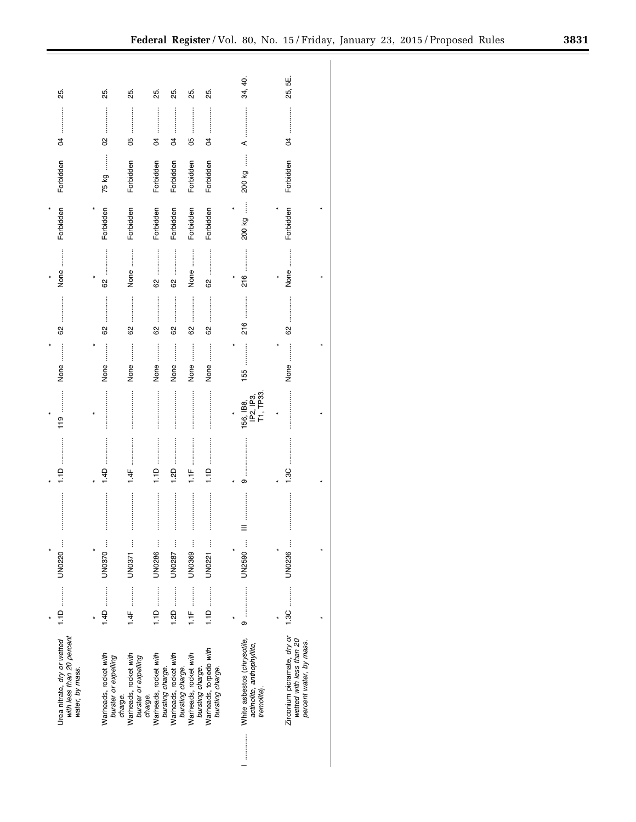| 25.                                                                         | 25.                                                      | 25.                                                      | 25.                                       | 25.                                       | 25.                                       | 25.                                        | 34, 40.                                                                  | 55<br>25,                                                                          |  |
|-----------------------------------------------------------------------------|----------------------------------------------------------|----------------------------------------------------------|-------------------------------------------|-------------------------------------------|-------------------------------------------|--------------------------------------------|--------------------------------------------------------------------------|------------------------------------------------------------------------------------|--|
| g                                                                           | $\infty$                                                 | 80                                                       | S,                                        | Å                                         | 80                                        | S,                                         | ⋖                                                                        | S,                                                                                 |  |
| Forbidden                                                                   | $\vdots$<br>75 kg                                        | Forbidden                                                | Forbidden                                 | Forbidden                                 | Forbidden                                 | Forbidden                                  | ļ<br>200 kg                                                              | Forbidden                                                                          |  |
| Forbidden                                                                   | Forbidden                                                | Forbidden                                                | Forbidden                                 | Forbidden                                 | Forbidden                                 | Forbidden                                  | 200 kg                                                                   | Forbidden                                                                          |  |
| None                                                                        |                                                          | :<br>:<br>:<br>:<br>None                                 | <br>8                                     | 8                                         | $\ddot{}}$<br>None                        | 8                                          | 216                                                                      | None                                                                               |  |
| <br>8                                                                       | :<br>:<br>:<br>: : : : : :<br>82                         | <br>62                                                   | <br>82                                    | 62                                        | .<br>.<br>.<br>.<br>.<br>.<br>62          | <br>82                                     | :<br>:<br>:<br>:<br>216                                                  | 8                                                                                  |  |
| $\ddot{\phantom{a}}$<br>None                                                | :<br>:<br>:<br>:<br>None                                 | $\ddot{}}$<br>None                                       | :<br>:<br>:<br>None                       | $\vdots$<br>None                          | :<br>:<br>:<br>None                       | :<br>:<br>:<br>:<br>None                   | :<br>:<br>:<br>:<br>155                                                  | None                                                                               |  |
| <br>119                                                                     |                                                          |                                                          |                                           |                                           |                                           |                                            | T1, TP33<br>IP <sub>2</sub> , IP <sub>3</sub><br>156, IB8,               |                                                                                    |  |
| <br>1.1D                                                                    | :<br>:<br>:<br>:<br>1.4D                                 | 1.4F                                                     | <br>$\frac{1}{2}$                         | 1.2D                                      | :<br>:<br>:<br>:<br>ŧ                     | <br>1.1D                                   | თ                                                                        | 1.3C                                                                               |  |
|                                                                             | :<br>:<br>:<br>: : : : : :                               |                                                          |                                           |                                           |                                           |                                            |                                                                          | $\vdots$                                                                           |  |
| UN0220                                                                      | UN0370                                                   | UN0371                                                   | UN0286                                    | UN0287                                    | UN0369                                    | UN0221                                     | UN2590                                                                   | UN0236                                                                             |  |
| $1.1D$                                                                      | 1.4D                                                     |                                                          | $1.1D$                                    |                                           |                                           |                                            |                                                                          | 1.3C                                                                               |  |
| with less than 20 percent<br>Urea nitrate, dry or wetted<br>water, by mass. | Warheads, rocket with<br>burster or expelling<br>charge. | Warheads, rocket with<br>burster or expelling<br>charge. | Warheads, rocket with<br>bursting charge. | Warheads, rocket with<br>bursting charge. | Warheads, rocket with<br>bursting charge. | Warheads, torpedo with<br>bursting charge. | White asbestos (chrysotile,<br>actinolite, anthophyllite,<br>tremolite). | Zirconium picramate, dry or<br>wetted with less than 20<br>percent water, by mass. |  |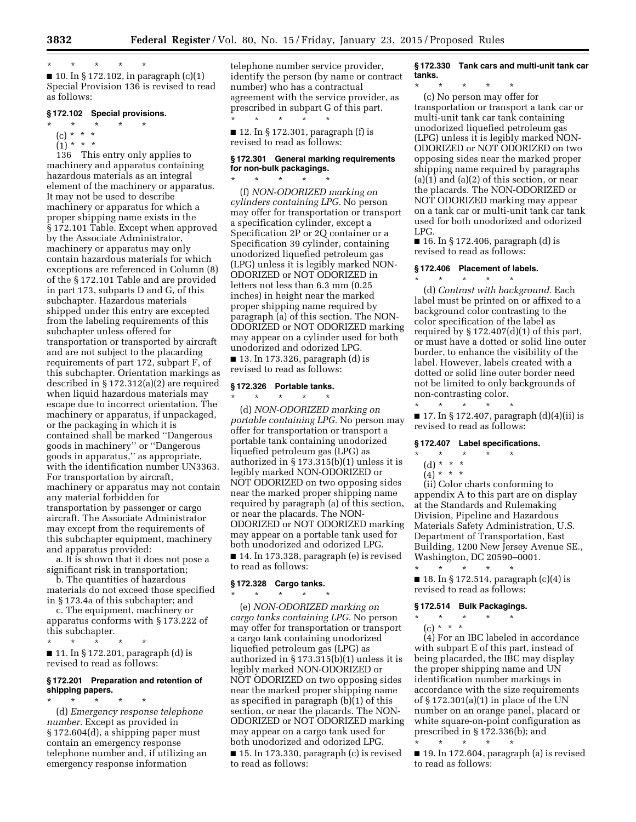\* \* \* \* \*

 $\blacksquare$  10. In § 172.102, in paragraph (c)(1) Special Provision 136 is revised to read as follows:

### **§ 172.102 Special provisions.**

- \* \* \* \* \*
- $(c) * * * *$
- $(1) * * * *$

136 This entry only applies to machinery and apparatus containing hazardous materials as an integral element of the machinery or apparatus. It may not be used to describe machinery or apparatus for which a proper shipping name exists in the § 172.101 Table. Except when approved by the Associate Administrator, machinery or apparatus may only contain hazardous materials for which exceptions are referenced in Column (8) of the § 172.101 Table and are provided in part 173, subparts D and G, of this subchapter. Hazardous materials shipped under this entry are excepted from the labeling requirements of this subchapter unless offered for transportation or transported by aircraft and are not subject to the placarding requirements of part 172, subpart F, of this subchapter. Orientation markings as described in § 172.312(a)(2) are required when liquid hazardous materials may escape due to incorrect orientation. The machinery or apparatus, if unpackaged, or the packaging in which it is contained shall be marked ''Dangerous goods in machinery'' or ''Dangerous goods in apparatus,'' as appropriate, with the identification number UN3363. For transportation by aircraft, machinery or apparatus may not contain any material forbidden for transportation by passenger or cargo aircraft. The Associate Administrator may except from the requirements of this subchapter equipment, machinery and apparatus provided:

a. It is shown that it does not pose a significant risk in transportation;

b. The quantities of hazardous materials do not exceed those specified in § 173.4a of this subchapter; and

c. The equipment, machinery or apparatus conforms with § 173.222 of this subchapter.

\* \* \* \* \*

■ 11. In § 172.201, paragraph (d) is revised to read as follows:

# **§ 172.201 Preparation and retention of shipping papers.**

\* \* \* \* \* (d) *Emergency response telephone number.* Except as provided in § 172.604(d), a shipping paper must contain an emergency response telephone number and, if utilizing an emergency response information

telephone number service provider, identify the person (by name or contract number) who has a contractual agreement with the service provider, as prescribed in subpart G of this part. \* \* \* \* \*

■ 12. In § 172.301, paragraph (f) is revised to read as follows:

# **§ 172.301 General marking requirements for non-bulk packagings.**  \* \* \* \* \*

(f) *NON-ODORIZED marking on cylinders containing LPG.* No person may offer for transportation or transport a specification cylinder, except a Specification 2P or 2Q container or a Specification 39 cylinder, containing unodorized liquefied petroleum gas (LPG) unless it is legibly marked NON-ODORIZED or NOT ODORIZED in letters not less than 6.3 mm (0.25 inches) in height near the marked proper shipping name required by paragraph (a) of this section. The NON-ODORIZED or NOT ODORIZED marking may appear on a cylinder used for both unodorized and odorized LPG.

■ 13. In 173.326, paragraph (d) is revised to read as follows:

### **§ 172.326 Portable tanks.**  \* \* \* \* \*

(d) *NON-ODORIZED marking on portable containing LPG.* No person may offer for transportation or transport a portable tank containing unodorized liquefied petroleum gas (LPG) as authorized in § 173.315(b)(1) unless it is legibly marked NON-ODORIZED or NOT ODORIZED on two opposing sides near the marked proper shipping name required by paragraph (a) of this section, or near the placards. The NON-ODORIZED or NOT ODORIZED marking may appear on a portable tank used for both unodorized and odorized LPG.

■ 14. In 173.328, paragraph (e) is revised to read as follows:

### **§ 172.328 Cargo tanks.**  \* \* \* \* \*

(e) *NON-ODORIZED marking on cargo tanks containing LPG.* No person may offer for transportation or transport a cargo tank containing unodorized liquefied petroleum gas (LPG) as authorized in § 173.315(b)(1) unless it is legibly marked NON-ODORIZED or NOT ODORIZED on two opposing sides near the marked proper shipping name as specified in paragraph (b)(1) of this section, or near the placards. The NON-ODORIZED or NOT ODORIZED marking may appear on a cargo tank used for both unodorized and odorized LPG.

■ 15. In 173.330, paragraph (c) is revised to read as follows:

**§ 172.330 Tank cars and multi-unit tank car tanks.** 

\* \* \* \* \* (c) No person may offer for transportation or transport a tank car or multi-unit tank car tank containing unodorized liquefied petroleum gas (LPG) unless it is legibly marked NON-ODORIZED or NOT ODORIZED on two opposing sides near the marked proper shipping name required by paragraphs (a)(1) and (a)(2) of this section, or near the placards. The NON-ODORIZED or NOT ODORIZED marking may appear on a tank car or multi-unit tank car tank used for both unodorized and odorized LPG.

■ 16. In § 172.406, paragraph (d) is revised to read as follows:

# **§ 172.406 Placement of labels.**

 $\star$   $\qquad$   $\star$   $\qquad$   $\star$ (d) *Contrast with background.* Each label must be printed on or affixed to a background color contrasting to the color specification of the label as required by  $\S 172.407(d)(1)$  of this part, or must have a dotted or solid line outer border, to enhance the visibility of the label. However, labels created with a dotted or solid line outer border need not be limited to only backgrounds of non-contrasting color. \* \* \* \* \*

■ 17. In § 172.407, paragraph (d)(4)(ii) is revised to read as follows:

# **§ 172.407 Label specifications.**

# \* \* \* \* \*

# (d) \* \* \*

 $(4) * * * *$ 

(ii) Color charts conforming to appendix A to this part are on display at the Standards and Rulemaking Division, Pipeline and Hazardous Materials Safety Administration, U.S. Department of Transportation, East Building, 1200 New Jersey Avenue SE., Washington, DC 20590–0001. \* \* \* \* \*

■ 18. In § 172.514, paragraph (c)(4) is revised to read as follows:

### **§ 172.514 Bulk Packagings.**

\* \* \* \* \* (c) \* \* \*

\* \* \* \* \*

(4) For an IBC labeled in accordance with subpart E of this part, instead of being placarded, the IBC may display the proper shipping name and UN identification number markings in accordance with the size requirements of § 172.301(a)(1) in place of the UN number on an orange panel, placard or white square-on-point configuration as prescribed in § 172.336(b); and

■ 19. In 172.604, paragraph (a) is revised to read as follows: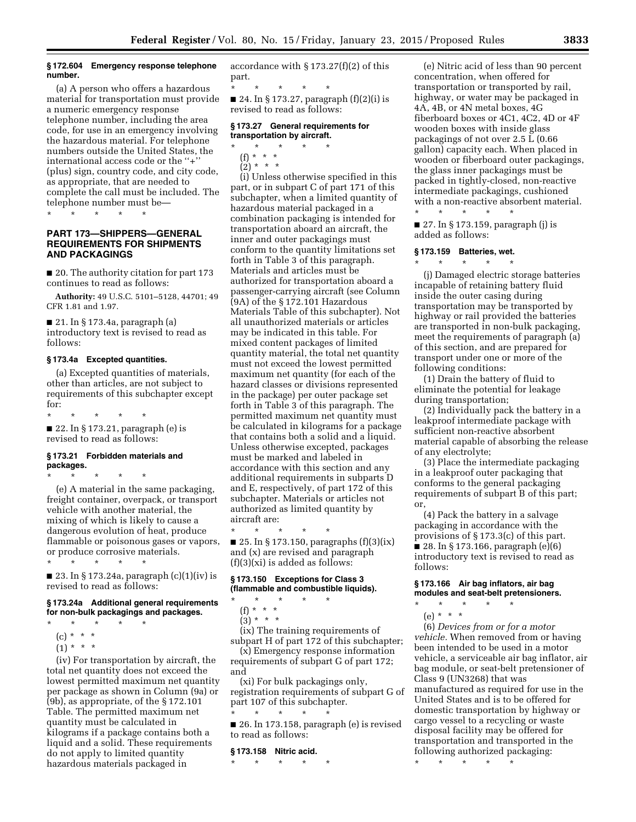#### **§ 172.604 Emergency response telephone number.**

(a) A person who offers a hazardous material for transportation must provide a numeric emergency response telephone number, including the area code, for use in an emergency involving the hazardous material. For telephone numbers outside the United States, the international access code or the ''+'' (plus) sign, country code, and city code, as appropriate, that are needed to complete the call must be included. The telephone number must be—

\* \* \* \* \*

# **PART 173—SHIPPERS—GENERAL REQUIREMENTS FOR SHIPMENTS AND PACKAGINGS**

■ 20. The authority citation for part 173 continues to read as follows:

**Authority:** 49 U.S.C. 5101–5128, 44701; 49 CFR 1.81 and 1.97.

■ 21. In § 173.4a, paragraph (a) introductory text is revised to read as follows:

# **§ 173.4a Excepted quantities.**

(a) Excepted quantities of materials, other than articles, are not subject to requirements of this subchapter except for:

\* \* \* \* \* ■ 22. In § 173.21, paragraph (e) is revised to read as follows:

# **§ 173.21 Forbidden materials and packages.**

\* \* \* \* \* (e) A material in the same packaging, freight container, overpack, or transport vehicle with another material, the mixing of which is likely to cause a dangerous evolution of heat, produce flammable or poisonous gases or vapors, or produce corrosive materials.

\* \* \* \* \*

■ 23. In § 173.24a, paragraph (c)(1)(iv) is revised to read as follows:

# **§ 173.24a Additional general requirements for non-bulk packagings and packages.**

- \* \* \* \* \*
- (c) \* \* \*
- $(1) * * * *$

(iv) For transportation by aircraft, the total net quantity does not exceed the lowest permitted maximum net quantity per package as shown in Column (9a) or (9b), as appropriate, of the § 172.101 Table. The permitted maximum net quantity must be calculated in kilograms if a package contains both a liquid and a solid. These requirements do not apply to limited quantity hazardous materials packaged in

accordance with § 173.27(f)(2) of this part.

\* \* \* \* \* ■ 24. In § 173.27, paragraph  $(f)(2)(i)$  is revised to read as follows:

### **§ 173.27 General requirements for transportation by aircraft.**

- $\star$   $\star$   $\star$
- (f) \* \* \*
- $(2) * * * *$

(i) Unless otherwise specified in this part, or in subpart C of part 171 of this subchapter, when a limited quantity of hazardous material packaged in a combination packaging is intended for transportation aboard an aircraft, the inner and outer packagings must conform to the quantity limitations set forth in Table 3 of this paragraph. Materials and articles must be authorized for transportation aboard a passenger-carrying aircraft (see Column (9A) of the § 172.101 Hazardous Materials Table of this subchapter). Not all unauthorized materials or articles may be indicated in this table. For mixed content packages of limited quantity material, the total net quantity must not exceed the lowest permitted maximum net quantity (for each of the hazard classes or divisions represented in the package) per outer package set forth in Table 3 of this paragraph. The permitted maximum net quantity must be calculated in kilograms for a package that contains both a solid and a liquid. Unless otherwise excepted, packages must be marked and labeled in accordance with this section and any additional requirements in subparts D and E, respectively, of part 172 of this subchapter. Materials or articles not authorized as limited quantity by aircraft are:

■ 25. In § 173.150, paragraphs  $(f)(3)(ix)$ and (x) are revised and paragraph (f)(3)(xi) is added as follows:

# **§ 173.150 Exceptions for Class 3 (flammable and combustible liquids).**

 $\star$   $\qquad$   $\star$   $\qquad$   $\star$ 

(f) \* \* \*

\* \* \* \* \*

 $(3) * * * *$ 

(ix) The training requirements of subpart H of part 172 of this subchapter;

(x) Emergency response information requirements of subpart G of part 172; and

(xi) For bulk packagings only, registration requirements of subpart G of part 107 of this subchapter.

\* \* \* \* \* ■ 26. In 173.158, paragraph (e) is revised to read as follows:

### **§ 173.158 Nitric acid.**

\* \* \* \* \*

(e) Nitric acid of less than 90 percent concentration, when offered for transportation or transported by rail, highway, or water may be packaged in 4A, 4B, or 4N metal boxes, 4G fiberboard boxes or 4C1, 4C2, 4D or 4F wooden boxes with inside glass packagings of not over 2.5 L (0.66 gallon) capacity each. When placed in wooden or fiberboard outer packagings, the glass inner packagings must be packed in tightly-closed, non-reactive intermediate packagings, cushioned with a non-reactive absorbent material.

■ 27. In § 173.159, paragraph (j) is added as follows:

### **§ 173.159 Batteries, wet.**

\* \* \* \* \*

\* \* \* \* \* (j) Damaged electric storage batteries incapable of retaining battery fluid inside the outer casing during transportation may be transported by highway or rail provided the batteries are transported in non-bulk packaging, meet the requirements of paragraph (a) of this section, and are prepared for transport under one or more of the following conditions:

(1) Drain the battery of fluid to eliminate the potential for leakage during transportation;

(2) Individually pack the battery in a leakproof intermediate package with sufficient non-reactive absorbent material capable of absorbing the release of any electrolyte;

(3) Place the intermediate packaging in a leakproof outer packaging that conforms to the general packaging requirements of subpart B of this part; or,

(4) Pack the battery in a salvage packaging in accordance with the provisions of § 173.3(c) of this part. ■ 28. In § 173.166, paragraph  $(e)(6)$ introductory text is revised to read as follows:

# **§ 173.166 Air bag inflators, air bag modules and seat-belt pretensioners.**   $\star$   $\qquad$   $\star$   $\qquad$   $\star$

- - (e) \* \* \*

(6) *Devices from or for a motor vehicle.* When removed from or having been intended to be used in a motor vehicle, a serviceable air bag inflator, air bag module, or seat-belt pretensioner of Class 9 (UN3268) that was manufactured as required for use in the United States and is to be offered for domestic transportation by highway or cargo vessel to a recycling or waste disposal facility may be offered for transportation and transported in the following authorized packaging:

\* \* \* \* \*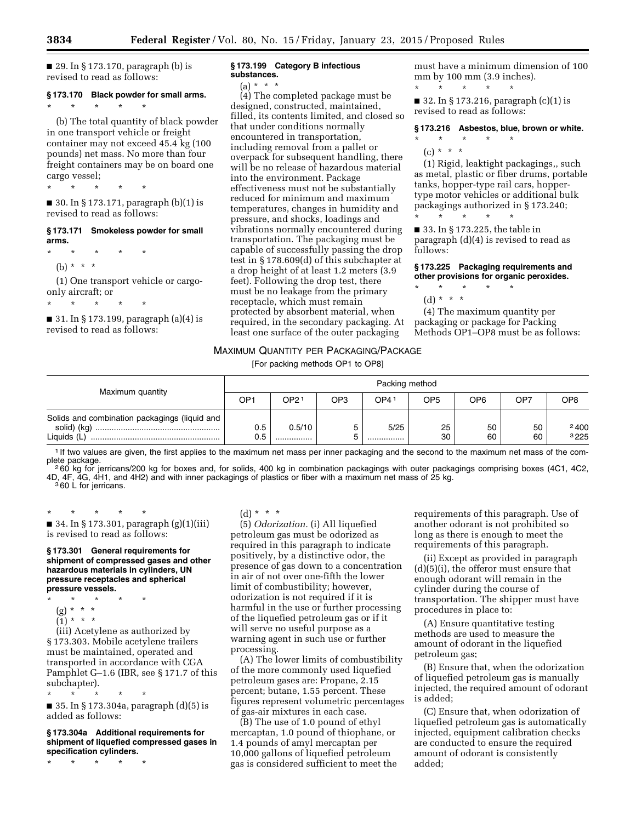$\blacksquare$  29. In § 173.170, paragraph (b) is revised to read as follows:

# **§ 173.170 Black powder for small arms.**

\* \* \* \* \* (b) The total quantity of black powder in one transport vehicle or freight container may not exceed 45.4 kg (100 pounds) net mass. No more than four freight containers may be on board one cargo vessel;

\* \* \* \* \*

 $\blacksquare$  30. In § 173.171, paragraph (b)(1) is revised to read as follows:

# **§ 173.171 Smokeless powder for small arms.**

\* \* \* \* \*

(b) \* \* \*

(1) One transport vehicle or cargoonly aircraft; or

\* \* \* \* \*

■ 31. In § 173.199, paragraph (a)(4) is revised to read as follows:

#### **§ 173.199 Category B infectious substances.**

(a) \* \* \*

(4) The completed package must be designed, constructed, maintained, filled, its contents limited, and closed so that under conditions normally encountered in transportation, including removal from a pallet or overpack for subsequent handling, there will be no release of hazardous material into the environment. Package effectiveness must not be substantially reduced for minimum and maximum temperatures, changes in humidity and pressure, and shocks, loadings and vibrations normally encountered during transportation. The packaging must be capable of successfully passing the drop test in § 178.609(d) of this subchapter at a drop height of at least 1.2 meters (3.9 feet). Following the drop test, there must be no leakage from the primary receptacle, which must remain protected by absorbent material, when required, in the secondary packaging. At least one surface of the outer packaging

must have a minimum dimension of 100 mm by 100 mm (3.9 inches). \* \* \* \* \*

■ 32. In § 173.216, paragraph (c)(1) is revised to read as follows:

#### **§ 173.216 Asbestos, blue, brown or white.**

- \* \* \* \* \*
	- $(c) * * * *$

(1) Rigid, leaktight packagings,, such as metal, plastic or fiber drums, portable tanks, hopper-type rail cars, hoppertype motor vehicles or additional bulk packagings authorized in § 173.240; \* \* \* \* \*

■ 33. In § 173.225, the table in paragraph (d)(4) is revised to read as follows:

**§ 173.225 Packaging requirements and other provisions for organic peroxides.** 

- \* \* \* \* \*
- (d) \* \* \*

(4) The maximum quantity per packaging or package for Packing Methods OP1–OP8 must be as follows:

# MAXIMUM QUANTITY PER PACKAGING/PACKAGE

[For packing methods OP1 to OP8]

| Maximum quantity                                             | Packing method |            |                 |          |                 |          |          |                 |  |  |
|--------------------------------------------------------------|----------------|------------|-----------------|----------|-----------------|----------|----------|-----------------|--|--|
|                                                              | OP1            | OP21       | OP <sub>3</sub> | OP41     | OP <sub>5</sub> | OP6      | OP7      | OP <sub>8</sub> |  |  |
| Solids and combination packagings (liquid and<br>Liquids (L) | 0.5<br>0.5     | 0.5/10<br> | ∽<br>ت          | 5/25<br> | 25<br>30        | 50<br>60 | 50<br>60 | 2400<br>3225    |  |  |

<sup>1</sup> If two values are given, the first applies to the maximum net mass per inner packaging and the second to the maximum net mass of the com-<br>plete package. plete package.<br>260 kg for jerricans/200 kg for boxes and, for solids, 400 kg in combination packagings with outer packagings comprising boxes (4C1, 4C2,

4D, 4F, 4G, 4H1, and 4H2) and with inner packagings of plastics or fiber with a maximum net mass of 25 kg.<br><sup>3</sup> 60 L for jerricans.

\* \* \* \* \*

■ 34. In § 173.301, paragraph (g)(1)(iii) is revised to read as follows:

### **§ 173.301 General requirements for shipment of compressed gases and other hazardous materials in cylinders, UN pressure receptacles and spherical pressure vessels.**

- \* \* \* \* \*
	- (g) \* \* \*
	- $(1) * * * *$

(iii) Acetylene as authorized by § 173.303. Mobile acetylene trailers must be maintained, operated and transported in accordance with CGA Pamphlet G–1.6 (IBR, see § 171.7 of this subchapter).

\* \* \* \* \* ■ 35. In § 173.304a, paragraph (d)(5) is added as follows:

**§ 173.304a Additional requirements for shipment of liquefied compressed gases in specification cylinders.** 

\* \* \* \* \*

# (d) \* \* \*

(5) *Odorization.* (i) All liquefied presence of gas down to a concentration harmful in the use or further processing

(A) The lower limits of combustibility of the more commonly used liquefied petroleum gases are: Propane, 2.15 percent; butane, 1.55 percent. These figures represent volumetric percentages of gas-air mixtures in each case.

(B) The use of 1.0 pound of ethyl mercaptan, 1.0 pound of thiophane, or 1.4 pounds of amyl mercaptan per 10,000 gallons of liquefied petroleum gas is considered sufficient to meet the

requirements of this paragraph. Use of another odorant is not prohibited so long as there is enough to meet the requirements of this paragraph.

(ii) Except as provided in paragraph (d)(5)(i), the offeror must ensure that enough odorant will remain in the cylinder during the course of transportation. The shipper must have procedures in place to:

(A) Ensure quantitative testing methods are used to measure the amount of odorant in the liquefied petroleum gas;

(B) Ensure that, when the odorization of liquefied petroleum gas is manually injected, the required amount of odorant is added;

(C) Ensure that, when odorization of liquefied petroleum gas is automatically injected, equipment calibration checks are conducted to ensure the required amount of odorant is consistently added;

petroleum gas must be odorized as required in this paragraph to indicate positively, by a distinctive odor, the in air of not over one-fifth the lower limit of combustibility; however, odorization is not required if it is of the liquefied petroleum gas or if it will serve no useful purpose as a warning agent in such use or further processing.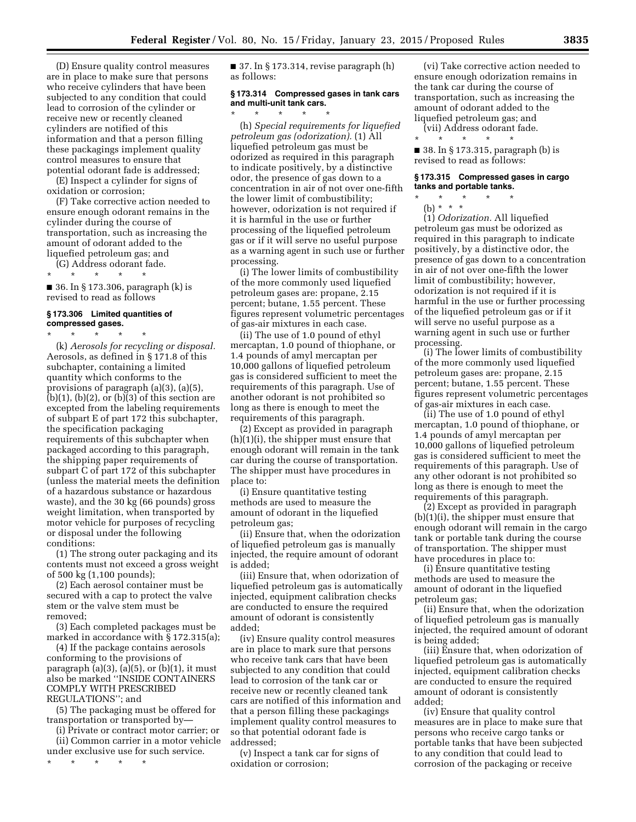(D) Ensure quality control measures are in place to make sure that persons who receive cylinders that have been subjected to any condition that could lead to corrosion of the cylinder or receive new or recently cleaned cylinders are notified of this information and that a person filling these packagings implement quality control measures to ensure that potential odorant fade is addressed;

(E) Inspect a cylinder for signs of oxidation or corrosion;

(F) Take corrective action needed to ensure enough odorant remains in the cylinder during the course of transportation, such as increasing the amount of odorant added to the liquefied petroleum gas; and

(G) Address odorant fade.

\* \* \* \* \*

■ 36. In § 173.306, paragraph (k) is revised to read as follows

### **§ 173.306 Limited quantities of compressed gases.**

 $\star$   $\star$ 

(k) *Aerosols for recycling or disposal.*  Aerosols, as defined in § 171.8 of this subchapter, containing a limited quantity which conforms to the provisions of paragraph (a)(3), (a)(5),  $(b)(1)$ ,  $(b)(2)$ , or  $(b)(3)$  of this section are excepted from the labeling requirements of subpart E of part 172 this subchapter, the specification packaging requirements of this subchapter when packaged according to this paragraph, the shipping paper requirements of subpart C of part 172 of this subchapter (unless the material meets the definition of a hazardous substance or hazardous waste), and the 30 kg (66 pounds) gross weight limitation, when transported by motor vehicle for purposes of recycling or disposal under the following conditions:

(1) The strong outer packaging and its contents must not exceed a gross weight of 500 kg (1,100 pounds);

(2) Each aerosol container must be secured with a cap to protect the valve stem or the valve stem must be removed;

(3) Each completed packages must be marked in accordance with § 172.315(a);

(4) If the package contains aerosols conforming to the provisions of paragraph  $(a)(3)$ ,  $(a)(5)$ , or  $(b)(1)$ , it must also be marked ''INSIDE CONTAINERS COMPLY WITH PRESCRIBED REGULATIONS''; and

(5) The packaging must be offered for transportation or transported by—

(i) Private or contract motor carrier; or (ii) Common carrier in a motor vehicle under exclusive use for such service.

\* \* \* \* \*

 $\blacksquare$  37. In § 173.314, revise paragraph  $(h)$ as follows:

### **§ 173.314 Compressed gases in tank cars and multi-unit tank cars.**   $\star$   $\qquad$   $\star$   $\qquad$   $\star$

(h) *Special requirements for liquefied petroleum gas (odorization).* (1) All liquefied petroleum gas must be odorized as required in this paragraph to indicate positively, by a distinctive odor, the presence of gas down to a concentration in air of not over one-fifth the lower limit of combustibility; however, odorization is not required if it is harmful in the use or further processing of the liquefied petroleum gas or if it will serve no useful purpose as a warning agent in such use or further processing.

(i) The lower limits of combustibility of the more commonly used liquefied petroleum gases are: propane, 2.15 percent; butane, 1.55 percent. These figures represent volumetric percentages of gas-air mixtures in each case.

(ii) The use of 1.0 pound of ethyl mercaptan, 1.0 pound of thiophane, or 1.4 pounds of amyl mercaptan per 10,000 gallons of liquefied petroleum gas is considered sufficient to meet the requirements of this paragraph. Use of another odorant is not prohibited so long as there is enough to meet the requirements of this paragraph.

(2) Except as provided in paragraph (h)(1)(i), the shipper must ensure that enough odorant will remain in the tank car during the course of transportation. The shipper must have procedures in place to:

(i) Ensure quantitative testing methods are used to measure the amount of odorant in the liquefied petroleum gas;

(ii) Ensure that, when the odorization of liquefied petroleum gas is manually injected, the require amount of odorant is added;

(iii) Ensure that, when odorization of liquefied petroleum gas is automatically injected, equipment calibration checks are conducted to ensure the required amount of odorant is consistently added;

(iv) Ensure quality control measures are in place to mark sure that persons who receive tank cars that have been subjected to any condition that could lead to corrosion of the tank car or receive new or recently cleaned tank cars are notified of this information and that a person filling these packagings implement quality control measures to so that potential odorant fade is addressed;

(v) Inspect a tank car for signs of oxidation or corrosion;

(vi) Take corrective action needed to ensure enough odorization remains in the tank car during the course of transportation, such as increasing the amount of odorant added to the liquefied petroleum gas; and

(vii) Address odorant fade. \* \* \* \* \*

■ 38. In § 173.315, paragraph (b) is revised to read as follows:

### **§ 173.315 Compressed gases in cargo tanks and portable tanks.**

\* \* \* \* \* (b) \* \* \*

(1) *Odorization.* All liquefied petroleum gas must be odorized as required in this paragraph to indicate positively, by a distinctive odor, the presence of gas down to a concentration in air of not over one-fifth the lower limit of combustibility; however, odorization is not required if it is harmful in the use or further processing of the liquefied petroleum gas or if it will serve no useful purpose as a warning agent in such use or further processing.

(i) The lower limits of combustibility of the more commonly used liquefied petroleum gases are: propane, 2.15 percent; butane, 1.55 percent. These figures represent volumetric percentages of gas-air mixtures in each case.

(ii) The use of 1.0 pound of ethyl mercaptan, 1.0 pound of thiophane, or 1.4 pounds of amyl mercaptan per 10,000 gallons of liquefied petroleum gas is considered sufficient to meet the requirements of this paragraph. Use of any other odorant is not prohibited so long as there is enough to meet the requirements of this paragraph.

(2) Except as provided in paragraph (b)(1)(i), the shipper must ensure that enough odorant will remain in the cargo tank or portable tank during the course of transportation. The shipper must have procedures in place to:

(i) Ensure quantitative testing methods are used to measure the amount of odorant in the liquefied petroleum gas;

(ii) Ensure that, when the odorization of liquefied petroleum gas is manually injected, the required amount of odorant is being added;

(iii) Ensure that, when odorization of liquefied petroleum gas is automatically injected, equipment calibration checks are conducted to ensure the required amount of odorant is consistently added;

(iv) Ensure that quality control measures are in place to make sure that persons who receive cargo tanks or portable tanks that have been subjected to any condition that could lead to corrosion of the packaging or receive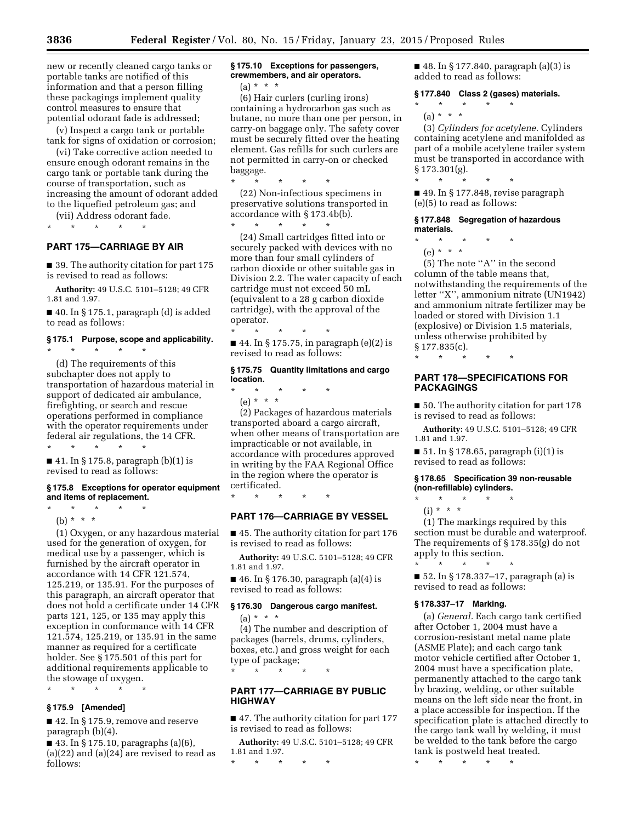new or recently cleaned cargo tanks or portable tanks are notified of this information and that a person filling these packagings implement quality control measures to ensure that potential odorant fade is addressed;

(v) Inspect a cargo tank or portable tank for signs of oxidation or corrosion;

(vi) Take corrective action needed to ensure enough odorant remains in the cargo tank or portable tank during the course of transportation, such as increasing the amount of odorant added to the liquefied petroleum gas; and

(vii) Address odorant fade.

\* \* \* \* \*

\* \* \* \* \*

# **PART 175—CARRIAGE BY AIR**

■ 39. The authority citation for part 175 is revised to read as follows:

**Authority:** 49 U.S.C. 5101–5128; 49 CFR 1.81 and 1.97.

 $\blacksquare$  40. In § 175.1, paragraph (d) is added to read as follows:

# **§ 175.1 Purpose, scope and applicability.**

(d) The requirements of this subchapter does not apply to transportation of hazardous material in support of dedicated air ambulance, firefighting, or search and rescue operations performed in compliance with the operator requirements under federal air regulations, the 14 CFR. \* \* \* \* \*

■ 41. In § 175.8, paragraph (b)(1) is revised to read as follows:

### **§ 175.8 Exceptions for operator equipment and items of replacement.**

\* \* \* \* \*

(b) \* \* \*

(1) Oxygen, or any hazardous material used for the generation of oxygen, for medical use by a passenger, which is furnished by the aircraft operator in accordance with 14 CFR 121.574, 125.219, or 135.91. For the purposes of this paragraph, an aircraft operator that does not hold a certificate under 14 CFR parts 121, 125, or 135 may apply this exception in conformance with 14 CFR 121.574, 125.219, or 135.91 in the same manner as required for a certificate holder. See § 175.501 of this part for additional requirements applicable to the stowage of oxygen.

\* \* \* \* \*

### **§ 175.9 [Amended]**

■ 42. In § 175.9, remove and reserve paragraph (b)(4).

■ 43. In § 175.10, paragraphs (a)(6),  $(a)(22)$  and  $(a)(24)$  are revised to read as follows:

# **§ 175.10 Exceptions for passengers, crewmembers, and air operators.**

 $(a) * * * *$ 

(6) Hair curlers (curling irons) containing a hydrocarbon gas such as butane, no more than one per person, in carry-on baggage only. The safety cover must be securely fitted over the heating element. Gas refills for such curlers are not permitted in carry-on or checked baggage.

\* \* \* \* \* (22) Non-infectious specimens in preservative solutions transported in accordance with § 173.4b(b). \* \* \* \* \*

(24) Small cartridges fitted into or securely packed with devices with no more than four small cylinders of carbon dioxide or other suitable gas in Division 2.2. The water capacity of each cartridge must not exceed 50 mL (equivalent to a 28 g carbon dioxide cartridge), with the approval of the operator.

\* \* \* \* \* ■ 44. In § 175.75, in paragraph (e)(2) is revised to read as follows:

# **§ 175.75 Quantity limitations and cargo location.**

\* \* \* \* \* (e) \* \* \*

\* \* \* \* \*

(2) Packages of hazardous materials transported aboard a cargo aircraft, when other means of transportation are impracticable or not available, in accordance with procedures approved in writing by the FAA Regional Office in the region where the operator is certificated.

**PART 176—CARRIAGE BY VESSEL** 

■ 45. The authority citation for part 176 is revised to read as follows:

**Authority:** 49 U.S.C. 5101–5128; 49 CFR 1.81 and 1.97.

■ 46. In § 176.30, paragraph (a)(4) is revised to read as follows:

#### **§ 176.30 Dangerous cargo manifest.**

(a) \* \* \*

 $*$  \*

(4) The number and description of packages (barrels, drums, cylinders, boxes, etc.) and gross weight for each type of package;

**PART 177—CARRIAGE BY PUBLIC HIGHWAY** 

■ 47. The authority citation for part 177 is revised to read as follows:

**Authority:** 49 U.S.C. 5101–5128; 49 CFR 1.81 and 1.97.

\* \* \* \* \*

■ 48. In § 177.840, paragraph (a)(3) is added to read as follows:

### **§ 177.840 Class 2 (gases) materials.**

\* \* \* \* \* (a) \* \* \*

(3) *Cylinders for acetylene.* Cylinders containing acetylene and manifolded as part of a mobile acetylene trailer system must be transported in accordance with § 173.301(g).

\* \* \* \* \*

■ 49. In § 177.848, revise paragraph (e)(5) to read as follows:

### **§ 177.848 Segregation of hazardous materials.**

- $\star$   $\star$
- (e) \* \* \*

(5) The note ''A'' in the second column of the table means that, notwithstanding the requirements of the letter ''X'', ammonium nitrate (UN1942) and ammonium nitrate fertilizer may be loaded or stored with Division 1.1 (explosive) or Division 1.5 materials, unless otherwise prohibited by § 177.835(c).

\* \* \* \* \*

# **PART 178—SPECIFICATIONS FOR PACKAGINGS**

■ 50. The authority citation for part 178 is revised to read as follows:

**Authority:** 49 U.S.C. 5101–5128; 49 CFR 1.81 and 1.97.

■ 51. In § 178.65, paragraph (i)(1) is revised to read as follows:

# **§ 178.65 Specification 39 non-reusable (non-refillable) cylinders.**

\* \* \* \* \*

(i) \* \* \*

(1) The markings required by this section must be durable and waterproof. The requirements of § 178.35(g) do not apply to this section.

\* \* \* \* \*

■ 52. In § 178.337–17, paragraph (a) is revised to read as follows:

# **§ 178.337–17 Marking.**

(a) *General.* Each cargo tank certified after October 1, 2004 must have a corrosion-resistant metal name plate (ASME Plate); and each cargo tank motor vehicle certified after October 1, 2004 must have a specification plate, permanently attached to the cargo tank by brazing, welding, or other suitable means on the left side near the front, in a place accessible for inspection. If the specification plate is attached directly to the cargo tank wall by welding, it must be welded to the tank before the cargo tank is postweld heat treated.

\* \* \* \* \*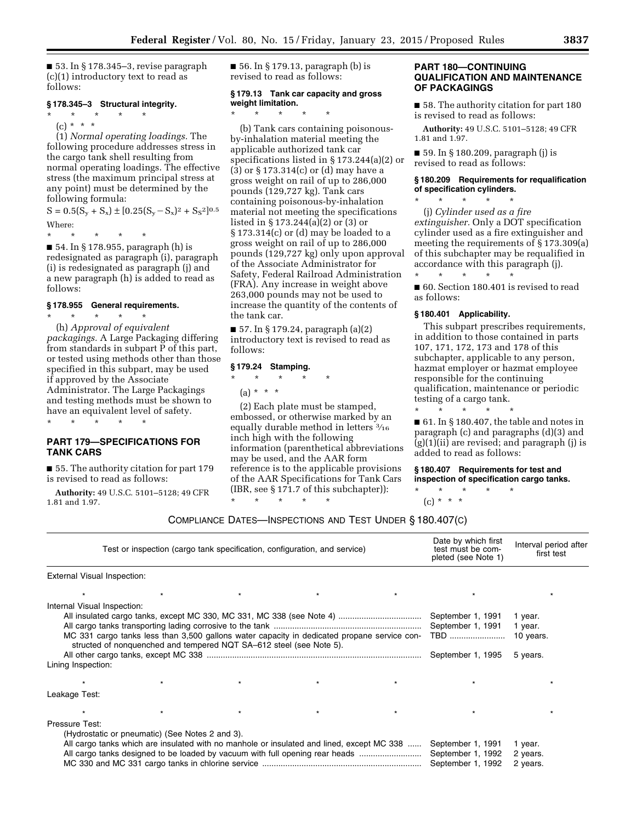$\blacksquare$  53. In § 178.345–3, revise paragraph (c)(1) introductory text to read as follows:

### **§ 178.345–3 Structural integrity.**

\* \* \* \* \*  $(c) * * * *$ 

(1) *Normal operating loadings.* The following procedure addresses stress in the cargo tank shell resulting from normal operating loadings. The effective stress (the maximum principal stress at any point) must be determined by the following formula:

 $S = 0.5(S_y + S_x) \pm [0.25(S_y - S_x)^2 + S_S^2]^{0.5}$ Where:

\* \* \* \* \*

■ 54. In § 178.955, paragraph (h) is redesignated as paragraph (i), paragraph (i) is redesignated as paragraph (j) and a new paragraph (h) is added to read as follows:

### **§ 178.955 General requirements.**

\* \* \* \* \* (h) *Approval of equivalent packagings.* A Large Packaging differing from standards in subpart P of this part, or tested using methods other than those specified in this subpart, may be used if approved by the Associate Administrator. The Large Packagings and testing methods must be shown to have an equivalent level of safety. \* \* \* \* \*

# **PART 179—SPECIFICATIONS FOR TANK CARS**

■ 55. The authority citation for part 179 is revised to read as follows:

**Authority:** 49 U.S.C. 5101–5128; 49 CFR 1.81 and 1.97.

 $\blacksquare$  56. In § 179.13, paragraph (b) is revised to read as follows:

### **§ 179.13 Tank car capacity and gross weight limitation.**  \* \* \* \* \*

(b) Tank cars containing poisonousby-inhalation material meeting the applicable authorized tank car specifications listed in § 173.244(a)(2) or (3) or § 173.314(c) or (d) may have a gross weight on rail of up to 286,000 pounds (129,727 kg). Tank cars containing poisonous-by-inhalation material not meeting the specifications listed in § 173.244(a)(2) or (3) or  $§ 173.314(c)$  or (d) may be loaded to a gross weight on rail of up to 286,000 pounds (129,727 kg) only upon approval of the Associate Administrator for Safety, Federal Railroad Administration (FRA). Any increase in weight above 263,000 pounds may not be used to increase the quantity of the contents of the tank car.

■ 57. In § 179.24, paragraph (a)(2) introductory text is revised to read as follows:

# **§ 179.24 Stamping.**

\* \* \* \* \*

(a) \* \* \*

(2) Each plate must be stamped, embossed, or otherwise marked by an equally durable method in letters 3⁄16 inch high with the following information (parenthetical abbreviations may be used, and the AAR form reference is to the applicable provisions of the AAR Specifications for Tank Cars (IBR, see § 171.7 of this subchapter)):

\* \* \* \* \*

# **PART 180—CONTINUING QUALIFICATION AND MAINTENANCE OF PACKAGINGS**

■ 58. The authority citation for part 180 is revised to read as follows:

**Authority:** 49 U.S.C. 5101–5128; 49 CFR 1.81 and 1.97.

■ 59. In § 180.209, paragraph (j) is revised to read as follows:

### **§ 180.209 Requirements for requalification of specification cylinders.**

(j) *Cylinder used as a fire extinguisher.* Only a DOT specification cylinder used as a fire extinguisher and meeting the requirements of § 173.309(a) of this subchapter may be requalified in  $\text{accordance with this paragraph (j).}$ 

■ 60. Section 180.401 is revised to read as follows:

### **§ 180.401 Applicability.**

\* \* \* \* \*

\* \* \* \* \*

This subpart prescribes requirements, in addition to those contained in parts 107, 171, 172, 173 and 178 of this subchapter, applicable to any person, hazmat employer or hazmat employee responsible for the continuing qualification, maintenance or periodic testing of a cargo tank. \* \* \* \* \*

■ 61. In § 180.407, the table and notes in paragraph (c) and paragraphs (d)(3) and (g)(1)(ii) are revised; and paragraph (j) is added to read as follows:

**§ 180.407 Requirements for test and inspection of specification cargo tanks.** 

\* \* \* \* \*  $(c) * * * *$ 

|                                                   | Test or inspection (cargo tank specification, configuration, and service) | Date by which first<br>test must be com-<br>pleted (see Note 1)     | Interval period after<br>first test                                                                                                                                       |  |                                                                    |                                             |
|---------------------------------------------------|---------------------------------------------------------------------------|---------------------------------------------------------------------|---------------------------------------------------------------------------------------------------------------------------------------------------------------------------|--|--------------------------------------------------------------------|---------------------------------------------|
| External Visual Inspection:                       |                                                                           |                                                                     |                                                                                                                                                                           |  |                                                                    |                                             |
|                                                   |                                                                           |                                                                     | $\star$                                                                                                                                                                   |  |                                                                    |                                             |
| Internal Visual Inspection:<br>Lining Inspection: |                                                                           | structed of nonquenched and tempered NQT SA-612 steel (see Note 5). | MC 331 cargo tanks less than 3,500 gallons water capacity in dedicated propane service con-                                                                               |  | September 1, 1991<br>September 1, 1991<br>TBD<br>September 1, 1995 | 1 year.<br>1 year.<br>10 years.<br>5 years. |
|                                                   |                                                                           |                                                                     |                                                                                                                                                                           |  |                                                                    |                                             |
| Leakage Test:                                     |                                                                           |                                                                     |                                                                                                                                                                           |  |                                                                    |                                             |
|                                                   |                                                                           |                                                                     |                                                                                                                                                                           |  |                                                                    |                                             |
| Pressure Test:                                    | (Hydrostatic or pneumatic) (See Notes 2 and 3).                           |                                                                     | All cargo tanks which are insulated with no manhole or insulated and lined, except MC 338<br>All cargo tanks designed to be loaded by vacuum with full opening rear heads |  | September 1, 1991<br>September 1, 1992<br>September 1, 1992        | 1 year.<br>2 years.<br>2 years.             |